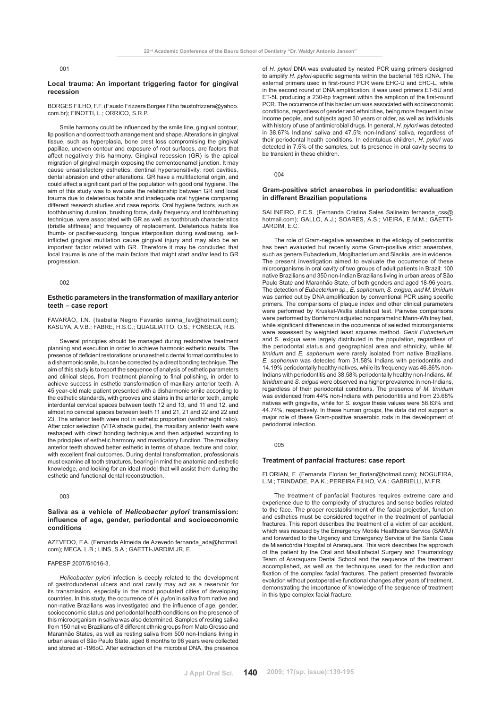#### **Local trauma: An important triggering factor for gingival recession**

#### BORGES FILHO, F.F. (Fausto Frizzera Borges Filho faustofrizzera@yahoo. com.br); FINOTTI, L.; ORRICO, S.R.P.

Smile harmony could be influenced by the smile line, gingival contour, lip position and correct tooth arrangement and shape. Alterations in gingival tissue, such as hyperplasia, bone crest loss compromising the gingival papillae, uneven contour and exposure of root surfaces, are factors that affect negatively this harmony. Gingival recession (GR) is the apical migration of gingival margin exposing the cementoenamel junction. It may cause unsatisfactory esthetics, dentinal hypersensitivity, root cavities, dental abrasion and other alterations. GR have a multifactorial origin, and could affect a significant part of the population with good oral hygiene. The aim of this study was to evaluate the relationship between GR and local trauma due to deleterious habits and inadequate oral hygiene comparing different research studies and case reports. Oral hygiene factors, such as toothbrushing duration, brushing force, daily frequency and toothbrushing technique, were associated with GR as well as toothbrush characteristics (bristle stiffness) and frequency of replacement. Deleterious habits like thumb- or pacifier-sucking, tongue interposition during swallowing, selfinflicted gingival mutilation cause gingival injury and may also be an important factor related with GR. Therefore it may be concluded that local trauma is one of the main factors that might start and/or lead to GR progression.

002

# **Esthetic parameters in the transformation of maxillary anterior teeth – case report**

FAVARÃO, I.N. (Isabella Negro Favarão isinha\_fav@hotmail.com); KASUYA, A.V.B.; FABRE, H.S.C.; QUAGLIATTO, O.S.; FONSECA, R.B.

Several principles should be managed during restorative treatment planning and execution in order to achieve harmonic esthetic results. The presence of deficient restorations or unaesthetic dental format contributes to a disharmonic smile, but can be corrected by a direct bonding technique. The aim of this study is to report the sequence of analysis of esthetic parameters and clinical steps, from treatment planning to final polishing, in order to achieve success in esthetic transformation of maxillary anterior teeth. A 45 year-old male patient presented with a disharmonic smile according to the esthetic standards, with grooves and stains in the anterior teeth, ample interdental cervical spaces between teeth 12 and 13, and 11 and 12, and almost no cervical spaces between teeth 11 and 21, 21 and 22 and 22 and 23. The anterior teeth were not in esthetic proportion (width/height ratio). After color selection (VITA shade guide), the maxillary anterior teeth were reshaped with direct bonding technique and then adjusted according to the principles of esthetic harmony and masticatory function. The maxillary anterior teeth showed better esthetic in terms of shape, texture and color, with excellent final outcomes. During dental transformation, professionals must examine all tooth structures, bearing in mind the anatomic and esthetic knowledge, and looking for an ideal model that will assist them during the esthetic and functional dental reconstruction.

 $0<sub>0</sub>$ 

## **Saliva as a vehicle of** *Helicobacter pylori* **transmission: influence of age, gender, periodontal and socioeconomic conditions**

AZEVEDO, F.A. (Fernanda Almeida de Azevedo fernanda\_ada@hotmail. com); MECA, L.B.; LINS, S.A.; GAETTI-JARDIM JR, E.

#### FAPESP 2007/51016-3.

*Helicobacter pylori* infection is deeply related to the development of gastroduodenal ulcers and oral cavity may act as a reservoir for its transmission, especially in the most populated cities of developing countries. In this study, the occurrence of *H. pylori* in saliva from native and non-native Brazilians was investigated and the influence of age, gender, socioeconomic status and periodontal health conditions on the presence of this microorganism in saliva was also determined. Samples of resting saliva from 150 native Brazilians of 8 different ethnic groups from Mato Grosso and Maranhão States, as well as resting saliva from 500 non-Indians living in urban areas of São Paulo State, aged 6 months to 96 years were collected and stored at -196oC. After extraction of the microbial DNA, the presence

of *H. pylori* DNA was evaluated by nested PCR using primers designed to amplify *H. pylori-*specific segments within the bacterial 16S rDNA. The external primers used in first-round PCR were EHC-U and EHC-L, while in the second round of DNA amplification, it was used primers ET-5U and ET-5L producing a 230-bp fragment within the amplicon of the first-round PCR. The occurrence of this bacterium was associated with socioeconomic conditions, regardless of gender and ethnicities, being more frequent in low income people, and subjects aged 30 years or older, as well as individuals with history of use of antimicrobial drugs. In general, *H. pylori* was detected in 38.67% Indians' saliva and 47.5% non-Indians' saliva, regardless of their periodontal health conditions. In edentulous children, *H. pylori* was detected in 7.5% of the samples, but its presence in oral cavity seems to be transient in these children.

004

# **Gram-positive strict anaerobes in periodontitis: evaluation in different Brazilian populations**

SALINEIRO, F.C.S. (Fernanda Cristina Sales Salineiro fernanda\_css@ hotmail.com); GALLO, A.J.; SOARES, A.S.; VIEIRA, E.M.M.; GAETTI-JARDIM, E.C.

The role of Gram-negative anaerobes in the etiology of periodontitis has been evaluated but recently some Gram-positive strict anaerobes, such as genera Eubacterium, Mogibacterium and Slackia, are in evidence. The present investigation aimed to evaluate the occurrence of these microorganisms in oral cavity of two groups of adult patients in Brazil: 100 native Brazilians and 350 non-Indian Brazilians living in urban areas of São Paulo State and Maranhão State, of both genders and aged 18-96 years. The detection of *Eubacterium sp., E. saphenum, S. exigua, and M. timidum*  was carried out by DNA amplification by conventional PCR using specific primers. The comparisons of plaque index and other clinical parameters were performed by Kruskal-Wallis statistical test. Pairwise comparisons were performed by Bonferroni adjusted nonparametric Mann-Whitney test, while significant differences in the occurrence of selected microorganisms were assessed by weighted least squares method. *Genii Eubacterium*  and S. exigua were largely distributed in the population, regardless of the periodontal status and geographical area and ethnicity, while *M. timidum* and *E. saphenum* were rarely isolated from native Brazilians. *E. saphenum* was detected from 31.58% Indians with periodontitis and 14.19% periodontally healthy natives, while its frequency was 46.86% non-Indians with periodontitis and 38.58% periodontally healthy non-Indians. *M. timidum* and *S. exigua* were observed in a higher prevalence in non-Indians, regardless of their periodontal conditions. The presence of *M. timidum*  was evidenced from 44% non-Indians with periodontitis and from 23.68% natives with gingivitis, while for *S. exigua* these values were 58.63% and 44.74%, respectively. In these human groups, the data did not support a major role of these Gram-positive anaerobic rods in the development of periodontal infection.

#### 005

#### **Treatment of panfacial fractures: case report**

FLORIAN, F. (Fernanda Florian fer\_florian@hotmail.com); NOGUEIRA, L.M.; TRINDADE, P.A.K.; PEREIRA FILHO, V.A.; GABRIELLI, M.F.R.

The treatment of panfacial fractures requires extreme care and experience due to the complexity of structures and sense bodies related to the face. The proper reestablishment of the facial projection, function and esthetics must be considered together in the treatment of panfacial fractures. This report describes the treatment of a victim of car accident, which was rescued by the Emergency Mobile Healthcare Service (SAMU) and forwarded to the Urgency and Emergency Service of the Santa Casa de Misericórdia Hospital of Araraquara. This work describes the approach of the patient by the Oral and Maxillofacial Surgery and Traumatology Team of Araraquara Dental School and the sequence of the treatment accomplished, as well as the techniques used for the reduction and fixation of the complex facial fractures. The patient presented favorable evolution without postoperative functional changes after years of treatment, demonstrating the importance of knowledge of the sequence of treatment in this type complex facial fracture.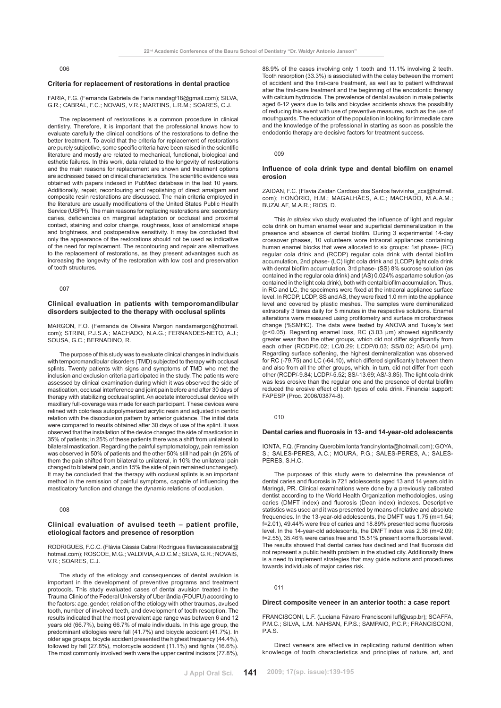#### **Criteria for replacement of restorations in dental practice**

FARIA, F.G. (Fernanda Gabriela de Faria nandagf18@gmail.com); SILVA, G.R.; CABRAL, F.C.; NOVAIS, V.R.; MARTINS, L.R.M.; SOARES, C.J.

The replacement of restorations is a common procedure in clinical dentistry. Therefore, it is important that the professional knows how to evaluate carefully the clinical conditions of the restorations to define the better treatment. To avoid that the criteria for replacement of restorations are purely subjective, some specific criteria have been raised in the scientific literature and mostly are related to mechanical, functional, biological and esthetic failures. In this work, data related to the longevity of restorations and the main reasons for replacement are shown and treatment options are addressed based on clinical characteristics. The scientific evidence was obtained with papers indexed in PubMed database in the last 10 years. Additionally, repair, recontouring and repolishing of direct amalgam and composite resin restorations are discussed. The main criteria employed in the literature are usually modifications of the United States Public Health Service (USPH). The main reasons for replacing restorations are: secondary caries, deficiencies on marginal adaptation or occlusal and proximal contact, staining and color change, roughness, loss of anatomical shape and brightness, and postoperative sensitivity. It may be concluded that only the appearance of the restorations should not be used as indicative of the need for replacement. The recontouring and repair are alternatives to the replacement of restorations, as they present advantages such as increasing the longevity of the restoration with low cost and preservation of tooth structures.

#### 007

### **Clinical evaluation in patients with temporomandibular disorders subjected to the therapy with occlusal splints**

MARGON, F.O. (Fernanda de Oliveira Margon nandamargon@hotmail. com); STRINI, P.J.S.A.; MACHADO, N.A.G.; FERNANDES-NETO, A.J.; SOUSA, G.C.; BERNADINO, R.

The purpose of this study was to evaluate clinical changes in individuals with temporomandibular disorders (TMD) subjected to therapy with occlusal splints. Twenty patients with signs and symptoms of TMD who met the inclusion and exclusion criteria participated in the study. The patients were assessed by clinical examination during which it was observed the side of mastication, occlusal interference and joint pain before and after 30 days of therapy with stabilizing occlusal splint. An acetate interocclusal device with maxillary full-coverage was made for each participant. These devices were relined with colorless autopolymerized acrylic resin and adjusted in centric relation with the disocclusion pattern by anterior guidance. The initial data were compared to results obtained after 30 days of use of the splint. It was observed that the installation of the device changed the side of mastication in 35% of patients; in 25% of these patients there was a shift from unilateral to bilateral mastication. Regarding the painful symptomatology, pain remission was observed in 50% of patients and the other 50% still had pain (in 25% of them the pain shifted from bilateral to unilateral, in 10% the unilateral pain changed to bilateral pain, and in 15% the side of pain remained unchanged). It may be concluded that the therapy with occlusal splints is an important method in the remission of painful symptoms, capable of influencing the masticatory function and change the dynamic relations of occlusion.

008

## **Clinical evaluation of avulsed teeth – patient profile, etiological factors and presence of resorption**

RODRIGUES, F.C.C. (Flávia Cássia Cabral Rodrigues flaviacassiacabral@ hotmail.com); ROSCOE, M.G.; VALDIVIA, A.D.C.M.; SILVA, G.R.; NOVAIS, V.R.; SOARES, C.J.

The study of the etiology and consequences of dental avulsion is important in the development of preventive programs and treatment protocols. This study evaluated cases of dental avulsion treated in the Trauma Clinic of the Federal University of Uberlândia (FOUFU) according to the factors: age, gender, relation of the etiology with other traumas, avulsed tooth, number of involved teeth, and development of tooth resorption. The results indicated that the most prevalent age range was between 6 and 12 years old (66.7%), being 66.7% of male individuals. In this age group, the predominant etiologies were fall (41.7%) and bicycle accident (41.7%). In older age groups, bicycle accident presented the highest frequency (44.4%), followed by fall (27.8%), motorcycle accident (11.1%) and fights (16.6%). The most commonly involved teeth were the upper central incisors (77.8%),

88.9% of the cases involving only 1 tooth and 11.1% involving 2 teeth. Tooth resorption (33.3%) is associated with the delay between the moment of accident and the first-care treatment, as well as to patient withdrawal after the first-care treatment and the beginning of the endodontic therapy with calcium hydroxide. The prevalence of dental avulsion in male patients aged 6-12 years due to falls and bicycles accidents shows the possibility of reducing this event with use of preventive measures, such as the use of mouthguards. The education of the population in looking for immediate care and the knowledge of the professional in starting as soon as possible the endodontic therapy are decisive factors for treatment success.

#### 009

### **Influence of cola drink type and dental biofilm on enamel erosion**

ZAIDAN, F.C. (Flavia Zaidan Cardoso dos Santos favivinha\_zcs@hotmail. com); HONÓRIO, H.M.; MAGALHÃES, A.C.; MACHADO, M.A.A.M.; BUZALAF, M.A.R.; RIOS, D.

This *in situ*/ex vivo study evaluated the influence of light and regular cola drink on human enamel wear and superficial demineralization in the presence and absence of dental biofilm. During 3 experimental 14-day crossover phases, 10 volunteers wore intraoral appliances containing human enamel blocks that were allocated to six groups: 1st phase- (RC) regular cola drink and (RCDP) regular cola drink with dental biofilm accumulation, 2nd phase- (LC) light cola drink and (LCDP) light cola drink with dental biofilm accumulation, 3rd phase- (SS) 8% sucrose solution (as contained in the regular cola drink) and (AS) 0.024% aspartame solution (as contained in the light cola drink), both with dental biofilm accumulation. Thus, in RC and LC, the specimens were fixed at the intraoral appliance surface level. In RCDP, LCDP, SS and AS, they were fixed 1.0 mm into the appliance level and covered by plastic meshes. The samples were demineralized extraorally 3 times daily for 5 minutes in the respective solutions. Enamel alterations were measured using profilometry and surface microhardness change (%SMHC). The data were tested by ANOVA and Tukey's test (p<0.05). Regarding enamel loss, RC (3.03 µm) showed significantly greater wear than the other groups, which did not differ significantly from each other (RCDP/0.02; LC/0.29; LCDP/0.03; SS/0.02; AS/0.04 µm). Regarding surface softening, the highest demineralization was observed for RC (-79.75) and LC (-64.10), which differed significantly between them and also from all the other groups, which, in turn, did not differ from each other (RCDP/-9.84; LCDP/-5.52; SS/-13.69; AS/-3.85). The light cola drink was less erosive than the regular one and the presence of dental biofilm reduced the erosive effect of both types of cola drink. Financial support: FAPESP (Proc. 2006/03874-8).

010

#### **Dental caries and fluorosis in 13- and 14-year-old adolescents**

IONTA, F.Q. (Franciny Querobim Ionta francinyionta@hotmail.com); GOYA, S.; SALES-PERES, A.C.; MOURA, P.G.; SALES-PERES, A.; SALES-PERES, S.H.C.

The purposes of this study were to determine the prevalence of dental caries and fluorosis in 721 adolescents aged 13 and 14 years old in Maringá, PR. Clinical examinations were done by a previously calibrated dentist according to the World Health Organization methodologies, using caries (DMFT index) and fluorosis (Dean index) indexes. Descriptive statistics was used and it was presented by means of relative and absolute frequencies. In the 13-year-old adolescents, the DMFT was 1.75 (m=1.54; f=2.01), 49.44% were free of caries and 18.89% presented some fluorosis level. In the 14-year-old adolescents, the DMFT index was 2.36 (m=2.09; f=2.55), 35.46% were caries free and 15.51% present some fluorosis level. The results showed that dental caries has declined and that fluorosis did not represent a public health problem in the studied city. Additionally there is a need to implement strategies that may guide actions and procedures towards individuals of major caries risk.

### 011

## **Direct composite veneer in an anterior tooth: a case report**

FRANCISCONI, L.F. (Luciana Fávaro Francisconi luff@usp.br); SCAFFA, P.M.C.; SILVA, L.M. NAHSAN, F.P.S.; SAMPAIO, P.C.P.; FRANCISCONI, P.A.S.

Direct veneers are effective in replicating natural dentition when knowledge of tooth characteristics and principles of nature, art, and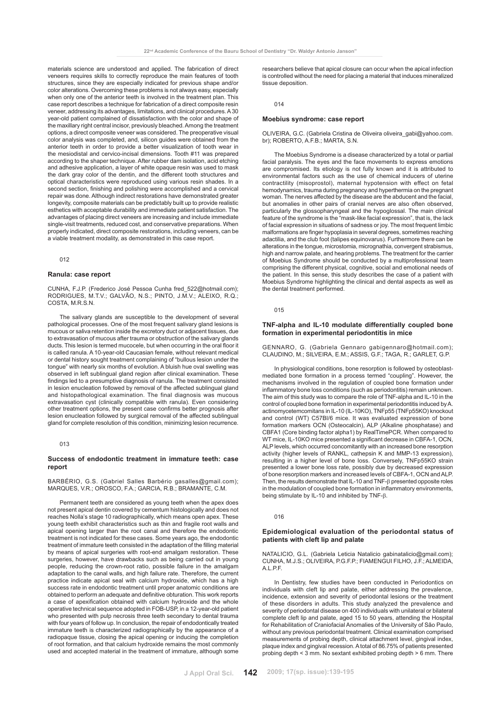materials science are understood and applied. The fabrication of direct veneers requires skills to correctly reproduce the main features of tooth structures, since they are especially indicated for previous shape and/or color alterations. Overcoming these problems is not always easy, especially when only one of the anterior teeth is involved in the treatment plan. This case report describes a technique for fabrication of a direct composite resin veneer, addressing its advantages, limitations, and clinical procedures. A 30 year-old patient complained of dissatisfaction with the color and shape of the maxillary right central incisor, previously bleached. Among the treatment options, a direct composite veneer was considered. The preoperative visual color analysis was completed, and, silicon guides were obtained from the anterior teeth in order to provide a better visualization of tooth wear in the mesiodistal and cervico-incisal dimensions. Tooth #11 was prepared according to the shaper technique. After rubber dam isolation, acid etching and adhesive application, a layer of white opaque resin was used to mask the dark gray color of the dentin, and the different tooth structures and optical characteristics were reproduced using various resin shades. In a second section, finishing and polishing were accomplished and a cervical repair was done. Although indirect restorations have demonstrated greater longevity, composite materials can be predictably built up to provide realistic esthetics with acceptable durability and immediate patient satisfaction. The advantages of placing direct veneers are increasing and include immediate single-visit treatments, reduced cost, and conservative preparations. When properly indicated, direct composite restorations, including veneers, can be a viable treatment modality, as demonstrated in this case report.

#### 012

### **Ranula: case report**

CUNHA, F.J.P. (Frederico José Pessoa Cunha fred\_522@hotmail.com); RODRIGUES, M.T.V.; GALVÃO, N.S.; PINTO, J.M.V.; ALEIXO, R.Q.; COSTA, M.R.S.N.

The salivary glands are susceptible to the development of several pathological processes. One of the most frequent salivary gland lesions is mucous or saliva retention inside the excretory duct or adjacent tissues, due to extravasation of mucous after trauma or obstruction of the salivary glands ducts. This lesion is termed mucocele, but when occurring in the oral floor it is called ranula. A 10-year-old Caucasian female, without relevant medical or dental history sought treatment complaining of "bullous lesion under the tongue" with nearly six months of evolution. A bluish hue oval swelling was observed in left sublingual gland region after clinical examination. These findings led to a presumptive diagnosis of ranula. The treatment consisted in lesion enucleation followed by removal of the affected sublingual gland and histopathological examination. The final diagnosis was mucous extravasation cyst (clinically compatible with ranula). Even considering other treatment options, the present case confirms better prognosis after lesion enucleation followed by surgical removal of the affected sublingual gland for complete resolution of this condition, minimizing lesion recurrence.

#### 013

### **Success of endodontic treatment in immature teeth: case report**

BARBÉRIO, G.S. (Gabriel Salles Barbério gasalles@gmail.com); MARQUES, V.R.; OROSCO, F.A.; GARCIA, R.B.; BRAMANTE, C.M.

Permanent teeth are considered as young teeth when the apex does not present apical dentin covered by cementum histologically and does not reaches Nolla's stage 10 radiographically, which means open apex. These young teeth exhibit characteristics such as thin and fragile root walls and apical opening larger than the root canal and therefore the endodontic treatment is not indicated for these cases. Some years ago, the endodontic treatment of immature teeth consisted in the adaptation of the filling material by means of apical surgeries with root-end amalgam restoration. These surgeries, however, have drawbacks such as being carried out in young people, reducing the crown-root ratio, possible failure in the amalgam adaptation to the canal walls, and high failure rate. Therefore, the current practice indicate apical seal with calcium hydroxide, which has a high success rate in endodontic treatment until proper anatomic conditions are obtained to perform an adequate and definitive obturation. This work reports a case of apexification obtained with calcium hydroxide and the whole operative technical sequence adopted in FOB-USP, in a 12-year-old patient who presented with pulp necrosis three teeth secondary to dental trauma with four years of follow up. In conclusion, the repair of endodontically treated immature teeth is characterized radiographically by the appearance of a radiopaque tissue, closing the apical opening or inducing the completion of root formation, and that calcium hydroxide remains the most commonly used and accepted material in the treatment of immature, although some

researchers believe that apical closure can occur when the apical infection is controlled without the need for placing a material that induces mineralized tissue deposition.

### 014

#### **Moebius syndrome: case report**

OLIVEIRA, G.C. (Gabriela Cristina de Oliveira oliveira\_gabi@yahoo.com. br); ROBERTO, A.F.B.; MARTA, S.N.

The Moebius Syndrome is a disease characterized by a total or partial facial paralysis. The eyes and the face movements to express emotions are compromised. Its etiology is not fully known and it is attributed to environmental factors such as the use of chemical inducers of uterine contractility (misoprostol), maternal hypotension with effect on fetal hemodynamics, trauma during pregnancy and hyperthermia on the pregnant woman. The nerves affected by the disease are the abducent and the facial, but anomalies in other pairs of cranial nerves are also often observed, particularly the glossopharyngeal and the hypoglossal. The main clinical feature of the syndrome is the "mask-like facial expression", that is, the lack of facial expression in situations of sadness or joy. The most frequent limbic malformations are finger hypoplasia in several degrees, sometimes reaching adactilia, and the club foot (talipes equinovarus). Furthermore there can be alterations in the tongue, microstomia, micrognathia, convergent strabismus, high and narrow palate, and hearing problems. The treatment for the carrier of Moebius Syndrome should be conducted by a multiprofessional team comprising the different physical, cognitive, social and emotional needs of the patient. In this sense, this study describes the case of a patient with Moebius Syndrome highlighting the clinical and dental aspects as well as the dental treatment performed.

015

## **TNF-alpha and IL-10 modulate differentially coupled bone formation in experimental periodontitis in mice**

GENNARO, G. (Gabriela Gennaro gabigennaro@hotmail.com); CLAUDINO, M.; SILVEIRA, E.M.; ASSIS, G.F.; TAGA, R.; GARLET, G.P.

In physiological conditions, bone resorption is followed by osteoblastmediated bone formation in a process termed "coupling". However, the mechanisms involved in the regulation of coupled bone formation under inflammatory bone loss conditions (such as periodontitis) remain unknown. The aim of this study was to compare the role of TNF-alpha and IL-10 in the control of coupled bone formation in experimental periodontitis induced by A. actinomycetemcomitans in IL-10 (IL-10KO), TNFp55 (TNFp55KO) knockout and control (WT) C57Bl/6 mice. It was evaluated expression of bone formation markers OCN (Osteocalcin), ALP (Alkaline phosphatase) and CBFA1 (Core binding factor alpha1) by RealTimePCR. When compared to WT mice, IL-10KO mice presented a significant decrease in CBFA-1, OCN, ALP levels, which occurred concomitantly with an increased bone resorption activity (higher levels of RANKL, cathepsin K and MMP-13 expression), resulting in a higher level of bone loss. Conversely, TNFp55KO strain presented a lower bone loss rate, possibly due by decreased expression of bone resorption markers and increased levels of CBFA-1, OCN and ALP. Then, the results demonstrate that IL-10 and TNF- $\beta$  presented opposite roles in the modulation of coupled bone formation in inflammatory environments, being stimulate by IL-10 and inhibited by TNF- $\beta$ .

016

### **Epidemiological evaluation of the periodontal status of patients with cleft lip and palate**

NATALICIO, G.L. (Gabriela Leticia Natalicio gabinatalicio@gmail.com); CUNHA, M.J.S.; OLIVEIRA, P.G.F.P.; FIAMENGUI FILHO, J.F.; ALMEIDA, A.L.P.F.

In Dentistry, few studies have been conducted in Periodontics on individuals with cleft lip and palate, either addressing the prevalence, incidence, extension and severity of periodontal lesions or the treatment of these disorders in adults. This study analyzed the prevalence and severity of periodontal disease on 400 individuals with unilateral or bilateral complete cleft lip and palate, aged 15 to 50 years, attending the Hospital for Rehabilitation of Craniofacial Anomalies of the University of São Paulo, without any previous periodontal treatment. Clinical examination comprised measurements of probing depth, clinical attachment level, gingival index, plaque index and gingival recession. A total of 86.75% of patients presented probing depth < 3 mm. No sextant exhibited probing depth > 6 mm. There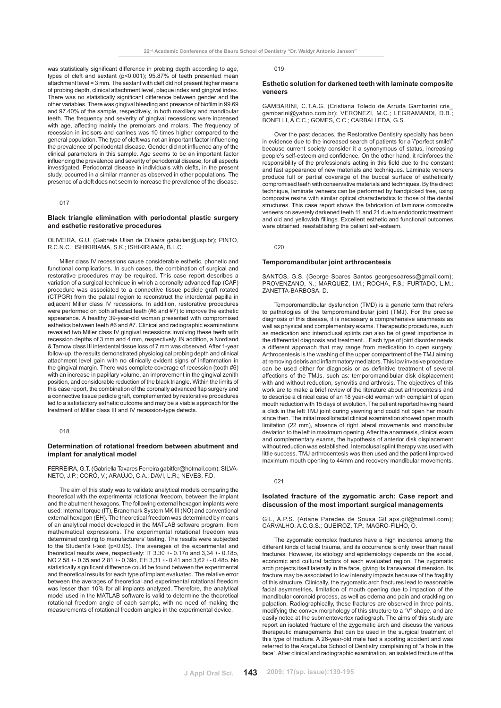was statistically significant difference in probing depth according to age, types of cleft and sextant (p<0.001); 95.87% of teeth presented mean attachment level = 3 mm. The sextant with cleft did not present higher means of probing depth, clinical attachment level, plaque index and gingival index. There was no statistically significant difference between gender and the other variables. There was gingival bleeding and presence of biofilm in 99.69 and 97.40% of the sample, respectively, in both maxillary and mandibular teeth. The frequency and severity of gingival recessions were increased with age, affecting mainly the premolars and molars. The frequency of recession in incisors and canines was 10 times higher compared to the general population. The type of cleft was not an important factor influencing the prevalence of periodontal disease. Gender did not influence any of the clinical parameters in this sample. Age seems to be an important factor influencing the prevalence and severity of periodontal disease, for all aspects investigated. Periodontal disease in individuals with clefts, in the present study, occurred in a similar manner as observed in other populations. The presence of a cleft does not seem to increase the prevalence of the disease.

#### 017

## **Black triangle elimination with periodontal plastic surgery and esthetic restorative procedures**

OLIVEIRA, G.U. (Gabriela Ulian de Oliveira gabiulian@usp.br); PINTO, R.C.N.C.; ISHIKIRIAMA, S.K.; ISHIKIRIAMA, B.L.C.

Miller class IV recessions cause considerable esthetic, phonetic and functional complications. In such cases, the combination of surgical and restorative procedures may be required. This case report describes a variation of a surgical technique in which a coronally advanced flap (CAF) procedure was associated to a connective tissue pedicle graft rotated (CTPGR) from the palatal region to reconstruct the interdental papilla in adjacent Miller class IV recessions. In addition, restorative procedures were performed on both affected teeth (#6 and #7) to improve the esthetic appearance. A healthy 39-year-old woman presented with compromised esthetics between teeth #6 and #7. Clinical and radiographic examinations revealed two Miller class IV gingival recessions involving these teeth with recession depths of 3 mm and 4 mm, respectively. IN addition, a Nordland & Tarnow class III interdental tissue loss of 7 mm was observed. After 1-year follow-up, the results demonstrated physiological probing depth and clinical attachment level gain with no clinically evident signs of inflammation in the gingival margin. There was complete coverage of recession (tooth #6) with an increase in papillary volume, an improvement in the gingival zenith position, and considerable reduction of the black triangle. Within the limits of this case report, the combination of the coronally advanced flap surgery and a connective tissue pedicle graft, complemented by restorative procedures led to a satisfactory esthetic outcome and may be a viable approach for the treatment of Miller class III and IV recession-type defects.

#### 018

# **Determination of rotational freedom between abutment and implant for analytical model**

FERREIRA, G.T. (Gabriella Tavares Ferreira gabitfer@hotmail.com); SILVA-NETO, J.P.; CORÓ, V.; ARAÚJO, C.A.; DAVI, L.R.; NEVES, F.D.

The aim of this study was to validate analytical models comparing the theoretical with the experimental rotational freedom, between the implant and the abutment hexagons. The following external hexagon implants were used: Internal torque (IT), Branemark System MK III (NO) and conventional external hexagon (EH). The theoretical freedom was determined by means of an analytical model developed in the MATLAB software program, from mathematical expressions. The experimental rotational freedom was determined cording to manufacturers' testing. The results were subjected to the Student's t-test (p<0.05). The averages of the experimental and theoretical results were, respectively: IT 3.30 +- 0.17o and 3,34 +- 0.18o, NO 2.58 +- 0.35 and 2,81 +- 0.39o, EH 3,31 +- 0.41 and 3,62 +- 0.48o. No statistically significant difference could be found between the experimental and theoretical results for each type of implant evaluated. The relative error between the averages of theoretical and experimental rotational freedom was lesser than 10% for all implants analyzed. Therefore, the analytical model used in the MATLAB software is valid to determine the theoretical rotational freedom angle of each sample, with no need of making the measurements of rotational freedom angles in the experimental device.

#### 019

#### **Esthetic solution for darkened teeth with laminate composite veneers**

GAMBARINI, C.T.A.G. (Cristiana Toledo de Arruda Gambarini cris\_ gambarini@yahoo.com.br); VERONEZI, M.C.; LEGRAMANDI, D.B.; BONELLI, A.C.C.; GOMES, C.C.; CARBALLEDA, G.S.

Over the past decades, the Restorative Dentistry specialty has been in evidence due to the increased search of patients for a \"perfect smile\" because current society consider it a synonymous of status, increasing people's self-esteem and confidence. On the other hand, it reinforces the responsibility of the professionals acting in this field due to the constant and fast appearance of new materials and techniques. Laminate veneers produce full or partial coverage of the buccal surface of esthetically compromised teeth with conservative materials and techniques. By the direct technique, laminate veneers can be performed by handpicked free, using composite resins with similar optical characteristics to those of the dental structures. This case report shows the fabrication of laminate composite veneers on severely darkened teeth 11 and 21 due to endodontic treatment and old and yellowish fillings. Excellent esthetic and functional outcomes were obtained, reestablishing the patient self-esteem.

#### 020

## **Temporomandibular joint arthrocentesis**

SANTOS, G.S. (George Soares Santos georgesoaress@gmail.com); PROVENZANO, N.; MARQUEZ, I.M.; ROCHA, F.S.; FURTADO, L.M.; ZANETTA-BARBOSA, D.

Temporomandibular dysfunction (TMD) is a generic term that refers to pathologies of the temporomandibular joint (TMJ). For the precise diagnosis of this disease, it is necessary a comprehensive anamnesis as well as physical and complementary exams. Therapeutic procedures, such as medication and interoclusal splints can also be of great importance in the differential diagnosis and treatment. . Each type of joint disorder needs a different approach that may range from medication to open surgery. Arthrocentesis is the washing of the upper compartment of the TMJ aiming at removing debris and inflammatory mediators. This low invasive procedure can be used either for diagnosis or as definitive treatment of several affections of the TMJs, such as: temporomandibular disk displacement with and without reduction, synovitis and arthrosis. The objectives of this work are to make a brief review of the literature about arthrocentesis and to describe a clinical case of an 18 year-old woman with complaint of open mouth reduction with 15 days of evolution. The patient reported having heard a click in the left TMJ joint during yawning and could not open her mouth since then. The initial maxillofacial clinical examination showed open mouth limitation (22 mm), absence of right lateral movements and mandibular deviation to the left in maximum opening. After the anamnesis, clinical exam and complementary exams, the hypothesis of anterior disk displacement without reduction was established. Interoclusal splint therapy was used with little success. TMJ arthrocentesis was then used and the patient improved maximum mouth opening to 44mm and recovery mandibular movements.

## 021

## **Isolated fracture of the zygomatic arch: Case report and discussion of the most important surgical managements**

GIL, A.P.S. (Ariane Paredes de Sousa Gil aps.gil@hotmail.com); CARVALHO, A.C.G.S.; QUEIROZ, T.P.; MAGRO-FILHO, O.

The zygomatic complex fractures have a high incidence among the different kinds of facial trauma, and its occurrence is only lower than nasal fractures. However, its etiology and epidemiology depends on the social, economic and cultural factors of each evaluated region. The zygomatic arch projects itself laterally in the face, giving its transversal dimension. Its fracture may be associated to low intensity impacts because of the fragility of this structure. Clinically, the zygomatic arch fractures lead to reasonable facial asymmetries, limitation of mouth opening due to impaction of the mandibular coronoid process, as well as edema and pain and crackling on palpation. Radiographically, these fractures are observed in three points, modifying the convex morphology of this structure to a "V" shape, and are easily noted at the submentovertex radiograph. The aims of this study are report an isolated fracture of the zygomatic arch and discuss the various therapeutic managements that can be used in the surgical treatment of this type of fracture. A 26-year-old male had a sporting accident and was referred to the Araçatuba School of Dentistry complaining of "a hole in the face". After clinical and radiographic examination, an isolated fracture of the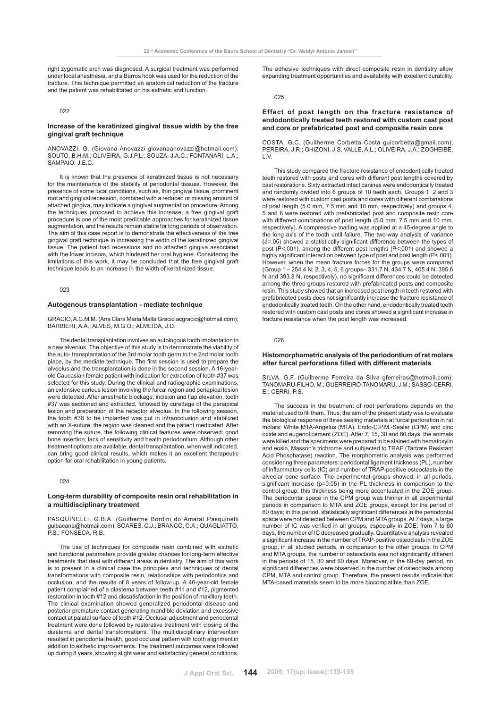right zygomatic arch was diagnosed. A surgical treatment was performed under local anesthesia, and a Barros hook was used for the reduction of the fracture. This technique permitted an anatomical reduction of the fracture and the patient was rehabilitated on his esthetic and function.

### 022

## **Increase of the keratinized gingival tissue width by the free gingival graft technique**

ANOVAZZI, G. (Giovana Anovazzi giovanaanovazzi@hotmail.com); SOUTO, B.H.M.; OLIVEIRA, G.J.P.L.; SOUZA, J.A.C.; FONTANARI, L.A.; SAMPAIO, J.E.C.

It is known that the presence of keratinized tissue is not necessary for the maintenance of the stability of periodontal tissues. However, the presence of some local conditions, such as, thin gingival tissue, prominent root and gingival recession, combined with a reduced or missing amount of attached gingiva, may indicate a gingival augmentation procedure. Among the techniques proposed to achieve this increase, a free gingival graft procedure is one of the most predicable approaches for keratinized tissue augmentation, and the results remain stable for long periods of observation. The aim of this case report is to demonstrate the effectiveness of the free gingival graft technique in increasing the width of the keratinized gingival tissue. The patient had recessions and no attached gingiva associated with the lower incisors, which hindered her oral hygiene. Considering the limitations of this work, it may be concluded that the free gingival graft technique leads to an increase in the width of keratinized tissue.

023

#### **Autogenous transplantation - mediate technique**

GRACIO, A.C.M.M. (Ana Clara Maria Malta Gracio acgracio@hotmail.com); BARBIERI, A.A.; ALVES, M.G.O.; ALMEIDA, J.D.

The dental transplantation involves an autologous tooth implantation in a new alveolus. The objective of this study is to demonstrate the viability of the auto- transplantation of the 3rd molar tooth germ to the 2nd molar tooth place, by the mediate technique. The first session is used to prepare the alveolus and the transplantation is done in the second session. A 16-yearold Caucasian female patient with indication for extraction of tooth #37 was selected for this study. During the clinical and radiographic examinations, an extensive carious lesion involving the furcal region and periapical lesion were detected. After anesthetic blockage, incision and flap elevation, tooth #37 was sectioned and extracted, followed by curettage of the periapical lesion and preparation of the receptor alveolus. In the following session, the tooth #38 to be implanted was put in infraocclusion and stabilized with an X-suture; the region was cleaned and the patient medicated. After removing the suture, the following clinical features were observed: good bone insertion, lack of sensitivity and health periodontium. Although other treatment options are available, dental transplantation, when well indicated, can bring good clinical results, which makes it an excellent therapeutic option for oral rehabilitation in young patients.

### 024

### **Long-term durability of composite resin oral rehabilitation in a multidisciplinary treatment**

PASQUINELLI, G.B.A. (Guilherme Bordini do Amaral Pasquinelli guibacana@hotmail.com); SOARES, C.J.; BRANCO, C.A.; QUAGLIATTO, P.S.; FONSECA, R.B.

The use of techniques for composite resin combined with esthetic and functional parameters provide greater chances for long-term effective treatments that deal with different areas in dentistry. The aim of this work is to present in a clinical case the principles and techniques of dental transformations with composite resin, relationships with periodontics and occlusion, and the results of 8 years of follow-up. A 46-year-old female patient complained of a diastema between teeth #11 and #12, pigmented restoration in tooth #12 and dissatisfaction in the position of maxillary teeth. The clinical examination showed generalized periodontal disease and posterior premature contact generating mandible deviation and excessive contact at palatal surface of tooth #12. Occlusal adjustment and periodontal treatment were done followed by restorative treatment with closing of the diastema and dental transformations. The multidisciplinary intervention resulted in periodontal health, good occlusal pattern with tooth alignment in addition to esthetic improvements. The treatment outcomes were followed up during 8 years, showing slight wear and satisfactory general conditions.

The adhesive techniques with direct composite resin in dentistry allow expanding treatment opportunities and availability with excellent durability.

025

# **Effect of post length on the fracture resistance of endodontically treated teeth restored with custom cast post and core or prefabricated post and composite resin core**

COSTA, G.C. (Guilherme Corbetta Costa guicorbetta@gmail.com); PEREIRA, J.R.; GHIZONI, J.S. VALLE, A.L.; OLIVEIRA, J.A.; ZOGHEIBE,  $\overline{V}$ 

This study compared the fracture resistance of endodontically treated teeth restored with posts and cores with different post lengths covered by cast restorations. Sixty extracted intact canines were endodontically treated and randomly divided into 6 groups of 10 teeth each. Groups 1, 2 and 3 were restored with custom cast posts and cores with different combinations of post length (5.0 mm, 7.5 mm and 10 mm, respectively) and groups 4, 5 and 6 were restored with prefabricated post and composite resin core with different combinations of post length (5.0 mm, 7.5 mm and 10 mm, respectively). A compressive loading was applied at a 45-degree angle to the long axis of the tooth until failure. The two-way analysis of variance (á=.05) showed a statistically significant difference between the types of post (P<.001), among the different post lengths (P<.001) and showed a highly significant interaction between type of post and post length (P<.001). However, when the mean fracture forces for the groups were compared (Group 1 – 254.4 N; 2, 3, 4, 5, 6 groups– 331.7 N, 434.7 N, 405.4 N, 395.6 N and 393.8 N, respectively), no significant differences could be detected among the three groups restored with prefabricated posts and composite resin. This study showed that an increased post length in teeth restored with prefabricated posts does not significantly increase the fracture resistance of endodontically treated teeth. On the other hand, endodontically treated teeth restored with custom cast posts and cores showed a significant increase in fracture resistance when the post length was increased.

026

# **Histomorphometric analysis of the periodontium of rat molars after furcal perforations filled with different materials**

SILVA, G.F. (Guilherme Ferreira da Silva gferreiras@hotmail.com); TANOMARU-FILHO, M.; GUERREIRO-TANOMARU, J.M.; SASSO-CERRI, E.; CERRI, P.S.

The success in the treatment of root perforations depends on the material used to fill them. Thus, the aim of the present study was to evaluate the biological response of three sealing materials at furcal perforation in rat molars: White MTA-Angelus (MTA), Endo-C.P.M.-Sealer (CPM) and zinc oxide and eugenol cement (ZOE). After 7, 15, 30 and 60 days, the animals were killed and the specimens were prepared to be stained with hematoxylin and eosin, Masson's trichrome and subjected to TRAP (Tartrate Resistant Acid Phosphatase) reaction. The morphometric analysis was performed considering three parameters: periodontal ligament thickness (PL), number of inflammatory cells (IC) and number of TRAP-positive osteoclasts in the alveolar bone surface. The experimental groups showed, in all periods, significant increase (p=0.05) in the PL thickness in comparison to the control group; this thickness being more accentuated in the ZOE group. The periodontal space in the CPM group was thinner in all experimental periods in comparison to MTA and ZOE groups, except for the period of 60 days; in this period, statistically significant differences in the periodontal space were not detected between CPM and MTA groups. At 7 days, a large number of IC was verified in all groups, especially in ZOE; from 7 to 60 days, the number of IC decreased gradually. Quantitative analysis revealed a significant increase in the number of TRAP-positive osteoclasts in the ZOE group, in all studied periods, in comparison to the other groups. In CPM and MTA groups, the number of osteoclasts was not significantly different in the periods of 15, 30 and 60 days. Moreover, in the 60-day period, no significant differences were observed in the number of osteoclasts among CPM, MTA and control group. Therefore, the present results indicate that MTA-based materials seem to be more biocompatible than ZOE.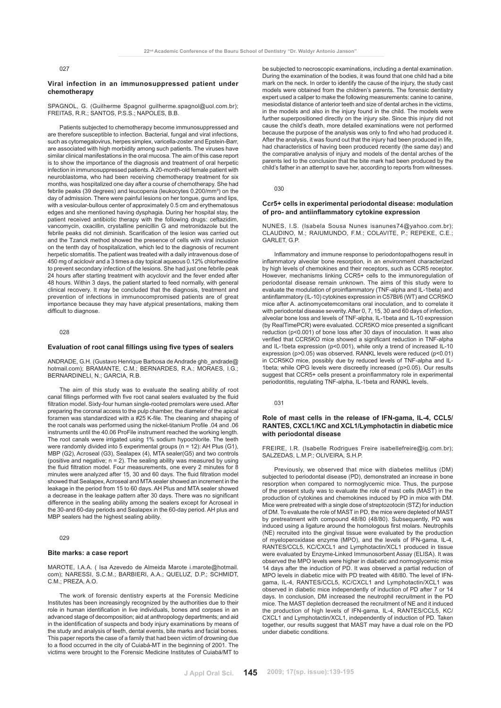#### **Viral infection in an immunosuppressed patient under chemotherapy**

SPAGNOL, G. (Guilherme Spagnol guilherme.spagnol@uol.com.br); FREITAS, R.R.; SANTOS, P.S.S.; NAPOLES, B.B.

Patients subjected to chemotherapy become immunosuppressed and are therefore susceptible to infection. Bacterial, fungal and viral infections, such as cytomegalovirus, herpes simplex, varicella-zoster and Epstein-Barr, are associated with high morbidity among such patients. The viruses have similar clinical manifestations in the oral mucosa. The aim of this case report is to show the importance of the diagnosis and treatment of oral herpetic infection in immunosuppressed patients. A 20-month-old female patient with neuroblastoma, who had been receiving chemotherapy treatment for six months, was hospitalized one day after a course of chemotherapy. She had febrile peaks (39 degrees) and leucopenia (leukocytes 0.200/mm<sup>3</sup>) on the day of admission. There were painful lesions on her tongue, gums and lips, with a vesicular-bullous center of approximately 0.5 cm and erythematosus edges and she mentioned having dysphagia. During her hospital stay, the patient received antibiotic therapy with the following drugs: ceftazidim, vancomycin, oxacillin, crystalline penicillin G and metronidazole but the febrile peaks did not diminish. Scarification of the lesion was carried out and the Tzanck method showed the presence of cells with viral inclusion on the tenth day of hospitalization, which led to the diagnosis of recurrent herpetic stomatitis. The patient was treated with a daily intravenous dose of 450 mg of aciclovir and a 3 times a day topical aqueous 0.12% chlorhexidine to prevent secondary infection of the lesions. She had just one febrile peak 24 hours after starting treatment with acyclovir and the fever ended after 48 hours. Within 3 days, the patient started to feed normally, with general clinical recovery. It may be concluded that the diagnosis, treatment and prevention of infections in immunocompromised patients are of great importance because they may have atypical presentations, making them difficult to diagnose.

028

#### **Evaluation of root canal fillings using five types of sealers**

ANDRADE, G.H. (Gustavo Henrique Barbosa de Andrade ghb\_andrade@ hotmail.com); BRAMANTE, C.M.; BERNARDES, R.A.; MORAES, I.G.; BERNARDINELI, N.; GARCIA, R.B.

The aim of this study was to evaluate the sealing ability of root canal fillings performed with five root canal sealers evaluated by the fluid filtration model. Sixty-four human single-rooted premolars were used. After preparing the coronal access to the pulp chamber, the diameter of the apical foramen was standardized with a #25 K-file. The cleaning and shaping of the root canals was performed using the nickel-titanium Profile .04 and .06 instruments until the 40.06 ProFile instrument reached the working length. The root canals were irrigated using 1% sodium hypochlorite. The teeth were randomly divided into 5 experimental groups  $(n = 12)$ : AH Plus (G1), MBP (G2), Acroseal (G3), Sealapex (4), MTA sealer(G5) and two controls (positive and negative;  $n = 2$ ). The sealing ability was measured by using the fluid filtration model. Four measurements, one every 2 minutes for 8 minutes were analyzed after 15, 30 and 60 days. The fluid filtration model showed that Sealapex, Acroseal and MTA sealer showed an increment in the leakage in the period from 15 to 60 days. AH Plus and MTA sealer showed a decrease in the leakage pattern after 30 days. There was no significant difference in the sealing ability among the sealers except for Acroseal in the 30-and 60-day periods and Sealapex in the 60-day period. AH plus and MBP sealers had the highest sealing ability.

## 029

#### **Bite marks: a case report**

MAROTE, LA A. ( Isa Azevedo de Almeida Marote i.marote@hotmail. com); NARESSI, S.C.M.; BARBIERI, A.A.; QUELUZ, D.P.; SCHMIDT, C.M.; PREZA, A.O.

The work of forensic dentistry experts at the Forensic Medicine Institutes has been increasingly recognized by the authorities due to their role in human identification in live individuals, bones and corpses in an advanced stage of decomposition; aid at anthropology departments; and aid in the identification of suspects and body injury examinations by means of the study and analysis of teeth, dental events, bite marks and facial bones. This paper reports the case of a family that had been victim of drowning due to a flood occurred in the city of Cuiabá-MT in the beginning of 2001. The victims were brought to the Forensic Medicine Institutes of Cuiabá/MT to be subjected to necroscopic examinations, including a dental examination. During the examination of the bodies, it was found that one child had a bite mark on the neck. In order to identify the cause of the injury, the study cast models were obtained from the children's parents. The forensic dentistry expert used a caliper to make the following measurements: canine to canine, mesiodistal distance of anterior teeth and size of dental arches in the victims, in the models and also in the injury found in the child. The models were further superpositioned directly on the injury site. Since this injury did not cause the child's death, more detailed examinations were not performed because the purpose of the analysis was only to find who had produced it. After the analysis, it was found out that the injury had been produced in life, had characteristics of having been produced recently (the same day) and the comparative analysis of injury and models of the dental arches of the parents led to the conclusion that the bite mark had been produced by the child's father in an attempt to save her, according to reports from witnesses.

030

## **Ccr5+ cells in experimental periodontal disease: modulation of pro- and antiinflammatory cytokine expression**

NUNES, I.S. (Isabela Sousa Nunes isanunes74@yahoo.com.br); CLAUDINO, M.; RAIUMUNDO, F.M.; COLAVITE, P.; REPEKE, C.E.; GARLET, G.P.

Inflammatory and immune response to periodontopathogens result in inflammatory alveolar bone resorption, in an environment characterized by high levels of chemokines and their receptors, such as CCR5 receptor. However, mechanisms linking CCR5+ cells to the immunoregulation of periodontal disease remain unknown. The aims of this study were to evaluate the modulation of proinflammatory (TNF-alpha and IL-1beta) and antinflammatory (IL-10) cytokines expression in C57Bl/6 (WT) and CCR5KO mice after A. actinomycetemcomitans oral inoculation, and to correlate it with periodontal disease severity. After 0, 7, 15, 30 and 60 days of infection, alveolar bone loss and levels of TNF-alpha, IL-1beta and IL-10 expression (by RealTimePCR) were evaluated. CCR5KO mice presented a significant reduction (p<0.001) of bone loss after 30 days of inoculation. It was also verified that CCR5KO mice showed a significant reduction in TNF-alpha and IL-1beta expression (p<0.001), while only a trend of increased IL-10 expression (p>0.05) was observed. RANKL levels were reduced (p<0.01) in CCR5KO mice, possibly due by reduced levels of TNF-alpha and IL-1beta; while OPG levels were discreetly increased (p>0.05). Our results suggest that CCR5+ cells present a proinflammatory role in experimental periodontitis, regulating TNF-alpha, IL-1beta and RANKL levels.

031

## **Role of mast cells in the release of IFN-gama, IL-4, CCL5/ RANTES, CXCL1/KC and XCL1/Lymphotactin in diabetic mice with periodontal disease**

FREIRE, I.R. (Isabelle Rodrigues Freire isabellefreire@ig.com.br); SALZEDAS, L.M.P.; OLIVEIRA, S.H.P.

Previously, we observed that mice with diabetes mellitus (DM) subjected to periodontal disease (PD), demonstrated an increase in bone resorption when compared to normoglycemic mice. Thus, the purpose of the present study was to evaluate the role of mast cells (MAST) in the production of cytokines and chemokines induced by PD in mice with DM. Mice were pretreated with a single dose of streptozotocin (STZ) for induction of DM. To evaluate the role of MAST in PD, the mice were depleted of MAST by pretreatment with compound 48/80 (48/80). Subsequently, PD was induced using a ligature around the homologous first molars. Neutrophils (NE) recruited into the gingival tissue were evaluated by the production of myeloperoxidase enzyme (MPO), and the levels of IFN-gama, IL-4, RANTES/CCL5, KC/CXCL1 and Lymphotactin/XCL1 produced in tissue were evaluated by Enzyme-Linked Immunosorbent Assay (ELISA). It was observed the MPO levels were higher in diabetic and normoglycemic mice 14 days after the induction of PD. It was observed a partial reduction of MPO levels in diabetic mice with PD treated with 48/80. The level of IFNgama, IL-4, RANTES/CCL5, KC/CXCL1 and Lymphotactin/XCL1 was observed in diabetic mice independently of induction of PD after 7 or 14 days. In conclusion, DM increased the neutrophil recruitment in the PD mice. The MAST depletion decreased the recruitment of NE and it induced the production of high levels of IFN-gama, IL-4, RANTES/CCL5, KC/ CXCL1 and Lymphotactin/XCL1, independently of induction of PD. Taken together, our results suggest that MAST may have a dual role on the PD under diabetic conditions.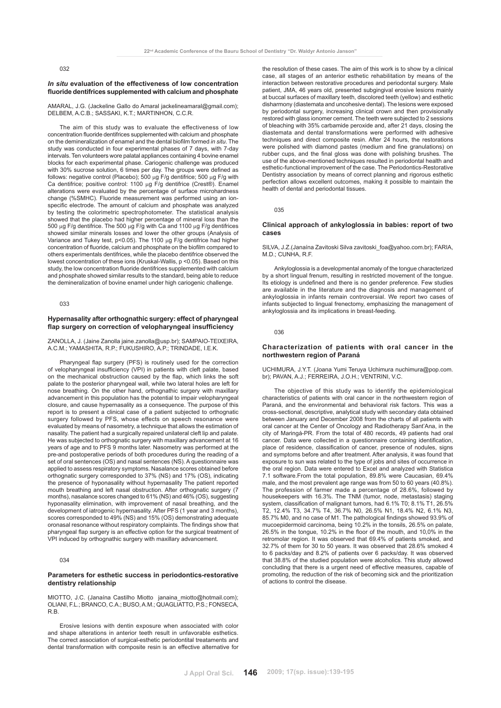#### *In situ* **evaluation of the effectiveness of low concentration fluoride dentifrices supplemented with calcium and phosphate**

AMARAL, J.G. (Jackeline Gallo do Amaral jackelineamaral@gmail.com); DELBEM, A.C.B.; SASSAKI, K.T.; MARTINHON, C.C.R.

The aim of this study was to evaluate the effectiveness of low concentration fluoride dentifrices supplemented with calcium and phosphate on the demineralization of enamel and the dental biofilm formed *in situ*. The study was conducted in four experimental phases of 7 days, with 7-day intervals. Ten volunteers wore palatal appliances containing 4 bovine enamel blocks for each experimental phase. Cariogenic challenge was produced with 30% sucrose solution, 6 times per day. The groups were defined as follows: negative control (Placebo); 500  $\mu$ g F/g dentifrice; 500  $\mu$ g F/g with Ca dentifrice; positive control: 1100 μg F/g dentifrice (Crest®). Enamel alterations were evaluated by the percentage of surface microhardness change (%SMHC). Fluoride measurement was performed using an ionspecific electrode. The amount of calcium and phosphate was analyzed by testing the colorimetric spectrophotometer. The statistical analysis showed that the placebo had higher percentage of mineral loss than the 500  $\mu$ g F/g dentifrice. The 500  $\mu$ g F/g with Ca and 1100  $\mu$ g F/g dentifrices showed similar minerals losses and lower the other groups (Analysis of Variance and Tukey test, p<0.05). The 1100 µg F/g dentifrice had higher concentration of fluoride, calcium and phosphate on the biofilm compared to others experimentals dentifrices, while the placebo dentifrice observed the lowest concentration of these ions (Kruskal-Wallis, p <0.05). Based on this study, the low concentration fluoride dentifrices supplemented with calcium and phosphate showed similar results to the standard, being able to reduce the demineralization of bovine enamel under high cariogenic challenge.

033

### **Hypernasality after orthognathic surgery: effect of pharyngeal flap surgery on correction of velopharyngeal insufficiency**

ZANOLLA, J. (Jaine Zanolla jaine.zanolla@usp.br); SAMPAIO-TEIXEIRA, A.C.M.; YAMASHITA, R.P.; FUKUSHIRO, A.P.; TRINDADE, I.E.K.

Pharyngeal flap surgery (PFS) is routinely used for the correction of velopharyngeal insufficiency (VPI) in patients with cleft palate, based on the mechanical obstruction caused by the flap, which links the soft palate to the posterior pharyngeal wall, while two lateral holes are left for nose breathing. On the other hand, orthognathic surgery with maxillary advancement in this population has the potential to impair velopharyngeal closure, and cause hypernasality as a consequence. The purpose of this report is to present a clinical case of a patient subjected to orthognatic surgery followed by PFS, whose effects on speech resonance were evaluated by means of nasometry, a technique that allows the estimation of nasality. The patient had a surgically repaired unilateral cleft lip and palate. He was subjected to orthognatic surgery with maxillary advancement at 16 years of age and to PFS 9 months later. Nasometry was performed at the pre-and postoperative periods of both procedures during the reading of a set of oral sentences (OS) and nasal sentences (NS). A questionnaire was applied to assess respiratory symptoms. Nasalance scores obtained before orthognatic surgery corresponded to 37% (NS) and 17% (OS), indicating the presence of hyponasality without hypernasality The patient reported mouth breathing and left nasal obstruction. After orthognatic surgery (7 months), nasalance scores changed to 61% (NS) and 46% (OS), suggesting hyponasality elimination, with improvement of nasal breathing, and the development of iatrogenic hypernasality. After PFS (1 year and 3 months), scores corresponded to 49% (NS) and 15% (OS) demonstrating adequate oronasal resonance without respiratory complaints. The findings show that pharyngeal flap surgery is an effective option for the surgical treatment of VPI induced by orthognathic surgery with maxillary advancement.

## 034

## **Parameters for esthetic success in periodontics-restorative dentistry relationship**

MIOTTO, J.C. (Janaína Castilho Miotto janaina\_miotto@hotmail.com); OLIANI, F.L.; BRANCO, C.A.; BUSO, A.M.; QUAGLIATTO, P.S.; FONSECA, R.B.

Erosive lesions with dentin exposure when associated with color and shape alterations in anterior teeth result in unfavorable esthetics. The correct association of surgical-esthetic periodontital treataments and dental transformation with composite resin is an effective alternative for

the resolution of these cases. The aim of this work is to show by a clinical case, all stages of an anterior esthetic rehabilitation by means of the interaction between restorative procedures and periodontal surgery. Male patient, JMA, 46 years old, presented subgingival erosive lesions mainly at buccal surfaces of maxillary teeth, discolored teeth (yellow) and esthetic disharmony (diastemata and uncohesive dental). The lesions were exposed by periodontal surgery, increasing clinical crown and then provisionally restored with glass ionomer cement. The teeth were subjected to 2 sessions of bleaching with 35% carbamide peroxide and, after 21 days, closing the diastemata and dental transformations were performed with adhesive techniques and direct composite resin. After 24 hours, the restorations were polished with diamond pastes (medium and fine granulations) on rubber cups, and the final gloss was done with polishing brushes. The use of the above-mentioned techniques resulted in periodontal health and esthetic-functional improvement of the case. The Periodontics-Restorative Dentistry association by means of correct planning and rigorous esthetic perfection allows excellent outcomes, making it possible to maintain the health of dental and periodontal tissues.

035

## **Clinical approach of ankyloglossia in babies: report of two cases**

### SILVA, J.Z.(Janaína Zavitoski Silva zavitoski\_foa@yahoo.com.br); FARIA, M.D.; CUNHA, R.F.

Ankyloglossia is a developmental anomaly of the tongue characterized by a short lingual frenum, resulting in restricted movement of the tongue. Its etiology is undefined and there is no gender preference. Few studies are available in the literature and the diagnosis and management of ankyloglossia in infants remain controversial. We report two cases of infants subjected to lingual frenectomy, emphasizing the management of ankyloglossia and its implications in breast-feeding.

036

## **Characterization of patients with oral cancer in the northwestern region of Paraná**

UCHIMURA, J.Y.T. (Joana Yumi Teruya Uchimura nuchimura@pop.com. br); PAVAN, A.J.; FERREIRA, J.O.H.; VENTRINI, V.C.

The objective of this study was to identify the epidemiological characteristics of patients with oral cancer in the northwestern region of Paraná, and the environmental and behavioral risk factors. This was a cross-sectional, descriptive, analytical study with secondary data obtained between January and December 2008 from the charts of all patients with oral cancer at the Center of Oncology and Radiotherapy Sant'Ana, in the city of Maringá-PR. From the total of 480 records, 49 patients had oral cancer. Data were collected in a questionnaire containing identification, place of residence, classification of cancer, presence of nodules, signs and symptoms before and after treatment. After analysis, it was found that exposure to sun was related to the type of jobs and sites of occurrence in the oral region. Data were entered to Excel and analyzed with Statistica 7.1 software.From the total population, 89.8% were Caucasian, 69.4% male, and the most prevalent age range was from 50 to 60 years (40.8%). The profession of farmer made a percentage of 28.6%, followed by housekeepers with 16.3%. The TNM (tumor, node, metastasis) staging system, classification of malignant tumors, had 6.1% T0; 8.1% T1, 26.5% T2, 12.4% T3, 34.7% T4, 36.7% N0, 26.5% N1, 18.4% N2, 6.1% N3, 85.7% M0, and no case of M1. The pathological findings showed 93.9% of mucoepidermoid carcinoma, being 10.2% in the tonsils, 26.5% on palate, 26.5% in the tongue, 10.2% in the floor of the mouth, and 10,0% in the retromolar region. It was observed that 69.4% of patients smoked, and 32.7% of them for 30 to 50 years. It was observed that 28.6% smoked 4 to 6 packs/day and 8.2% of patients over 6 packs/day. It was observed that 38.8% of the studied population were alcoholics. This study allowed concluding that there is a urgent need of effective measures, capable of promoting, the reduction of the risk of becoming sick and the prioritization of actions to control the disease.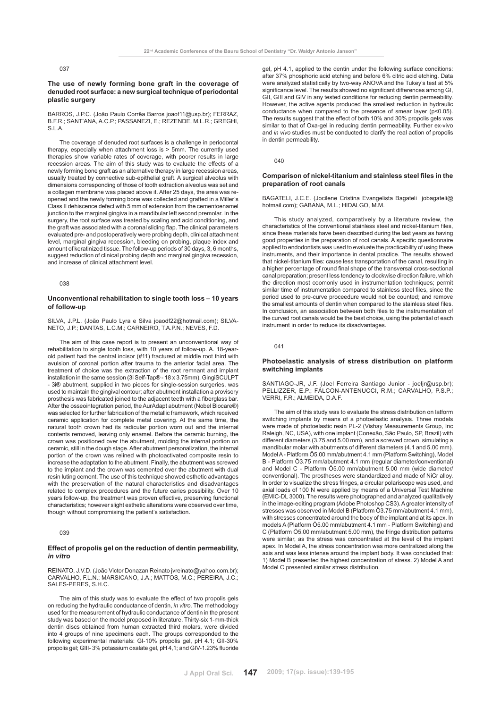## **The use of newly forming bone graft in the coverage of denuded root surface: a new surgical technique of periodontal plastic surgery**

#### BARROS, J.P.C. (João Paulo Corrêa Barros joaof11@usp.br); FERRAZ, B.F.R.; SANT'ANA, A.C.P.; PASSANEZI, E.; REZENDE, M.L.R.; GREGHI, S.L.A.

The coverage of denuded root surfaces is a challenge in periodontal therapy, especially when attachment loss is > 5mm. The currently used therapies show variable rates of coverage, with poorer results in large recession areas. The aim of this study was to evaluate the effects of a newly forming bone graft as an alternative therapy in large recession areas, usually treated by connective sub-epithelial graft. A surgical alveolus with dimensions corresponding of those of tooth extraction alveolus was set and a collagen membrane was placed above it. After 25 days, the area was reopened and the newly forming bone was collected and grafted in a Miller's Class II dehiscence defect with 5 mm of extension from the cementoenamel junction to the marginal gingiva in a mandibular left second premolar. In the surgery, the root surface was treated by scaling and acid conditioning, and the graft was associated with a coronal sliding flap. The clinical parameters evaluated pre- and postoperatively were probing depth, clinical attachment level, marginal gingiva recession, bleeding on probing, plaque index and amount of keratinized tissue. The follow-up periods of 30 days, 3, 6 months, suggest reduction of clinical probing depth and marginal gingiva recession, and increase of clinical attachment level.

#### 038

## **Unconventional rehabilitation to single tooth loss – 10 years of follow-up**

SILVA, J.P.L. (João Paulo Lyra e Silva joaodf22@hotmail.com); SILVA-NETO, J.P.; DANTAS, L.C.M.; CARNEIRO, T.A.P.N.; NEVES, F.D.

The aim of this case report is to present an unconventional way of rehabilitation to single tooth loss, with 10 years of follow-up. A. 18-yearold patient had the central incisor (#11) fractured at middle root third with avulsion of coronal portion after trauma to the anterior facial area. The treatment of choice was the extraction of the root remnant and implant installation in the same session (3i Self-Tap® - 18 x 3.75mm). GingiSCULPT - 3i® abutment, supplied in two pieces for single-session surgeries, was used to maintain the gingival contour; after abutment installation a provisory prosthesis was fabricated joined to the adjacent teeth with a fiberglass bar. After the osseointegration period, the AurAdapt abutment (Nobel Biocare®) was selected for further fabrication of the metallic framework, which received ceramic application for complete metal covering. At the same time, the natural tooth crown had its radicular portion worn out and the internal contents removed, leaving only enamel. Before the ceramic burning, the crown was positioned over the abutment, molding the internal portion on ceramic, still in the dough stage. After abutment personalization, the internal portion of the crown was relined with photoactivated composite resin to increase the adaptation to the abutment. Finally, the abutment was screwed to the implant and the crown was cemented over the abutment with dual resin luting cement. The use of this technique showed esthetic advantages with the preservation of the natural characteristics and disadvantages related to complex procedures and the future caries possibility. Over 10 years follow-up, the treatment was proven effective, preserving functional characteristics; however slight esthetic alterations were observed over time, though without compromising the patient's satisfaction.

## 039

## **Effect of propolis gel on the reduction of dentin permeability,**  *in vitro*

REINATO, J.V.D. (João Victor Donazan Reinato jvreinato@yahoo.com.br); CARVALHO, F.L.N.; MARSICANO, J.A.; MATTOS, M.C.; PEREIRA, J.C.; SALES-PERES, S.H.C.

The aim of this study was to evaluate the effect of two propolis gels on reducing the hydraulic conductance of dentin, *in vitro*. The methodology used for the measurement of hydraulic conductance of dentin in the present study was based on the model proposed in literature. Thirty-six 1-mm-thick dentin discs obtained from human extracted third molars, were divided into 4 groups of nine specimens each. The groups corresponded to the following experimental materials: GI-10% propolis gel, pH 4.1; GII-30% propolis gel; GIII- 3% potassium oxalate gel, pH 4,1; and GIV-1.23% fluoride

gel, pH 4.1, applied to the dentin under the following surface conditions: after 37% phosphoric acid etching and before 6% citric acid etching. Data were analyzed statistically by two-way ANOVA and the Tukey's test at 5% significance level. The results showed no significant differences among GI. GII, GIII and GIV in any tested conditions for reducing dentin permeability. However, the active agents produced the smallest reduction in hydraulic conductance when compared to the presence of smear layer (p<0.05). The results suggest that the effect of both 10% and 30% propolis gels was similar to that of Oxa-gel in reducing dentin permeability. Further ex-vivo and *in vivo* studies must be conducted to clarify the real action of propolis in dentin permeability.

040

## **Comparison of nickel-titanium and stainless steel files in the preparation of root canals**

BAGATELI, J.C.E. (Jocilene Cristina Evangelista Bagateli jobagateli@ hotmail.com); GABANA, M.L.; HIDALGO, M.M.

This study analyzed, comparatively by a literature review, the characteristics of the conventional stainless steel and nickel-titanium files, since these materials have been described during the last years as having good properties in the preparation of root canals. A specific questionnaire applied to endodontists was used to evaluate the practicability of using these instruments, and their importance in dental practice. The results showed that nickel-titanium files: cause less transportation of the canal, resulting in a higher percentage of round final shape of the transversal cross-sectional canal preparation; present less tendency to clockwise direction failure, which the direction most coomonly used in instrumentation techniques; permit similar time of instrumentation compared to stainless steel files, since the period used to pre-curve proceedure would not be counted; and remove the smallest amounts of dentin when compared to the stainless steel files. In conclusion, an association between both files to the instrumentation of the curved root canals would be the best choice, using the potential of each instrument in order to reduce its disadvantages.

041

## **Photoelastic analysis of stress distribution on platform switching implants**

SANTIAGO-JR, J.F. (Joel Ferreira Santiago Junior - joeljr@usp.br); PELLIZZER, E.P.; FÁLCON-ANTENUCCI, R.M.; CARVALHO, P.S.P.; VERRI, F.R.; ALMEIDA, D.A.F.

The aim of this study was to evaluate the stress distribution on latform switching implants by means of a photoelastic analysis. Three models were made of photoelastic resin PL-2 (Vishay Measurements Group, Inc Raleigh, NC, USA), with one implant (Conexão, São Paulo, SP, Brazil) with different diameters (3.75 and 5.00 mm), and a screwed crown, simulating a mandibular molar with abutments of different diameters (4.1 and 5.00 mm). Model A - Platform Ö5.00 mm/abutment 4.1 mm (Platform Switching), Model B - Platform Ö3.75 mm/abutment 4.1 mm (regular diameter/conventional) and Model C - Platform Ö5.00 mm/abutment 5.00 mm (wide diameter/ conventional). The prostheses were standardized and made of NiCr alloy. In order to visualize the stress fringes, a circular polariscope was used, and axial loads of 100 N were applied by means of a Universal Test Machine (EMIC-DL 3000). The results were photographed and analyzed qualitatively in the image-editing program (Adobe Photoshop CS3). A greater intensity of stresses was observed in Model B (Platform Ö3.75 mm/abutment 4.1 mm), with stresses concentrated around the body of the implant and at its apex. In models A (Platform Ö5.00 mm/abutment 4.1 mm - Platform Switching) and C (Platform Ö5.00 mm/abutment 5.00 mm), the fringe distribution patterns were similar, as the stress was concentrated at the level of the implant apex. In Model A, the stress concentration was more centralized along the axis and was less intense around the implant body. It was concluded that: 1) Model B presented the highest concentration of stress. 2) Model A and Model C presented similar stress distribution.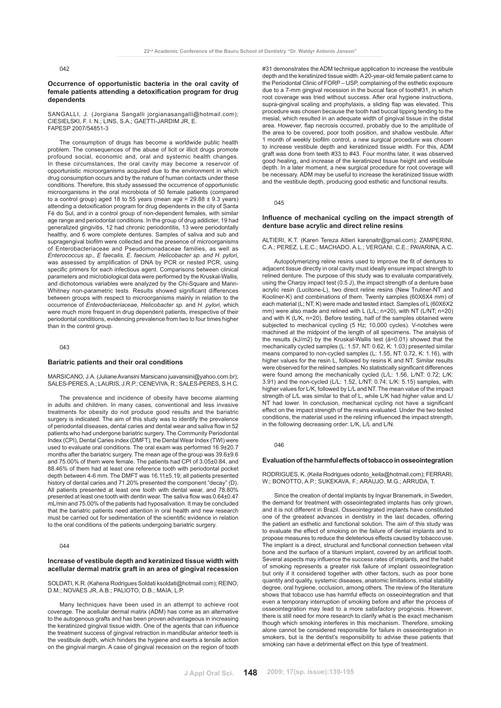## **Occurrence of opportunistic bacteria in the oral cavity of female patients attending a detoxification program for drug dependents**

SANGALLI, J. (Jorgiana Sangalli jorgianasangalli@hotmail.com); CIESIELSKI, F. I. N.; LINS, S.A.; GAETTI-JARDIM JR, E. FAPESP 2007/54851-3

The consumption of drugs has become a worldwide public health problem. The consequences of the abuse of licit or illicit drugs promote profound social, economic and, oral and systemic health changes. In these circumstances, the oral cavity may become a reservoir of opportunistic microorganisms acquired due to the environment in which drug consumption occurs and by the nature of human contacts under these conditions. Therefore, this study assessed the occurrence of opportunistic microorganisms in the oral microbiota of 50 female patients (compared to a control group) aged 18 to 55 years (mean age =  $29.88 \pm 9.3$  years) attending a detoxification program for drug dependents in the city of Santa Fé do Sul, and in a control group of non-dependent females, with similar age range and periodontal conditions. In the group of drug addicter, 19 had generalized gingivitis, 12 had chronic periodontitis, 13 were periodontally healthy, and 6 wore complete dentures. Samples of saliva and sub and supragengival biofilm were collected and the presence of microorganisms of Enterobacteriaceae and Pseudomonadaceae families, as well as *Enterococcus sp., E faecalis, E. faecium, Helicobacter sp. and H. pylori*, was assessed by amplification of DNA by PCR or nested PCR, using specific primers for each infectious agent. Comparisons between clinical parameters and microbiological data were performed by the Kruskal-Wallis, and dichotomous variables were analyzed by the Chi-Square and Mann-Whitney non-parametric tests. Results showed significant differences between groups with respect to microorganisms mainly in relation to the occurrence of *Enterobacteriaceae, Helicobacter sp*. and *H. pylori*, which were much more frequent in drug dependent patients, irrespective of their periodontal conditions, evidencing prevalence from two to four times higher than in the control group.

043

### **Bariatric patients and their oral conditions**

MARSICANO, J.A. (Juliane Avansini Marsicano juavansini@yahoo.com.br); SALES-PERES, A.; LAURIS, J.R.P.; CENEVIVA, R.; SALES-PERES, S.H.C.

The prevalence and incidence of obesity have become alarming in adults and children. In many cases, conventional and less invasive treatments for obesity do not produce good results and the bariatric surgery is indicated. The aim of this study was to identify the prevalence of periodontal diseases, dental caries and dental wear and saliva flow in 52 patients who had undergone bariatric surgery. The Community Periodontal Index (CPI), Dental Caries index (DMFT), the Dental Wear Index (TWI) were used to evaluate oral conditions. The oral exam was performed 16.9±20.7 months after the bariatric surgery. The mean age of the group was 39.6±9.6 and 75.00% of them were female. The patients had CPI of 3.05±0.84, and 88.46% of them had at least one reference tooth with periodontal pocket depth between 4-6 mm. The DMFT was 16.11±5.19; all patients presented history of dental caries and 71.20% presented the component "decay" (D). All patients presented at least one tooth with dental wear, and 78.80% presented at least one tooth with dentin wear. The saliva flow was 0.64±0.47 mL/min and 75.00% of the patients had hyposalivation. It may be concluded that the bariatric patients need attention in oral health and new research must be carried out for sedimentation of the scientific evidence in relation to the oral conditions of the patients undergoing bariatric surgery.

044

## **Increase of vestibule depth and keratinized tissue width with acellular dermal matrix graft in an area of gingival recession**

SOLDATI, K.R. (Kahena Rodrigues Soldati ksoldati@hotmail.com); REINO, D.M.; NOVAES JR, A.B.; PALIOTO, D.B.; MAIA, L.P.

Many techniques have been used in an attempt to achieve root coverage. The acellular dermal matrix (ADM) has come as an alternative to the autogenous grafts and has been proven advantageous in increasing the keratinized gingival tissue width. One of the agents that can influence the treatment success of gingival retraction in mandibular anterior teeth is the vestibule depth, which hinders the hygiene and exerts a tensile action on the gingival margin. A case of gingival recession on the region of tooth

#31 demonstrates the ADM technique application to increase the vestibule depth and the keratinized tissue width. A 20-year-old female patient came to the Periodontal Clinic of FORP – USP, complaining of the esthetic exposure due to a 7-mm gingival recession in the buccal face of tooth#31, in which root coverage was tried without success. After oral hygiene instructions, supra-gingival scaling and prophylaxis, a sliding flap was elevated. This procedure was chosen because the tooth had buccal tipping tending to the mesial, which resulted in an adequate width of gingival tissue in the distal area. However, flap necrosis occurred, probably due to the amplitude of the area to be covered, poor tooth position, and shallow vestibule. After 1 month of weekly biofilm control, a new surgical procedure was chosen to increase vestibule depth and keratinized tissue width. For this, ADM graft was done from teeth #33 to #43. Four months later, it was observed good healing, and increase of the keratinized tissue height and vestibule depth. In a later moment, a new surgical procedure for root coverage will be necessary. ADM may be useful to increase the keratinized tissue width and the vestibule depth, producing good esthetic and functional results.

045

### **Influence of mechanical cycling on the impact strength of denture base acrylic and direct reline resins**

ALTIERI, K.T. (Karen Tereza Altieri karenaltr@gmail.com); ZAMPERINI, C.A.; PEREZ, L.E.C.; MACHADO, A.L.; VERGANI, C.E.; PAVARINA, A.C.

Autopolymerizing reline resins used to improve the fit of dentures to adjacent tissue directly in oral cavity must ideally ensure impact strength to relined denture. The purpose of this study was to evaluate comparatively, using the Charpy impact test (0.5 J), the impact strength of a denture base acrylic resin (Lucitone-L), two direct reline resins (New Truliner-NT and Kooliner-K) and combinations of them. Twenty samples (60X6X4 mm) of each material (L; NT; K) were made and tested intact. Samples of L (60X6X2 mm) were also made and relined with L (L/L; n=20), with NT (L/NT; n=20) and with K (L/K, n=20). Before testing, half of the samples obtained were subjected to mechanical cycling (5 Hz; 10.000 cycles). V-notches were machined at the midpoint of the length of all specimens. The analysis of the results (kJ/m2) by the Kruskal-Wallis test (á=0.01) showed that the mechanically cycled samples (L: 1.57, NT: 0.62, K: 1.03) presented similar means compared to non-cycled samples (L: 1.55, NT: 0.72, K: 1.16), with higher values for the resin L, followed by resins K and NT. Similar results were observed for the relined samples. No statistically significant differences were found among the mechanically cycled (L/L: 1.56, L/NT: 0.72; L/K: 3.91) and the non-cycled (L/L: 1.52, L/NT: 0.74; L/K: 5.15) samples, with higher values for L/K, followed by L/L and NT. The mean value of the impact strength of L/L was similar to that of L, while L/K had higher value and L/ NT had lower. In conclusion, mechanical cycling not have a significant effect on the impact strength of the resins evaluated. Under the two tested conditions, the material used in the relining influenced the impact strength, in the following decreasing order: L/K, L/L and L/N.

046

#### **Evaluation of the harmful effects of tobacco in osseointegration**

RODRIGUES, K. (Keila Rodrigues odonto\_keila@hotmail.com); FERRARI, W.; BONOTTO, A.P.; SUKEKAVA, F.; ARAUJO, M.G.; ARRUDA, T.

Since the creation of dental implants by Ingvar Branemark, in Sweden, the demand for treatment with osseointegrated implants has only grown, and it is not different in Brazil. Osseointegrated implants have constituted one of the greatest advances in dentistry in the last decades, offering the patient an esthetic and functional solution. The aim of this study was to evaluate the effect of smoking on the failure of dental implants and to propose measures to reduce the deleterious effects caused by tobacco use. The implant is a direct, structural and functional connection between vital bone and the surface of a titanium implant, covered by an artificial tooth. Several aspects may influence the success rates of implants, and the habit of smoking represents a greater risk failure of implant osseointegration but only if it considered together with other factors, such as poor bone quantity and quality, systemic diseases, anatomic limitations, initial stability degree, oral hygiene, occlusion, among others. The review of the literature shows that tobacco use has harmful effects on osseointegration and that even a temporary interruption of smoking before and after the process of osseointegration may lead to a more satisfactory prognosis. However, there is still need for more research to clarify what is the exact mechanism though which smoking interferes in this mechanism. Therefore, smoking alone cannot be considered responsible for failure in osseointegration in smokers, but is the dentist's responsibility to advise these patients that smoking can have a detrimental effect on this type of treatment.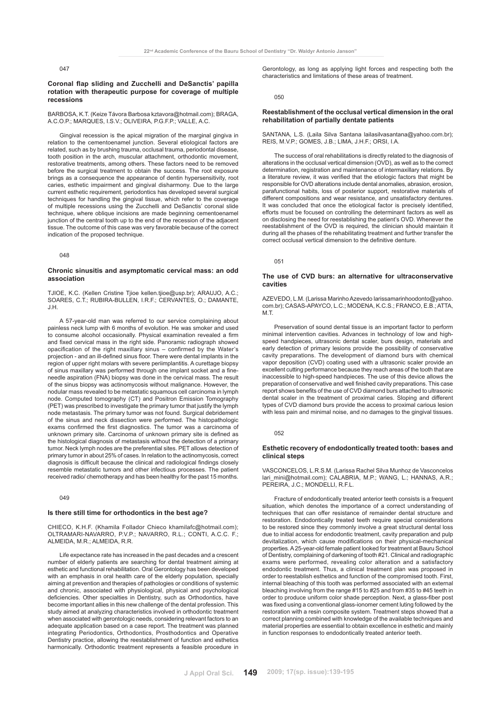### **Coronal flap sliding and Zucchelli and DeSanctis' papilla rotation with therapeutic purpose for coverage of multiple recessions**

BARBOSA, K.T. (Keize Távora Barbosa kztavora@hotmail.com); BRAGA, A.C.O.P.; MARQUES, I.S.V.; OLIVEIRA, P.G.F.P.; VALLE, A.C.

Gingival recession is the apical migration of the marginal gingiva in relation to the cementoenamel junction. Several etiological factors are related, such as by brushing trauma, occlusal trauma, periodontal disease, tooth position in the arch, muscular attachment, orthodontic movement, restorative treatments, among others. These factors need to be removed before the surgical treatment to obtain the success. The root exposure brings as a consequence the appearance of dentin hypersensitivity, root caries, esthetic impairment and gingival disharmony. Due to the large current esthetic requirement, periodontics has developed several surgical techniques for handling the gingival tissue, which refer to the coverage of multiple recessions using the Zucchelli and DeSanctis' coronal slide technique, where oblique incisions are made beginning cementoenamel junction of the central tooth up to the end of the recession of the adjacent tissue. The outcome of this case was very favorable because of the correct indication of the proposed technique.

048

## **Chronic sinusitis and asymptomatic cervical mass: an odd association**

TJIOE, K.C. (Kellen Cristine Tjioe kellen.tjioe@usp.br); ARAUJO, A.C.; SOARES, C.T.; RUBIRA-BULLEN, I.R.F.; CERVANTES, O.; DAMANTE, J.H.

A 57-year-old man was referred to our service complaining about painless neck lump with 6 months of evolution. He was smoker and used to consume alcohol occasionally. Physical examination revealed a firm and fixed cervical mass in the right side. Panoramic radiograph showed opacification of the right maxillary sinus – confirmed by the Water's projection - and an ill-defined sinus floor. There were dental implants in the region of upper right molars with severe periimplantitis. A curettage biopsy of sinus maxillary was performed through one implant socket and a fineneedle aspiration (FNA) biopsy was done in the cervical mass. The result of the sinus biopsy was actinomycosis without malignance. However, the nodular mass revealed to be metastatic squamous cell carcinoma in lymph node. Computed tomography (CT) and Positron Emission Tomography (PET) was prescribed to investigate the primary tumor that justify the lymph node metastasis. The primary tumor was not found. Surgical debridement of the sinus and neck dissection were performed. The histopathologic exams confirmed the first diagnostics. The tumor was a carcinoma of unknown primary site. Carcinoma of unknown primary site is defined as the histological diagnosis of metastasis without the detection of a primary tumor. Neck lymph nodes are the preferential sites. PET allows detection of primary tumor in about 25% of cases. In relation to the actinomycosis, correct diagnosis is difficult because the clinical and radiological findings closely resemble metastatic tumors and other infectious processes. The patient received radio/ chemotherapy and has been healthy for the past 15 months.

049

#### **Is there still time for orthodontics in the best age?**

CHIECO, K.H.F. (Khamila Follador Chieco khamilafc@hotmail.com); OLTRAMARI-NAVARRO, P.V.P.; NAVARRO, R.L.; CONTI, A.C.C. F.; ALMEIDA, M.R.; ALMEIDA, R.R.

Life expectance rate has increased in the past decades and a crescent number of elderly patients are searching for dental treatment aiming at esthetic and functional rehabilitation. Oral Gerontology has been developed with an emphasis in oral health care of the elderly population, specially aiming at prevention and therapies of pathologies or conditions of systemic and chronic, associated with physiological, physical and psychological deficiencies. Other specialties in Dentistry, such as Orthodontics, have become important allies in this new challenge of the dental profession. This study aimed at analyzing characteristics involved in orthodontic treatment when associated with gerontologic needs, considering relevant factors to an adequate application based on a case report. The treatment was planned integrating Periodontics, Orthodontics, Prosthodontics and Operative Dentistry practice, allowing the reestablishment of function and esthetics harmonically. Orthodontic treatment represents a feasible procedure in

Gerontology, as long as applying light forces and respecting both the characteristics and limitations of these areas of treatment.

050

## **Reestablishment of the occlusal vertical dimension in the oral rehabilitation of partially dentate patients**

SANTANA, L.S. (Laila Silva Santana lailasilvasantana@yahoo.com.br); REIS, M.V.P.; GOMES, J.B.; LIMA, J.H.F.; ORSI, I.A.

The success of oral rehabilitations is directly related to the diagnosis of alterations in the occlusal vertical dimension (OVD), as well as to the correct determination, registration and maintenance of intermaxillary relations. By a literature review, it was verified that the etiologic factors that might be responsible for OVD alterations include dental anomalies, abrasion, erosion, parafunctional habits, loss of posterior support, restorative materials of different compositions and wear resistance, and unsatisfactory dentures. It was concluded that once the etiological factor is precisely identified, efforts must be focused on controlling the determinant factors as well as on disclosing the need for reestablishing the patient's OVD. Whenever the reestablishment of the OVD is required, the clinician should maintain it during all the phases of the rehabilitating treatment and further transfer the correct occlusal vertical dimension to the definitive denture.

051

### **The use of CVD burs: an alternative for ultraconservative cavities**

AZEVEDO, L.M. (Larissa Marinho Azevedo larissamarinhoodonto@yahoo. com.br); CASAS-APAYCO, L.C.; MODENA, K.C.S.; FRANCO, E.B.; ATTA, M<sub>T</sub>

Preservation of sound dental tissue is an important factor to perform minimal intervention cavities. Advances in technology of low and highspeed handpieces, ultrasonic dental scaler, burs design, materials and early detection of primary lesions provide the possibility of conservative cavity preparations. The development of diamond burs with chemical vapor deposition (CVD) coating used with a ultrasonic scaler provide an excellent cutting performance because they reach areas of the tooth that are inaccessible to high-speed handpieces. The use of this device allows the preparation of conservative and well finished cavity preparations. This case report shows benefits of the use of CVD diamond burs attached to ultrasonic dental scaler in the treatment of proximal caries. Sloping and different types of CVD diamond burs provide the access to proximal carious lesion with less pain and minimal noise, and no damages to the gingival tissues.

#### 052

## **Esthetic recovery of endodontically treated tooth: bases and clinical steps**

VASCONCELOS, L.R.S.M. (Larissa Rachel Silva Munhoz de Vasconcelos lari\_mini@hotmail.com); CALABRIA, M.P.; WANG, L.; HANNAS, A.R.; PEREIRA, J.C.; MONDELLI, R.F.L.

Fracture of endodontically treated anterior teeth consists is a frequent situation, which denotes the importance of a correct understanding of techniques that can offer resistance of remainder dental structure and restoration. Endodontically treated teeth require special considerations to be restored since they commonly involve a great structural dental loss due to initial access for endodontic treatment, cavity preparation and pulp devitalization, which cause modifications on their physical-mechanical properties. A 25-year-old female patient looked for treatment at Bauru School of Dentistry, complaining of darkening of tooth #21. Clinical and radiographic exams were performed, revealing color alteration and a satisfactory endodontic treatment. Thus, a clinical treatment plan was proposed in order to reestablish esthetics and function of the compromised tooth. First, internal bleaching of this tooth was performed associated with an external bleaching involving from the range #15 to #25 and from #35 to #45 teeth in order to produce uniform color shade perception. Next, a glass-fiber post was fixed using a conventional glass-ionomer cement luting followed by the restoration with a resin composite system. Treatment steps showed that a correct planning combined with knowledge of the available techniques and material properties are essential to obtain excellence in esthetic and mainly in function responses to endodontically treated anterior teeth.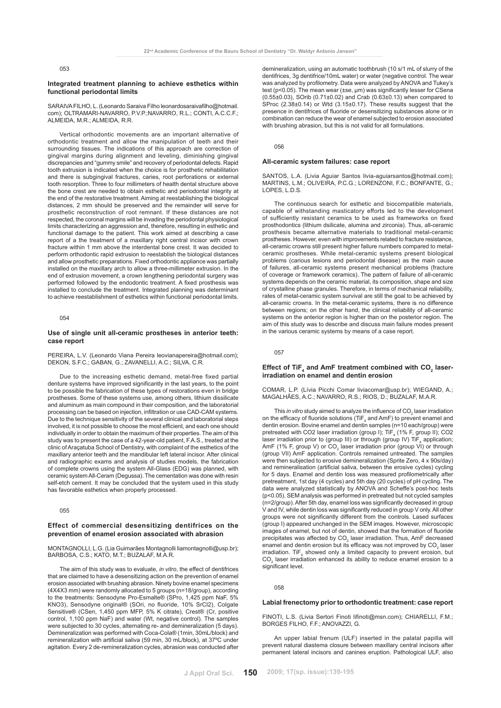#### **Integrated treatment planning to achieve esthetics within functional periodontal limits**

SARAIVA FILHO, L. (Leonardo Saraiva Filho leonardosaraivafilho@hotmail. com); OLTRAMARI-NAVARRO, P.V.P.;NAVARRO, R.L.; CONTI, A.C.C.F.; ALMEIDA, M.R.; ALMEIDA, R.R.

Vertical orthodontic movements are an important alternative of orthodontic treatment and allow the manipulation of teeth and their surrounding tissues. The indications of this approach are correction of gingival margins during alignment and leveling, diminishing gingival discrepancies and "gummy smile" and recovery of periodontal defects. Rapid tooth extrusion is indicated when the choice is for prosthetic rehabilitation and there is subgingival fractures, caries, root perforations or external tooth resorption. Three to four millimeters of health dental structure above the bone crest are needed to obtain esthetic and periodontal integrity at the end of the restorative treatment. Aiming at reestablishing the biological distances, 2 mm should be preserved and the remainder will serve for prosthetic reconstruction of root remnant. If these distances are not respected, the coronal margins will be invading the periodontal physiological limits characterizing an aggression and, therefore, resulting in esthetic and functional damage to the patient. This work aimed at describing a case report of a the treatment of a maxillary right central incisor with crown fracture within 1 mm above the interdental bone crest. It was decided to perform orthodontic rapid extrusion to reestablish the biological distances and allow prosthetic preparations. Fixed orthodontic appliance was partially installed on the maxillary arch to allow a three-millimeter extrusion. In the end of extrusion movement, a crown lengthening periodontal surgery was performed followed by the endodontic treatment. A fixed prosthesis was installed to conclude the treatment. Integrated planning was determinant to achieve reestablishment of esthetics within functional periodontal limits.

#### 054

## **Use of single unit all-ceramic prostheses in anterior teeth: case report**

PEREIRA, L.V. (Leonardo Viana Pereira leovianapereira@hotmail.com); DEKON, S.F.C.; GABAN, G.; ZAVANELLI, A.C.; SILVA, C.R.

Due to the increasing esthetic demand, metal-free fixed partial denture systems have improved significantly in the last years, to the point to be possible the fabrication of these types of restorations even in bridge prostheses. Some of these systems use, among others, lithium dissilicate and aluminum as main compound in their composition, and the laboratorial processing can be based on injection, infiltration or use CAD-CAM systems. Due to the technique sensitivity of the several clinical and laboratorial steps involved, it is not possible to choose the most efficient, and each one should individually in order to obtain the maximum of their properties. The aim of this study was to present the case of a 42-year-old patient, F.A.S., treated at the clinic of Araçatuba School of Dentistry, with complaint of the esthetics of the maxillary anterior teeth and the mandibular left lateral incisor. After clinical and radiographic exams and analysis of studies models, the fabrication of complete crowns using the system All-Glass (EDG) was planned, with ceramic system All-Ceram (Degussa). The cementation was done with resin self-etch cement. It may be concluded that the system used in this study has favorable esthetics when properly processed.

## 055

## **Effect of commercial desensitizing dentifrices on the prevention of enamel erosion associated with abrasion**

MONTAGNOLLI, L.G. (Lia Guimarães Montagnolli liamontagnolli@usp.br); BARBOSA, C.S.; KATO, M.T.; BUZALAF, M.A.R.

The aim of this study was to evaluate, *in vitro*, the effect of dentifrices that are claimed to have a desensitizing action on the prevention of enamel erosion associated with brushing abrasion. Ninety bovine enamel specimens (4X4X3 mm) were randomly allocated to 5 groups (n=18/group), according to the treatments: Sensodyne Pro-Esmalte® (SPro, 1,425 ppm NaF, 5% KNO3), Sensodyne original® (SOri, no fluoride, 10% SrCl2), Colgate Sensitive® (CSen, 1,450 ppm MFP, 5% K citrate), Crest® (Cr, positive control, 1,100 ppm NaF) and water (Wt, negative control). The samples were subjected to 30 cycles, alternating re- and demineralization (5 days). Demineralization was performed with Coca-Cola® (1min, 30mL/block) and remineralization with artificial saliva (59 min, 30 mL/block), at 37ºC under agitation. Every 2 de-remineralization cycles, abrasion was conducted after

demineralization, using an automatic toothbrush (10 s/1 mL of slurry of the dentifrices, 3g dentifrice/10mL water) or water (negative control. The wear was analyzed by profilometry. Data were analyzed by ANOVA and Tukey's test (p<0.05). The mean wear (±se, µm) was significantly lesser for CSena (0.55±0.03), SOrib (0.71±0.02) and Crab (0.63±0.13) when compared to SProc (2.38±0.14) or Wtd (3.15±0.17). These results suggest that the presence in dentifrices of fluoride or desensitizing substances alone or in combination can reduce the wear of enamel subjected to erosion associated with brushing abrasion, but this is not valid for all formulations.

056

### **All-ceramic system failures: case report**

SANTOS, L.A. (Livia Aguiar Santos livia-aguiarsantos@hotmail.com); MARTINS, L.M.; OLIVEIRA, P.C.G.; LORENZONI, F.C.; BONFANTE, G.; LOPES, L.D.S.

The continuous search for esthetic and biocompatible materials, capable of withstanding masticatory efforts led to the development of sufficiently resistant ceramics to be used as frameworks on fixed prosthodontics (lithium dsilicate, alumina and zirconia). Thus, all-ceramic prosthesis became alternative materials to traditional metal-ceramic prostheses. However, even with improvements related to fracture resistance, all-ceramic crowns still present higher failure numbers compared to metalceramic prostheses. While metal-ceramic systems present biological problems (carious lesions and periodontal disease) as the main cause of failures, all-ceramic systems present mechanical problems (fracture of coverage or framework ceramics). The pattern of failure of all-ceramic systems depends on the ceramic material, its composition, shape and size of crystalline phase granules. Therefore, in terms of mechanical reliability, rates of metal-ceramic system survival are still the goal to be achieved by all-ceramic crowns. In the metal-ceramic systems, there is no difference between regions; on the other hand, the clinical reliability of all-ceramic systems on the anterior region is higher than on the posterior region. The aim of this study was to describe and discuss main failure modes present in the various ceramic systems by means of a case report.

057

#### **Effect of TiF<sub>4</sub> and AmF treatment combined with CO<sub>2</sub> laserirradiation on enamel and dentin erosion**

COMAR, L.P. (Lívia Picchi Comar liviacomar@usp.br); WIEGAND, A.; MAGALHÃES, A.C.; NAVARRO, R.S.; RIOS, D.; BUZALAF, M.A.R.

This *in vitro* study aimed to analyze the influence of  $CO<sub>2</sub>$  laser irradiation on the efficacy of fluoride solutions (TiF<sub>4</sub> and AmF) to prevent enamel and dentin erosion. Bovine enamel and dentin samples (n=10 each/group) were pretreated with CO2 laser irradiation (group I);  $TiF_4$  (1% F, group II); CO2 laser irradiation prior to (group III) or through (group IV)  $\text{TiF}_4$  application; AmF (1% F, group V) or  $CO<sub>2</sub>$  laser irradiation prior (group VI) or through (group VII) AmF application. Controls remained untreated. The samples were then subjected to erosive demineralization (Sprite Zero, 4 x 90s/day) and remineralisation (artificial saliva, between the erosive cycles) cycling for 5 days. Enamel and dentin loss was measured profilometrically after pretreatment, 1st day (4 cycles) and 5th day (20 cycles) of pH cycling. The data were analyzed statistically by ANOVA and Scheffe's post-hoc tests (p<0.05). SEM analysis was performed in pretreated but not cycled samples (n=2/group). After 5th day, enamel loss was significantly decreased in group V and IV, while dentin loss was significantly reduced in group V only. All other groups were not significantly different from the controls. Lased surfaces (group I) appeared unchanged in the SEM images. However, microscopic images of enamel, but not of dentin, showed that the formation of fluoride precipitates was affected by  $CO<sub>2</sub>$  laser irradiation. Thus, AmF decreased enamel and dentin erosion but its efficacy was not improved by  $CO_{2}$  laser irradiation. Ti $F_4$  showed only a limited capacity to prevent erosion, but  $CO<sub>2</sub>$  laser irradiation enhanced its ability to reduce enamel erosion to a significant level.

## 058

# **Labial frenectomy prior to orthodontic treatment: case report**

FINOTI, L.S. (Livia Sertori Finoti lifinoti@msn.com); CHIARELLI, F.M.; BORGES FILHO, F.F., ANOVAZZI, G.

An upper labial frenum (ULF) inserted in the palatal papilla will prevent natural diastema closure between maxillary central incisors after permanent lateral incisors and canines eruption. Pathological ULF, also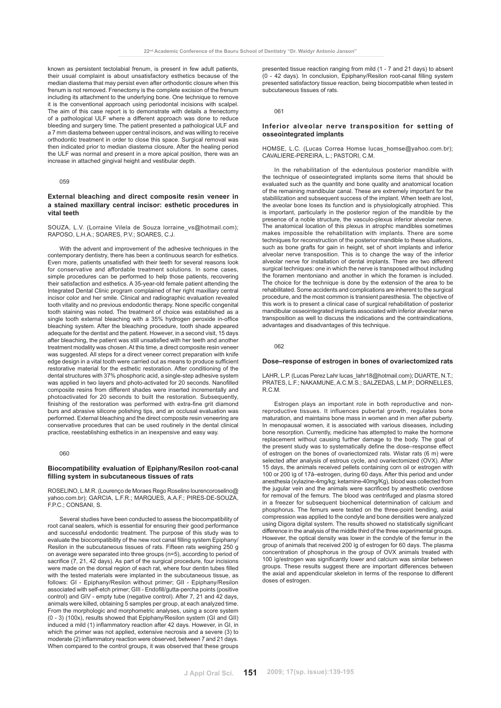known as persistent tectolabial frenum, is present in few adult patients, their usual complaint is about unsatisfactory esthetics because of the median diastema that may persist even after orthodontic closure when this frenum is not removed. Frenectomy is the complete excision of the frenum including its attachment to the underlying bone. One technique to remove it is the conventional approach using periodontal incisions with scalpel. The aim of this case report is to demonstrate with details a frenectomy of a pathological ULF where a different approach was done to reduce bleeding and surgery time. The patient presented a pathological ULF and a 7 mm diastema between upper central incisors, and was willing to receive orthodontic treatment in order to close this space. Surgical removal was then indicated prior to median diastema closure. After the healing period the ULF was normal and present in a more apical position, there was an increase in attached gingival height and vestibular depth.

#### 059

## **External bleaching and direct composite resin veneer in a stained maxillary central incisor: esthetic procedures in vital teeth**

SOUZA. L.V. (Lorraine Vilela de Souza lorraine\_vs@hotmail.com); RAPOSO, L.H.A.; SOARES, P.V.; SOARES, C.J.

With the advent and improvement of the adhesive techniques in the contemporary dentistry, there has been a continuous search for esthetics. Even more, patients unsatisfied with their teeth for several reasons look for conservative and affordable treatment solutions. In some cases, simple procedures can be performed to help those patients, recovering their satisfaction and esthetics. A 35-year-old female patient attending the Integrated Dental Clinic program complained of her right maxillary central incisor color and her smile. Clinical and radiographic evaluation revealed tooth vitality and no previous endodontic therapy. None specific congenital tooth staining was noted. The treatment of choice was established as a single tooth external bleaching with a 35% hydrogen peroxide in-office bleaching system. After the bleaching procedure, tooth shade appeared adequate for the dentist and the patient. However, in a second visit, 15 days after bleaching, the patient was still unsatisfied with her teeth and another treatment modality was chosen. At this time, a direct composite resin veneer was suggested. All steps for a direct veneer correct preparation with knife edge design in a vital tooth were carried out as means to produce sufficient restorative material for the esthetic restoration. After conditioning of the dental structures with 37% phosphoric acid, a single-step adhesive system was applied in two layers and photo-activated for 20 seconds. Nanofilled composite resins from different shades were inserted incrementally and photoactivated for 20 seconds to built the restoration. Subsequently, finishing of the restoration was performed with extra-fine grit diamond burs and abrasive silicone polishing tips, and an occlusal evaluation was performed. External bleaching and the direct composite resin veneering are conservative procedures that can be used routinely in the dental clinical practice, reestablishing esthetics in an inexpensive and easy way.

### 060

### **Biocompatibility evaluation of Epiphany/Resilon root-canal filling system in subcutaneous tissues of rats**

ROSELINO, L.M.R. (Lourenço de Moraes Rego Roselino lourencoroselino@ yahoo.com.br); GARCIA, L.F.R.; MARQUES, A.A.F.; PIRES-DE-SOUZA, F.P.C.; CONSANI, S.

Several studies have been conducted to assess the biocompatibility of root canal sealers, which is essential for ensuring their good performance and successful endodontic treatment. The purpose of this study was to evaluate the biocompatibility of the new root canal filling system Epiphany/ Resilon in the subcutaneous tissues of rats. Fifteen rats weighing 250 g on average were separated into three groups (n=5), according to period of sacrifice (7, 21, 42 days). As part of the surgical procedure, four incisions were made on the dorsal region of each rat, where four dentin tubes filled with the tested materials were implanted in the subcutaneous tissue, as follows: GI - Epiphany/Resilon without primer; GII - Epiphany/Resilon associated with self-etch primer; GIII - Endofill/gutta-percha points (positive control) and GIV - empty tube (negative control). After 7, 21 and 42 days, animals were killed, obtaining 5 samples per group, at each analyzed time. From the morphologic and morphometric analyses, using a score system (0 - 3) (100x), results showed that Epiphany/Resilon system (GI and GII) induced a mild (1) inflammatory reaction after 42 days. However, in GI, in which the primer was not applied, extensive necrosis and a severe (3) to moderate (2) inflammatory reaction were observed, between 7 and 21 days. When compared to the control groups, it was observed that these groups

presented tissue reaction ranging from mild (1 - 7 and 21 days) to absent (0 - 42 days). In conclusion, Epiphany/Resilon root-canal filling system presented satisfactory tissue reaction, being biocompatible when tested in subcutaneous tissues of rats.

061

## **Inferior alveolar nerve transposition for setting of osseointegrated implants**

HOMSE, L.C. (Lucas Correa Homse lucas\_homse@yahoo.com.br); CAVALIERE-PEREIRA, L.; PASTORI, C.M.

In the rehabilitation of the edentulous posterior mandible with the technique of osseointegrated implants some items that should be evaluated such as the quantity and bone quality and anatomical location of the remaining mandibular canal. These are extremely important for the stabililization and subsequent success of the implant. When teeth are lost, the aveolar bone loses its function and is physiologically atrophied. This is important, particularly in the posterior region of the mandible by the presence of a noble structure, the vasculo-plexus inferior alveolar nerve. The anatomical location of this plexus in atrophic mandibles sometimes makes impossible the rehabilitation with implants. There are some techniques for reconstruction of the posterior mandible to these situations, such as bone grafts for gain in height, set of short implants and inferior alveolar nerve transposition. This is to change the way of the inferior alveolar nerve for installation of dental implants. There are two different surgical techniques: one in which the nerve is transposed without including the foramen mentoniano and another in which the foramen is included. The choice for the technique is done by the extension of the area to be rehabilitated. Some accidents and complications are inherent to the surgical procedure, and the most common is transient paresthesia. The objective of this work is to present a clinical case of surgical rehabilitation of posterior mandibular osseointegrated implants associated with inferior alveolar nerve transposition as well to discuss the indications and the contraindications, advantages and disadvantages of this technique.

062

# **Dose–response of estrogen in bones of ovariectomized rats**

LAHR, L.P. (Lucas Perez Lahr lucas lahr18@hotmail.com); DUARTE, N.T.; PRATES, L.F.; NAKAMUNE, A.C.M.S.; SALZEDAS, L.M.P.; DORNELLES, R.C.M.

Estrogen plays an important role in both reproductive and nonreproductive tissues. It influences pubertal growth, regulates bone maturation, and maintains bone mass in women and in men after puberty. In menopausal women, it is associated with various diseases, including bone resorption. Currently, medicine has attempted to make the hormone replacement without causing further damage to the body. The goal of the present study was to systematically define the dose–response effect of estrogen on the bones of ovariectomized rats. Wistar rats (6 m) were selected after analysis of estrous cycle, and ovariectomized (OVX). After 15 days, the animals received pellets containing corn oil or estrogen with 100 or 200 ìg of 17â–estrogen, during 60 days. After this period and under anesthesia (xylazine-4mg/kg; ketamine-40mg/Kg), blood was collected from the jugular vein and the animals were sacrificed by anesthetic overdose for removal of the femurs. The blood was centrifuged and plasma stored in a freezer for subsequent biochemical determination of calcium and phosphorus. The femurs were tested on the three-point bending, axial compression was applied to the condyle and bone densities were analyzed using Digora digital system. The results showed no statistically significant difference in the analysis of the middle third of the three experimental groups. However, the optical density was lower in the condyle of the femur in the group of animals that received 200 ìg of estrogen for 60 days. The plasma concentration of phosphorus in the group of OVX animals treated with 100 ìg/estrogen was significantly lower and calcium was similar between groups. These results suggest there are important differences between the axial and appendicular skeleton in terms of the response to different doses of estrogen.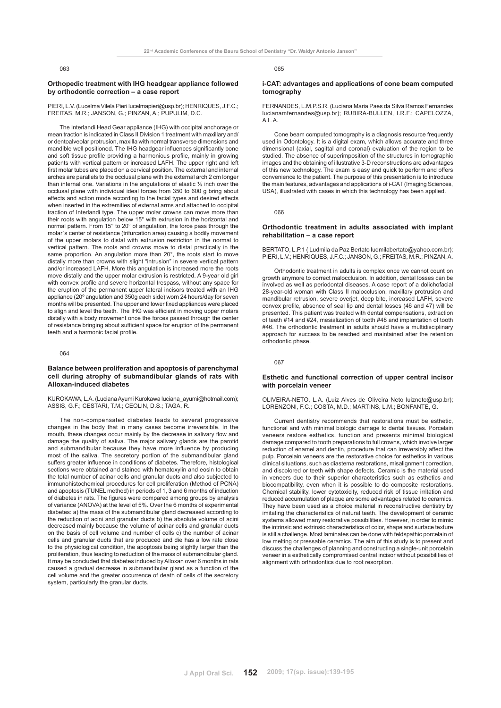### **Orthopedic treatment with IHG headgear appliance followed by orthodontic correction – a case report**

### PIERI, L.V. (Lucelma Vilela Pieri lucelmapieri@usp.br); HENRIQUES, J.F.C.; FREITAS, M.R.; JANSON, G.; PINZAN, A.; PUPULIM, D.C.

The Interlandi Head Gear appliance (IHG) with occipital anchorage or mean traction is indicated in Class II Division 1 treatment with maxillary and/ or dentoalveolar protrusion, maxilla with normal transverse dimensions and mandible well positioned. The IHG headgear influences significantly bone and soft tissue profile providing a harmonious profile, mainly in growing patients with vertical pattern or increased LAFH. The upper right and left first molar tubes are placed on a cervical position. The external and internal arches are parallels to the occlusal plane with the external arch 2 cm longer than internal one. Variations in the angulations of elastic ½ inch over the occlusal plane with individual ideal forces from 350 to 600 g bring about effects and action mode according to the facial types and desired effects when inserted in the extremities of external arms and attached to occipital traction of Interlandi type. The upper molar crowns can move more than their roots with angulation below 15° with extrusion in the horizontal and normal pattern. From 15° to 20° of angulation, the force pass through the molar´s center of resistance (trifurcation area) causing a bodily movement of the upper molars to distal with extrusion restriction in the normal to vertical pattern. The roots and crowns move to distal practically in the same proportion. An angulation more than 20°, the roots start to move distally more than crowns with slight "intrusion" in severe vertical pattern and/or increased LAFH. More this angulation is increased more the roots move distally and the upper molar extrusion is restricted. A 9-year old girl with convex profile and severe horizontal trespass, without any space for the eruption of the permanent upper lateral incisors treated with an IHG appliance (20º angulation and 350g each side) worn 24 hours/day for seven months will be presented. The upper and lower fixed appliances were placed to align and level the teeth. The IHG was efficient in moving upper molars distally with a body movement once the forces passed through the center of resistance bringing about sufficient space for eruption of the permanent teeth and a harmonic facial profile.

#### 064

## **Balance between proliferation and apoptosis of parenchymal cell during atrophy of submandibular glands of rats with Alloxan-induced diabetes**

### KUROKAWA, L.A. (Luciana Ayumi Kurokawa luciana\_ayumi@hotmail.com); ASSIS, G.F.; CESTARI, T.M.; CEOLIN, D.S.; TAGA, R.

The non-compensated diabetes leads to several progressive changes in the body that in many cases become irreversible. In the mouth, these changes occur mainly by the decrease in salivary flow and damage the quality of saliva. The major salivary glands are the parotid and submandibular because they have more influence by producing most of the saliva. The secretory portion of the submandibular gland suffers greater influence in conditions of diabetes. Therefore, histological sections were obtained and stained with hematoxylin and eosin to obtain the total number of acinar cells and granular ducts and also subjected to immunohistochemical procedures for cell proliferation (Method of PCNA) and apoptosis (TUNEL method) in periods of 1, 3 and 6 months of induction of diabetes in rats. The figures were compared among groups by analysis of variance (ANOVA) at the level of 5%. Over the 6 months of experimental diabetes: a) the mass of the submandibular gland decreased according to the reduction of acini and granular ducts b) the absolute volume of acini decreased mainly because the volume of acinar cells and granular ducts on the basis of cell volume and number of cells c) the number of acinar cells and granular ducts that are produced and die has a low rate close to the physiological condition, the apoptosis being slightly larger than the proliferation, thus leading to reduction of the mass of submandibular gland. It may be concluded that diabetes induced by Alloxan over 6 months in rats caused a gradual decrease in submandibular gland as a function of the cell volume and the greater occurrence of death of cells of the secretory system, particularly the granular ducts.

#### 065

### **i-CAT: advantages and applications of cone beam computed tomography**

FERNANDES, L.M.P.S.R. (Luciana Maria Paes da Silva Ramos Fernandes lucianamfernandes@usp.br); RUBIRA-BULLEN, I.R.F.; CAPELOZZA, A.L.A.

Cone beam computed tomography is a diagnosis resource frequently used in Odontology. It is a digital exam, which allows accurate and three dimensional (axial, sagittal and coronal) evaluation of the region to be studied. The absence of superimposition of the structures in tomographic images and the obtaining of illustrative 3-D reconstructions are advantages of this new technology. The exam is easy and quick to perform and offers convenience to the patient. The purpose of this presentation is to introduce the main features, advantages and applications of i-CAT (Imaging Sciences, USA), illustrated with cases in which this technology has been applied.

066

# **Orthodontic treatment in adults associated with implant rehabilitation – a case report**

BERTATO, L.P.1 ( Ludmila da Paz Bertato ludmilabertato@yahoo.com.br); PIERI, L.V.; HENRIQUES, J.F.C.; JANSON, G.; FREITAS, M.R.; PINZAN, A.

Orthodontic treatment in adults is complex once we cannot count on growth anymore to correct malocclusion. In addition, dental losses can be involved as well as periodontal diseases. A case report of a dolichofacial 28-year-old woman with Class II malocclusion, maxillary protrusion and mandibular retrusion, severe overjet, deep bite, increased LAFH, severe convex profile, absence of seal lip and dental losses (46 and 47) will be presented. This patient was treated with dental compensations, extraction of teeth #14 and #24, mesialization of tooth #48 and implantation of tooth #46. The orthodontic treatment in adults should have a multidisciplinary approach for success to be reached and maintained after the retention orthodontic phase.

067

## **Esthetic and functional correction of upper central incisor with porcelain veneer**

OLIVEIRA-NETO, L.A. (Luiz Alves de Oliveira Neto luizneto@usp.br); LORENZONI, F.C.; COSTA, M.D.; MARTINS, L.M.; BONFANTE, G.

Current dentistry recommends that restorations must be esthetic, functional and with minimal biologic damage to dental tissues. Porcelain veneers restore esthetics, function and presents minimal biological damage compared to tooth preparations to full crowns, which involve larger reduction of enamel and dentin, procedure that can irreversibly affect the pulp. Porcelain veneers are the restorative choice for esthetics in various clinical situations, such as diastema restorations, misalignment correction, and discolored or teeth with shape defects. Ceramic is the material used in veneers due to their superior characteristics such as esthetics and biocompatibility, even when it is possible to do composite restorations. Chemical stability, lower cytotoxicity, reduced risk of tissue irritation and reduced accumulation of plaque are some advantages related to ceramics. They have been used as a choice material in reconstructive dentistry by imitating the characteristics of natural teeth. The development of ceramic systems allowed many restorative possibilities. However, in order to mimic the intrinsic and extrinsic characteristics of color, shape and surface texture is still a challenge. Most laminates can be done with feldspathic porcelain of low melting or pressable ceramics. The aim of this study is to present and discuss the challenges of planning and constructing a single-unit porcelain veneer in a esthetically compromised central incisor without possibilities of alignment with orthodontics due to root resorption.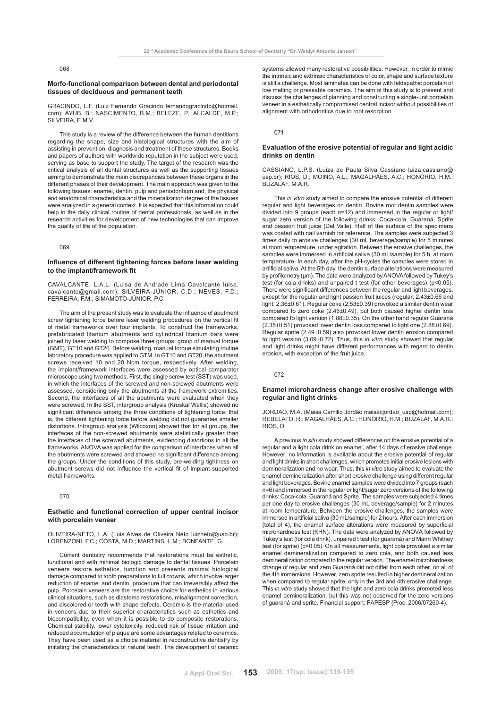#### **Morfo-functional comparison between dental and periodontal tissues of deciduous and permanent teeth**

GRACINDO, L.F. (Luiz Fernando Gracindo fernandogracindo@hotmail. com); AYUB, B.; NASCIMENTO, B.M.; BELEZE, P.; ALCALDE, M.P.; SILVEIRA, E.M.V.

This study is a review of the difference between the human dentitions regarding the shape, size and histological structures with the aim of assisting in prevention, diagnosis and treatment of these structures. Books and papers of authors with worldwide reputation in the subject were used, serving as base to support the study. The target of the research was the critical analysis of all dental structures as well as the supporting tissues aiming to demonstrate the main discrepancies between these organs in the different phases of their development. The main approach was given to the following tissues: enamel, dentin, pulp and periodontium and, the physical and anatomical characteristics and the mineralization degree of the tissues were analyzed in a general context. It is expected that this information could help in the daily clinical routine of dental professionals, as well as in the research activities for development of new technologies that can improve the quality of life of the population.

#### 069

# **Influence of different tightening forces before laser welding to the implant/framework fit**

CAVALCANTE, L.A.L. (Luisa de Andrade Lima Cavalcante luisa. cavalcante@gmail.com); SILVEIRA-JÚNIOR, C.D.; NEVES, F.D.; FERREIRA, F.M.; SIMAMOTO-JÚNIOR, P.C.

The aim of the present study was to evaluate the influence of abutment screw tightening force before laser welding procedures on the vertical fit of metal frameworks over four implants. To construct the frameworks, prefabricated titanium abutments and cylindrical titanium bars were joined by laser welding to compose three groups: group of manual torque (GMT), GT10 and GT20. Before welding, manual torque simulating routine laboratory procedure was applied to GTM. In GT10 and GT20, the abutment screws received 10 and 20 Ncm torque, respectively. After welding, the implant/framework interfaces were assessed by optical comparator microscope using two methods. First, the single screw test (SST) was used, in which the interfaces of the screwed and non-screwed abutments were assessed, considering only the abutments at the framework extremities. Second, the interfaces of all the abutments were evaluated when they were screwed. In the SST, intergroup analysis (Kruskal Wallis) showed no significant difference among the three conditions of tightening force; that is, the different tightening force before welding did not guarantee smaller distortions. Intragroup analysis (Wilcoxon) showed that for all groups, the interfaces of the non-screwed abutments were statistically greater than the interfaces of the screwed abutments, evidencing distortions in all the frameworks. ANOVA was applied for the comparison of interfaces when all the abutments were screwed and showed no significant difference among the groups. Under the conditions of this study, pre-welding tightness on abutment screws did not influence the vertical fit of implant-supported metal frameworks.

#### 070

#### **Esthetic and functional correction of upper central incisor with porcelain veneer**

OLIVEIRA-NETO, L.A. (Luis Alves de Oliveira Neto luizneto@usp.br); LORENZONI, F.C.; COSTA, M.D.; MARTINS, L.M.; BONFANTE, G.

Current dentistry recommends that restorations must be esthetic, functional and with minimal biologic damage to dental tissues. Porcelain veneers restore esthetics, function and presents minimal biological damage compared to tooth preparations to full crowns, which involve larger reduction of enamel and dentin, procedure that can irreversibly affect the pulp. Porcelain veneers are the restorative choice for esthetics in various clinical situations, such as diastema restorations, misalignment correction, and discolored or teeth with shape defects. Ceramic is the material used in veneers due to their superior characteristics such as esthetics and biocompatibility, even when it is possible to do composite restorations. Chemical stability, lower cytotoxicity, reduced risk of tissue irritation and reduced accumulation of plaque are some advantages related to ceramics. They have been used as a choice material in reconstructive dentistry by imitating the characteristics of natural teeth. The development of ceramic

systems allowed many restorative possibilities. However, in order to mimic the intrinsic and extrinsic characteristics of color, shape and surface texture is still a challenge. Most laminates can be done with feldspathic porcelain of low melting or pressable ceramics. The aim of this study is to present and discuss the challenges of planning and constructing a single-unit porcelain veneer in a esthetically compromised central incisor without possibilities of alignment with orthodontics due to root resorption.

071

## **Evaluation of the erosive potential of regular and light acidic drinks on dentin**

CASSIANO, L.P.S. (Luiza de Paula Silva Cassiano luiza.cassiano@ usp.br); RIOS, D.; MOINO, A.L.; MAGALHÃES, A.C.; HONÓRIO, H.M.; BUZALAF, M.A.R.

This *in vitro* study aimed to compare the erosive potential of different regular and light beverages on dentin. Bovine root dentin samples were divided into 9 groups (each n=12) and immersed in the regular or light/ sugar zero version of the following drinks: Coca-cola, Guaraná, Sprite and passion fruit juice (Del Valle). Half of the surface of the specimens was coated with nail varnish for reference. The samples were subjected 3 times daily to erosive challenges (30 mL beverage/sample) for 5 minutes at room temperature, under agitation. Between the erosive challenges, the samples were immersed in artificial saliva (30 mL/sample) for 5 h, at room temperature. In each day, after the pH-cycles the samples were stored in artificial saliva. At the 5th day, the dentin surface alterations were measured by profilometry (µm). The data were analyzed by ANOVA followed by Tukey's test (for cola drinks) and unpaired t test (for other beverages) (p<0.05). There were significant differences between the regular and light beverages, except for the regular and light passion fruit juices (regular: 2.43±0.66 and light: 2.36±0.61). Regular coke (2.53±0.39) provoked a similar dentin wear compared to zero coke (2.46±0.49), but both caused higher dentin loss compared to light version (1.88±0.35). On the other hand regular Guaraná (2.35±0.51) provoked lower dentin loss compared to light one (2.88±0.69). Regular sprite (2.49±0.59) also provoked lower dentin erosion compared to light version (3.09±0.72). Thus, this *in vitro* study showed that regular and light drinks might have different performances with regard to dentin erosion, with exception of the fruit juice.

072

### **Enamel microhardness change after erosive challenge with regular and light drinks**

JORDAO, M.A. (Maisa Camillo Jordão maisacjordao\_usp@hotmail.com); REBELATO, R.; MAGALHÃES, A.C.; HONÓRIO, H.M.; BUZALAF, M.A.R.; RIOS, D.

A previous *in situ* study showed differences on the erosive potential of a regular and a light cola drink on enamel, after 14 days of erosive challenge. However, no information is available about the erosive potential of regular and light drinks in short challenges, which promotes initial erosive lesions with demineralization and no wear. Thus, this *in vitro* study aimed to evaluate the enamel demineralization after short erosive challenge using different regular and light beverages. Bovine enamel samples were divided into 7 groups (each n=6) and immersed in the regular or light/sugar zero versions of the following drinks: Coca-cola, Guaraná and Sprite. The samples were subjected 4 times per one day to erosive challenges (30 mL beverage/sample) for 2 minutes at room temperature. Between the erosive challenges, the samples were immersed in artificial saliva (30 mL/sample) for 2 hours. After each immersion (total of 4), the enamel surface alterations were measured by superficial microhardness test (KHN). The data were analyzed by ANOVA followed by Tukey's test (for cola drink), unpaired t test (for guaraná) and Mann Whitney test (for sprite) (p<0.05). On all measurements, light cola provoked a similar enamel demineralization compared to zero cola, and both caused less demineralization compared to the regular version. The enamel microhardness change of regular and zero Guaraná did not differ from each other, on all of the 4th immersions. However, zero sprite resulted in higher demineralization when compared to regular sprite, only in the 3rd and 4th erosive challenge. This *in vitro* study showed that the light and zero cola drinks promoted less enamel demineralization, but this was not observed for the zero versions of guaraná and sprite. Financial support: FAPESP (Proc. 2006/07260-4).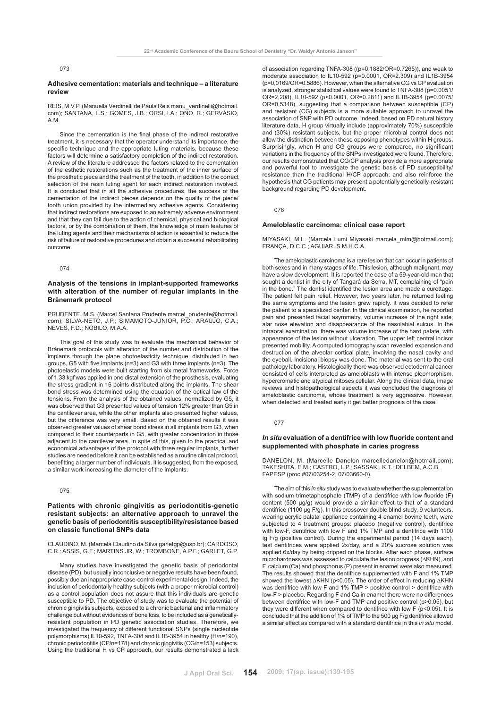#### **Adhesive cementation: materials and technique – a literature review**

REIS, M.V.P. (Manuella Verdinelli de Paula Reis manu\_verdinelli@hotmail. com); SANTANA, L.S.; GOMES, J.B.; ORSI, I.A.; ONO, R.; GERVÁSIO, A.M.

Since the cementation is the final phase of the indirect restorative treatment, it is necessary that the operator understand its importance, the specific technique and the appropriate luting materials, because these factors will determine a satisfactory completion of the indirect restoration. A review of the literature addressed the factors related to the cementation of the esthetic restorations such as the treatment of the inner surface of the prosthetic piece and the treatment of the tooth, in addition to the correct selection of the resin luting agent for each indirect restoration involved. It is concluded that in all the adhesive procedures, the success of the cementation of the indirect pieces depends on the quality of the piece/ tooth union provided by the intermediary adhesive agents. Considering that indirect restorations are exposed to an extremely adverse environment and that they can fail due to the action of chemical, physical and biological factors, or by the combination of them, the knowledge of main features of the luting agents and their mechanisms of action is essential to reduce the risk of failure of restorative procedures and obtain a successful rehabilitating outcome.

#### 074

## **Analysis of the tensions in implant-supported frameworks with alteration of the number of regular implants in the Brånemark protocol**

PRUDENTE, M.S. (Marcel Santana Prudente marcel\_prudente@hotmail. com); SILVA-NETO, J.P.; SIMAMOTO-JÚNIOR, P.C.; ARAÚJO, C.A.; NEVES, F.D.; NÓBILO, M.A.A.

This goal of this study was to evaluate the mechanical behavior of Brånemark protocols with alteration of the number and distribution of the implants through the plane photoelasticity technique, distributed in two groups, G5 with five implants (n=3) and G3 with three implants (n=3). The photoelastic models were built starting from six metal frameworks. Force of 1.33 kgf was applied in one distal extension of the prosthesis, evaluating the stress gradient in 16 points distributed along the implants. The shear bond stress was determined using the equation of the optical law of the tensions. From the analysis of the obtained values, normalized by G5, it was observed that G3 presented values of tension 12% greater than G5 in the cantilever area, while the other implants also presented higher values, but the difference was very small. Based on the obtained results it was observed greater values of shear bond stress in all implants from G3, when compared to their counterparts in G5, with greater concentration in those adjacent to the cantilever area. In spite of this, given to the practical and economical advantages of the protocol with three regular implants, further studies are needed before it can be established as a routine clinical protocol, benefitting a larger number of individuals. It is suggested, from the exposed, a similar work increasing the diameter of the implants.

## 075

## **Patients with chronic gingivitis as periodontitis-genetic resistant subjects: an alternative approach to unravel the genetic basis of periodontitis susceptibility/resistance based on classic functional SNPs data**

### CLAUDINO, M. (Marcela Claudino da Silva garletgp@usp.br); CARDOSO, C.R.; ASSIS, G.F.; MARTINS JR, W.; TROMBONE, A.P.F.; GARLET, G.P.

Many studies have investigated the genetic basis of periodontal disease (PD), but usually inconclusive or negative results have been found, possibly due an inappropriate case-control experimental design. Indeed, the inclusion of periodontally healthy subjects (with a proper microbial control) as a control population does not assure that this individuals are genetic susceptible to PD. The objective of study was to evaluate the potential of chronic gingivitis subjects, exposed to a chronic bacterial and inflammatory challenge but without evidences of bone loss, to be included as a geneticallyresistant population in PD genetic association studies. Therefore, we investigated the frequency of different functional SNPs (single nucleotide polymorphisms) IL10-592, TNFA-308 and IL1B-3954 in healthy (H/n=190), chronic periodontitis (CP/n=178) and chronic gingivitis (CG/n=153) subjects. Using the traditional H vs CP approach, our results demonstrated a lack

of association regarding TNFA-308 ((p=0.1882/OR=0.7265)), and weak to moderate association to IL10-592 (p=0.0001, OR=2.309) and IL1B-3954 (p=0,0169/OR=0.5886). However, when the alternative CG vs CP evaluation is analyzed, stronger statistical values were found to TNFA-308 (p=0.0051/ OR=2,208), IL10-592 (p<0.0001, OR=0.2811) and IL1B-3954 (p=0.0075/ OR=0,5348), suggesting that a comparison between susceptible (CP) and resistant (CG) subjects is a more suitable approach to unravel the association of SNP with PD outcome. Indeed, based on PD natural history literature data, H group virtually include (approximately 70%) susceptible and (30%) resistant subjects, but the proper microbial control does not allow the distinction between these opposing phenotypes within H groups. Surprisingly, when H and CG groups were compared, no significant variations in the frequency of the SNPs investigated were found. Therefore, our results demonstrated that CG/CP analysis provide a more appropriate and powerful tool to investigate the genetic basis of PD susceptibility/ resistance than the traditional H/CP approach; and also reinforce the hypothesis that CG patients may present a potentially genetically-resistant background regarding PD development.

076

#### **Ameloblastic carcinoma: clinical case report**

MIYASAKI, M.L. (Marcela Lumi Miyasaki marcela\_mlm@hotmail.com); FRANÇA, D.C.C.; AGUIAR, S.M.H.C.A.

The ameloblastic carcinoma is a rare lesion that can occur in patients of both sexes and in many stages of life. This lesion, although malignant, may have a slow development. It is reported the case of a 59-year-old man that sought a dentist in the city of Tangará da Serra, MT, complaining of "pain in the bone." The dentist identified the lesion area and made a curettage. The patient felt pain relief. However, two years later, he returned feeling the same symptoms and the lesion grew rapidly. It was decided to refer the patient to a specialized center. In the clinical examination, he reported pain and presented facial asymmetry, volume increase of the right side, alar nose elevation and disappearance of the nasolabial sulcus. In the intraoral examination, there was volume increase of the hard palate, with appearance of the lesion without ulceration. The upper left central incisor presented mobility. A computed tomography scan revealed expansion and destruction of the alveolar cortical plate, involving the nasal cavity and the eyeball. Incisional biopsy was done. The material was sent to the oral pathology laboratory. Histologically there was observed ectodermal cancer consisted of cells interpreted as ameloblasts with intense pleomorphism, hypercromatic and atypical mitoses cellular. Along the clinical data, image reviews and histopathological aspects it was concluded the diagnosis of ameloblastic carcinoma, whose treatment is very aggressive. However, when detected and treated early it get better prognosis of the case.

#### 077

## *In situ* **evaluation of a dentifrice with low fluoride content and supplemented with phosphate in caries progress**

DANELON, M. (Marcelle Danelon marcelledanelon@hotmail.com); TAKESHITA, E.M.; CASTRO, L.P.; SASSAKI, K.T.; DELBEM, A.C.B. FAPESP (proc #07/03254-2, 07/03660-0).

The aim of this *in situ* study was to evaluate whether the supplementation with sodium trimetaphosphate (TMP) of a dentifrice with low fluoride (F) content (500 µg/g) would provide a similar effect to that of a standard dentifrice (1100 µg F/g). In this crossover double blind study, 9 volunteers, wearing acrylic palatal appliance containing 4 enamel bovine teeth, were subjected to 4 treatment groups: placebo (negative control), dentifrice with low-F, dentifrice with low F and 1% TMP and a dentifrice with 1100 ìg F/g (positive control). During the experimental period (14 days each), test dentifrices were applied 2x/day, and a 20% sucrose solution was applied 6x/day by being dripped on the blocks. After each phase, surface microhardness was assessed to calculate the lesion progress ( $\Delta$ KHN), and F, calcium (Ca) and phosphorus (P) present in enamel were also measured. The results showed that the dentifrice supplemented with F and 1% TMP showed the lowest  $\triangle$ KHN (p<0.05). The order of effect in reducing  $\triangle$ KHN was dentifrice with low F and 1% TMP > positive control > dentifrice with low-F > placebo. Regarding F and Ca in enamel there were no differences between dentifrice with low-F and TMP and positive control (p>0.05), but they were different when compared to dentifrice with low  $F$  ( $p$ <0.05). It is concluded that the addition of 1% of TMP to the 500 µg F/g dentifrice allowed a similar effect as compared with a standard dentifrice in this *in situ* model.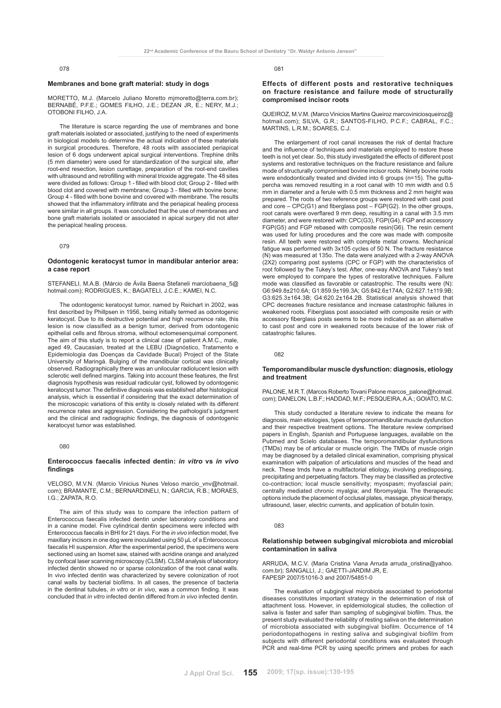#### **Membranes and bone graft material: study in dogs**

MORETTO, M.J. (Marcelo Juliano Moretto mjmoretto@terra.com.br); BERNABÉ, P.F.E.; GOMES FILHO, J.E.; DEZAN JR, E.; NERY, M.J.; OTOBONI FILHO, J.A.

The literature is scarce regarding the use of membranes and bone graft materials isolated or associated, justifying to the need of experiments in biological models to determine the actual indication of these materials in surgical procedures. Therefore, 48 roots with associated periapical lesion of 6 dogs underwent apical surgical interventions. Trephine drills (5 mm diameter) were used for standardization of the surgical site, after root-end resection, lesion curettage, preparation of the root-end cavities with ultrasound and retrofilling with mineral trioxide aggregate. The 48 sites were divided as follows: Group 1 - filled with blood clot; Group 2 - filled with blood clot and covered with membrane; Group 3 - filled with bovine bone; Group 4 - filled with bone bovine and covered with membrane. The results showed that the inflammatory infiltrate and the periapical healing process were similar in all groups. It was concluded that the use of membranes and bone graft materials isolated or associated in apical surgery did not alter the periapical healing process.

079

### **Odontogenic keratocyst tumor in mandibular anterior area: a case report**

STEFANELI, M.A.B. (Márcio de Ávila Baena Stefaneli marciobaena 5@ hotmail.com); RODRIGUES, K.; BAGATELI, J.C.E.; KAMEI, N.C.

The odontogenic keratocyst tumor, named by Reichart in 2002, was first described by Phillpsen in 1956, being initially termed as odontogenic keratocyst. Due to its destructive potential and high recurrence rate, this lesion is now classified as a benign tumor, derived from odontogenic epithelial cells and fibrous stroma, without ectomesenquimal component. The aim of this study is to report a clinical case of patient A.M.C., male, aged 49, Caucasian, treated at the LEBU (Diagnóstico, Tratamento e Epidemiologia das Doenças da Cavidade Bucal) Project of the State University of Maringá. Bulging of the mandibular cortical was clinically observed. Radiographically there was an unilocular radiolucent lesion with sclerotic well defined margins. Taking into account these features, the first diagnosis hypothesis was residual radicular cyst, followed by odontogenic keratocyst tumor. The definitive diagnosis was established after histological analysis, which is essential if considering that the exact determination of the microscopic variations of this entity is closely related with its different recurrence rates and aggression. Considering the pathologist's judgment and the clinical and radiographic findings, the diagnosis of odontogenic keratocyst tumor was established.

#### 080

### **Enterococcus faecalis infected dentin:** *in vitro* **vs** *in vivo* **findings**

VELOSO, M.V.N. (Marcio Vinicius Nunes Veloso marcio\_vnv@hotmail. com); BRAMANTE, C.M.; BERNARDINELI, N.; GARCIA, R.B.; MORAES, I.G.; ZAPATA, R.O.

The aim of this study was to compare the infection pattern of Enterococcus faecalis infected dentin under laboratory conditions and in a canine model. Five cylindrical dentin specimens were infected with Enterococcus faecalis in BHI for 21 days. For the *in vivo* infection model, five maxillary incisors in one dog were inoculated using 50 µL of a Enterococcus faecalis HI suspension. After the experimental period, the specimens were sectioned using an Isomet saw, stained with acridine orange and analyzed by confocal laser scanning microscopy (CLSM). CLSM analysis of laboratory infected dentin showed no or sparse colonization of the root canal walls. In vivo infected dentin was characterized by severe colonization of root canal walls by bacterial biofilms. In all cases, the presence of bacteria in the dentinal tubules, *in vitro* or *in vivo*, was a common finding. It was concluded that *in vitro* infected dentin differed from *in vivo* infected dentin.

081

### **Effects of different posts and restorative techniques on fracture resistance and failure mode of structurally compromised incisor roots**

QUEIROZ, M.V.M. (Marco Vinicios Martins Queiroz marcoviniciosqueiroz@ hotmail.com); SILVA, G.R.; SANTOS-FILHO, P.C.F.; CABRAL, F.C.; MARTINS, L.R.M.; SOARES, C.J.

The enlargement of root canal increases the risk of dental fracture and the influence of techniques and materials employed to restore these teeth is not yet clear. So, this study investigated the effects of different post systems and restorative techniques on the fracture resistance and failure mode of structurally compromised bovine incisor roots. Ninety bovine roots were endodontically treated and divided into 6 groups (n=15). The guttapercha was removed resulting in a root canal with 10 mm width and 0.5 mm in diameter and a ferule with 0.5 mm thickness and 2 mm height was prepared. The roots of two reference groups were restored with cast post and core – CPC(G1) and fiberglass post – FGP(G2). In the other groups, root canals were overflared 9 mm deep, resulting in a canal with 3.5 mm diameter, and were restored with: CPC(G3), FGP(G4), FGP and accessory FGP(G5) and FGP rebased with composite resin(G6). The resin cement was used for luting procedures and the core was made with composite resin. All teeth were restored with complete metal crowns. Mechanical fatigue was performed with 3x105 cycles of 50 N. The fracture resistance (N) was measured at 135o. The data were analyzed with a 2-way ANOVA (2X2) comparing post systems (CPC or FGP) with the characteristics of root followed by the Tukey's test. After, one-way ANOVA and Tukey's test were employed to compare the types of restorative techniques. Failure mode was classified as favorable or catastrophic. The results were (N): G6:949.8±210.6A; G1:859.9±199.3A; G5:842.6±174A; G2:627.1±119.9B; G3:625.3±164.3B; G4:620.2±164.2B. Statistical analysis showed that CPC decreases fracture resistance and increase catastrophic failures in weakened roots. Fiberglass post associated with composite resin or with accessory fiberglass posts seems to be more indicated as an alternative to cast post and core in weakened roots because of the lower risk of catastrophic failures.

082

### **Temporomandibular muscle dysfunction: diagnosis, etiology and treatment**

PALONE, M.R.T. (Marcos Roberto Tovani Palone marcos\_palone@hotmail. com); DANELON, L.B.F.; HADDAD, M.F.; PESQUEIRA, A.A.; GOIATO, M.C.

This study conducted a literature review to indicate the means for diagnosis, main etiologies, types of temporomandibular muscle dysfunction and their respective treatment options. The literature review comprised papers in English, Spanish and Portuguese languages, available on the Pubmed and Scielo databases. The temporomandibular dysfunctions (TMDs) may be of articular or muscle origin. The TMDs of muscle origin may be diagnosed by a detailed clinical examination, comprising physical examination with palpation of articulations and muscles of the head and neck. These tmds have a multifactorial etiology, involving predisposing, precipitating and perpetuating factors. They may be classified as protective co-contraction; local muscle sensitivity; myospasm; myofascial pain; centrally mediated chronic myalgia; and fibromyalgia. The therapeutic options include the placement of occlusal plates, massage, physical therapy, ultrasound, laser, electric currents, and application of botulin toxin.

#### 083

## **Relationship between subgingival microbiota and microbial contamination in saliva**

ARRUDA, M.C.V. (Maria Cristina Viana Arruda arruda\_cristina@yahoo. com.br); SANGALLI, J.; GAETTI-JARDIM JR, E. FAPESP 2007/51016-3 and 2007/54851-0

The evaluation of subgingival microbiota associated to periodontal diseases constitutes important strategy in the determination of risk of attachment loss. However, in epidemiological studies, the collection of saliva is faster and safer than sampling of subgingival biofilm. Thus, the present study evaluated the reliability of resting saliva on the determination of microbiota associated with subgingival biofilm. Occurrence of 14 periodontopathogens in resting saliva and subgingival biofilm from subjects with different periodontal conditions was evaluated through PCR and real-time PCR by using specific primers and probes for each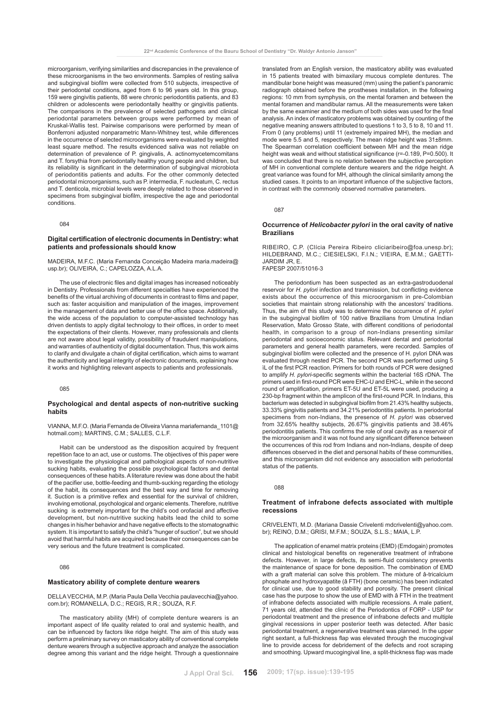microorganism, verifying similarities and discrepancies in the prevalence of these microorganisms in the two environments. Samples of resting saliva and subgingival biofilm were collected from 510 subjects, irrespective of their periodontal conditions, aged from 6 to 96 years old. In this group, 159 were gingivitis patients, 88 were chronic periodontitis patients, and 83 children or adolescents were periodontally healthy or gingivitis patients. The comparisons in the prevalence of selected pathogens and clinical periodontal parameters between groups were performed by mean of Kruskal-Wallis test. Pairwise comparisons were performed by mean of Bonferroni adjusted nonparametric Mann-Whitney test, while differences in the occurrence of selected microorganisms were evaluated by weighted least square method. The results evidenced saliva was not reliable on determination of prevalence of P. gingivalis, A. actinomycetemcomitans and T. forsythia from periodontally healthy young people and children, but its reliability is significant in the determination of subgingival microbiota of periodontitis patients and adults. For the other commonly detected periodontal microorganisms, such as P. intermedia, F. nucleatum, C. rectus and T. denticola, microbial levels were deeply related to those observed in specimens from subgingival biofilm, irrespective the age and periodontal conditions.

084

## **Digital certification of electronic documents in Dentistry: what patients and professionals should know**

MADEIRA, M.F.C. (Maria Fernanda Conceição Madeira maria.madeira@ usp.br); OLIVEIRA, C.; CAPELOZZA, A.L.A.

The use of electronic files and digital images has increased noticeably in Dentistry. Professionals from different specialties have experienced the benefits of the virtual archiving of documents in contrast to films and paper, such as: faster acquisition and manipulation of the images, improvement in the management of data and better use of the office space. Additionally, the wide access of the population to computer-assisted technology has driven dentists to apply digital technology to their offices, in order to meet the expectations of their clients. However, many professionals and clients are not aware about legal validity, possibility of fraudulent manipulations, and warranties of authenticity of digital documentation. Thus, this work aims to clarify and divulgate a chain of digital certification, which aims to warrant the authenticity and legal integrity of electronic documents, explaining how it works and highlighting relevant aspects to patients and professionals.

#### 085

### **Psychological and dental aspects of non-nutritive sucking habits**

VIANNA, M.F.O. (Maria Fernanda de Oliveira Vianna mariafernanda\_1101@ hotmail.com); MARTINS, C.M.; SALLES, C.L.F.

Habit can be understood as the disposition acquired by frequent repetition face to an act, use or customs. The objectives of this paper were to investigate the physiological and pathological aspects of non-nutritive sucking habits, evaluating the possible psychological factors and dental consequences of these habits. A literature review was done about the habit of the pacifier use, bottle-feeding and thumb-sucking regarding the etiology of the habit, its consequences and the best way and time for removing it. Suction is a primitive reflex and essential for the survival of children, involving emotional, psychological and organic elements. Therefore, nutritive sucking is extremely important for the child's ood orofacial and affective development, but non-nutritive sucking habits lead the child to some changes in his/her behavior and have negative effects to the stomatognathic system. It is important to satisfy the child's "hunger of suction", but we should avoid that harmful habits are acquired because their consequences can be very serious and the future treatment is complicated.

#### 086

### **Masticatory ability of complete denture wearers**

DELLA VECCHIA, M.P. (Maria Paula Della Vecchia paulavecchia@yahoo. com.br); ROMANELLA, D.C.; REGIS, R.R.; SOUZA, R.F.

The masticatory ability (MH) of complete denture wearers is an important aspect of life quality related to oral and systemic health, and can be influenced by factors like ridge height. The aim of this study was perform a preliminary survey on masticatory ability of conventional complete denture wearers through a subjective approach and analyze the association degree among this variant and the ridge height. Through a questionnaire

translated from an English version, the masticatory ability was evaluated in 15 patients treated with bimaxilary mucous complete dentures. The mandibular bone height was measured (mm) using the patient's panoramic radiograph obtained before the prostheses installation, in the following regions: 10 mm from symphysis, on the mental foramen and between the mental foramen and mandibular ramus. All the measurements were taken by the same examiner and the medium of both sides was used for the final analysis. An index of masticatory problems was obtained by counting of the negative meaning answers attributed to questions 1 to 3, 5 to 8, 10 and 11. From 0 (any problems) until 11 (extremely impaired MH), the median and mode were 5.5 and 5, respectively. The mean ridge height was 31±8mm. The Spearman correlation coefficient between MH and the mean ridge height was weak and without statistical significance (r=-0.189, P=0.500). It was concluded that there is no relation between the subjective perception of MH in conventional complete denture wearers and the ridge height. A great variance was found for MH, although the clinical similarity among the studied cases. It points to an important influence of the subjective factors, in contrast with the commonly observed normative parameters.

087

## **Occurrence of** *Helicobacter pylori* **in the oral cavity of native Brazilians**

RIBEIRO, C.P. (Clícia Pereira Ribeiro cliciaribeiro@foa.unesp.br); HILDEBRAND, M.C.; CIESIELSKI, F.I.N.; VIEIRA, E.M.M.; GAETTI-JARDIM JR, E.

FAPESP 2007/51016-3

The periodontium has been suspected as an extra-gastroduodenal reservoir for *H. pylori* infection and transmission, but conflicting evidence exists about the occurrence of this microorganism in pre-Colombian societies that maintain strong relationship with the ancestors' traditions. Thus, the aim of this study was to determine the occurrence of *H. pylori*  in the subgingival biofilm of 100 native Brazilians from Umutina Indian Reservation, Mato Grosso State, with different conditions of periodontal health, in comparison to a group of non-Indians presenting similar periodontal and socioeconomic status. Relevant dental and periodontal parameters and general health parameters, were recorded. Samples of subgingival biofilm were collected and the presence of H. pylori DNA was evaluated through nested PCR. The second PCR was performed using 5 ìL of the first PCR reaction. Primers for both rounds of PCR were designed to amplify *H. pylori*-specific segments within the bacterial 16S rDNA. The primers used in first-round PCR were EHC-U and EHC-L, while in the second round of amplification, primers ET-5U and ET-5L were used, producing a 230-bp fragment within the amplicon of the first-round PCR. In Indians, this bacterium was detected in subgingival biofilm from 21.43% healthy subjects, 33.33% gingivitis patients and 34.21% periodontitis patients. In periodontal specimens from non-Indians, the presence of *H. pylori* was observed from 32.65% healthy subjects, 26.67% gingivitis patients and 38.46% periodontitis patients. This confirms the role of oral cavity as a reservoir of the microorganism and it was not found any significant difference between the occurrences of this rod from Indians and non-Indians, despite of deep differences observed in the diet and personal habits of these communities, and this microorganism did not evidence any association with periodontal status of the patients.

088

## **Treatment of infrabone defects associated with multiple recessions**

CRIVELENTI, M.D. (Mariana Dassie Crivelenti mdcrivelenti@yahoo.com. br); REINO, D.M.; GRISI, M.F.M.; SOUZA, S.L.S.; MAIA, L.P.

The application of enamel matrix proteins (EMD) (Emdogain) promotes clinical and histological benefits on regenerative treatment of infrabone defects. However, in large defects, its semi-fluid consistency prevents the maintenance of space for bone deposition. The combination of EMD with a graft material can solve this problem. The mixture of â-tricalcium phosphate and hydroxyapatite (â FTH) (bone ceramic) has been indicated for clinical use, due to good stability and porosity. The present clinical case has the purpose to show the use of EMD with â FTH in the treatment of infrabone defects associated with multiple recessions. A male patient, 71 years old, attended the clinic of the Periodontics of FORP - USP for periodontal treatment and the presence of infrabone defects and multiple gingival recessions in upper posterior teeth was detected. After basic periodontal treatment, a regenerative treatment was planned. In the upper right sextant, a full-thickness flap was elevated through the mucogingival line to provide access for debridement of the defects and root scraping and smoothing. Upward mucogingival line, a split-thickness flap was made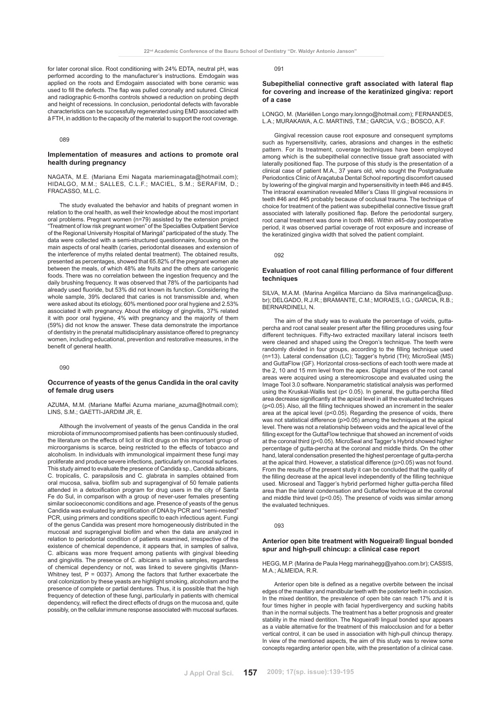for later coronal slice. Root conditioning with 24% EDTA, neutral pH, was performed according to the manufacturer's instructions. Emdogain was applied on the roots and Emdogaim associated with bone ceramic was used to fill the defects. The flap was pulled coronally and sutured. Clinical and radiographic 6-months controls showed a reduction on probing depth and height of recessions. In conclusion, periodontal defects with favorable characteristics can be successfully regenerated using EMD associated with â FTH, in addition to the capacity of the material to support the root coverage.

#### 089

### **Implementation of measures and actions to promote oral health during pregnancy**

NAGATA, M.E. (Mariana Emi Nagata marieminagata@hotmail.com); HIDALGO, M.M.; SALLES, C.L.F.; MACIEL, S.M.; SERAFIM, D.; FRACASSO, M.L.C.

The study evaluated the behavior and habits of pregnant women in relation to the oral health, as well their knowledge about the most important oral problems. Pregnant women (n=79) assisted by the extension project "Treatment of low risk pregnant women" of the Specialties Outpatient Service of the Regional University Hospital of Maringá" participated of the study. The data were collected with a semi-structured questionnaire, focusing on the main aspects of oral health (caries, periodontal diseases and extension of the interference of myths related dental treatment). The obtained results, presented as percentages, showed that 65.82% of the pregnant women ate between the meals, of which 48% ate fruits and the others ate cariogenic foods. There was no correlation between the ingestion frequency and the daily brushing frequency. It was observed that 78% of the participants had already used fluoride, but 53% did not known its function. Considering the whole sample, 39% declared that caries is not transmissible and, when were asked about its etiology, 60% mentioned poor oral hygiene and 2.53% associated it with pregnancy. About the etiology of gingivitis, 37% related it with poor oral hygiene, 4% with pregnancy and the majority of them (59%) did not know the answer. These data demonstrate the importance of dentistry in the prenatal multidisciplinary assistance offered to pregnancy women, including educational, prevention and restorative measures, in the benefit of general health.

### $000$

## **Occurrence of yeasts of the genus Candida in the oral cavity of female drug users**

AZUMA, M.M. (Mariane Maffei Azuma mariane\_azuma@hotmail.com); LINS, S.M.; GAETTI-JARDIM JR, E.

Although the involvement of yeasts of the genus Candida in the oral microbiota of immunocompromised patients has been continuously studied, the literature on the effects of licit or illicit drugs on this important group of microorganisms is scarce, being restricted to the effects of tobacco and alcoholism. In individuals with immunological impairment these fungi may proliferate and produce severe infections, particularly on mucosal surfaces. This study aimed to evaluate the presence of Candida sp., Candida albicans, C. tropicalis, C. parapsilosis and C. glabrata in samples obtained from oral mucosa, saliva, biofilm sub and supragengival of 50 female patients attended in a detoxification program for drug users in the city of Santa Fe do Sul, in comparison with a group of never-user females presenting similar socioeconomic conditions and age. Presence of yeasts of the genus Candida was evaluated by amplification of DNA by PCR and "semi-nested" PCR, using primers and conditions specific to each infectious agent. Fungi of the genus Candida was present more homogeneously distributed in the mucosal and supragengival biofilm and when the data are analyzed in relation to periodontal condition of patients examined, irrespective of the existence of chemical dependence, it appears that, in samples of saliva, C. albicans was more frequent among patients with gingival bleeding and gingivitis. The presence of C. albicans in saliva samples, regardless of chemical dependency or not, was linked to severe gingivitis (Mann-Whitney test,  $P = 0037$ ). Among the factors that further exacerbate the oral colonization by these yeasts are highlight smoking, alcoholism and the presence of complete or partial dentures. Thus, it is possible that the high frequency of detection of these fungi, particularly in patients with chemical dependency, will reflect the direct effects of drugs on the mucosa and, quite possibly, on the cellular immune response associated with mucosal surfaces.

091

### **Subepithelial connective graft associated with lateral flap for covering and increase of the keratinized gingiva: report of a case**

LONGO, M. (Mariéllen Longo mary.lonngo@hotmail.com); FERNANDES, L.A.; MURAKAWA, A.C. MARTINS, T.M.; GARCIA, V.G.; BOSCO, A.F.

Gingival recession cause root exposure and consequent symptoms such as hypersensitivity, caries, abrasions and changes in the esthetic pattern. For its treatment, coverage techniques have been employed among which is the subepithelial connective tissue graft associated with laterally positioned flap. The purpose of this study is the presentation of a clinical case of patient M.A., 37 years old, who sought the Postgraduate Periodontics Clinic of Araçatuba Dental School reporting discomfort caused by lowering of the gingival margin and hypersensitivity in teeth #46 and #45. The intraoral examination revealed Miller's Class III gingival recessions in teeth #46 and #45 probably because of occlusal trauma. The technique of choice for treatment of the patient was subepithelial connective tissue graft associated with laterally positioned flap. Before the periodontal surgery, root canal treatment was done in tooth #46. Within a45-day postoperative period, it was observed partial coverage of root exposure and increase of the keratinized gingiva width that solved the patient complaint.

092

## **Evaluation of root canal filling performance of four different techniques**

SILVA, M.A.M. (Marina Angélica Marciano da Silva marinangelica@usp. br); DELGADO, R.J.R.; BRAMANTE, C.M.; MORAES, I.G.; GARCIA, R.B.; BERNARDINELL N.

The aim of the study was to evaluate the percentage of voids, guttapercha and root canal sealer present after the filling procedures using four different techniques. Fifty-two extracted maxillary lateral incisors teeth were cleaned and shaped using the Oregon's technique. The teeth were randomly divided in four groups, according to the filling technique used (n=13). Lateral condensation (LC); Tagger's hybrid (TH); MicroSeal (MS) and GuttaFlow (GF). Horizontal cross-sections of each tooth were made at the 2, 10 and 15 mm level from the apex. Digital images of the root canal areas were acquired using a stereomicroscope and evaluated using the Image Tool 3.0 software. Nonparametric statistical analysis was performed using the Kruskal-Wallis test (p< 0.05). In general, the gutta-percha filled area decrease significantly at the apical level in all the evaluated techniques (p<0.05). Also, all the filling techniques showed an increment in the sealer area at the apical level ( $p$ <0.05). Regarding the presence of voids, there was not statistical difference (p>0.05) among the techniques at the apical level. There was not a relationship between voids and the apical level of the filling except for the GuttaFlow technique that showed an increment of voids at the coronal third (p<0.05). MicroSeal and Tagger's Hybrid showed higher percentage of gutta-percha at the coronal and middle thirds. On the other hand, lateral condensation presented the highest percentage of gutta-percha at the apical third. However, a statistical difference (p>0.05) was not found. From the results of the present study it can be concluded that the quality of the filling decrease at the apical level independently of the filling technique used. Microseal and Tagger's hybrid performed higher gutta-percha filled area than the lateral condensation and Guttaflow technique at the coronal and middle third level ( $p$ <0.05). The presence of voids was similar among the evaluated techniques.

#### 093

## **Anterior open bite treatment with Nogueira® lingual bonded spur and high-pull chincup: a clinical case report**

HEGG, M.P. (Marina de Paula Hegg marinahegg@yahoo.com.br); CASSIS, M.A.; ALMEIDA, R.R.

Anterior open bite is defined as a negative overbite between the incisal edges of the maxillary and mandibular teeth with the posterior teeth in occlusion. In the mixed dentition, the prevalence of open bite can reach 17% and it is four times higher in people with facial hyperdivergency and sucking habits than in the normal subjects. The treatment has a better prognosis and greater stability in the mixed dentition. The Nogueira® lingual bonded spur appears as a viable alternative for the treatment of this malocclusion and for a better vertical control, it can be used in association with high-pull chincup therapy. In view of the mentioned aspects, the aim of this study was to review some concepts regarding anterior open bite, with the presentation of a clinical case.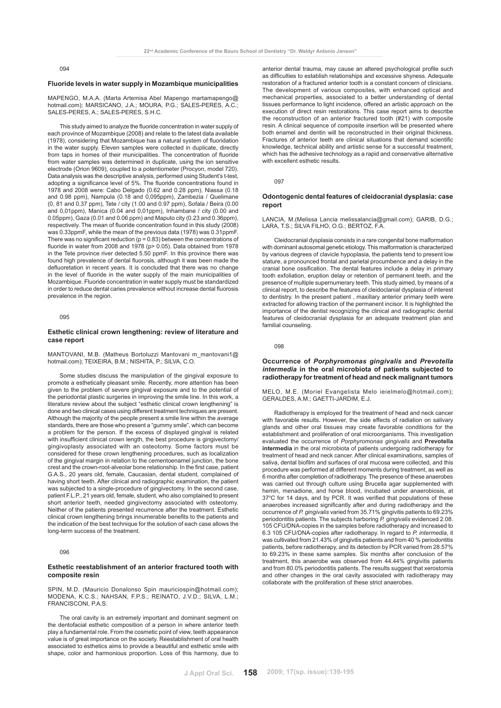#### **Fluoride levels in water supply in Mozambique municipalities**

MAPENGO, M.A.A. (Marta Artemisa Abel Mapengo martamapengo@ hotmail.com); MARSICANO, J.A.; MOURA, P.G.; SALES-PERES, A.C.; SALES-PERES, A.; SALES-PERES, S.H.C.

This study aimed to analyze the fluoride concentration in water supply of each province of Mozambique (2008) and relate to the latest data available (1978), considering that Mozambique has a natural system of fluoridation in the water supply. Eleven samples were collected in duplicate, directly from taps in homes of their municipalities. The concentration of fluoride from water samples was determined in duplicate, using the ion sensitive electrode (Orion 9609), coupled to a potentiometer (Procyon, model 720). Data analysis was the descriptive analysis, performed using Student's t-test, adopting a significance level of 5%. The fluoride concentrations found in 1978 and 2008 were: Cabo Delgado (0.62 and 0.28 ppm), Niassa (0.18 and 0.98 ppm), Nampula (0.18 and 0,095ppm), Zambezia / Quelimane (0, 81 and 0.37 ppm), Tete / city (1.00 and 0.97 ppm), Sofala / Beira (0.00 and 0,01ppm), Manica (0.04 and 0,01ppm), Inhambane / city (0.00 and 0.05ppm), Gaza (0.01 and 0.06 ppm) and Maputo city (0.23 and 0.36ppm), respectively. The mean of fluoride concentration found in this study (2008) was 0.33ppmF, while the mean of the previous data (1978) was 0.31ppmF. There was no significant reduction ( $p = 0.83$ ) between the concentrations of fluoride in water from 2008 and 1978 (p> 0.05). Data obtained from 1978 in the Tete province river detected 5.50 ppmF. In this province there was found high prevalence of dental fluorosis, although it was been made the defluoretation in recent years. It is concluded that there was no change in the level of fluoride in the water supply of the main municipalities of Mozambique. Fluoride concentration in water supply must be standardized in order to reduce dental caries prevalence without increase dental fluorosis prevalence in the region.

## 095

### **Esthetic clinical crown lengthening: review of literature and case report**

MANTOVANI, M.B. (Matheus Bortoluzzi Mantovani m\_mantovani1@ hotmail.com); TEIXEIRA, B.M.; NISHITA, P.; SILVA, C.O.

Some studies discuss the manipulation of the gingival exposure to promote a esthetically pleasant smile. Recently, more attention has been given to the problem of severe gingival exposure and to the potential of the periodontal plastic surgeries in improving the smile line. In this work, a literature review about the subject "esthetic clinical crown lengthening" is done and two clinical cases using different treatment techniques are present. Although the majority of the people present a smile line within the average standards, there are those who present a "gummy smile", which can become a problem for the person. If the excess of displayed gingival is related with insufficient clinical crown length, the best procedure is gingivectomy/ gingivoplasty associated with an osteotomy. Some factors must be considered for these crown lengthening procedures, such as localization of the gingival margin in relation to the cementoenamel junction, the bone crest and the crown-root-alveolar bone relationship. In the first case, patient G.A.S., 20 years old, female, Caucasian, dental student, complained of having short teeth. After clinical and radiographic examination, the patient was subjected to a single-procedure of gingivectomy. In the second case, patient F.L.P., 21 years old, female, student, who also complained to present short anterior teeth, needed gingivectomy associated with osteotomy. Neither of the patients presented recurrence after the treatment. Esthetic clinical crown lengthening brings innumerable benefits to the patients and the indication of the best technique for the solution of each case allows the long-term success of the treatment.

## 096

# **Esthetic reestablishment of an anterior fractured tooth with composite resin**

SPIN, M.D. (Mauricio Donalonso Spin mauriciospin@hotmail.com); MODENA, K.C.S.; NAHSAN, F.P.S.; REINATO, J.V.D.; SILVA, L.M.; FRANCISCONI, P.A.S.

The oral cavity is an extremely important and dominant segment on the dentofacial esthetic composition of a person in where anterior teeth play a fundamental role. From the cosmetic point of view, teeth appearance value is of great importance on the society. Reestablishment of oral health associated to esthetics aims to provide a beautiful and esthetic smile with shape, color and harmonious proportion. Loss of this harmony, due to

anterior dental trauma, may cause an altered psychological profile such as difficulties to establish relationships and excessive shyness. Adequate restoration of a fractured anterior tooth is a constant concern of clinicians. The development of various composites, with enhanced optical and mechanical properties, associated to a better understanding of dental tissues performance to light incidence, offered an artistic approach on the execution of direct resin restorations. This case report aims to describe the reconstruction of an anterior fractured tooth  $(H21)$  with composite resin. A clinical sequence of composite insertion will be presented where both enamel and dentin will be reconstructed in their original thickness. Fractures of anterior teeth are clinical situations that demand scientific knowledge, technical ability and artistic sense for a successful treatment, which has the adhesive technology as a rapid and conservative alternative with excellent esthetic results.

097

## **Odontogenic dental features of cleidocranial dysplasia: case report**

LANCIA, M.(Melissa Lancia melissalancia@gmail.com); GARIB, D.G.; LARA, T.S.; SILVA FILHO, O.G.; BERTOZ, F.A.

Cleidocranial dysplasia consists in a rare congenital bone malformation with dominant autosomal genetic etiology. This malformation is characterized by various degrees of clavicle hypoplasia, the patients tend to present low stature, a pronounced frontal and parietal procumbence and a delay in the cranial bone ossification. The dental features include a delay in primary tooth exfoliation, eruption delay or retention of permanent teeth, and the presence of multiple supernumerary teeth. This study aimed, by means of a clinical report, to describe the features of cleidoclanial dysplasia of interest to dentistry. In the present patient , maxillary anterior primary teeth were extracted for allowing traction of the permanent incisor. It is highlighted the importance of the dentist recognizing the clinical and radiographic dental features of cleidocranial dysplasia for an adequate treatment plan and familial counseling.

098

## **Occurrence of** *Porphyromonas gingivalis* **and** *Prevotella intermedia* **in the oral microbiota of patients subjected to radiotherapy for treatment of head and neck malignant tumors**

Melo, M.E. (Moriel Evangelista Melo ieielmelo@hotmail.com); Geraldes, A.M.; Gaetti-Jardim, E.J.

Radiotherapy is employed for the treatment of head and neck cancer with favorable results. However, the side effects of radiation on salivary glands and other oral tissues may create favorable conditions for the establishment and proliferation of oral microorganisms. This investigation evaluated the occurrence of *Porphyromonas gingivalis* and **Prevotella intermedia** in the oral microbiota of patients undergoing radiotherapy for treatment of head and neck cancer. After clinical examinations, samples of saliva, dental biofilm and surfaces of oral mucosa were collected, and this procedure was performed at different moments during treatment, as well as 6 months after completion of radiotherapy. The presence of these anaerobes was carried out through culture using Brucella agar supplemented with hemin, menadione, and horse blood, incubated under anaerobiosis, at 37°C for 14 days, and by PCR. It was verified that populations of these anaerobes increased significantly after and during radiotherapy and the occurrence of *P. gingivalis* varied from 35.71% gingivitis patients to 69.23% periodontitis patients. The subjects harboring *P. gingivalis* evidenced 2.08. 105 CFU/DNA-copies in the samples before radiotherapy and increased to 6.3 105 CFU/DNA-copies after radiotherapy. In regard to *P. intermedia*, it was cultivated from 21.43% of gingivitis patients and from 40 % periodontitis patients, before radiotherapy, and its detection by PCR varied from 28.57% to 69.23% in these same samples. Six months after conclusion of the treatment, this anaerobe was observed from 44.44% gingivitis patients and from 80.0% periodontitis patients. The results suggest that xerostomia and other changes in the oral cavity associated with radiotherapy may collaborate with the proliferation of these strict anaerobes.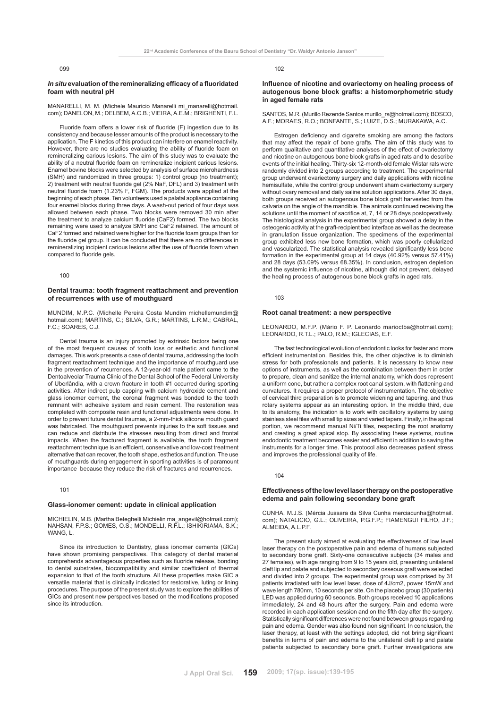#### *In situ* **evaluation of the remineralizing efficacy of a fluoridated foam with neutral pH**

### Manarelli, M. M. (Michele Mauricio Manarelli mi\_manarelli@hotmail. com); Danelon, M.; Delbem, A.C.B.; Vieira, A.E.M.; Brighenti, F.L.

Fluoride foam offers a lower risk of fluoride (F) ingestion due to its consistency and because lesser amounts of the product is necessary to the application. The F kinetics of this product can interfere on enamel reactivity. However, there are no studies evaluating the ability of fluoride foam on remineralizing carious lesions. The aim of this study was to evaluate the ability of a neutral fluoride foam on remineralize incipient carious lesions. Enamel bovine blocks were selected by analysis of surface microhardness (SMH) and randomized in three groups: 1) control group (no treatment); 2) treatment with neutral fluoride gel (2% NaF, DFL) and 3) treatment with neutral fluoride foam (1.23% F, FGM). The products were applied at the beginning of each phase. Ten volunteers used a palatal appliance containing four enamel blocks during three days. A wash-out period of four days was allowed between each phase. Two blocks were removed 30 min after the treatment to analyze calcium fluoride (CaF2) formed. The two blocks remaining were used to analyze SMH and CaF2 retained. The amount of CaF2 formed and retained were higher for the fluoride foam groups than for the fluoride gel group. It can be concluded that there are no differences in remineralizing incipient carious lesions after the use of fluoride foam when compared to fluoride gels.

100

## **Dental trauma: tooth fragment reattachment and prevention of recurrences with use of mouthguard**

Mundim, M.P.C. (Michelle Pereira Costa Mundim michellemundim@ hotmail.com); MARTINS, C.; SILVA, G.R.; MARTINS, L.R.M.; CABRAL, F.C.; Soares, C.J.

Dental trauma is an injury promoted by extrinsic factors being one of the most frequent causes of tooth loss or esthetic and functional damages. This work presents a case of dental trauma, addressing the tooth fragment reattachment technique and the importance of mouthguard use in the prevention of recurrences. A 12-year-old male patient came to the Dentoalveolar Trauma Clinic of the Dental School of the Federal University of Uberlândia, with a crown fracture in tooth #1 occurred during sporting activities. After indirect pulp capping with calcium hydroxide cement and glass ionomer cement, the coronal fragment was bonded to the tooth remnant with adhesive system and resin cement. The restoration was completed with composite resin and functional adjustments were done. In order to prevent future dental traumas, a 2-mm-thick silicone mouth guard was fabricated. The mouthguard prevents injuries to the soft tissues and can reduce and distribute the stresses resulting from direct and frontal impacts. When the fractured fragment is available, the tooth fragment reattachment technique is an efficient, conservative and low-cost treatment alternative that can recover, the tooth shape, esthetics and function. The use of mouthguards during engagement in sporting activities is of paramount importance because they reduce the risk of fractures and recurrences.

101

### **Glass-ionomer cement: update in clinical application**

#### Michielin, M.B. (Martha Beteghelli Michielin ma\_angevil@hotmail.com); Nahsan, F.P.S.; Gomes, O.S.; Mondelli, R.F.L.; Ishikiriama, S.K.; Wang, L.

Since its introduction to Dentistry, glass ionomer cements (GICs) have shown promising perspectives. This category of dental material comprehends advantageous properties such as fluoride release, bonding to dental substrates, biocompatibility and similar coefficient of thermal expansion to that of the tooth structure. All these properties make GIC a versatile material that is clinically indicated for restorative, luting or lining procedures. The purpose of the present study was to explore the abilities of GICs and present new perspectives based on the modifications proposed since its introduction.

102

### **Influence of nicotine and ovariectomy on healing process of autogenous bone block grafts: a histomorphometric study in aged female rats**

#### SANTOS, M.R. (Murillo Rezende Santos murillo\_rs@hotmail.com); BOSCO, A.F.; MORAES, R.O.; BONFANTE, S.; LUIZE, D.S.; MURAKAWA, A.C.

Estrogen deficiency and cigarette smoking are among the factors that may affect the repair of bone grafts. The aim of this study was to perform qualitative and quantitative analyses of the effect of ovariectomy and nicotine on autogenous bone block grafts in aged rats and to describe events of the initial healing. Thirty-six 12-month-old female Wistar rats were randomly divided into 2 groups according to treatment. The experimental group underwent ovariectomy surgery and daily applications with nicotine hemisulfate, while the control group underwent sham ovariectomy surgery without ovary removal and daily saline solution applications. After 30 days, both groups received an autogenous bone block graft harvested from the calvaria on the angle of the mandible. The animals continued receiving the solutions until the moment of sacrifice at, 7, 14 or 28 days postoperatively. The histological analysis in the experimental group showed a delay in the osteogenic activity at the graft-recipient bed interface as well as the decrease in granulation tissue organization. The specimens of the experimental group exhibited less new bone formation, which was poorly cellularized and vascularized. The statistical analysis revealed significantly less bone formation in the experimental group at 14 days (40.92% versus 57.41%) and 28 days (53.09% versus 68.35%). In conclusion, estrogen depletion and the systemic influence of nicotine, although did not prevent, delayed the healing process of autogenous bone block grafts in aged rats.

103

#### **Root canal treatment: a new perspective**

LEONARDO, M.F.P. (Mário F. P. Leonardo marioctba@hotmail.com); Leonardo, R.T.L.; Palo, R.M.; Iglecias, E.F.

The fast technological evolution of endodontic looks for faster and more efficient instrumentation. Besides this, the other objective is to diminish stress for both professionals and patients. It is necessary to know new options of instruments, as well as the combination between them in order to prepare, clean and sanitize the internal anatomy, which does represent a uniform cone, but rather a complex root canal system, with flattening and curvatures. It requires a proper protocol of instrumentation. The objective of cervical third preparation is to promote widening and tapering, and thus rotary systems appear as an interesting option. In the middle third, due to its anatomy, the indication is to work with oscillatory systems by using stainless steel files with small tip sizes and varied tapers. Finally, in the apical portion, we recommend manual Ni/Ti files, respecting the root anatomy and creating a great apical stop. By associating these systems, routine endodontic treatment becomes easier and efficient in addition to saving the instruments for a longer time. This protocol also decreases patient stress and improves the professional quality of life.

#### 104

## **Effectiveness of the low level laser therapy on the postoperative edema and pain following secondary bone graft**

CUNHA, M.J.S. (Mércia Jussara da Silva Cunha merciacunha@hotmail. com); NATALICIO, G.L.; OLIVEIRA, P.G.F.P.; FIAMENGUI FILHO, J.F.; ALMEIDA, A.L.P.F.

The present study aimed at evaluating the effectiveness of low level laser therapy on the postoperative pain and edema of humans subjected to secondary bone graft. Sixty-one consecutive subjects (34 males and 27 females), with age ranging from 9 to 15 years old, presenting unilateral cleft lip and palate and subjected to secondary osseous graft were selected and divided into 2 groups. The experimental group was comprised by 31 patients irradiated with low level laser, dose of 4J/cm2, power 15mW and wave length 780nm, 10 seconds per site. On the placebo group (30 patients) LED was applied during 60 seconds. Both groups received 10 applications immediately, 24 and 48 hours after the surgery. Pain and edema were recorded in each application session and on the fifth day after the surgery. Statistically significant differences were not found between groups regarding pain and edema. Gender was also found non significant. In conclusion, the laser therapy, at least with the settings adopted, did not bring significant benefits in terms of pain and edema to the unilateral cleft lip and palate patients subjected to secondary bone graft. Further investigations are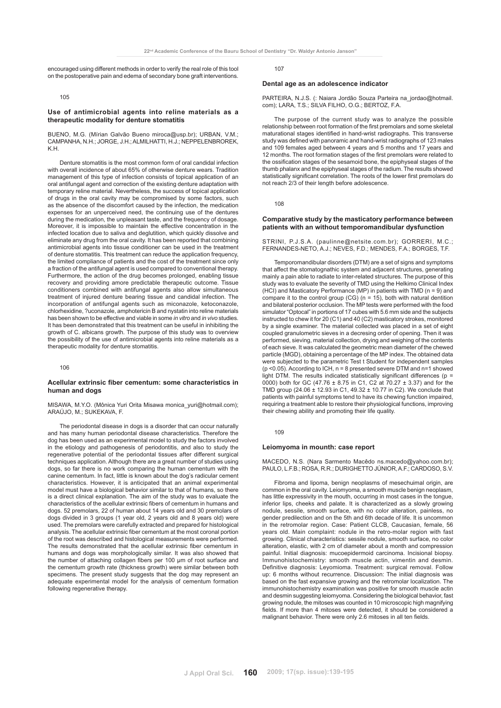encouraged using different methods in order to verify the real role of this tool on the postoperative pain and edema of secondary bone graft interventions.

### 105

## **Use of antimicrobial agents into reline materials as a therapeutic modality for denture stomatitis**

BUENO, M.G. (Mírian Galvão Bueno miroca@usp.br); URBAN, V.M.; CAMPANHA, N.H.; JORGE, J.H.; ALMILHATTI, H.J.; NEPPELENBROREK, K.H.

Denture stomatitis is the most common form of oral candidal infection with overall incidence of about 65% of otherwise denture wears. Tradition management of this type of infection consists of topical application of an oral antifungal agent and correction of the existing denture adaptation with temporary reline material. Nevertheless, the success of topical application of drugs in the oral cavity may be compromised by some factors, such as the absence of the discomfort caused by the infection, the medication expenses for an unperceived need, the continuing use of the dentures during the medication, the unpleasant taste, and the frequency of dosage. Moreover, it is impossible to maintain the effective concentration in the infected location due to saliva and deglutition, which quickly dissolve and eliminate any drug from the oral cavity. It has been reported that combining antimicrobial agents into tissue conditioner can be used in the treatment of denture stomatitis. This treatment can reduce the application frequency, the limited compliance of patients and the cost of the treatment since only a fraction of the antifungal agent is used compared to conventional therapy. Furthermore, the action of the drug becomes prolonged, enabling tissue recovery and providing amore predictable therapeutic outcome. Tissue conditioners combined with antifungal agents also allow simultaneous treatment of injured denture bearing tissue and candidal infection. The incorporation of antifungal agents such as miconazole, ketoconazole, chlorhexidine, ?uconazole, amphotericin B and nystatin into reline materials has been shown to be effective and viable in some *in vitro* and *in vivo* studies. It has been demonstrated that this treatment can be useful in inhibiting the growth of C. albicans growth. The purpose of this study was to overview the possibility of the use of antimicrobial agents into reline materials as a therapeutic modality for denture stomatitis.

 $106$ 

## **Acellular extrinsic fiber cementum: some characteristics in human and dogs**

MISAWA, M.Y.O. (Mônica Yuri Orita Misawa monica\_yuri@hotmail.com); ARAÚJO, M.; SUKEKAVA, F.

The periodontal disease in dogs is a disorder that can occur naturally and has many human periodontal disease characteristics. Therefore the dog has been used as an experimental model to study the factors involved in the etiology and pathogenesis of periodontitis, and also to study the regenerative potential of the periodontal tissues after different surgical techniques application. Although there are a great number of studies using dogs, so far there is no work comparing the human cementum with the canine cementum. In fact, little is known about the dog's radicular cement characteristics. However, it is anticipated that an animal experimental model must have a biological behavior similar to that of humans, so there is a direct clinical explanation. The aim of the study was to evaluate the characteristics of the acellular extrinsic fibers of cementum in humans and dogs. 52 premolars, 22 of human about 14 years old and 30 premolars of dogs divided in 3 groups (1 year old, 2 years old and 8 years old) were used. The premolars were carefully extracted and prepared for histological analysis. The acellular extrinsic fiber cementum at the most coronal portion of the root was described and histological measurements were performed. The results demonstrated that the acellular extrinsic fiber cementum in humans and dogs was morphologically similar. It was also showed that the number of attaching collagen fibers per 100 µm of root surface and the cementum growth rate (thickness growth) were similar between both specimens. The present study suggests that the dog may represent an adequate experimental model for the analysis of cementum formation following regenerative therapy.

107

#### **Dental age as an adolescence indicator**

PARTEIRA, N.J.S. (: Naiara Jordão Souza Parteira na\_jordao@hotmail. com); LARA, T.S.; SILVA FILHO, O.G.; BERTOZ, F.A.

The purpose of the current study was to analyze the possible relationship between root formation of the first premolars and some skeletal maturational stages identified in hand-wrist radiographs. This transverse study was defined with panoramic and hand-wrist radiographs of 123 males and 109 females aged between 4 years and 5 months and 17 years and 12 months. The root formation stages of the first premolars were related to the ossification stages of the sesamoid bone, the epiphyseal stages of the thumb phalanx and the epiphyseal stages of the radium. The results showed statistically significant correlation. The roots of the lower first premolars do not reach 2/3 of their length before adolescence.

108

## **Comparative study by the masticatory performance between patients with an without temporomandibular dysfunction**

STRINI, P.J.S.A. (paulinne@netsite.com.br); GORRERI, M.C.; FERNANDES-NETO, A.J.; NEVES, F.D.; MENDES, F.A.; BORGES, T.F.

Temporomandibular disorders (DTM) are a set of signs and symptoms that affect the stomatognathic system and adjacent structures, generating mainly a pain able to radiate to inter-related structures. The purpose of this study was to evaluate the severity of TMD using the Helkimo Clinical Index (HCI) and Masticatory Performance (MP) in patients with TMD (n = 9) and compare it to the control group (CG) ( $n = 15$ ), both with natural dentition and bilateral posterior occlusion. The MP tests were performed with the food simulator "Optocal" in portions of 17 cubes with 5.6 mm side and the subjects instructed to chew it for 20 (C1) and 40 (C2) masticatory strokes, monitored by a single examiner. The material collected was placed in a set of eight coupled granulometric sieves in a decresing order of opening. Then it was performed, sieving, material collection, drying and weighing of the contents of each sieve. It was calculated the geometric mean diameter of the chewed particle (MGD), obtaining a percentage of the MP index. The obtained data were subjected to the parametric Test t Student for independent samples ( $p$  <0.05). According to ICH,  $n = 8$  presented severe DTM and  $n = 1$  showed light DTM. The results indicated statistically significant differences ( $p =$ 0000) both for GC (47.76 ± 8.75 in C1, C2 at 70.27 ± 3.37) and for the TMD group (24.06 ± 12.93 in C1, 49.32 ± 10.77 in C2). We conclude that patients with painful symptoms tend to have its chewing function impaired, requiring a treatment able to restore their physiological functions, improving their chewing ability and promoting their life quality.

#### 109

## **Leiomyoma in mounth: case report**

MACEDO, N.S. (Nara Sarmento Macêdo ns.macedo@yahoo.com.br); PAULO, L.F.B.; ROSA, R.R.; DURIGHETTO JÚNIOR, A.F.; CARDOSO, S.V.

Fibroma and lipoma, benign neoplasms of mesechuimal origin, are common in the oral cavity. Leiomyoma, a smooth muscle benign neoplasm, has little expressivity in the mouth, occurring in most cases in the tongue, inferior lips, cheeks and palate. It is characterized as a slowly growing nodule, sessile, smooth surface, with no color alteration, painless, no gender predilection and on the 5th and 6th decade of life. It is uncommon in the retromolar region. Case: Patient CLCB, Caucasian, female, 56 years old. Main complaint: nodule in the retro-molar region with fast growing. Clinical characteristics: sessile nodule, smooth surface, no color alteration, elastic, with 2 cm of diameter about a month and compression painful. Initial diagnosis: mucoepidermoid carcinoma. Incisional biopsy. Immunohistochemistry: smooth muscle actin, vimentin and desmin. Definitive diagnosis: Leyomioma. Treatment: surgical removal. Follow up: 6 months without recurrence. Discussion: The initial diagnosis was based on the fast expansive growing and the retromolar localization. The immunohistochemistry examination was positive for smooth muscle actin and desmin suggesting leiomyoma. Considering the biological behavior, fast growing nodule, the mitoses was counted in 10 microscopic high magnifying fields. If more than 4 mitoses were detected, it should be considered a malignant behavior. There were only 2.6 mitoses in all ten fields.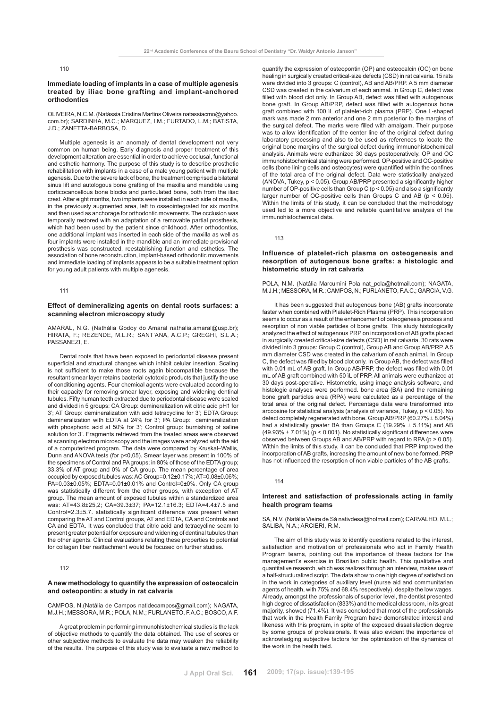### **Immediate loading of implants in a case of multiple agenesis treated by iliac bone grafting and implant-anchored orthodontics**

#### Oliveira, N.C.M. (Natássia Cristina Martins Oliveira natassiacmo@yahoo. com.br); Sardinha, M.C.; Marquez, I.M.; Furtado, L.M.; Batista, J.D.; Zanetta-Barbosa, D.

Multiple agenesis is an anomaly of dental development not very common on human being. Early diagnosis and proper treatment of this development alteration are essential in order to achieve occlusal, functional and esthetic harmony. The purpose of this study is to describe prosthetic rehabilitation with implants in a case of a male young patient with multiple agenesis. Due to the severe lack of bone, the treatment comprised a bilateral sinus lift and autologous bone grafting of the maxilla and mandible using corticocancellous bone blocks and particulated bone, both from the iliac crest. After eight months, two implants were installed in each side of maxilla, in the previously augmented area, left to osseointegrated for six months and then used as anchorage for orthodontic movements. The occlusion was temporally restored with an adaptation of a removable partial prosthesis, which had been used by the patient since childhood. After orthodontics, one additional implant was inserted in each side of the maxilla as well as four implants were installed in the mandible and an immediate provisional prosthesis was constructed, reestablishing function and esthetics. The association of bone reconstruction, implant-based orthodontic movements and immediate loading of implants appears to be a suitable treatment option for young adult patients with multiple agenesis.

## 111

### **Effect of demineralizing agents on dental roots surfaces: a scanning electron microscopy study**

AMARAL, N.G. (Nathália Godoy do Amaral nathalia.amaral@usp.br); HIRATA, F.; REZENDE, M.L.R.; SANT'ANA, A.C.P.; GREGHI, S.L.A.; PASSANEZI, E.

Dental roots that have been exposed to periodontal disease present superficial and structural changes which inhibit celular insertion. Scaling is not sufficient to make those roots again biocompatible because the resultant smear layer retains bacterial cytotoxic products that justify the use of conditioning agents. Four chemical agents were evaluated according to their capacity for removing smear layer, exposing and widening dentinal tubules. Fifty human teeth extracted due to periodontal disease were scaled and divided in 5 groups: CA Group: demineralization wit citric acid pH1 for 3'; AT Group: demineralization with acid tetracycline for 3'; EDTA Group: demineralization with EDTA at 24% for 3'; PA Group: demineralization with phosphoric acid at 50% for 3'; Control group: burnishing of saline solution for 3'. Fragments retrieved from the treated areas were observed at scanning electron microscopy and the images were analyzed with the aid of a computerized program. The data were compared by Kruskal–Wallis, Dunn and ANOVA tests (for p<0,05). Smear layer was present in 100% of the specimens of Control and PA groups; in 80% of those of the EDTA group; 33.3% of AT group and 0% of CA group. The mean percentage of area occupied by exposed tubules was: AC Group=0.12±0.17%; AT=0.08±0.06%; PA=0.03±0.05%; EDTA=0.01±0.01% and Control=0±0%. Only CA group was statistically different from the other groups, with exception of AT group. The mean amount of exposed tubules within a standardized area was: AT=43.8±25,2; CA=39.3±37; PA=12.1±16.3; EDTA=4.4±7.5 and Control=2.3±5.7. statistically significant difference was present when comparing the AT and Control groups, AT and EDTA, CA and Controls and CA and EDTA. It was concluded that citric acid and tetracycline seam to present greater potential for exposure and widening of dentinal tubules than the other agents. Clinical evaluations relating these properties to potential for collagen fiber reattachment would be focused on further studies.

### 112

# **A new methodology to quantify the expression of osteocalcin and osteopontin: a study in rat calvaria**

CAMPOS, N.(Natália de Campos natidecampos@gmail.com); NAGATA, M.J.H.; Messora, M.R.; Pola, N.M.; Furlaneto, F.A.C.; Bosco, A.F.

A great problem in performing immunohistochemical studies is the lack of objective methods to quantify the data obtained. The use of scores or other subjective methods to evaluate the data may weaken the reliability of the results. The purpose of this study was to evaluate a new method to quantify the expression of osteopontin (OP) and osteocalcin (OC) on bone healing in surgically created critical-size defects (CSD) in rat calvaria. 15 rats were divided into 3 groups: C (control), AB and AB/PRP. A 5 mm diameter CSD was created in the calvarium of each animal. In Group C, defect was filled with blood clot only. In Group AB, defect was filled with autogenous bone graft. In Group AB/PRP, defect was filled with autogenous bone graft combined with 100 ìL of platelet-rich plasma (PRP). One L-shaped mark was made 2 mm anterior and one 2 mm posterior to the margins of the surgical defect. The marks were filled with amalgam. Their purpose was to allow identification of the center line of the original defect during laboratory processing and also to be used as references to locate the original bone margins of the surgical defect during immunohistochemical analysis. Animals were euthanized 30 days postoperatively. OP and OC immunohistochemical staining were performed. OP-positive and OC-positive cells (bone lining cells and osteocytes) were quantified within the confines of the total area of the original defect. Data were statistically analyzed (ANOVA, Tukey, p < 0.05). Group AB/PRP presented a significantly higher number of OP-positive cells than Group C ( $p < 0.05$ ) and also a significantly larger number of OC-positive cells than Groups C and AB ( $p < 0.05$ ). Within the limits of this study, it can be concluded that the methodology used led to a more objective and reliable quantitative analysis of the immunohistochemical data.

113

## **Influence of platelet-rich plasma on osteogenesis and resorption of autogenous bone grafts: a histologic and histometric study in rat calvaria**

POLA, N.M. (Natália Marcumini Pola nat pola@hotmail.com); NAGATA, M.J.H.; Messora, M.R.; Campos, N.; Furlaneto, F.A.C.; Garcia, V.G.

It has been suggested that autogenous bone (AB) grafts incorporate faster when combined with Platelet-Rich Plasma (PRP). This incorporation seems to occur as a result of the enhancement of osteogenesis process and resorption of non viable particles of bone grafts. This study histologically analyzed the effect of autogenous PRP on incorporation of AB grafts placed in surgically created critical-size defects (CSD) in rat calvaria. 30 rats were divided into 3 groups: Group C (control), Group AB and Group AB/PRP. A 5 mm diameter CSD was created in the calvarium of each animal. In Group C, the defect was filled by blood clot only. In Group AB, the defect was filled with 0.01 mL of AB graft. In Group AB/PRP, the defect was filled with 0.01 mate the street with 50 iL of PRP. All animals were euthanized at much of AB graft combined with 50 iL of PRP. All animals were euthanized at 30 days post-operative. Histometric, using image analysis software, and histologic analyses were performed. bone area (BA) and the remaining bone graft particles area (RPA) were calculated as a percentage of the total area of the original defect. Percentage data were transformed into arccosine for statistical analysis (analysis of variance, Tukey, p < 0.05). No defect completely regenerated with bone. Group AB/PRP (60.27% ± 8.04%) had a statistically greater BA than Groups C (19.29% ± 5.11%) and AB  $(49.93\% \pm 7.01\%)$  (p < 0.001). No statistically significant differences were observed between Groups AB and AB/PRP with regard to RPA ( $p > 0.05$ ). Within the limits of this study, it can be concluded that PRP improved the incorporation of AB grafts, increasing the amount of new bone formed. PRP has not influenced the resorption of non viable particles of the AB grafts.

## 114

## **Interest and satisfaction of professionals acting in family health program teams**

### SA, N.V. (Natália Vieira de Sá nativdesa@hotmail.com); CARVALHO, M.L.; SALIBA, N.A.; ARCIERI, R.M.

The aim of this study was to identify questions related to the interest, satisfaction and motivation of professionals who act in Family Health Program teams, pointing out the importance of these factors for the management's exercise in Brazilian public health. This qualitative and quantitative research, which was realizes through an interview, makes use of a half-structuralized script. The data show to one high degree of satisfaction in the work in categories of auxiliary level (nurse aid and communitarian agents of health, with 75% and 68.4% respectively), despite the low wages. Already, amongst the professionals of superior level, the dentist presented high degree of dissatisfaction (833%) and the medical classroom, in its great majority, showed (71.4%). It was concluded that most of the professionals that work in the Health Family Program have demonstrated interest and likeness with this program, in spite of the exposed dissatisfaction degree by some groups of professionals. It was also evident the importance of acknowledging subjective factors for the optimization of the dynamics of the work in the health field.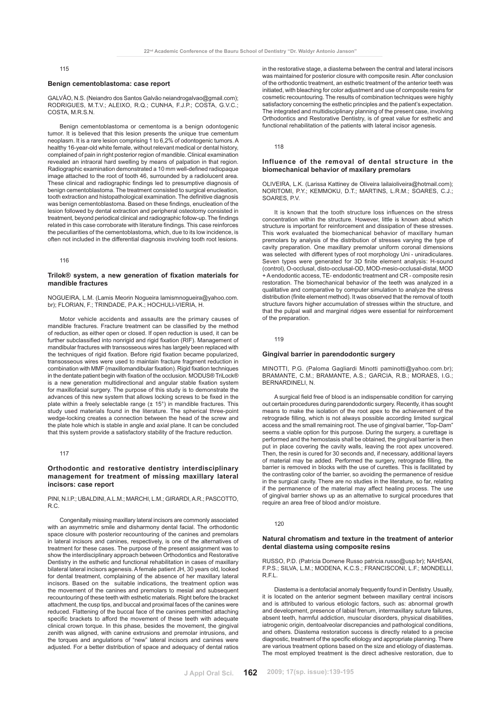#### **Benign cementoblastoma: case report**

GALVÃO, N.S. (Neiandro dos Santos Galvão neiandrogalvao@gmail.com); RODRIGUES, M.T.V.; ALEIXO, R.Q.; CUNHA, F.J.P.; COSTA, G.V.C.; COSTA, M.R.S.N.

Benign cementoblastoma or cementoma is a benign odontogenic tumor. It is believed that this lesion presents the unique true cementum neoplasm. It is a rare lesion comprising 1 to 6,2% of odontogenic tumors. A healthy 16-year-old white female, without relevant medical or dental history, complained of pain in right posterior region of mandible. Clinical examination revealed an intraoral hard swelling by means of palpation in that region. Radiographic examination demonstrated a 10 mm well-defined radiopaque image attached to the root of tooth 46, surrounded by a radiolucent area. These clinical and radiographic findings led to presumptive diagnosis of benign cementoblastoma. The treatment consisted to surgical enucleation, tooth extraction and histopathological examination. The definitive diagnosis was benign cementoblastoma. Based on these findings, enucleation of the lesion followed by dental extraction and peripheral osteotomy consisted in treatment, beyond periodical clinical and radiographic follow-up. The findings related in this case corroborate with literature findings. This case reinforces the peculiarities of the cementoblastoma, which, due to its low incidence, is often not included in the differential diagnosis involving tooth root lesions.

116

## **Trilok® system, a new generation of fixation materials for mandible fractures**

Nogueira, L.M. (Lamis Meorin Nogueira lamismnogueira@yahoo.com. br); Florian, F.; Trindade, P.A.K.; Hochuli-Vieria, H.

Motor vehicle accidents and assaults are the primary causes of mandible fractures. Fracture treatment can be classified by the method of reduction, as either open or closed. If open reduction is used, it can be further subclassified into nonrigid and rigid fixation (RIF). Management of mandibular fractures with transosseous wires has largely been replaced with the techniques of rigid fixation. Before rigid fixation became popularized, transosseous wires were used to maintain fracture fragment reduction in combination with MMF (maxillomandibular fixation). Rigid fixation techniques in the dentate patient begin with fixation of the occlusion. MODUS® TriLock® is a new generation multidirectional and angular stable fixation system for maxillofacial surgery. The purpose of this study is to demonstrate the advances of this new system that allows locking screws to be fixed in the plate within a freely selectable range (± 15°) in mandible fractures. This study used materials found in the literature. The spherical three-point wedge-locking creates a connection between the head of the screw and the plate hole which is stable in angle and axial plane. It can be concluded that this system provide a satisfactory stability of the fracture reduction.

117

### **Orthodontic and restorative dentistry interdisciplinary management for treatment of missing maxillary lateral incisors: case report**

#### PINI, N.I.P.; UBALDINI, A.L.M.; MARCHI, L.M.; GIRARDI, A.R.; PASCOTTO, R.C.

Congenitally missing maxillary lateral incisors are commonly associated with an asymmetric smile and disharmony dental facial. The orthodontic space closure with posterior recountouring of the canines and premolars in lateral incisors and canines, respectively, is one of the alternatives of treatment for these cases. The purpose of the present assignment was to show the interdisciplinary approach between Orthodontics and Restorative Dentistry in the esthetic and functional rehabilitation in cases of maxillary bilateral lateral incisors agenesis. A female patient JH, 30 years old, looked for dental treatment, complaining of the absence of her maxillary lateral incisors. Based on the suitable indications, the treatment option was the movement of the canines and premolars to mesial and subsequent recountouring of these teeth with esthetic materials. Right before the bracket attachment, the cusp tips, and buccal and proximal faces of the canines were reduced. Flattening of the buccal face of the canines permitted attaching specific brackets to afford the movement of these teeth with adequate clinical crown torque. In this phase, besides the movement, the gingival zenith was aligned, with canine extrusions and premolar intrusions, and the torques and angulations of "new" lateral incisors and canines were adjusted. For a better distribution of space and adequacy of dental ratios

in the restorative stage, a diastema between the central and lateral incisors was maintained for posterior closure with composite resin. After conclusion of the orthodontic treatment, an esthetic treatment of the anterior teeth was initiated, with bleaching for color adjustment and use of composite resins for cosmetic recountouring. The results of combination techniques were highly satisfactory concerning the esthetic principles and the patient's expectation. The integrated and multidisciplinary planning of the present case, involving Orthodontics and Restorative Dentistry, is of great value for esthetic and functional rehabilitation of the patients with lateral incisor agenesis.

118

## **Influence of the removal of dental structure in the biomechanical behavior of maxilary premolars**

OLIVEIRA, L.K. (Larissa Kattiney de Oliveira lailaioliveira@hotmail.com); NORITOMI, P.Y.; KEMMOKU, D.T.; MARTINS, L.R.M.; SOARES, C.J.; SOARES, P.V.

It is known that the tooth structure loss influences on the stress concentration within the structure. However, little is known about which structure is important for reinforcement and dissipation of these stresses. This work evaluated the biomechanical behavior of maxillary human premolars by analysis of the distribution of stresses varying the type of cavity preparation. One maxillary premolar uniform coronal dimensions was selected with different types of root morphology Uni - uniradiculares. Seven types were generated for 3D finite element analysis: H-sound (control), O-occlusal, disto-occlusal-OD, MOD-mesio-occlusal-distal, MOD + A endodontic access, TE- endodontic treatment and CR - composite resin restoration. The biomechanical behavior of the teeth was analyzed in a qualitative and comparative by computer simulation to analyze the stress distribution (finite element method). It was observed that the removal of tooth structure favors higher accumulation of stresses within the structure, and that the pulpal wall and marginal ridges were essential for reinforcement of the preparation.

119

### **Gingival barrier in parendodontic surgery**

MINOTTI, P.G. (Paloma Gagliardi Minotti paminotti@yahoo.com.br); BRAMANTE, C.M.; BRAMANTE, A.S.; GARCIA, R.B.; MORAES, I.G.; BERNARDINELI, N.

A surgical field free of blood is an indispensable condition for carrying out certain procedures during parendodontic surgery. Recently, it has sought means to make the isolation of the root apex to the achievement of the retrograde filling, which is not always possible according limited surgical access and the small remaining root. The use of gingival barrier, "Top-Dam" seems a viable option for this purpose. During the surgery, a curettage is performed and the hemostasis shall be obtained, the gingival barrier is then put in place covering the cavity walls, leaving the root apex uncovered. Then, the resin is cured for 30 seconds and, if necessary, additional layers of material may be added. Performed the surgery, retrograde filling, the barrier is removed in blocks with the use of curettes. This is facilitated by the contrasting color of the barrier, so avoiding the permanence of residue in the surgical cavity. There are no studies in the literature, so far, relating if the permanence of the material may affect healing process. The use of gingival barrier shows up as an alternative to surgical procedures that require an area free of blood and/or moisture.

120

### **Natural chromatism and texture in the treatment of anterior dental diastema using composite resins**

RUSSO, P.D. (Patrícia Domene Russo patricia.russo@usp.br); NAHSAN, F.P.S.; SILVA, L.M.; MODENA, K.C.S.; FRANCISCONI, L.F.; MONDELLI, R.F.L.

Diastema is a dentofacial anomaly frequently found in Dentistry. Usually, it is located on the anterior segment between maxillary central incisors and is attributed to various etiologic factors, such as: abnormal growth and development, presence of labial frenum, intermaxillary suture failures, absent teeth, harmful addiction, muscular disorders, physical disabilities, iatrogenic origin, dentoalveolar discrepancies and pathological conditions, and others. Diastema restoration success is directly related to a precise diagnostic, treatment of the specific etiology and appropriate planning. There are various treatment options based on the size and etiology of diastemas. The most employed treatment is the direct adhesive restoration, due to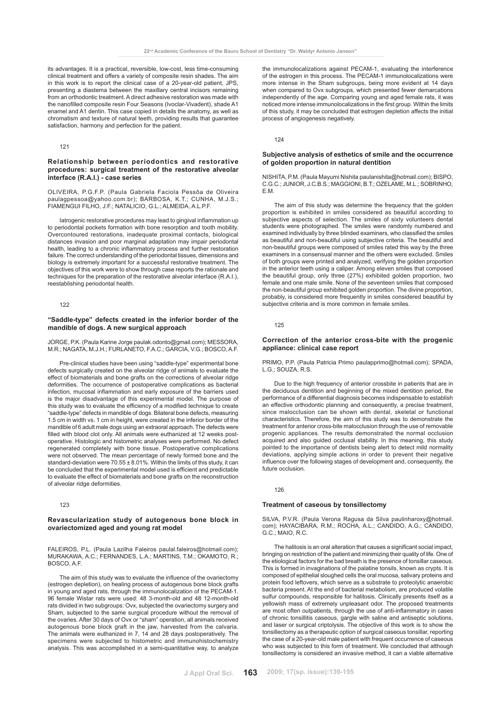its advantages. It is a practical, reversible, low-cost, less time-consuming clinical treatment and offers a variety of composite resin shades. The aim in this work is to report the clinical case of a 20-year-old patient, JPS, presenting a diastema between the maxillary central incisors remaining from an orthodontic treatment. A direct adhesive restoration was made with the nanofilled composite resin Four Seasons (Ivoclar-Vivadent), shade A1 enamel and A1 dentin. This case copied in details the anatomy, as well as chromatism and texture of natural teeth, providing results that guarantee satisfaction, harmony and perfection for the patient.

121

## **Relationship between periodontics and restorative procedures: surgical treatment of the restorative alveolar interface (R.A.I.) - case series**

OLIVEIRA, P.G.F.P. (Paula Gabriela Faciola Pessôa de Oliveira paulagpessoa@yahoo.com.br); BARBOSA, K.T.; CUNHA, M.J.S.; FIAMENGUI FILHO, J.F.; NATALICIO, G.L.; ALMEIDA, A.L.P.F.

Iatrogenic restorative procedures may lead to gingival inflammation up to periodontal pockets formation with bone resorption and tooth mobility. Overcontoured restorations, inadequate proximal contacts, biological distances invasion and poor marginal adaptation may impair periodontal health, leading to a chronic inflammatory process and further restoration failure. The correct understanding of the periodontal tissues, dimensions and biology is extremely important for a successful restorative treatment. The objectives of this work were to show through case reports the rationale and techniques for the preparation of the restorative alveolar interface (R.A.I.), reestablishing periodontal health.

#### 122

## **"Saddle-type" defects created in the inferior border of the mandible of dogs. A new surgical approach**

JORGE, P.K. (Paula Karine Jorge paulak.odonto@gmail.com); MESSORA, M.R.; NAGATA, M.J.H.; FURLANETO, F.A.C.; GARCIA, V.G.; BOSCO, A.F.

Pre-clinical studies have been using "saddle-type" experimental bone defects surgically created on the alveolar ridge of animals to evaluate the effect of biomaterials and bone grafts on the corrections of alveolar ridge deformities. The occurrence of postoperative complications as bacterial infection, mucosal inflammation and early exposure of the barriers used is the major disadvantage of this experimental model. The purpose of this study was to evaluate the efficiency of a modified technique to create "saddle-type" defects in mandible of dogs. Bilateral bone defects, measuring 1.5 cm in width vs. 1 cm in height, were created in the inferior border of the mandible of 6 adult male dogs using an extraoral approach. The defects were filled with blood clot only. All animals were euthanized at 12 weeks postoperative. Histologic and histometric analyses were performed. No defect regenerated completely with bone tissue. Postoperative complications were not observed. The mean percentage of newly formed bone and the standard-deviation were 70.55 ± 8.01%. Within the limits of this study, it can be concluded that the experimental model used is efficient and predictable to evaluate the effect of biomaterials and bone grafts on the reconstruction of alveolar ridge deformities.

## 123

# **Revascularization study of autogenous bone block in ovariectomized aged and young rat model**

FALEIROS, P.L. (Paula Lazilha Faleiros paulal.faleiros@hotmail.com); MURAKAWA, A.C.; FERNANDES, L.A.; MARTINS, T.M.; OKAMOTO, R.; BOSCO, A.F.

The aim of this study was to evaluate the influence of the ovariectomy (estrogen depletion), on healing process of autogenous bone block grafts in young and aged rats, through the immunolocalization of the PECAM-1. 96 female Wistar rats were used: 48 3-month-old and 48 12-month-old rats divided in two subgroups: Ovx, subjected the ovariectomy surgery and Sham, subjected to the same surgical procedure without the removal of the ovaries. After 30 days of Ovx or "sham" operation, all animals received autogenous bone block graft in the jaw, harvested from the calvaria. The animals were euthanized in 7, 14 and 28 days postoperatively. The specimens were subjected to histometric and immunohistochemistry analysis. This was accomplished in a semi-quantitative way, to analyze the immunolocalizations against PECAM-1, evaluating the interference of the estrogen in this process. The PECAM-1 immunolocalizations were more intense in the Sham subgroups, being more evident at 14 days when compared to Ovx subgroups, which presented fewer demarcations independently of the age. Comparing young and aged female rats, it was noticed more intense immunolocalizations in the first group. Within the limits of this study, it may be concluded that estrogen depletion affects the initial process of angiogenesis negatively.

124

## **Subjective analysis of esthetics of smile and the occurrence of golden proportion in natural dentition**

NISHITA, P.M. (Paula Mayumi Nishita paulanishita@hotmail.com); BISPO, C.G.C.; JUNIOR, J.C.B.S.; MAGGIONI, B.T.; OZELAME, M.L.; SOBRINHO, E.M.

The aim of this study was determine the frequency that the golden proportion is exhibited in smiles considered as beautiful according to subjective aspects of selection. The smiles of sixty volunteers dental students were photographed. The smiles were randomly numbered and examined individually by three blinded examiners, who classified the smiles as beautiful and non-beautiful using subjective criteria. The beautiful and non-beautiful groups were composed of smiles rated this way by the three examiners in a consensual manner and the others were excluded. Smiles of both groups were printed and analyzed, verifying the golden proportion in the anterior teeth using a caliper. Among eleven smiles that composed the beautiful group, only three (27%) exhibited golden proportion, two female and one male smile. None of the seventeen smiles that composed the non-beautiful group exhibited golden proportion. The divine proportion, probably, is considered more frequently in smiles considered beautiful by subjective criteria and is more common in female smiles.

125

## **Correction of the anterior cross-bite with the progenic appliance: clinical case report**

PRIMO, P.P. (Paula Patricia Primo paulapprimo@hotmail.com); SPADA, L.G.; SOUZA, R.S.

Due to the high frequency of anterior crossbite in patients that are in the deciduous dentition and beginning of the mixed dentition period, the performance of a differential diagnosis becomes indispensable to establish an effective orthodontic planning and consequently, a precise treatment, since malocclusion can be shown with dental, skeletal or functional characteristics. Therefore, the aim of this study was to demonstrate the treatment for anterior cross-bite malocclusion through the use of removable progenic appliances. The results demonstrated the normal occlusion acquired and also guided occlusal stability. In this meaning, this study pointed to the importance of dentists being alert to detect mild normality deviations, applying simple actions in order to prevent their negative influence over the following stages of development and, consequently, the future occlusion.

#### 126

## **Treatment of caseous by tonsillectomy**

SILVA, P.V.R. (Paula Verona Ragusa da Silva paulinharoxy@hotmail. com); HAYACIBARA, R.M.; ROCHA, A.L.; CANDIDO, A.G.; CANDIDO, G.C.; MAIO, R.C.

The halitosis is an oral alteration that causes a significant social impact, bringing on restriction of the patient and minimizing their quality of life. One of the etiological factors for the bad breath is the presence of tonsillar caseous. This is formed in invaginations of the palatine tonsils, known as crypts. It is composed of epithelial sloughed cells the oral mucosa, salivary proteins and protein food leftovers, which serve as a substrate to proteolytic anaerobic bacteria present. At the end of bacterial metabolism, are produced volatile sulfur compounds, responsible for halitosis. Clinically presents itself as a yellowish mass of extremely unpleasant odor. The proposed treatments are most often outpatients, through the use of anti-inflammatory in cases of chronic tonsillitis caseous, gargle with saline and antiseptic solutions, and laser or surgical criptolysis. The objective of this work is to show the tonsillectomy as a therapeutic option of surgical caseous tonsillar, reporting the case of a 20-year-old male patient with frequent occurrence of caseous who was subjected to this form of treatment. We concluded that although tonsillectomy is considered an invasive method, it can a viable alternative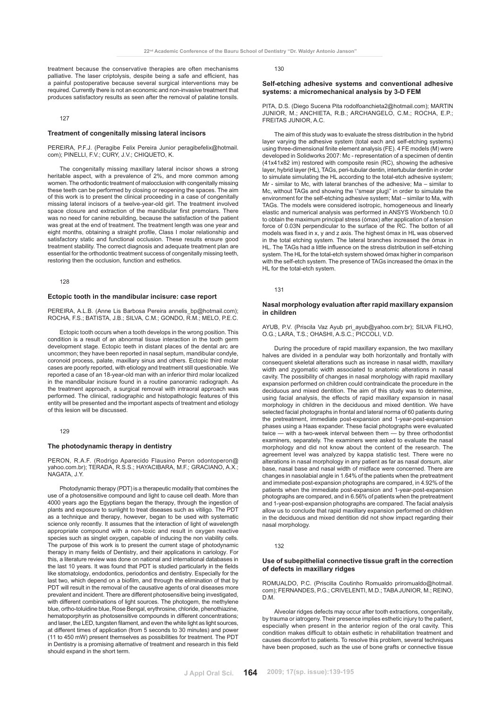treatment because the conservative therapies are often mechanisms palliative. The laser criptolysis, despite being a safe and efficient, has a painful postoperative because several surgical interventions may be required. Currently there is not an economic and non-invasive treatment that produces satisfactory results as seen after the removal of palatine tonsils.

#### 127

### **Treatment of congenitally missing lateral incisors**

PEREIRA, P.F.J. (Peragibe Felix Pereira Junior peragibefelix@hotmail. com); PINELLI, F.V.; CURY, J.V.; CHIQUETO, K.

The congenitally missing maxillary lateral incisor shows a strong heritable aspect, with a prevalence of 2%, and more common among women. The orthodontic treatment of malocclusion with congenitally missing these teeth can be performed by closing or reopening the spaces. The aim of this work is to present the clinical proceeding in a case of congenitally missing lateral incisors of a twelve-year-old girl. The treatment involved space closure and extraction of the mandibular first premolars. There was no need for canine rebuilding, because the satisfaction of the patient was great at the end of treatment. The treatment length was one year and eight months, obtaining a straight profile, Class I molar relationship and satisfactory static and functional occlusion. These results ensure good treatment stability. The correct diagnosis and adequate treatment plan are essential for the orthodontic treatment success of congenitally missing teeth, restoring then the occlusion, function and esthetics.

128

#### **Ectopic tooth in the mandibular incisure: case report**

PEREIRA, A.L.B. (Anne Lis Barbosa Pereira annelis\_bp@hotmail.com); ROCHA, F.S.; BATISTA, J.B.; SILVA, C.M.; GONDO, R.M.; MELO, P.E.C.

Ectopic tooth occurs when a tooth develops in the wrong position. This condition is a result of an abnormal tissue interaction in the tooth germ development stage. Ectopic teeth in distant places of the dental arc are uncommon; they have been reported in nasal septum, mandibular condyle, coronoid process, palate, maxillary sinus and others. Ectopic third molar cases are poorly reported, with etiology and treatment still questionable. We reported a case of an 18-year-old man with an inferior third molar localized in the mandibular incisure found in a routine panoramic radiograph. As the treatment approach, a surgical removal with intraoral approach was performed. The clinical, radiographic and histopathologic features of this entity will be presented and the important aspects of treatment and etiology of this lesion will be discussed.

#### 129

# **The photodynamic therapy in dentistry**

PERON, R.A.F. (Rodrigo Aparecido Flausino Peron odontoperon@ yahoo.com.br); TERADA, R.S.S.; HAYACIBARA, M.F.; GRACIANO, A.X.; NAGATA, J.Y.

Photodynamic therapy (PDT) is a therapeutic modality that combines the use of a photosensitive compound and light to cause cell death. More than 4000 years ago the Egyptians began the therapy, through the ingestion of plants and exposure to sunlight to treat diseases such as vitiligo. The PDT as a technique and therapy, however, began to be used with systematic science only recently. It assumes that the interaction of light of wavelength appropriate compound with a non-toxic and result in oxygen reactive species such as singlet oxygen, capable of inducing the non viability cells. The purpose of this work is to present the current stage of photodynamic therapy in many fields of Dentistry, and their applications in cariology. For this, a literature review was done on national and international databases in the last 10 years. It was found that PDT is studied particularly in the fields like stomatology, endodontics, periodontics and dentistry. Especially for the last two, which depend on a biofilm, and through the elimination of that by PDT will result in the removal of the causative agents of oral diseases more prevalent and incident. There are different photosensitive being investigated, with different combinations of light sources. The photogem, the methylene blue, ortho-toluidine blue, Rose Bengal, erythrosine, chloride, phenothiazine, hematoporphyrin as photosensitive compounds in different concentrations; and laser, the LED, tungsten filament, and even the white light as light sources, at different times of application (from 5 seconds to 30 minutes) and power (11 to 450 mW) present themselves as possibilities for treatment. The PDT in Dentistry is a promising alternative of treatment and research in this field should expand in the short term.

130

### **Self-etching adhesive systems and conventional adhesive systems: a micromechanical analysis by 3-D FEM**

PITA, D.S. (Diego Sucena Pita rodolfoanchieta2@hotmail.com); MARTIN JUNIOR, M.; ANCHIETA, R.B.; ARCHANGELO, C.M.; ROCHA, E.P.; FREITAS JUNIOR, A.C.

The aim of this study was to evaluate the stress distribution in the hybrid layer varying the adhesive system (total each and self-etching systems) using three-dimensional finite element analysis (FE). 4 FE models (M) were developed in Solidworks 2007: Mc - representation of a specimen of dentin (41x41x82 ìm) restored with composite resin (RC), showing the adhesive layer, hybrid layer (HL), TAGs, peri-tubular dentin, intertubular dentin in order to simulate simulating the HL according to the total-etch adhesive system; Mr - similar to Mc, with lateral branches of the adhesive; Ma – similar to Mc, without TAGs and showing the \"smear plug\" in order to simulate the environment for the self-etching adhesive system; Mat – similar to Ma, with TAGs. The models were considered isotropic, homogeneous and linearly elastic and numerical analysis was performed in ANSYS Workbench 10.0 to obtain the maximum principal stress (ómax) after application of a tension force of 0.03N perpendicular to the surface of the RC. The botton of all models was fixed in x, y and z axis. The highest ómax in HL was observed in the total etching system. The lateral branches increased the ómax in HL. The TAGs had a little influence on the stress distribution in self-etching system. The HL for the total-etch system showed ómax higher in comparison with the self-etch system. The presence of TAGs increased the ómax in the HL for the total-etch system.

131

## **Nasal morphology evaluation after rapid maxillary expansion in children**

AYUB, P.V. (Priscila Vaz Ayub pri\_ayub@yahoo.com.br); SILVA FILHO, O.G.; LARA, T.S.; OHASHI, A.S.C.; PICCOLI, V.D.

During the procedure of rapid maxillary expansion, the two maxillary halves are divided in a pendular way both horizontally and frontally with consequent skeletal alterations such as increase in nasal width, maxillary width and zygomatic width associated to anatomic alterations in nasal cavity. The possibility of changes in nasal morphology with rapid maxillary expansion performed on children could contraindicate the procedure in the deciduous and mixed dentition. The aim of this study was to determine, using facial analysis, the effects of rapid maxillary expansion in nasal morphology in children in the deciduous and mixed dentition. We have selected facial photographs in frontal and lateral norma of 60 patients during the pretreatment, immediate post-expansion and 1-year-post-expansion phases using a Haas expander. These facial photographs were evaluated twice — with a two-week interval between them — by three orthodontist examiners, separately. The examiners were asked to evaluate the nasal morphology and did not know about the content of the research. The agreement level was analyzed by kappa statistic test. There were no alterations in nasal morphology in any patient as far as nasal dorsum, alar base, nasal base and nasal width of midface were concerned. There are changes in nasolabial angle in 1.64% of the patients when the pretreatment and immediate post-expansion photographs are compared, in 4.92% of the patients when the immediate post-expansion and 1-year-post-expansion photographs are compared, and in 6.56% of patients when the pretreatment and 1-year-post-expansion photographs are compared. The facial analysis allow us to conclude that rapid maxillary expansion performed on children in the deciduous and mixed dentition did not show impact regarding their nasal morphology.

132

## **Use of subepithelial connective tissue graft in the correction of defects in maxillary ridges**

ROMUALDO, P.C. (Priscilla Coutinho Romualdo priromualdo@hotmail. com); FERNANDES, P.G.; CRIVELENTI, M.D.; TABA JUNIOR, M.; REINO, D.M.

Alveolar ridges defects may occur after tooth extractions, congenitally, by trauma or iatrogeny. Their presence implies esthetic injury to the patient, especially when present in the anterior region of the oral cavity. This condition makes difficult to obtain esthetic in rehabilitation treatment and causes discomfort to patients. To resolve this problem, several techniques have been proposed, such as the use of bone grafts or connective tissue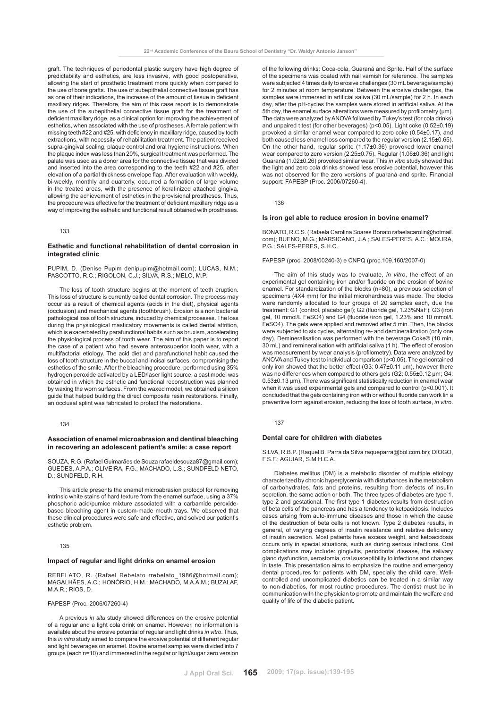graft. The techniques of periodontal plastic surgery have high degree of predictability and esthetics, are less invasive, with good postoperative, allowing the start of prosthetic treatment more quickly when compared to the use of bone grafts. The use of subepithelial connective tissue graft has as one of their indications, the increase of the amount of tissue in deficient maxillary ridges. Therefore, the aim of this case report is to demonstrate the use of the subepithelial connective tissue graft for the treatment of deficient maxillary ridge, as a clinical option for improving the achievement of esthetics, when associated with the use of prostheses. A female patient with missing teeth #22 and #25, with deficiency in maxillary ridge, caused by tooth extractions, with necessity of rehabilitation treatment. The patient received supra-gingival scaling, plaque control and oral hygiene instructions. When the plaque index was less than 20%, surgical treatment was performed. The palate was used as a donor area for the connective tissue that was divided and inserted into the area corresponding to the teeth #22 and #25, after elevation of a partial thickness envelope flap. After evaluation with weekly, bi-weekly, monthly and quarterly, occurred a formation of large volume in the treated areas, with the presence of keratinized attached gingiva, allowing the achievement of esthetics in the provisional prostheses. Thus, the procedure was effective for the treatment of deficient maxillary ridge as a way of improving the esthetic and functional result obtained with prostheses.

133

## **Esthetic and functional rehabilitation of dental corrosion in integrated clinic**

PUPIM, D. (Denise Pupim denipupim@hotmail.com); LUCAS, N.M.; PASCOTTO, R.C.; RIGOLON, C.J.; SILVA, R.S.; MELO, M.P.

The loss of tooth structure begins at the moment of teeth eruption. This loss of structure is currently called dental corrosion. The process may occur as a result of chemical agents (acids in the diet), physical agents (occlusion) and mechanical agents (toothbrush). Erosion is a non bacterial pathological loss of tooth structure, induced by chemical processes. The loss during the physiological masticatory movements is called dental attrition, which is exacerbated by parafunctional habits such as bruxism, accelerating the physiological process of tooth wear. The aim of this paper is to report the case of a patient who had severe anterosuperior tooth wear, with a multifactorial etiology. The acid diet and parafunctional habit caused the loss of tooth structure in the buccal and incisal surfaces, compromising the esthetics of the smile. After the bleaching procedure, performed using 35% hydrogen peroxide activated by a LED/laser light source, a cast model was obtained in which the esthetic and functional reconstruction was planned by waxing the worn surfaces. From the waxed model, we obtained a silicon guide that helped building the direct composite resin restorations. Finally, an occlusal splint was fabricated to protect the restorations.

134

### **Association of enamel microabrasion and dentinal bleaching in recovering an adolescent patient's smile: a case report**

SOUZA, R.G. (Rafael Guimarães de Souza rafaeldesouza87@gmail.com); GUEDES, A.P.A.; OLIVEIRA, F.G.; MACHADO, L.S.; SUNDFELD NETO, D.; SUNDFELD, R.H.

This article presents the enamel microabrasion protocol for removing intrinsic white stains of hard texture from the enamel surface, using a 37% phosphoric acid/pumice mixture associated with a carbamide peroxidebased bleaching agent in custom-made mouth trays. We observed that these clinical procedures were safe and effective, and solved our patient's esthetic problem.

#### 135

### **Impact of regular and light drinks on enamel erosion**

REBELATO, R. (Rafael Rebelato rrebelato\_1986@hotmail.com); MAGALHÃES, A.C.; HONÓRIO, H.M.; MACHADO, M.A.A.M.; BUZALAF, M.A.R.; RIOS, D.

FAPESP (Proc. 2006/07260-4)

A previous *in situ* study showed differences on the erosive potential of a regular and a light cola drink on enamel. However, no information is available about the erosive potential of regular and light drinks *in vitro*. Thus, this *in vitro* study aimed to compare the erosive potential of different regular and light beverages on enamel. Bovine enamel samples were divided into 7 groups (each n=10) and immersed in the regular or light/sugar zero version

of the following drinks: Coca-cola, Guaraná and Sprite. Half of the surface of the specimens was coated with nail varnish for reference. The samples were subjected 4 times daily to erosive challenges (30 mL beverage/sample) for 2 minutes at room temperature. Between the erosive challenges, the samples were immersed in artificial saliva (30 mL/sample) for 2 h. In each day, after the pH-cycles the samples were stored in artificial saliva. At the 5th day, the enamel surface alterations were measured by profilometry (um). The data were analyzed by ANOVA followed by Tukey's test (for cola drinks) and unpaired t test (for other beverages) (p<0.05). Light coke (0.52±0.19) provoked a similar enamel wear compared to zero coke (0.54±0.17), and both caused less enamel loss compared to the regular version (2.15±0.65). On the other hand, regular sprite (1.17±0.36) provoked lower enamel wear compared to zero version (2.25±0.75). Regular (1.06±0.36) and light Guaraná (1.02±0.26) provoked similar wear. This *in vitro* study showed that the light and zero cola drinks showed less erosive potential, however this was not observed for the zero versions of guaraná and sprite. Financial support: FAPESP (Proc. 2006/07260-4).

136

#### **Is iron gel able to reduce erosion in bovine enamel?**

BONATO, R.C.S. (Rafaela Carolina Soares Bonato rafaelacarolin@hotmail. com); BUENO, M.G.; MARSICANO, J.A.; SALES-PERES, A.C.; MOURA, P.G.; SALES-PERES, S.H.C.

FAPESP (proc. 2008/00240-3) e CNPQ (proc.109.160/2007-0)

The aim of this study was to evaluate, *in vitro*, the effect of an experimental gel containing iron and/or fluoride on the erosion of bovine enamel. For standardization of the blocks (n=80), a previous selection of specimens (4X4 mm) for the initial microhardness was made. The blocks were randomly allocated to four groups of 20 samples each, due the treatment: G1 (control, placebo gel); G2 (fluoride gel, 1.23%NaF); G3 (iron gel, 10 mmol/L FeSO4) and G4 (fluoride+iron gel, 1.23% and 10 mmol/L FeSO4). The gels were applied and removed after 5 min. Then, the blocks were subjected to six cycles, alternating re- and demineralization (only one day). Demineralisation was performed with the beverage Coke® (10 min, 30 mL) and remineralisation with artificial saliva (1 h). The effect of erosion was measurement by wear analysis (profilometry). Data were analyzed by ANOVA and Tukey test to individual comparison (p<0.05). The gel contained only iron showed that the better effect (G3: 0.47±0.11 µm), however there was no differences when compared to others gels (G2: 0.55±0.12 µm; G4: 0.53±0.13 µm). There was significant statistically reduction in enamel wear when it was used experimental gels and compared to control (p<0.001). It concluded that the gels containing iron with or without fluoride can work lin a preventive form against erosion, reducing the loss of tooth surface, *in vitro*.

137

## **Dental care for children with diabetes**

SILVA, R.B.P. (Raquel B. Parra da Silva raqueparra@bol.com.br); DIOGO, F.S.F.; AGUIAR, S.M.H.C.A.

Diabetes mellitus (DM) is a metabolic disorder of multiple etiology characterized by chronic hyperglycemia with disturbances in the metabolism of carbohydrates, fats and proteins, resulting from defects of insulin secretion, the same action or both. The three types of diabetes are type 1, type 2 and gestational. The first type 1 diabetes results from destruction of beta cells of the pancreas and has a tendency to ketoacidosis. Includes cases arising from auto-immune diseases and those in which the cause of the destruction of beta cells is not known. Type 2 diabetes results, in general, of varying degrees of insulin resistance and relative deficiency of insulin secretion. Most patients have excess weight, and ketoacidosis occurs only in special situations, such as during serious infections. Oral complications may include: gingivitis, periodontal disease, the salivary gland dysfunction, xerostomia, oral susceptibility to infections and changes in taste. This presentation aims to emphasize the routine and emergency dental procedures for patients with DM, specially the child care. Wellcontrolled and uncomplicated diabetics can be treated in a similar way to non-diabetics, for most routine procedures. The dentist must be in communication with the physician to promote and maintain the welfare and quality of life of the diabetic patient.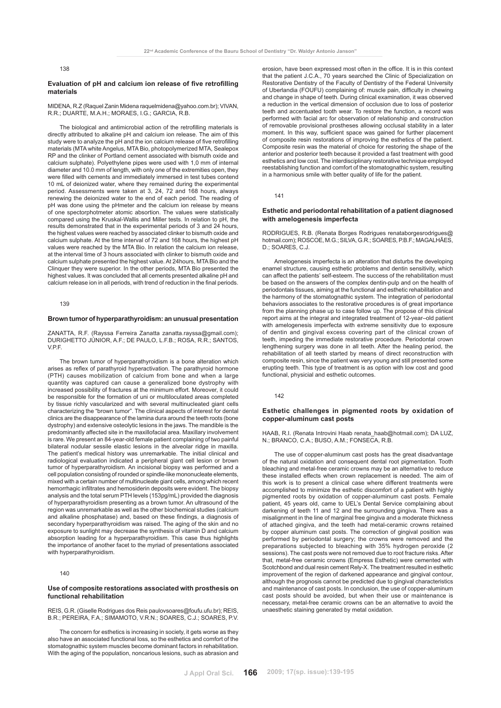#### **Evaluation of pH and calcium ion release of five retrofilling materials**

#### MIDENA, R.Z (Raquel Zanin Midena raquelmidena@yahoo.com.br); VIVAN, R.R.; DUARTE, M.A.H.; MORAES, I.G.; GARCIA, R.B.

The biological and antimicrobial action of the retrofilling materials is directly attributed to alkaline pH and calcium ion release. The aim of this study were to analyze the pH and the ion calcium release of five retrofilling materials (MTA white Angelus, MTA Bio, photopolymerized MTA, Sealepox RP and the clinker of Portland cement associated with bismuth oxide and calcium sulphate). Polyethylene pipes were used with 1,0 mm of internal diameter and 10.0 mm of length, with only one of the extremities open, they were filled with cements and immediately immersed in test tubes contend 10 mL of deionized water, where they remained during the experimental period. Assessments were taken at 3, 24, 72 and 168 hours, always renewing the deionized water to the end of each period. The reading of pH was done using the pHmeter and the calcium ion release by means of one spectorphotmeter atomic absortion. The values were statistically compared using the Kruskal-Wallis and Miller tests. In relation to pH, the results demonstrated that in the experimental periods of 3 and 24 hours, the highest values were reached by associated clinker to bismuth oxide and calcium sulphate. At the time interval of 72 and 168 hours, the highest pH values were reached by the MTA Bio. In relation the calcium ion release, at the interval time of 3 hours associated with clinker to bismuth oxide and calcium sulphate presented the highest value. At 24hours, MTA Bio and the Clinquer they were superior. In the other periods, MTA Bio presented the highest values. It was concluded that all cements presented alkaline pH and calcium release ion in all periods, with trend of reduction in the final periods.

139

## **Brown tumor of hyperparathyroidism: an unusual presentation**

ZANATTA, R.F. (Rayssa Ferreira Zanatta zanatta.rayssa@gmail.com); DURIGHETTO JÚNIOR, A.F.; DE PAULO, L.F.B.; ROSA, R.R.; SANTOS, V.P.F.

The brown tumor of hyperparathyroidism is a bone alteration which arises as reflex of parathyroid hyperactivation. The parathyroid hormone (PTH) causes mobilization of calcium from bone and when a large quantity was captured can cause a generalized bone dystrophy with increased possibility of fractures at the minimum effort. Moreover, it could be responsible for the formation of uni or multiloculated areas completed by tissue richly vascularized and with several multinucleated giant cells characterizing the "brown tumor". The clinical aspects of interest for dental clinics are the disappearance of the lamina dura around the teeth roots (bone dystrophy) and extensive osteolytic lesions in the jaws. The mandible is the predominantly affected site in the maxillofacial area. Maxillary involvement is rare. We present an 84-year-old female patient complaining of two painful bilateral nodular sessile elastic lesions in the alveolar ridge in maxilla. The patient's medical history was unremarkable. The initial clinical and radiological evaluation indicated a peripheral giant cell lesion or brown tumor of hyperparathyroidism. An incisional biopsy was performed and a cell population consisting of rounded or spindle-like mononucleate elements, mixed with a certain number of multinucleate giant cells, among which recent hemorrhagic infiltrates and hemosiderin deposits were evident. The biopsy analysis and the total serum PTH levels (153pg/mL) provided the diagnosis of hyperparathyroidism presenting as a brown tumor. An ultrasound of the region was unremarkable as well as the other biochemical studies (calcium and alkaline phosphatase) and, based on these findings, a diagnosis of secondary hyperparathyroidism was raised. The aging of the skin and no exposure to sunlight may decrease the synthesis of vitamin D and calcium absorption leading for a hyperparathyroidism. This case thus highlights the importance of another facet to the myriad of presentations associated with hyperparathyroidism.

# 140

## **Use of composite restorations associated with prosthesis on functional rehabilitation**

REIS, G.R. (Giselle Rodrigues dos Reis paulovsoares@foufu.ufu.br); REIS, B.R.; PEREIRA, F.A.; SIMAMOTO, V.R.N.; SOARES, C.J.; SOARES, P.V.

The concern for esthetics is increasing in society, it gets worse as they also have an associated functional loss, so the esthetics and comfort of the stomatognathic system muscles become dominant factors in rehabilitation. With the aging of the population, noncarious lesions, such as abrasion and erosion, have been expressed most often in the office. It is in this context that the patient J.C.A., 70 years searched the Clinic of Specialization on Restorative Dentistry of the Faculty of Dentistry of the Federal University of Uberlandia (FOUFU) complaining of: muscle pain, difficulty in chewing and change in shape of teeth. During clinical examination, it was observed a reduction in the vertical dimension of occlusion due to loss of posterior teeth and accentuated tooth wear. To restore the function, a record was performed with facial arc for observation of relationship and construction of removable provisional prostheses allowing occlusal stability in a later moment. In this way, sufficient space was gained for further placement of composite resin restorations of improving the esthetics of the patient. Composite resin was the material of choice for restoring the shape of the anterior and posterior teeth because it provided a fast treatment with good esthetics and low cost. The interdisciplinary restorative technique employed reestablishing function and comfort of the stomatognathic system, resulting in a harmonious smile with better quality of life for the patient.

141

## **Esthetic and periodontal rehabilitation of a patient diagnosed with amelogenesis imperfecta**

RODRIGUES, R.B. (Renata Borges Rodrigues renataborgesrodrigues@ hotmail.com); ROSCOE, M.G.; SILVA, G.R.; SOARES, P.B.F.; MAGALHÃES, D.; SOARES, C.J.

Amelogenesis imperfecta is an alteration that disturbs the developing enamel structure, causing esthetic problems and dentin sensitivity, which can affect the patients' self-esteem. The success of the rehabilitation must be based on the answers of the complex dentin-pulp and on the health of periodontais tissues, aiming at the functional and esthetic rehabilitation and the harmony of the stomatognathic system. The integration of periodontal behaviors associates to the restorative procedures is of great importance from the planning phase up to case follow up. The propose of this clinical report aims at the integral and integrated treatment of 12-year–old patient with amelogenesis imperfecta with extreme sensitivity due to exposure of dentin and gingival excess covering part of the clinical crown of teeth, impeding the immediate restorative procedure. Periodontal crown lengthening surgery was done in all teeth. After the healing period, the rehabilitation of all teeth started by means of direct reconstruction with composite resin, since the patient was very young and still presented some erupting teeth. This type of treatment is as option with low cost and good functional, physicial and esthetic outcomes.

 $142$ 

# **Esthetic challenges in pigmented roots by oxidation of copper-aluminum cast posts**

HAAB, R.I. (Renata Introvini Haab renata\_haab@hotmail.com); DA LUZ, N.; BRANCO, C.A.; BUSO, A.M.; FONSECA, R.B.

The use of copper-aluminum cast posts has the great disadvantage of the natural oxidation and consequent dental root pigmentation. Tooth bleaching and metal-free ceramic crowns may be an alternative to reduce these installed effects when crown replacement is needed. The aim of this work is to present a clinical case where different treatments were accomplished to minimize the esthetic discomfort of a patient with highly pigmented roots by oxidation of copper-aluminum cast posts. Female patient, 45 years old, came to UEL's Dental Service complaining about darkening of teeth 11 and 12 and the surrounding gingiva. There was a misalignment in the line of marginal free gingiva and a moderate thickness of attached gingiva, and the teeth had metal-ceramic crowns retained by copper aluminum cast posts. The correction of gingival position was performed by periodontal surgery; the crowns were removed and the preparations subjected to bleaching with 35% hydrogen peroxide (2 sessions). The cast posts were not removed due to root fracture risks. After that, metal-free ceramic crowns (Empress Esthetic) were cemented with Scotchbond and dual resin cement Rely-X. The treatment resulted in esthetic improvement of the region of darkened appearance and gingival contour, although the prognosis cannot be predicted due to gingival characteristics and maintenance of cast posts. In conclusion, the use of copper-aluminum cast posts should be avoided, but when their use or maintenance is necessary, metal-free ceramic crowns can be an alternative to avoid the unaesthetic staining generated by metal oxidation.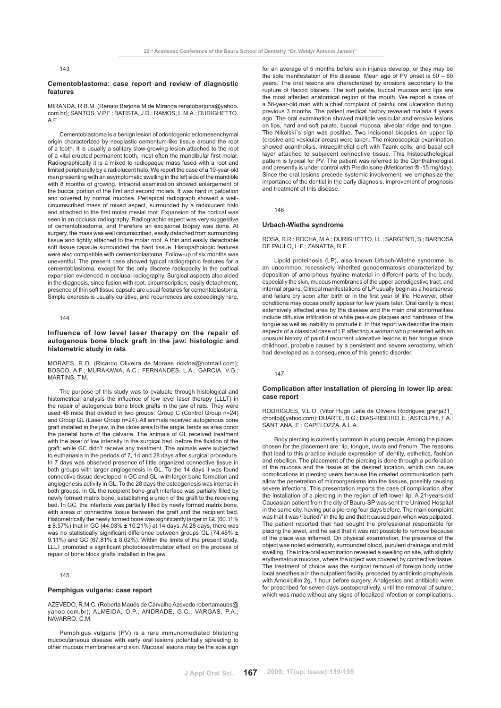#### **Cementoblastoma: case report and review of diagnostic features**

MIRANDA, R.B.M. (Renato Barjona M de Miranda renatobarjona@yahoo. com.br); SANTOS, V.P.F.; BATISTA, J.D.; RAMOS, L.M.A.; DURIGHETTO, A.F.

Cementoblastoma is a benign lesion of odontogenic ectomesenchymal origin characterized by neoplastic cementum-like tissue around the root of a tooth. It is usually a solitary slow-growing lesion attached to the root of a vital erupted permanent tooth, most often the mandibular first molar. Radiographically it is a mixed to radiopaque mass fused with a root and limited peripherally by a radiolucent halo. We report the case of a 19-year-old man presenting with an asymptomatic swelling in the left side of the mandible with 8 months of growing. Intraoral examination showed enlargement of the buccal portion of the first and second molars. It was hard in palpation and covered by normal mucosa. Periapical radiograph showed a wellcircumscribed mass of mixed aspect, surrounded by a radiolucent halo and attached to the first molar mesial root. Expansion of the cortical was seen in an occlusal radiography. Radiographic aspect was very suggestive of cementoblastoma, and therefore an excisional biopsy was done. At surgery, the mass was well circumscribed, easily detached from surrounding tissue and tightly attached to the molar root. A thin and easily detachable soft tissue capsule surrounded the hard tissue. Histopathologic features were also compatible with cementoblastoma. Follow-up of six months was uneventful. The present case showed typical radiographic features for a cementoblastoma, except for the only discrete radiopacity in the cortical expansion evidenced in occlusal radiography. Surgical aspects also aided in the diagnosis, since fusion with root, circumscription, easily detachment, presence of thin soft tissue capsule are usual features for cementoblastoma. Simple exeresis is usually curative, and recurrences are exceedingly rare.

#### 144

## **Influence of low level laser therapy on the repair of autogenous bone block graft in the jaw: histologic and histometric study in rats**

MORAES, R.O. (Ricardo Oliveira de Moraes rickfoa@hotmail.com); BOSCO, A.F.; MURAKAWA, A.C.; FERNANDES, L.A.; GARCIA, V.G.; MARTINS, T.M.

The purpose of this study was to evaluate through histological and histometrical analysis the influence of low level laser therapy (LLLT) in the repair of autogenous bone block grafts in the jaw of rats. They were used 48 mice that divided in two groups: Group C (Control Group n=24) and Group GL (Laser Group n=24). All animals received autogenous bone graft installed in the jaw, in the close area to the angle, tends as area donor the parietal bone of the calvaria. The animals of GL received treatment with the laser of low intensity in the surgical bed, before the fixation of the graft; while GC didn't receive any treatment. The animals were subjected to euthanasia in the periods of 7, 14 and 28 days after surgical procedure. In 7 days was observed presence of little organized connective tissue in both groups with larger angiogenesis in GL. To the 14 days it was found connective tissue developed in GC and GL, with larger bone formation and angiogenesis activity in GL. To the 28 days the osteogenesis was intense in both groups. In GL the recipient bone-graft interface was partially filled by newly formed matrix bone, establishing a union of the graft to the receiving bed. In GC, the interface was partially filled by newly formed matrix bone, with areas of connective tissue between the graft and the recipient bed. Histometrically the newly formed bone was significantly larger in GL (60.11% ± 8.57%) that in GC (44.03% ± 10.21%) at 14 days. At 28 days, there was was no statistically significant difference between groups GL (74.46% ± 9.11%) and GC ( $67.81\% \pm 8.02\%$ ). Within the limits of the present study, LLLT promoted a significant photobioestimulator effect on the process of repair of bone block grafts installed in the jaw.

#### 145

## **Pemphigus vulgaris: case report**

AZEVEDO, R.M.C. (Roberta Maués de Carvalho Azevedo robertamaues@ yahoo.com.br); ALMEIDA, O.P.; ANDRADE, G.C.; VARGAS, P.A.; NAVARRO, C.M.

Pemphigus vulgaris (PV) is a rare immunomediated blistering mucocutaneous disease with early oral lesions potentially spreading to other mucous membranes and skin. Mucosal lesions may be the sole sign

for an average of 5 months before skin injuries develop, or they may be the sole manifestation of the disease. Mean age of PV onset is 50 – 60 years. The oral lesions are characterized by erosions secondary to the rupture of flaccid blisters. The soft palate, buccal mucosa and lips are the most affected anatomical region of the mouth. We report a case of a 58-year-old man with a chief complaint of painful oral ulceration during previous 3 months. The patient medical history revealed malaria 4 years ago. The oral examination showed multiple vesicular and erosive lesions on lips, hard and soft palate, buccal mucosa, alveolar ridge and tongue. The Nikolski´s sign was positive. Two incisional biopsies on upper lip (erosive and vesicular areas) were taken. The microscopical examination showed acantholisis, intraepithelial cleft with Tzank cells, and basal cell layer attached to subjacent connective tissue. This histopathological pattern is typical for PV. The patient was referred to the Ophthalmologist and presently is under control with Predinisone (Meticorten ® -15 mg/day). Since the oral lesions precede systemic involvement, we emphasize the importance of the dentist in the early diagnosis, improvement of prognosis and treatment of this disease.

146

# **Urbach-Wiethe syndrome**

ROSA, R.R.; ROCHA, M.A.; DURIGHETTO, I.L.; SARGENTI, S.; BARBOSA DE PAULO L.F., ZANATTA, R.F.

Lipoid proteinosis (LP), also known Urbach-Wiethe syndrome, is an uncommon, recessively inherited genodermatosis characterized by deposition of amorphous hyaline material in different parts of the body, especially the skin, mucous membranes of the upper aerodigestive tract, and internal organs. Clinical manifestations of LP usually begin as a hoarseness and failure cry soon after birth or in the first year of life. However, other conditions may occasionally appear for few years later. Oral cavity is most extensively affected area by the disease and the main oral abnormalities include diffusive infiltration of white pea-size plaques and hardness of the tongue as well as inability to protrude it. In this report we describe the main aspects of a classical case of LP affecting a woman who presented with an unusual history of painful recurrent ulcerative lesions in her tongue since childhood, probable caused by a persistent and severe xerostomy, which had developed as a consequence of this genetic disorder.

147

### **Complication after installation of piercing in lower lip area: case report**

RODRIGUES, V.L.O. (Vitor Hugo Leite de Oliveira Rodrigues granja31\_ chorito@yahoo.com); DUARTE, B.G.; DIAS-RIBEIRO, E.; ASTOLPHI, F.A.; SANT´ANA, E.; CAPELOZZA, A.L.A.

Body piercing is currently common in young people. Among the places chosen for the placement are: lip, tongue, uvula and frenum. The reasons that lead to this practice include expression of identity, esthetics, fashion and rebellion. The placement of the piercing is done through a perforation of the mucosa and the tissue at the desired location, which can cause complications in piercing users because the created communication path allow the penetration of microorganisms into the tissues, possibly causing severe infections. This presentation reports the case of complication after the installation of a piercing in the region of left lower lip. A 21-years-old Caucasian patient from the city of Bauru-SP was sent the Unimed Hospital in the same city, having put a piercing four days before. The main complaint was that it was \"buried\" in the lip and that it caused pain when was palpated. The patient reported that had sought the professional responsible for placing the jewel, and he said that it was not possible to remove because of the place was inflamed. On physical examination, the presence of the object was noted extraorally, surrounded blood, purulent drainage and mild swelling. The intra-oral examination revealed a swelling on site, with slightly erythematous mucosa, where the object was covered by connective tissue. The treatment of choice was the surgical removal of foreign body under local anesthesia in the outpatient facility, preceded by antibiotic prophylaxis with Amoxicillin 2g, 1 hour before surgery. Analgesics and antibiotic were for prescribed for seven days postoperatively, until the removal of suture, which was made without any signs of localized infection or complications.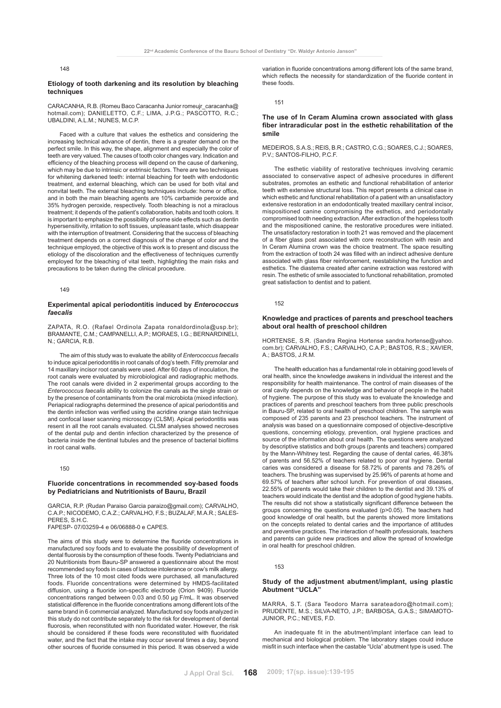#### **Etiology of tooth darkening and its resolution by bleaching techniques**

CARACANHA, R.B. (Romeu Baco Caracanha Junior romeujr\_caracanha@ hotmail.com); DANIELETTO, C.F.; LIMA, J.P.G.; PASCOTTO, R.C.; UBALDINI, A.L.M.; NUNES, M.C.P.

Faced with a culture that values the esthetics and considering the increasing technical advance of dentin, there is a greater demand on the perfect smile. In this way, the shape, alignment and especially the color of teeth are very valued. The causes of tooth color changes vary. Indication and efficiency of the bleaching process will depend on the cause of darkening, which may be due to intrinsic or extrinsic factors. There are two techniques for whitening darkened teeth: internal bleaching for teeth with endodontic treatment, and external bleaching, which can be used for both vital and nonvital teeth. The external bleaching techniques include: home or office, and in both the main bleaching agents are 10% carbamide peroxide and 35% hydrogen peroxide, respectively. Tooth bleaching is not a miraclous treatment; it depends of the patient's collaboration, habits and tooth colors. It is important to emphasize the possibility of some side effects such as dentin hypersensitivity, irritation to soft tissues, unpleasant taste, which disappear with the interruption of treatment. Considering that the success of bleaching treatment depends on a correct diagnosis of the change of color and the technique employed, the objective of this work is to present and discuss the etiology of the discoloration and the effectiveness of techniques currently employed for the bleaching of vital teeth, highlighting the main risks and precautions to be taken during the clinical procedure.

149

## **Experimental apical periodontitis induced by** *Enterococcus faecalis*

ZAPATA, R.O. (Rafael Ordinola Zapata ronaldordinola@usp.br); BRAMANTE, C.M.; CAMPANELLI, A.P.; MORAES, I.G.; BERNARDINELI, N.; GARCIA, R.B.

The aim of this study was to evaluate the ability of *Enterococcus faecalis*  to induce apical periodontitis in root canals of dog's teeth. Fifity premolar and 14 maxillary incisor root canals were used. After 60 days of inoculation, the root canals were evaluated by microbiological and radiographic methods. The root canals were divided in 2 experimental groups according to the *Enterococcus faecalis* ability to colonize the canals as the single strain or by the presence of contaminants from the oral microbiota (mixed infection). Periapical radiographs determined the presence of apical periodontitis and the dentin infection was verified using the acridine orange stain technique and confocal laser scanning microscopy (CLSM). Apical periodontitis was resent in all the root canals evaluated. CLSM analyses showed necroses of the dental pulp and dentin infection characterized by the presence of bacteria inside the dentinal tubules and the presence of bacterial biofilms in root canal walls.

#### 150

### **Fluoride concentrations in recommended soy-based foods by Pediatricians and Nutritionists of Bauru, Brazil**

GARCIA, R.P. (Rudan Paraiso Garcia paraizo@gmail.com); CARVALHO, C.A.P.; NICODEMO, C.A.Z.; CARVALHO, F.S.; BUZALAF, M.A.R.; SALES-PERES, S.H.C.

FAPESP- 07/03259-4 e 06/06888-0 e CAPES.

The aims of this study were to determine the fluoride concentrations in manufactured soy foods and to evaluate the possibility of development of dental fluorosis by the consumption of these foods. Twenty Pediatricians and 20 Nutritionists from Bauru-SP answered a questionnaire about the most recommended soy foods in cases of lactose intolerance or cow's milk allergy. Three lots of the 10 most cited foods were purchased, all manufactured foods. Fluoride concentrations were determined by HMDS-facilitated diffusion, using a fluoride ion-specific electrode (Orion 9409). Fluoride concentrations ranged between 0.03 and 0.50 µg F/mL. It was observed statistical difference in the fluoride concentrations among different lots of the same brand in 6 commercial analyzed. Manufactured soy foods analyzed in this study do not contribute separately to the risk for development of dental fluorosis, when reconstituted with non fluoridated water. However, the risk should be considered if these foods were reconstituted with fluoridated water, and the fact that the intake may occur several times a day, beyond other sources of fluoride consumed in this period. It was observed a wide

variation in fluoride concentrations among different lots of the same brand, which reflects the necessity for standardization of the fluoride content in these foods.

#### 151

## **The use of In Ceram Alumina crown associated with glass fiber intraradicular post in the esthetic rehabilitation of the smile**

MEDEIROS, S.A.S.; REIS, B.R.; CASTRO, C.G.; SOARES, C.J.; SOARES, P.V.; SANTOS-FILHO, P.C.F.

The esthetic viability of restorative techniques involving ceramic associated to conservative aspect of adhesive procedures in different substrates, promotes an esthetic and functional rehabilitation of anterior teeth with extensive structural loss. This report presents a clinical case in which esthetic and functional rehabilitation of a patient with an unsatisfactory extensive restoration in an endodontically treated maxillary central incisor, mispositioned canine compromising the esthetics, and periodontally compromised tooth needing extraction. After extraction of the hopeless tooth and the mispositioned canine, the restorative procedures were initiated. The unsatisfactory restoration in tooth 21 was removed and the placement of a fiber glass post associated with core reconstruction with resin and In Ceram Alumina crown was the choice treatment. The space resulting from the extraction of tooth 24 was filled with an indirect adhesive denture associated with glass fiber reinforcement, reestablishing the function and esthetics. The diastema created after canine extraction was restored with resin. The esthetic of smile associated to functional rehabilitation, promoted great satisfaction to dentist and to patient.

152

### **Knowledge and practices of parents and preschool teachers about oral health of preschool children**

HORTENSE, S.R. (Sandra Regina Hortense sandra.hortense@yahoo. com.br); CARVALHO, F.S.; CARVALHO, C.A.P.; BASTOS, R.S.; XAVIER, A.; BASTOS, J.R.M.

The health education has a fundamental role in obtaining good levels of oral health, since the knowledge awakens in individual the interest and the responsibility for health maintenance. The control of main diseases of the oral cavity depends on the knowledge and behavior of people in the habit of hygiene. The purpose of this study was to evaluate the knowledge and practices of parents and preschool teachers from three public preschools in Bauru-SP, related to oral health of preschool children. The sample was composed of 235 parents and 23 preschool teachers. The instrument of analysis was based on a questionnaire composed of objective-descriptive questions, concerning etiology, prevention, oral hygiene practices and source of the information about oral health. The questions were analyzed by descriptive statistics and both groups (parents and teachers) compared by the Mann-Whitney test. Regarding the cause of dental caries, 46.38% of parents and 56.52% of teachers related to poor oral hygiene. Dental caries was considered a disease for 58.72% of parents and 78.26% of teachers. The brushing was supervised by 25.96% of parents at home and 69.57% of teachers after school lunch. For prevention of oral diseases, 22.55% of parents would take their children to the dentist and 39.13% of teachers would indicate the dentist and the adoption of good hygiene habits. The results did not show a statistically significant difference between the groups concerning the questions evaluated (p>0.05). The teachers had good knowledge of oral health, but the parents showed more limitations on the concepts related to dental caries and the importance of attitudes and preventive practices. The interaction of health professionals, teachers and parents can guide new practices and allow the spread of knowledge in oral health for preschool children.

### 153

### **Study of the adjustment abutment/implant, using plastic Abutment "UCLA"**

MARRA, S.T. (Sara Teodoro Marra sarateadoro@hotmail.com); PRUDENTE, M.S.; SILVA-NETO, J.P.; BARBOSA, G.A.S.; SIMAMOTO-JUNIOR, P.C.; NEVES, F.D.

An inadequate fit in the abutment/implant interface can lead to mechanical and biological problem. The laboratory stages could induce misfit in such interface when the castable "Ucla" abutment type is used. The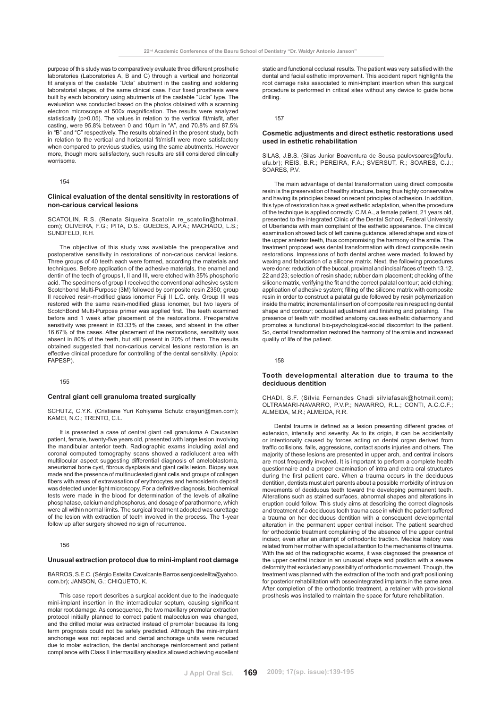purpose of this study was to comparatively evaluate three different prosthetic laboratories (Laboratories A, B and C) through a vertical and horizontal fit analysis of the castable "Ucla" abutment in the casting and soldering laboratorial stages, of the same clinical case. Four fixed prosthesis were built by each laboratory using abutments of the castable "Ucla" type. The evaluation was conducted based on the photos obtained with a scanning electron microscope at 500x magnification. The results were analyzed statistically (p>0.05). The values in relation to the vertical fit/misfit, after casting, were 95.8% between 0 and 10µm in "A", and 70.8% and 87.5% in "B" and "C" respectively. The results obtained in the present study, both in relation to the vertical and horizontal fit/misfit were more satisfactory when compared to previous studies, using the same abutments. However more, though more satisfactory, such results are still considered clinically worrisome.

#### 154

## **Clinical evaluation of the dental sensitivity in restorations of non-carious cervical lesions**

SCATOLIN, R.S. (Renata Siqueira Scatolin re\_scatolin@hotmail. com); OLIVEIRA, F.G.; PITA, D.S.; GUEDES, A.P.A.; MACHADO, L.S.; SUNDFELD, R.H.

The objective of this study was available the preoperative and postoperative sensitivity in restorations of non-carious cervical lesions. Three groups of 40 teeth each were formed, according the materials and techniques. Before application of the adhesive materials, the enamel and dentin of the teeth of groups I, II and III, were etched with 35% phosphoric acid. The specimens of group I received the conventional adhesive system Scotchbond Multi-Purpose (3M) followed by composite resin Z350; group II received resin-modified glass ionomer Fuji II L.C. only. Group III was restored with the same resin-modified glass ionomer, but two layers of ScotchBond Multi-Purpose primer was applied first. The teeth examined before and 1 week after placement of the restorations. Preoperative sensitivity was present in 83.33% of the cases, and absent in the other 16.67% of the cases. After placement of the restorations, sensitivity was absent in 80% of the teeth, but still present in 20% of them. The results obtained suggested that non-carious cervical lesions restoration is an effective clinical procedure for controlling of the dental sensitivity. (Apoio: FAPESP).

### 155

### **Central giant cell granuloma treated surgically**

SCHUTZ, C.Y.K. (Cristiane Yuri Kohiyama Schutz crisyuri@msn.com); KAMEI, N.C.; TRENTO, C.L.

It is presented a case of central giant cell granuloma A Caucasian patient, female, twenty-five years old, presented with large lesion involving the mandibular anterior teeth. Radiographic exams including axial and coronal computed tomography scans showed a radiolucent area with multilocular aspect suggesting differential diagnosis of ameloblastoma, aneurismal bone cyst, fibrous dysplasia and giant cells lesion. Biopsy was made and the presence of multinucleated giant cells and groups of collagen fibers with areas of extravasation of erythrocytes and hemosiderin deposit was detected under light microscopy. For a definitive diagnosis, biochemical tests were made in the blood for determination of the levels of alkaline phosphatase, calcium and phosphorus, and dosage of parathormone, which were all within normal limits. The surgical treatment adopted was curettage of the lesion with extraction of teeth involved in the process. The 1-year follow up after surgery showed no sign of recurrence.

156

### **Unusual extraction protocol due to mini-implant root damage**

BARROS, S.E.C. (Sérgio Estelita Cavalcante Barros sergioestelita@yahoo. com.br); JANSON, G.; CHIQUETO, K.

This case report describes a surgical accident due to the inadequate mini-implant insertion in the interradicular septum, causing significant molar root damage. As consequence, the two maxillary premolar extraction protocol initially planned to correct patient malocclusion was changed, and the drilled molar was extracted instead of premolar because its long term prognosis could not be safely predicted. Although the mini-implant anchorage was not replaced and dental anchorage units were reduced due to molar extraction, the dental anchorage reinforcement and patient compliance with Class II intermaxillary elastics allowed achieving excellent

static and functional occlusal results. The patient was very satisfied with the dental and facial esthetic improvement. This accident report highlights the root damage risks associated to mini-implant insertion when this surgical procedure is performed in critical sites without any device to guide bone drilling.

#### 157

## **Cosmetic adjustments and direct esthetic restorations used used in esthetic rehabilitation**

SILAS, J.B.S. (Silas Junior Boaventura de Sousa paulovsoares@foufu. ufu.br); REIS, B.R.; PEREIRA, F.A.; SVERSUT, R.; SOARES, C.J.; SOARES, P.V.

The main advantage of dental transformation using direct composite resin is the preservation of healthy structure, being thus highly conservative and having its principles based on recent principles of adhesion. In addition, this type of restoration has a great esthetic adaptation, when the procedure of the technique is applied correctly. C.M.A., a female patient, 21 years old, presented to the integrated Clinic of the Dental School, Federal University of Uberlandia with main complaint of the esthetic appearance. The clinical examination showed lack of left canine guidance, altered shape and size of the upper anterior teeth, thus compromising the harmony of the smile. The treatment proposed was dental transformation with direct composite resin restorations. Impressions of both dental arches were maded, followed by waxing and fabrication of a silicone matrix. Next, the following procedures were done: reduction of the buccal, proximal and incisal faces of teeth 13.12, 22 and 23; selection of resin shade; rubber dam placement; checking of the silicone matrix, verifying the fit and the correct palatal contour; acid etching; application of adhesive system; filling of the silicone matrix with composite resin in order to construct a palatal guide followed by resin polymerization inside the matrix; incremental insertion of composite resin respecting dental shape and contour; occlusal adjustment and finishing and polishing. The presence of teeth with modified anatomy causes esthetic disharmony and promotes a functional bio-psychological-social discomfort to the patient. So, dental transformation restored the harmony of the smile and increased quality of life of the patient.

158

### **Tooth developmental alteration due to trauma to the deciduous dentition**

CHADI, S.F. (Sílvia Fernandes Chadi silviafasak@hotmail.com); OLTRAMARI-NAVARRO, P.V.P.; NAVARRO, R.L.; CONTI, A.C.C.F.; ALMEIDA, M.R.; ALMEIDA, R.R.

Dental trauma is defined as a lesion presenting different grades of extension, intensity and severity. As to its origin, it can be accidentally or intentionally caused by forces acting on dental organ derived from traffic collisions, falls, aggressions, contact sports injuries and others. The majority of these lesions are presented in upper arch, and central incisors are most frequently involved. It is important to perform a complete health questionnaire and a proper examination of intra and extra oral structures during the first patient care. When a trauma occurs in the deciduous dentition, dentists must alert parents about a possible morbidity of intrusion movements of deciduous teeth toward the developing permanent teeth. Alterations such as stained surfaces, abnormal shapes and alterations in eruption could follow. This study aims at describing the correct diagnosis and treatment of a deciduous tooth trauma case in which the patient suffered a trauma on her deciduous dentition with a consequent developmental alteration in the permanent upper central incisor. The patient searched for orthodontic treatment complaining of the absence of the upper central incisor, even after an attempt of orthodontic traction. Medical history was related from her mother with special attention to the mechanisms of trauma. With the aid of the radiographic exams, it was diagnosed the presence of the upper central incisor in an unusual shape and position with a severe deformity that excluded any possibility of orthodontic movement. Though, the treatment was planned with the extraction of the tooth and graft positioning for posterior rehabilitation with osseointegrated implants in the same area. After completion of the orthodontic treatment, a retainer with provisional prosthesis was installed to maintain the space for future rehabilitation.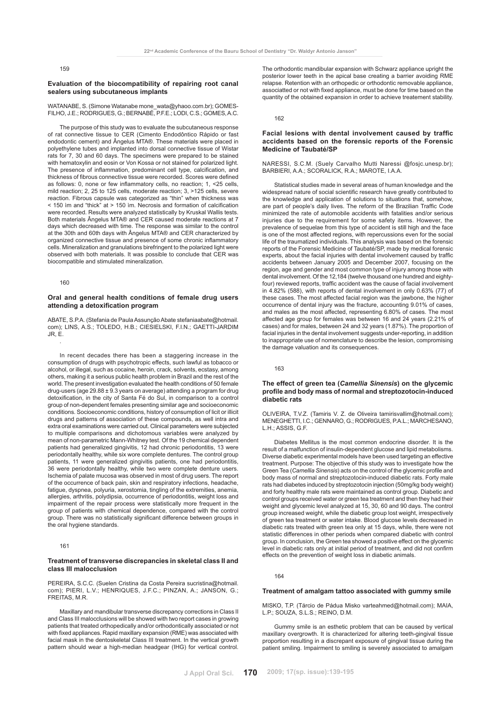#### **Evaluation of the biocompatibility of repairing root canal sealers using subcutaneous implants**

### WATANABE, S. (Simone Watanabe mone\_wata@yhaoo.com.br); GOMES-FILHO, J.E.; RODRIGUES, G.; BERNABÉ, P.F.E.; LODI, C.S.; GOMES, A.C.

The purpose of this study was to evaluate the subcutaneous response of rat connective tissue to CER (Cimento Endodôntico Rápido or fast endodontic cement) and Ângelus MTA®. These materials were placed in polyethylene tubes and implanted into dorsal connective tissue of Wistar rats for 7, 30 and 60 days. The specimens were prepared to be stained with hematoxylin and eosin or Von Kossa or not stained for polarized light. The presence of inflammation, predominant cell type, calcification, and thickness of fibrous connective tissue were recorded. Scores were defined as follows: 0, none or few inflammatory cells, no reaction; 1, <25 cells, mild reaction; 2, 25 to 125 cells, moderate reaction; 3, >125 cells, severe reaction. Fibrous capsule was categorized as "thin" when thickness was < 150 ìm and "thick" at > 150 ìm. Necrosis and formation of calcification were recorded. Results were analyzed statistically by Kruskal Wallis tests. Both materials Ângelus MTA® and CER caused moderate reactions at 7 days which decreased with time. The response was similar to the control at the 30th and 60th days with Ângelus MTA® and CER characterized by organized connective tissue and presence of some chronic inflammatory cells. Mineralization and granulations birefringent to the polarized light were observed with both materials. It was possible to conclude that CER was biocompatible and stimulated mineralization.

160

# **Oral and general health conditions of female drug users attending a detoxification program**

ABATE, S.P.A. (Stefania de Paula Assunção Abate stefaniaabate@hotmail. com); LINS, A.S.; TOLEDO, H.B.; CIESIELSKI, F.I.N.; GAETTI-JARDIM JR, E. .

In recent decades there has been a staggering increase in the consumption of drugs with psychotropic effects, such lawful as tobacco or alcohol, or illegal, such as cocaine, heroin, crack, solvents, ecstasy, among others, making it a serious public health problem in Brazil and the rest of the world. The present investigation evaluated the health conditions of 50 female drug-users (age 29.88 ± 9.3 years on average) attending a program for drug detoxification, in the city of Santa Fé do Sul, in comparison to a control group of non-dependent females presenting similar age and socioeconomic conditions. Socioeconomic conditions, history of consumption of licit or illicit drugs and patterns of association of these compounds, as well intra and extra oral examinations were carried out. Clinical parameters were subjected to multiple comparisons and dichotomous variables were analyzed by mean of non-parametric Mann-Whitney test. Of the 19 chemical dependent patients had generalized gingivitis, 12 had chronic periodontitis, 13 were periodontally healthy, while six wore complete dentures. The control group patients, 11 were generalized gingivitis patients, one had periodontitis, 36 were periodontally healthy, while two were complete denture users. Ischemia of palate mucosa was observed in most of drug users. The report of the occurrence of back pain, skin and respiratory infections, headache, fatigue, dyspnea, polyuria, xerostomia, tingling of the extremities, anemia, allergies, arthritis, polydipsia, occurrence of periodontitis, weight loss and impairment of the repair process were statistically more frequent in the group of patients with chemical dependence, compared with the control group. There was no statistically significant difference between groups in the oral hygiene standards.

#### 161

## **Treatment of transverse discrepancies in skeletal class II and class III malocclusion**

PEREIRA, S.C.C. (Suelen Cristina da Costa Pereira sucristina@hotmail. com); PIERI, L.V.; HENRIQUES, J.F.C.; PINZAN, A.; JANSON, G.; FREITAS, M.R.

Maxillary and mandibular transverse discrepancy corrections in Class II and Class III malocclusions will be showed with two report cases in growing patients that treated orthopedically and/or orthodontically associated or not with fixed appliances. Rapid maxillary expansion (RME) was associated with facial mask in the dentoskeletal Class III treatment. In the vertical growth pattern should wear a high-median headgear (IHG) for vertical control.

The orthodontic mandibular expansion with Schwarz appliance upright the posterior lower teeth in the apical base creating a barrier avoiding RME relapse. Retention with an orthopedic or orthodontic removable appliance, associatted or not with fixed appliance, must be done for time based on the quantity of the obtained expansion in order to achieve treatement stability.

#### 162

# **Facial lesions with dental involvement caused by traffic accidents based on the forensic reports of the Forensic Medicine of Taubaté/SP**

NARESSI, S.C.M. (Suely Carvalho Mutti Naressi @fosjc.unesp.br); BARBIERI, A.A.; SCORALICK, R.A.; MAROTE, I.A.A.

Statistical studies made in several areas of human knowledge and the widespread nature of social scientific research have greatly contributed to the knowledge and application of solutions to situations that, somehow, are part of people's daily lives. The reform of the Brazilian Traffic Code minimized the rate of automobile accidents with fatalities and/or serious injuries due to the requirement for some safety items. However, the prevalence of sequelae from this type of accident is still high and the face is one of the most affected regions, with repercussions even for the social life of the traumatized individuals. This analysis was based on the forensic reports of the Forensic Medicine of Taubaté/SP, made by medical forensic experts, about the facial injuries with dental involvement caused by traffic accidents between January 2005 and December 2007, focusing on the region, age and gender and most common type of injury among those with dental involvement. Of the 12,184 (twelve thousand one hundred and eightyfour) reviewed reports, traffic accident was the cause of facial involvement in 4.82% (588), with reports of dental involvement in only 0.63% (77) of these cases. The most affected facial region was the jawbone, the higher occurrence of dental injury was the fracture, accounting 9.01% of cases, and males as the most affected, representing 6.80% of cases. The most affected age group for females was between 16 and 24 years (2.21% of cases) and for males, between 24 and 32 years (1.87%). The proportion of facial injuries in the dental involvement suggests under-reporting, in addition to inappropriate use of nomenclature to describe the lesion, compromising the damage valuation and its consequences.

163

## **The effect of green tea (***Camellia Sinensis***) on the glycemic profile and body mass of normal and streptozotocin-induced diabetic rats**

OLIVEIRA, T.V.Z. (Tamiris V. Z. de Oliveira tamirisvallim@hotmail.com); MENEGHETTI, I.C.; GENNARO, G.; RODRIGUES, P.A.L.; MARCHESANO,  $H$ . ASSIS, G.F.

Diabetes Mellitus is the most common endocrine disorder. It is the result of a malfunction of insulin-dependent glucose and lipid metabolisms. Diverse diabetic experimental models have been used targeting an effective treatment. Purpose: The objective of this study was to investigate how the Green Tea (*Camellia Sinensis*) acts on the control of the glycemic profile and body mass of normal and streptozotocin-induced diabetic rats. Forty male rats had diabetes induced by streptozotocin injection (50mg/kg body weight) and forty healthy male rats were maintained as control group. Diabetic and control groups received water or green tea treatment and then they had their weight and glycemic level analyzed at 15, 30, 60 and 90 days. The control group increased weight, while the diabetic group lost weight, irrespectively of green tea treatment or water intake. Blood glucose levels decreased in diabetic rats treated with green tea only at 15 days, while, there were not statistic differences in other periods when compared diabetic with control group. In conclusion, the Green tea showed a positive effect on the glycemic level in diabetic rats only at initial period of treatment, and did not confirm effects on the prevention of weight loss in diabetic animals.

## 164

### **Treatment of amalgam tattoo associated with gummy smile**

MISKO, T.P. (Tárcio de Pádua Misko varteahmed@hotmail.com); MAIA, L.P.; SOUZA, S.L.S.; REINO, D.M.

Gummy smile is an esthetic problem that can be caused by vertical maxillary overgrowth. It is characterized for altering teeth-gingival tissue proportion resulting in a discrepant exposure of gingival tissue during the patient smiling. Impairment to smiling is severely associated to amalgam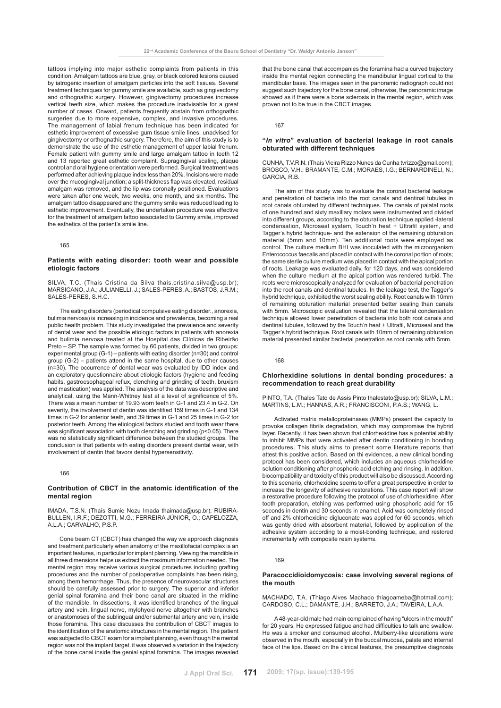tattoos implying into major esthetic complaints from patients in this condition. Amalgam tattoos are blue, gray, or black colored lesions caused by iatrogenic insertion of amalgam particles into the soft tissues. Several treatment techniques for gummy smile are available, such as gingivectomy and orthognathic surgery. However, gingivectomy procedures increase vertical teeth size, which makes the procedure inadvisable for a great number of cases. Onward, patients frequently abstain from orthognathic surgeries due to more expensive, complex, and invasive procedures. The management of labial frenum technique has been indicated for esthetic improvement of excessive gum tissue smile lines, unadvised for gingivectomy or orthognathic surgery. Therefore, the aim of this study is to demonstrate the use of the esthetic management of upper labial frenum. Female patient with gummy smile and large amalgam tattoo in teeth 12 and 13 reported great esthetic complaint. Supragingival scaling, plaque control and oral hygiene orientation were performed. Surgical treatment was performed after achieving plaque index less than 20%. Incisions were made over the mucogingival junction; a split-thickness flap was elevated, residual amalgam was removed, and the lip was coronally positioned. Evaluations were taken after one week, two weeks, one month, and six months. The amalgam tattoo disappeared and the gummy smile was reduced leading to esthetic improvement. Eventually, the undertaken procedure was effective for the treatment of amalgam tattoo associated to Gummy smile, improved the esthetics of the patient's smile line.

#### 165

### **Patients with eating disorder: tooth wear and possible etiologic factors**

SILVA, T.C. (Thais Cristina da Silva thais.cristina.silva@usp.br); MARSICANO, J.A.; JULIANELLI, J.; SALES-PERES, A.; BASTOS, J.R.M.; SALES-PERES, S.H.C.

The eating disorders (periodical compulsive eating disorder., anorexia, bulimia nervosa) is increasing in incidence and prevalence, becoming a real public health problem. This study investigated the prevalence and severity of dental wear and the possible etiologic factors in patients with anorexia and bulimia nervosa treated at the Hospital das Clínicas de Ribeirão Preto – SP. The sample was formed by 60 patients, divided in two groups: experimental group (G-1) – patients with eating disorder (n=30) and control group (G-2) – patients attend in the same hospital, due to other causes (n=30). The occurrence of dental wear was evaluated by IDD index and an exploratory questionnaire about etiologic factors (hygiene and feeding habits, gastroesophageal reflux, clenching and grinding of teeth, bruxism and mastication) was applied. The analysis of the data was descriptive and analytical, using the Mann-Whitney test at a level of significance of 5%. There was a mean number of 19.93 worn teeth in G-1 and 23.4 in G-2. On severity, the involvement of dentin was identified 159 times in G-1 and 134 times in G-2 for anterior teeth, and 39 times in G-1 and 25 times in G-2 for posterior teeth. Among the etiological factors studied and tooth wear there was significant association with tooth clenching and grinding (p<0.05). There was no statistically significant difference between the studied groups. The conclusion is that patients with eating disorders present dental wear, with involvement of dentin that favors dental hypersensitivity.

### 166

### **Contribution of CBCT in the anatomic identification of the mental region**

IMADA, T.S.N. (Thaís Sumie Nozu Imada thaimada@usp.br); RUBIRA-BULLEN, I.R.F.; DEZOTTI, M.G.; FERREIRA JÚNIOR, O.; CAPELOZZA, A.L.A.; CARVALHO, P.S.P.

Cone beam CT (CBCT) has changed the way we approach diagnosis and treatment particularly when anatomy of the maxillofacial complex is an important features, in particular for implant planning. Viewing the mandible in all three dimensions helps us extract the maximum information needed. The mental region may receive various surgical procedures including grafting procedures and the number of postoperative complaints has been rising, among them hemorrhage. Thus, the presence of neurovascular structures should be carefully assessed prior to surgery. The superior and inferior genial spinal foramina and their bone canal are situated in the midline of the mandible. In dissections, it was identified branches of the lingual artery and vein, lingual nerve, mylohyoid nerve altogether with branches or anastomoses of the sublingual and/or submental artery and vein, inside those foramina. This case discusses the contribution of CBCT images to the identification of the anatomic structures in the mental region. The patient was subjected to CBCT exam for a implant planning, even though the mental region was not the implant target, it was observed a variation in the trajectory of the bone canal inside the genial spinal foramina. The images revealed

that the bone canal that accompanies the foramina had a curved trajectory inside the mental region connecting the mandibular lingual cortical to the mandibular base. The images seen in the panoramic radiograph could not suggest such trajectory for the bone canal, otherwise, the panoramic image showed as if there were a bone sclerosis in the mental region, which was proven not to be true in the CBCT images.

### 167

# **"***In vitro***" evaluation of bacterial leakage in root canals obturated with different techniques**

CUNHA, T.V.R.N. (Thaís Vieira Rizzo Nunes da Cunha tvrizzo@gmail.com); BROSCO, V.H.; BRAMANTE, C.M.; MORAES, I.G.; BERNARDINELI, N.; GARCIA, R.B.

The aim of this study was to evaluate the coronal bacterial leakage and penetration of bacteria into the root canals and dentinal tubules in root canals obturated by different techniques. The canals of palatal roots of one hundred and sixty maxillary molars were instrumented and divided into different groups, according to the obturation technique applied -lateral condensation, Microseal system, Touch'n heat + Ultrafil system, and Tagger's hybrid technique- and the extension of the remaining obturation material (5mm and 10mm). Ten additional roots were employed as control. The culture medium BHI was inoculated with the microorganism Enterococcus faecalis and placed in contact with the coronal portion of roots; the same sterile culture medium was placed in contact with the apical portion of roots. Leakage was evaluated daily, for 120 days, and was considered when the culture medium at the apical portion was rendered turbid. The roots were microscopically analyzed for evaluation of bacterial penetration into the root canals and dentinal tubules. In the leakage test, the Tagger's hybrid technique, exhibited the worst sealing ability. Root canals with 10mm of remaining obturation material presented better sealing than canals with 5mm. Microscopic evaluation revealed that the lateral condensation technique allowed lower penetration of bacteria into both root canals and dentinal tubules, followed by the Touch'n heat + Ultrafil, Microseal and the Tagger's hybrid technique. Root canals with 10mm of remaining obturation material presented similar bacterial penetration as root canals with 5mm.

#### 168

### **Chlorhexidine solutions in dental bonding procedures: a recommendation to reach great durability**

PINTO, T.A. (Thales Tato de Assis Pinto thalestato@usp.br); SILVA, L.M.; MARTINS, L.M.; HANNAS, A.R.; FRANCISCONI, P.A.S.; WANG, L.

Activated matrix metalloproteinases (MMPs) present the capacity to provoke collagen fibrils degradation, which may compromise the hybrid layer. Recently, it has been shown that chlorhexidine has a potential ability to inhibit MMPs that were activated after dentin conditioning in bonding procedures. This study aims to present some literature reports that attest this positive action. Based on thi evidences, a new clinical bonding protocol has been considered, which includes an aqueous chlorhexidine solution conditioning after phosphoric acid etching and rinsing. In addition, biocompatibility and toxicity of this product will also be discussed. According to this scenario, chlorhexidine seems to offer a great perspective in order to increase the longevity of adhesive restorations. This case report will show a restorative procedure following the protocol of use of chlorhexidine. After tooth preparation, etching was performed using phosphoric acid for 15 seconds in dentin and 30 seconds in enamel. Acid was completely rinsed off and 2% chlorhexidine digluconate was applied for 60 seconds, which was gently dried with absorbent material, followed by application of the adhesive system according to a moist-bonding technique, and restored incrementally with composite resin systems.

## 169

## **Paracoccidioidomycosis: case involving several regions of the mouth**

MACHADO, T.A. (Thiago Alves Machado thiagoameba@hotmail.com); CARDOSO, C.L.; DAMANTE, J.H.; BARRETO, J.A.; TAVEIRA, L.A.A.

A 48-year-old male had main complained of having "ulcers in the mouth" for 20 years. He expressed fatigue and had difficulties to talk and swallow. He was a smoker and consumed alcohol. Mulberry-like ulcerations were observed in the mouth, especially in the buccal mucosa, palate and internal face of the lips. Based on the clinical features, the presumptive diagnosis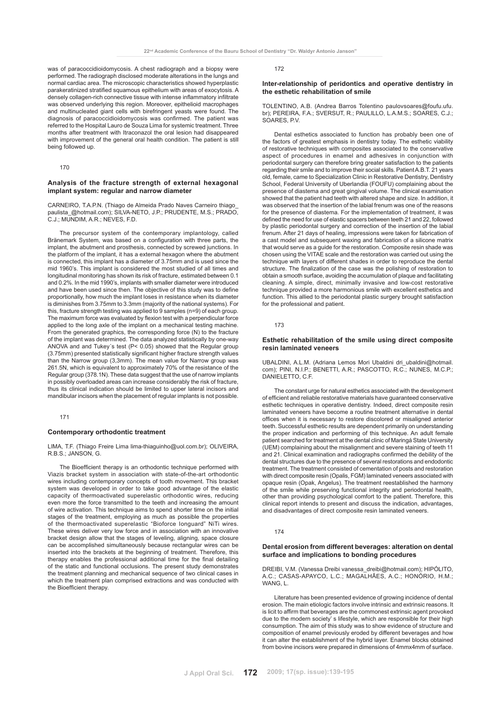was of paracoccidioidomycosis. A chest radiograph and a biopsy were performed. The radiograph disclosed moderate alterations in the lungs and normal cardiac area. The microscopic characteristics showed hyperplastic parakeratinized stratified squamous epithelium with areas of exocytosis. A densely collagen-rich connective tissue with intense inflammatory infiltrate was observed underlying this region. Moreover, epithelioid macrophages and multinucleated giant cells with birefringent yeasts were found. The diagnosis of paracoccidioidomycosis was confirmed. The patient was referred to the Hospital Lauro de Souza Lima for systemic treatment. Three months after treatment with Itraconazol the oral lesion had disappeared with improvement of the general oral health condition. The patient is still being followed up.

#### 170

#### **Analysis of the fracture strength of external hexagonal implant system: regular and narrow diameter**

CARNEIRO, T.A.P.N. (Thiago de Almeida Prado Naves Carneiro thiago\_ paulista\_@hotmail.com); SILVA-NETO, J.P.; PRUDENTE, M.S.; PRADO, C.J.; MUNDIM, A.R.; NEVES, F.D.

The precursor system of the contemporary implantology, called Bränemark System, was based on a configuration with three parts, the implant, the abutment and prosthesis, connected by screwed junctions. In the platform of the implant, it has a external hexagon where the abutment is connected, this implant has a diameter of 3.75mm and is used since the mid 1960's. This implant is considered the most studied of all times and longitudinal monitoring has shown its risk of fracture, estimated between 0.1 and 0.2%. In the mid 1990's, implants with smaller diameter were introduced and have been used since then. The objective of this study was to define proportionally, how much the implant loses in resistance when its diameter is diminishes from 3.75mm to 3.3mm (majority of the national systems). For this, fracture strength testing was applied to 9 samples (n=9) of each group. The maximum force was evaluated by flexion test with a perpendicular force applied to the long axle of the implant on a mechanical testing machine. From the generated graphics, the corresponding force (N) to the fracture of the implant was determined. The data analyzed statistically by one-way ANOVA and and Tukey´s test (P< 0.05) showed that the Regular group (3.75mm) presented statistically significant higher fracture strength values than the Narrow group (3,3mm). The mean value for Narrow group was 261.5N, which is equivalent to approximately 70% of the resistance of the Regular group (378.1N). These data suggest that the use of narrow implants in possibly overloaded areas can increase considerably the risk of fracture, thus its clinical indication should be limited to upper lateral incisors and mandibular incisors when the placement of regular implants is not possible.

### 171

#### **Contemporary orthodontic treatment**

LIMA, T.F. (Thiago Freire Lima lima-thiaguinho@uol.com.br); OLIVEIRA, R.B.S.; JANSON, G.

The Bioefficient therapy is an orthodontic technique performed with Viazis bracket system in association with state-of-the-art orthodontic wires including contemporary concepts of tooth movement. This bracket system was developed in order to take good advantage of the elastic capacity of thermoactivated superelastic orthodontic wires, reducing even more the force transmitted to the teeth and increasing the amount of wire activation. This technique aims to spend shorter time on the initial stages of the treatment, employing as much as possible the properties of the thermoactivated superelastic "Bioforce Ionguard" NiTi wires. These wires deliver very low force and in association with an innovative bracket design allow that the stages of leveling, aligning, space closure can be accomplished simultaneously because rectangular wires can be inserted into the brackets at the beginning of treatment. Therefore, this therapy enables the professional additional time for the final detailing of the static and functional occlusions. The present study demonstrates the treatment planning and mechanical sequence of two clinical cases in which the treatment plan comprised extractions and was conducted with the Bioefficient therapy.

#### 172

#### **Inter-relationship of peridontics and operative dentistry in the esthetic rehabilitation of smile**

TOLENTINO, A.B. (Andrea Barros Tolentino paulovsoares@foufu.ufu. br); PEREIRA, F.A.; SVERSUT, R.; PAULILLO, L.A.M.S.; SOARES, C.J.; SOARES, P.V.

Dental esthetics associated to function has probably been one of the factors of greatest emphasis in dentistry today. The esthetic viability of restorative techniques with composites associated to the conservative aspect of procedures in enamel and adhesives in conjunction with periodontal surgery can therefore bring greater satisfaction to the patients regarding their smile and to improve their social skills. Patient A.B.T. 21 years old, female, came to Specialization Clinic in Restorative Dentistry, Dentistry School, Federal University of Uberlandia (FOUFU) complaining about the presence of diastema and great gingival volume. The clinical examination showed that the patient had teeth with altered shape and size. In addition, it was observed that the insertion of the labial frenum was one of the reasons for the presence of diastema. For the implementation of treatment, it was defined the need for use of elastic spacers between teeth 21 and 22, followed by plastic periodontal surgery and correction of the insertion of the labial frenum. After 21 days of healing, impressions were taken for fabrication of a cast model and subsequent waxing and fabrication of a silicone matrix that would serve as a guide for the restoration. Composite resin shade was chosen using the VITAE scale and the restoration was carried out using the technique with layers of different shades in order to reproduce the dental structure. The finalization of the case was the polishing of restoration to obtain a smooth surface, avoiding the accumulation of plaque and facilitating cleaning. A simple, direct, minimally invasive and low-cost restorative technique provided a more harmonious smile with excellent esthetics and function. This allied to the periodontal plastic surgery brought satisfaction for the professional and patient.

#### 173

## **Esthetic rehabilitation of the smile using direct composite resin laminated veneers**

UBALDINI, A.L.M. (Adriana Lemos Mori Ubaldini dri\_ubaldini@hotmail. com); PINI, N.I.P.; BENETTI, A.R.; PASCOTTO, R.C.; NUNES, M.C.P.; DANIELETTO, C.F.

The constant urge for natural esthetics associated with the development of efficient and reliable restorative materials have guaranteed conservative esthetic techniques in operative dentistry. Indeed, direct composite resin laminated veneers have become a routine treatment alternative in dental offices when it is necessary to restore discolored or misaligned anterior teeth. Successful esthetic results are dependent primarily on understanding the proper indication and performing of this technique. An adult female patient searched for treatment at the dental clinic of Maringá State University (UEM) complaining about the misalignment and severe staining of teeth 11 and 21. Clinical examination and radiographs confirmed the debility of the dental structures due to the presence of several restorations and endodontic treatment. The treatment consisted of cementation of posts and restoration with direct composite resin (Opalis, FGM) laminated veneers associated with opaque resin (Opak, Angelus). The treatment reestablished the harmony of the smile while preserving functional integrity and periodontal health, other than providing psychological comfort to the patient. Therefore, this clinical report intends to present and discuss the indication, advantages, and disadvantages of direct composite resin laminated veneers.

# 174

## **Dental erosion from different beverages: alteration on dental surface and implications to bonding procedures**

DREIBI, V.M. (Vanessa Dreibi vanessa\_dreibi@hotmail.com); HIPÓLITO, A.C.; CASAS-APAYCO, L.C.; MAGALHÃES, A.C.; HONÓRIO, H.M.; WANG, L.

Literature has been presented evidence of growing incidence of dental erosion. The main etiologic factors involve intrinsic and extrinsic reasons. It is licit to affirm that beverages are the commonest extrinsic agent provoked due to the modern society' s lifestyle, which are responsible for their high consumption. The aim of this study was to show evidence of structure and composition of enamel previously eroded by different beverages and how it can alter the establishment of the hybrid layer. Enamel blocks obtained from bovine incisors were prepared in dimensions of 4mmx4mm of surface.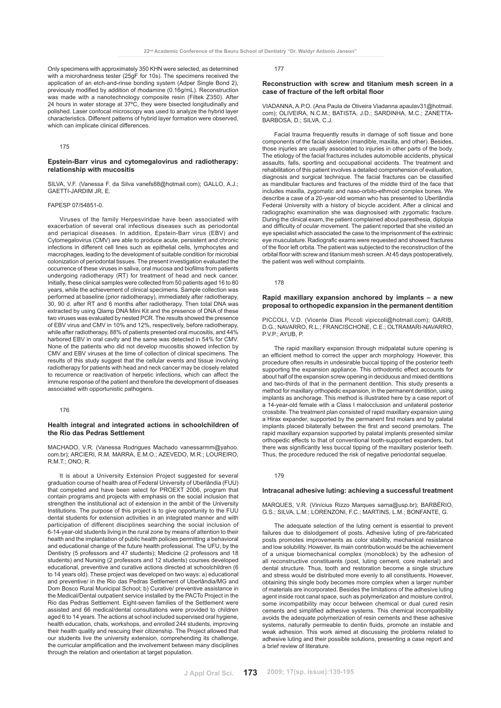Only specimens with approximately 350 KHN were selected, as determined with a microhardness tester (25gF for 10s). The specimens received the application of an etch-and-rinse bonding system (Adper Single Bond 2), previously modified by addition of rhodamine (0.16g/mL). Reconstruction was made with a nanotechnology composite resin (Filtek Z350). After 24 hours in water storage at 37ºC, they were bisected longitudinally and polished. Laser confocal microscopy was used to analyze the hybrid layer characteristics. Different patterns of hybrid layer formation were observed, which can implicate clinical differences.

175

## **Epstein-Barr virus and cytomegalovirus and radiotherapy: relationship with mucositis**

SILVA, V.F. (Vanessa F. da Silva vanefs88@hotmail.com); GALLO, A.J.; GAETTI-JARDIM JR, E.

### FAPESP 07/54851-0.

Viruses of the family Herpesviridae have been associated with exacerbation of several oral infectious diseases such as periodontal and periapical diseases. In addition, Epstein-Barr virus (EBV) and Cytomegalovirus (CMV) are able to produce acute, persistent and chronic infections in different cell lines such as epithelial cells, lymphocytes and macrophages, leading to the development of suitable condition for microbial colonization of periodontal tissues. The present investigation evaluated the occurrence of these viruses in saliva, oral mucosa and biofilms from patients undergoing radiotherapy (RT) for treatment of head and neck cancer. Initially, these clinical samples were collected from 50 patients aged 16 to 80 years, while the achievement of clinical specimens. Sample collection was performed at baseline (prior radiotherapy), immediately after radiotherapy, 30, 90 d. after RT and 6 months after radiotherapy. Then total DNA was extracted by using Qlamp DNA Mini Kit and the presence of DNA of these two viruses was evaluated by nested PCR. The results showed the presence of EBV virus and CMV in 10% and 12%, respectively, before radiotherapy, while after radiotherapy, 88% of patients presented oral mucositis, and 44% harbored EBV in oral cavity and the same was detected in 54% for CMV. None of the patients who did not develop mucositis showed infection by CMV and EBV viruses at the time of collection of clinical specimens. The results of this study suggest that the cellular events and tissue involving radiotherapy for patients with head and neck cancer may be closely related to recurrence or reactivation of herpetic infections, which can affect the immune response of the patient and therefore the development of diseases associated with opportunistic pathogens.

#### 176

### **Health integral and integrated actions in schoolchildren of the Rio das Pedras Settlement**

MACHADO, V.R. (Vanessa Rodrigues Machado vanessarmm@yahoo. com.br); ARCIERI, R.M. MARRA, E.M.O.; AZEVEDO, M.R.; LOUREIRO,  $RMT$ : ONO, R.

It is about a University Extension Project suggested for several graduation course of health area of Federal University of Uberlândia (FUU) that competed and have been select for PROEXT 2006, program that contain programs and projects with emphasis on the social inclusion that strengthen the institutional act of extension in the ambit of the University Institutions. The purpose of this project is to give opportunity to the FUU dental students for extension activities in an integrated manner and with participation of different disciplines searching the social inclusion of 6-14-year-old students living in the rural zone by means of attention to their health and the implantation of public health policies permitting a behavioral and educational change of the future health professional. The UFU, by the Dentistry (5 professors and 47 students); Medicine (2 professors and 18 students) and Nursing (2 professors and 12 students) courses developed educational, preventive and curative actions directed at schoolchildren (6 to 14 years old). These project was developed on two ways: a) educational and preventive/ in the Rio das Pedras Settlement of Uberlândia/MG and Dom Bosco Rural Municipal School; b) Curative/ preventive assistance in the Medical/Dental outpatient service installed by the PACTo Project in the Rio das Pedras Settlement. Eight-seven families of the Settlement were assisted and 66 medical/dental consultations were provided to children aged 6 to 14 years. The actions at school included supervised oral hygiene, health education, chats, workshops, and enrolled 244 students, improving their health quality and rescuing their citizenship. The Project allowed that our students live the university extension, comprehending its challenge, the curricular amplification and the involvement between many disciplines through the relation and orientation at target population.

177

### **Reconstruction with screw and titanium mesh screen in a case of fracture of the left orbital floor**

VIADANNA, A.P.O. (Ana Paula de Oliveira Viadanna apaulav31@hotmail. com); OLIVEIRA, N.C.M.; BATISTA, J.D.; SARDINHA, M.C.; ZANETTA-BARBOSA, D.; SILVA, C.J.

Facial trauma frequently results in damage of soft tissue and bone components of the facial skeleton (mandible, maxilla, and other). Besides, those injuries are usually associated to injuries in other parts of the body. The etiology of the facial fractures includes automobile accidents, physical assaults, falls, sporting and occupational accidents. The treatment and rehabilitation of this patient involves a detailed comprehension of evaluation, diagnosis and surgical technique. The facial fractures can be classified as mandibular fractures and fractures of the middle third of the face that includes maxilla, zygomatic and naso-orbito-ethmoid complex bones. We describe a case of a 20-year-old woman who has presented to Uberlândia Federal University with a history of bicycle accident. After a clinical and radiographic examination she was diagnosised with zygomatic fracture. During the clinical exam, the patient complained about paresthesia, diplopia and difficulty of ocular movement. The patient reported that she visited an eye specialist which associated the case to the imprisonment of the extrinsic eye musculature. Radiografic exams were requested and showed fractures of the floor left orbita. The patient was subjected to the reconstruction of the orbital floor with screw and titanium mesh screen. At 45 days postoperatively, the patient was well without complaints.

178

# **Rapid maxillary expansion anchored by implants – a new proposal to orthopedic expansion in the permanent dentition**

PICCOLI, V.D. (Vicente Dias Piccoli vipiccoli@hotmail.com); GARIB, D.G.; NAVARRO, R.L.; FRANCISCHONE, C.E.; OLTRAMARI-NAVARRO, P.V.P.; AYUB, P.

The rapid maxillary expansion through midpalatal suture opening is an efficient method to correct the upper arch morphology. However, this procedure often results in undesirable buccal tipping of the posterior teeth supporting the expansion appliance. This orthodontic effect accounts for about half of the expansion screw opening in deciduous and mixed dentitions and two-thirds of that in the permanent dentition. This study presents a method for maxillary orthopedic expansion, in the permanent dentition, using implants as anchorage. This method is illustrated here by a case report of a 14-year-old female with a Class I malocclusion and unilateral posterior crossbite. The treatment plan consisted of rapid maxillary expansion using a Hirax expander, supported by the permanent first molars and by palatal implants placed bilaterally between the first and second premolars. The rapid maxillary expansion supported by palatal implants presented similar orthopedic effects to that of conventional tooth-supported expanders, but there was significantly less buccal tipping of the maxillary posterior teeth. Thus, the procedure reduced the risk of negative periodontal sequelae.

#### 179

# **Intracanal adhesive luting: achieving a successful treatment**

MARQUES, V.R. (Vinícius Rizzo Marques sarna@usp.br); BARBÉRIO, G.S.; SILVA, L.M.; LORENZONI, F.C.; MARTINS, L.M.; BONFANTE, G.

The adequate selection of the luting cement is essential to prevent failures due to dislodgement of posts. Adhesive luting of pre-fabricated posts promotes improvements as color stability, mechanical resistance and low solubility. However, its main contribution would be the achievement of a unique biomechanical complex (monoblock) by the adhesion of all reconstructive constituents (post, luting cement, core material) and dental structure. Thus, tooth and restoration become a single structure and stress would be distributed more evenly to all constituents. However, obtaining this single body becomes more complex when a larger number of materials are incorporated. Besides the limitations of the adhesive luting agent inside root canal space, such as polymerization and moisture control, some incompatibility may occur between chemical or dual cured resin cements and simplified adhesive systems. This chemical incompatibility avoids the adequate polymerization of resin cements and these adhesive systems, naturally permeable to dentin fluids, promote an instable and weak adhesion. This work aimed at discussing the problems related to adhesive luting and their possible solutions, presenting a case report and a brief review of literature.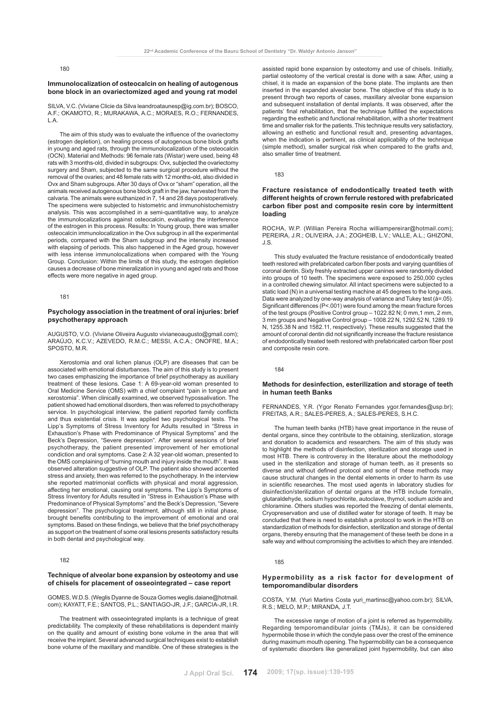### **Immunolocalization of osteocalcin on healing of autogenous bone block in an ovariectomized aged and young rat model**

SILVA, V.C. (Viviane Clicie da Silva leandroataunesp@ig.com.br); BOSCO, A.F.; OKAMOTO, R.; MURAKAWA, A.C.; MORAES, R.O.; FERNANDES, L.A.

The aim of this study was to evaluate the influence of the ovariectomy (estrogen depletion), on healing process of autogenous bone block grafts in young and aged rats, through the immunolocalization of the osteocalcin (OCN). Material and Methods: 96 female rats (Wistar) were used, being 48 rats with 3 months-old, divided in subgroups: Ovx, subjected the ovariectomy surgery and Sham, subjected to the same surgical procedure without the removal of the ovaries; and 48 female rats with 12 months-old, also divided in Ovx and Sham subgroups. After 30 days of Ovx or "sham" operation, all the animals received autogenous bone block graft in the jaw, harvested from the calvaria. The animals were euthanized in 7, 14 and 28 days postoperatively. The specimens were subjected to histometric and immunohistochemistry analysis. This was accomplished in a semi-quantitative way, to analyze the immunolocalizations against osteocalcin, evaluating the interference of the estrogen in this process. Results: In Young group, there was smaller osteocalcin immunolocalization in the Ovx subgroup in all the experimental periods, compared with the Sham subgroup and the intensity increased with elapsing of periods. This also happened in the Aged group, however with less intense immunolocalizations when compared with the Young Group. Conclusion: Within the limits of this study, the estrogen depletion causes a decrease of bone mineralization in young and aged rats and those effects were more negative in aged group.

181

## **Psychology association in the treatment of oral injuries: brief psychotherapy approach**

AUGUSTO, V.O. (Viviane Oliveira Augusto vivianeoaugusto@gmail.com); ARAÚJO, K.C.V.; AZEVEDO, R.M.C.; MESSI, A.C.A.; ONOFRE, M.A.; SPOSTO, M.R.

Xerostomia and oral lichen planus (OLP) are diseases that can be associated with emotional disturbances. The aim of this study is to present two cases emphasizing the importance of brief psychotherapy as auxiliary treatment of these lesions. Case 1: A 69-year-old woman presented to Oral Medicine Service (OMS) with a chief complaint "pain in tongue and xerostomia". When clinically examined, we observed hypossalivation. The patient showed had emotional disorders, then was referred to psychotherapy service. In psychological interview, the patient reported family conflicts and thus existential crisis. It was applied two psychological tests. The Lipp's Symptoms of Stress Inventory for Adults resulted in "Stress in Exhaustion's Phase with Predominance of Physical Symptoms" and the Beck's Depression, "Severe depression". After several sessions of brief psychotherapy, the patient presented improvement of her emotional condiction and oral symptoms. Case 2: A 32 year-old woman, presented to the OMS complaining of "burning mouth and injury inside the mouth". It was observed alteration suggestive of OLP. The patient also showed accented stress and anxiety, then was referred to the psychotherapy. In the interview she reported matrimonial conflicts with physical and moral aggression, affecting her emotional, causing oral symptoms. The Lipp's Symptoms of Stress Inventory for Adults resulted in "Stress in Exhaustion's Phase with Predominance of Physical Symptoms" and the Beck's Depression, "Severe depression". The psychological treatment, although still in initial phase, brought benefits contributing to the improvement of emotional and oral symptoms. Based on these findings, we believe that the brief psychotherapy as support on the treatment of some oral lesions presents satisfactory results in both dental and psychological way.

### 182

## **Technique of alveolar bone expansion by osteotomy and use of chisels for placement of osseointegrated – case report**

GOMES, W.D.S. (Weglis Dyanne de Souza Gomes weglis.daiane@hotmail.  $com$ ; KAYATT, F.E.; SANTOS, P.L.; SANTIAGO-JR, J.F.; GARCIA-JR, I.R.

The treatment with osseointegrated implants is a technique of great predictability. The complexity of these rehabilitations is dependent mainly on the quality and amount of existing bone volume in the area that will receive the implant. Several advanced surgical techniques exist to establish bone volume of the maxillary and mandible. One of these strategies is the

assisted rapid bone expansion by osteotomy and use of chisels. Initially, partial osteotomy of the vertical crestal is done with a saw. After, using a chisel, it is made an expansion of the bone plate. The implants are then inserted in the expanded alveolar bone. The objective of this study is to present through two reports of cases, maxillary alveolar bone expansion and subsequent installation of dental implants. It was observed, after the patients' final rehabilitation, that the technique fulfilled the expectations regarding the esthetic and functional rehabilitation, with a shorter treatment time and smaller risk for the patients. This technique results very satisfactory, allowing an esthetic and functional result and, presenting advantages, when the indication is pertinent, as clinical applicability of the technique (simple method), smaller surgical risk when compared to the grafts and, also smaller time of treatment.

183

## **Fracture resistance of endodontically treated teeth with different heights of crown ferrule restored with prefabricated carbon fiber post and composite resin core by intermittent loading**

ROCHA, W.P. (Willian Pereira Rocha williampereirar@hotmail.com); PEREIRA, J.R.; OLIVEIRA, J.A.; ZOGHEIB, L.V.; VALLE, A.L.; GHIZONI, J.S.

This study evaluated the fracture resistance of endodontically treated teeth restored with prefabricated carbon fiber posts and varying quantities of coronal dentin. Sixty freshly extracted upper canines were randomly divided into groups of 10 teeth. The specimens were exposed to 250,000 cycles in a controlled chewing simulator. All intact specimens were subjected to a static load (N) in a universal testing machine at 45 degrees to the long-axis. Data were analyzed by one-way analysis of variance and Tukey test (á=.05). Significant differences (P<.001) were found among the mean fracture forces of the test groups (Positive Control group – 1022.82 N; 0 mm,1 mm, 2 mm, 3 mm groups and Negative Control group – 1008.22 N, 1292.52 N, 1289.19 N, 1255.38 N and 1582.11, respectively). These results suggested that the amount of coronal dentin did not significantly increase the fracture resistance of endodontically treated teeth restored with prefabricated carbon fiber post and composite resin core.

184

### **Methods for desinfection, esterilization and storage of teeth in human teeth Banks**

FERNANDES, Y.R. (Ygor Renato Fernandes ygor.fernandes@usp.br); FREITAS, A.R.; SALES-PERES, A.; SALES-PERES, S.H.C.

The human teeth banks (HTB) have great importance in the reuse of dental organs, since they contribute to the obtaining, sterilization, storage and donation to academics and researchers. The aim of this study was to highlight the methods of disinfection, sterilization and storage used in most HTB. There is controversy in the literature about the methodology used in the sterilization and storage of human teeth, as it presents so diverse and without defined protocol and some of these methods may cause structural changes in the dental elements in order to harm its use in scientific researches. The most used agents in laboratory studies for disinfection/sterilization of dental organs at the HTB include formalin, glutaraldehyde, sodium hypochlorite, autoclave, thymol, sodium azide and chloramine. Others studies was reported the freezing of dental elements, Cryopreservation and use of distilled water for storage of teeth. It may be concluded that there is need to establish a protocol to work in the HTB on standardization of methods for disinfection, sterilization and storage of dental organs, thereby ensuring that the management of these teeth be done in a safe way and without compromising the activities to which they are intended.

#### 185

## **Hypermobility as a risk factor for development of temporomandibular disorders**

COSTA, Y.M. (Yuri Martins Costa yuri\_martinsc@yahoo.com.br); SILVA, R.S.; MELO, M.P.; MIRANDA, J.T.

The excessive range of motion of a joint is referred as hypermobility. Regarding temporomandibular joints (TMJs), it can be considered hypermobile those in which the condyle pass over the crest of the eminence during maximum mouth opening. The hypermobility can be a consequence of systematic disorders like generalized joint hypermobility, but can also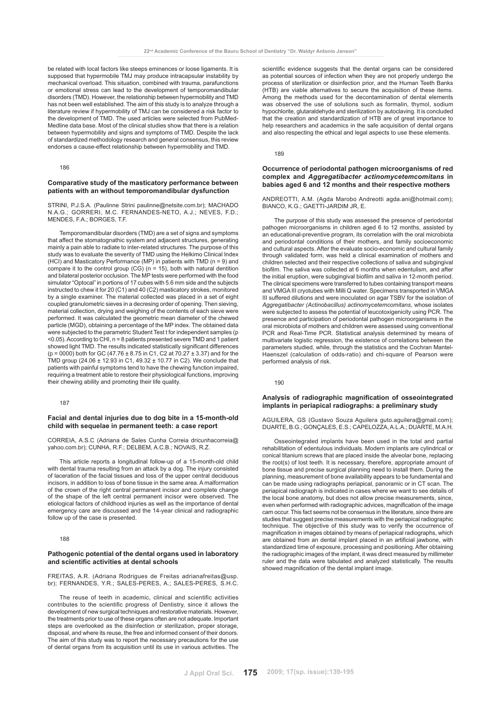be related with local factors like steeps eminences or loose ligaments. It is supposed that hypermobile TMJ may produce intracapsular instability by mechanical overload. This situation, combined with trauma, parafunctions or emotional stress can lead to the development of temporomandibular disorders (TMD). However, the relationship between hypermobility and TMD has not been well established. The aim of this study is to analyze through a literature review if hypermobility of TMJ can be considered a risk factor to the development of TMD. The used articles were selected from PubMed-Medline data base. Most of the clinical studies show that there is a relation between hypermobility and signs and symptoms of TMD. Despite the lack of standardized methodology research and general consensus, this review endorses a cause-effect relationship between hypermobility and TMD.

#### 186

#### **Comparative study of the masticatory performance between patients with an without temporomandibular dysfunction**

STRINI, P.J.S.A. (Paulinne Strini paulinne@netsite.com.br); MACHADO N.A.G.; GORRERI, M.C. FERNANDES-NETO, A.J.; NEVES, F.D.; MENDES, F.A.; BORGES, T.F.

Temporomandibular disorders (TMD) are a set of signs and symptoms that affect the stomatognathic system and adjacent structures, generating mainly a pain able to radiate to inter-related structures. The purpose of this study was to evaluate the severity of TMD using the Helkimo Clinical Index (HCI) and Masticatory Performance (MP) in patients with TMD (n = 9) and compare it to the control group (CG) ( $n = 15$ ), both with natural dentition and bilateral posterior occlusion. The MP tests were performed with the food simulator "Optocal" in portions of 17 cubes with 5.6 mm side and the subjects instructed to chew it for 20 (C1) and 40 (C2) masticatory strokes, monitored by a single examiner. The material collected was placed in a set of eight coupled granulometric sieves in a decresing order of opening. Then sieving, material collection, drying and weighing of the contents of each sieve were performed. It was calculated the geometric mean diameter of the chewed particle (MGD), obtaining a percentage of the MP index. The obtained data were subjected to the parametric Student Test t for independent samples (p <0.05). According to CHI, n = 8 patients presented severe TMD and 1 patient showed light TMD. The results indicated statistically significant differences  $(p = 0000)$  both for GC (47.76 ± 8.75 in C1, C2 at 70.27 ± 3.37) and for the TMD group (24.06 ± 12.93 in C1, 49.32 ± 10.77 in C2). We conclude that patients with painful symptoms tend to have the chewing function impaired, requiring a treatment able to restore their physiological functions, improving their chewing ability and promoting their life quality.

#### 187

## **Facial and dental injuries due to dog bite in a 15-month-old child with sequelae in permanent teeth: a case report**

CORREIA, A.S.C (Adriana de Sales Cunha Correia dricunhacorreia@ yahoo.com.br); CUNHA, R.F.; DELBEM, A.C.B.; NOVAIS, R.Z.

This article reports a longitudinal follow-up of a 15-month-old child with dental trauma resulting from an attack by a dog. The injury consisted of laceration of the facial tissues and loss of the upper central deciduous incisors, in addition to loss of bone tissue in the same area. A malformation of the crown of the right central permanent incisor and complete change of the shape of the left central permanent incisor were observed. The etiological factors of childhood injuries as well as the importance of dental emergency care are discussed and the 14-year clinical and radiographic follow up of the case is presented.

#### 188

#### **Pathogenic potential of the dental organs used in laboratory and scientific activities at dental schools**

FREITAS, A.R. (Adriana Rodrigues de Freitas adrianafreitas@usp. br); FERNANDES, Y.R.; SALES-PERES, A.; SALES-PERES, S.H.C.

The reuse of teeth in academic, clinical and scientific activities contributes to the scientific progress of Dentistry, since it allows the development of new surgical techniques and restorative materials. However, the treatments prior to use of these organs often are not adequate. Important steps are overlooked as the disinfection or sterilization, proper storage, disposal, and where its reuse, the free and informed consent of their donors. The aim of this study was to report the necessary precautions for the use of dental organs from its acquisition until its use in various activities. The scientific evidence suggests that the dental organs can be considered as potential sources of infection when they are not properly undergo the process of sterilization or disinfection prior, and the Human Teeth Banks (HTB) are viable alternatives to secure the acquisition of these items. Among the methods used for the decontamination of dental elements was observed the use of solutions such as formalin, thymol, sodium hypochlorite, glutaraldehyde and sterilization by autoclaving. It is concluded that the creation and standardization of HTB are of great importance to help researchers and academics in the safe acquisition of dental organs and also respecting the ethical and legal aspects to use these elements.

### 189

## **Occurrence of periodontal pathogen microorganisms of red complex and** *Aggregatibacter actinomycetemcomitans* **in babies aged 6 and 12 months and their respective mothers**

#### ANDREOTTI, A.M. (Agda Marobo Andreotti agda.ani@hotmail.com); BIANCO, K.G.; GAETTI-JARDIM JR, E.

The purpose of this study was assessed the presence of periodontal pathogen microorganisms in children aged 6 to 12 months, assisted by an educational-preventive program, its correlation with the oral microbiota and periodontal conditions of their mothers, and family socioeconomic and cultural aspects. After the evaluate socio-economic and cultural family through validated form, was held a clinical examination of mothers and children selected and their respective collections of saliva and subgingival biofilm. The saliva was collected at 6 months when edentulism, and after the initial eruption, were subgingival biofilm and saliva in 12-month period. The clinical specimens were transferred to tubes containing transport means and VMGA III cryotubes with Milli Q water. Specimens transported in VMGA III suffered dilutions and were inoculated on agar TSBV for the isolation of *Aggregatibacter (Actinobacillus) actinomycetemcomitans*, whose isolates were subjected to assess the potential of leucotoxigenicity using PCR. The presence and participation of periodontal pathogen microorganisms in the oral microbiota of mothers and children were assessed using conventional PCR and Real-Time PCR. Statistical analysis determined by means of multivariate logistic regression, the existence of correlations between the parameters studied, while, through the statistics and the Cochran Mantel-Haenszel (calculation of odds-ratio) and chi-square of Pearson were performed analysis of risk.

190

## **Analysis of radiographic magnification of osseointegrated implants in periapical radiographs: a preliminary study**

AGUILERA, GS (Gustavo Souza Aguilera guto.aguilera@gmail.com); DUARTE, B.G.; GONÇALES, E.S.; CAPELOZZA, A.L.A.; DUARTE, M.A.H.

Osseointegrated implants have been used in the total and partial rehabilitation of edentulous individuals. Modern implants are cylindrical or conical titanium screws that are placed inside the alveolar bone, replacing the root(s) of lost teeth. It is necessary, therefore, appropriate amount of bone tissue and precise surgical planning need to install them. During the planning, measurement of bone availability appears to be fundamental and can be made using radiographs periapical, panoramic or in CT scan. The periapical radiograph is indicated in cases where we want to see details of the local bone anatomy, but does not allow precise measurements, since, even when performed with radiographic advices, magnification of the image cam occur. This fact seems not be consensus in the literature, since there are studies that suggest precise measurements with the periapical radiographic technique. The objective of this study was to verify the occurrence of magnification in images obtained by means of periapical radiographs, which are obtained from an dental implant placed in an artificial jawbone, with standardized time of exposure, processing and positioning. After obtaining the radiographic images of the implant, it was direct measured by millimeter ruler and the data were tabulated and analyzed statistically. The results showed magnification of the dental implant image.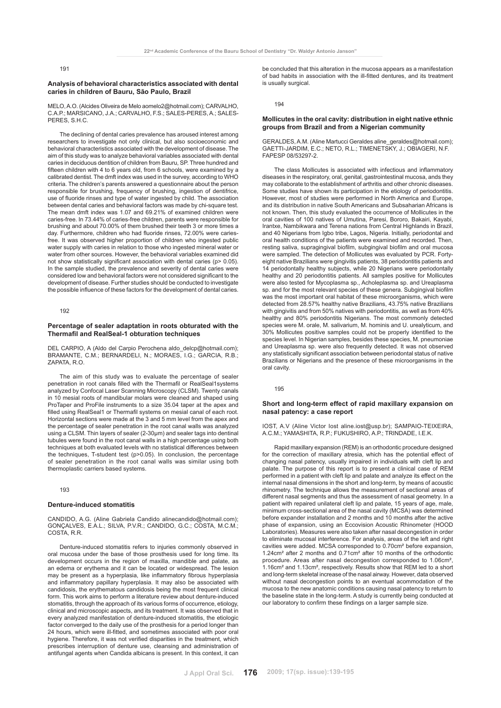#### **Analysis of behavioral characteristics associated with dental caries in children of Bauru, São Paulo, Brazil**

MELO, A.O. (Alcides Oliveira de Melo aomelo2@hotmail.com); CARVALHO, C.A.P.; MARSICANO, J.A.; CARVALHO, F.S.; SALES-PERES, A.; SALES-PERES, S.H.C.

The declining of dental caries prevalence has aroused interest among researchers to investigate not only clinical, but also socioeconomic and behavioral characteristics associated with the development of disease. The aim of this study was to analyze behavioral variables associated with dental caries in deciduous dentition of children from Bauru, SP. Three hundred and fifteen children with 4 to 6 years old, from 6 schools, were examined by a calibrated dentist. The dmft index was used in the survey, according to WHO criteria. The children's parents answered a questionnaire about the person responsible for brushing, frequency of brushing, ingestion of dentifrice, use of fluoride rinses and type of water ingested by child. The association between dental caries and behavioral factors was made by chi-square test. The mean dmft index was 1.07 and 69.21% of examined children were caries-free. In 73.44% of caries-free children, parents were responsible for brushing and about 70.00% of them brushed their teeth 3 or more times a day. Furthermore, children who had fluoride rinses, 72.00% were cariesfree. It was observed higher proportion of children who ingested public water supply with caries in relation to those who ingested mineral water or water from other sources. However, the behavioral variables examined did not show statistically significant association with dental caries (p> 0.05). In the sample studied, the prevalence and severity of dental caries were considered low and behavioral factors were not considered significant to the development of disease. Further studies should be conducted to investigate the possible influence of these factors for the development of dental caries.

#### 192

# **Percentage of sealer adaptation in roots obturated with the Thermafil and RealSeal-1 obturation techniques**

DEL CARPIO, A (Aldo del Carpio Perochena aldo\_delcp@hotmail.com); BRAMANTE, C.M.; BERNARDELI, N.; MORAES, I.G.; GARCIA, R.B.; ZAPATA, R.O.

The aim of this study was to evaluate the percentage of sealer penetration in root canals filled with the Thermafil or RealSeal1systems analyzed by Confocal Laser Scanning Microscopy (CLSM). Twenty canals in 10 mesial roots of mandibular molars were cleaned and shaped using ProTaper and ProFile instruments to a size 35.04 taper at the apex and filled using RealSeal1 or Thermafil systems on mesial canal of each root. Horizontal sections were made at the 3 and 5 mm level from the apex and the percentage of sealer penetration in the root canal walls was analyzed using a CLSM. Thin layers of sealer (2-30µm) and sealer tags into dentinal tubules were found in the root canal walls in a high percentage using both techniques at both evaluated levels with no statistical differences between the techniques, T-student test (p>0.05). In conclusion, the percentage of sealer penetration in the root canal walls was similar using both thermoplastic carriers based systems.

#### 193

#### **Denture-induced stomatitis**

CANDIDO, A.G. (Aline Gabriela Candido alinecandido@hotmail.com); GONÇALVES, E.A.L.; SILVA, P.V.R.; CANDIDO, G.C.; COSTA, M.C.M.; COSTA, R.R.

Denture-induced stomatitis refers to injuries commonly observed in oral mucosa under the base of those prosthesis used for long time. Its development occurs in the region of maxilla, mandible and palate, as an edema or erythema and it can be located or widespread. The lesion may be present as a hyperplasia, like inflammatory fibrous hyperplasia and inflammatory papillary hyperplasia. It may also be associated with candidosis, the erythematous candidosis being the most frequent clinical form. This work aims to perform a literature review about denture-induced stomatitis, through the approach of its various forms of occurrence, etiology, clinical and microscopic aspects, and its treatment. It was observed that in every analyzed manifestation of denture-induced stomatitis, the etiologic factor converged to the daily use of the prosthesis for a period longer than 24 hours, which were ill-fitted, and sometimes associated with poor oral hygiene. Therefore, it was not verified disparities in the treatment, which prescribes interruption of denture use, cleansing and administration of antifungal agents when Candida albicans is present. In this context, it can

be concluded that this alteration in the mucosa appears as a manifestation of bad habits in association with the ill-fitted dentures, and its treatment is usually surgical.

#### 194

## **Mollicutes in the oral cavity: distribution in eight native ethnic groups from Brazil and from a Nigerian community**

GERALDES, A.M. (Aline Martucci Geraldes aline\_geraldes@hotmail.com); GAETTI-JARDIM, E.C.; NETO, R.L.; TIMENETSKY, J.; OBIAGERI, N.F. FAPESP 08/53297-2.

The class Mollicutes is associated with infectious and inflammatory diseases in the respiratory, oral, genital, gastrointestinal mucosa, ands they may collaborate to the establishment of arthritis and other chronic diseases. Some studies have shown its participation in the etiology of periodontitis. However, most of studies were performed in North America and Europe, and its distribution in native South Americans and Subsaharian Africans is not known. Then, this study evaluated the occurrence of Mollicutes in the oral cavities of 100 natives of Umutina, Paresi, Bororo, Bakairi, Kayabi, Irantxe, Nambikwara and Terena nations from Central Highlands in Brazil, and 40 Nigerians from Igbo tribe, Lagos, Nigeria. Initially, periodontal and oral health conditions of the patients were examined and recorded. Then, resting saliva, supragingival biofilm, subgingival biofilm and oral mucosa were sampled. The detection of Mollicutes was evaluated by PCR. Fortyeight native Brazilians were gingivitis patients, 38 periodontitis patients and 14 periodontally healthy subjects, while 20 Nigerians were periodontally healthy and 20 periodontitis patients. All samples positive for Mollicutes were also tested for Mycoplasma sp., Acholeplasma sp. and Ureaplasma sp. and for the most relevant species of these genera. Subgingival biofilm was the most important oral habitat of these microorganisms, which were detected from 28.57% healthy native Brazilians, 43.75% native Brazilians with gingivitis and from 50% natives with periodontitis, as well as from 40% healthy and 80% periodontitis Nigerians. The most commonly detected species were M. orale, M. salivarium, M. hominis and U. urealyticum, and 30% Mollicutes positive samples could not be properly identified to the species level. In Nigerian samples, besides these species, M. pneumoniae and Ureaplasma sp. were also frequently detected. It was not observed any statistically significant association between periodontal status of native Brazilians or Nigerians and the presence of these microorganisms in the oral cavity.

195

## **Short and long-term effect of rapid maxillary expansion on nasal patency: a case report**

IOST, A.V (Aline Victor Iost aline.iost@usp.br); SAMPAIO-TEIXEIRA, A.C.M.; YAMASHITA, R.P.; FUKUSHIRO, A.P.; TRINDADE, I.E.K.

Rapid maxillary expansion (REM) is an orthodontic procedure designed for the correction of maxillary atresia, which has the potential effect of changing nasal patency, usually impaired in individuals with cleft lip and palate. The purpose of this report is to present a clinical case of REM performed in a patient with cleft lip and palate and analyze its effect on the internal nasal dimensions in the short and long-term, by means of acoustic rhinometry. The technique allows the measurement of sectional areas of different nasal segments and thus the assessment of nasal geometry. In a patient with repaired unilateral cleft lip and palate, 15 years of age, male, minimum cross-sectional area of the nasal cavity (MCSA) was determined before expander installation and 2 months and 10 months after the active phase of expansion, using an Eccovision Acoustic Rhinometer (HOOD Laboratories). Measures were also taken after nasal decongestion in order to eliminate mucosal interference. For analysis, areas of the left and right cavities were added. MCSA corresponded to 0.70cm² before expansion, 1.24cm² after 2 months and 0.71cm² after 10 months of the orthodontic procedure. Areas after nasal decongestion corresponded to 1.06cm², 1.16cm² and 1.13cm², respectively. Results show that REM led to a short and long-term skeletal increase of the nasal airway. However, data observed without nasal decongestion points to an eventual acommodation of the mucosa to the new anatomic conditions causing nasal patency to return to the baseline state in the long-term. A study is currently being conducted at our laboratory to confirm these findings on a larger sample size.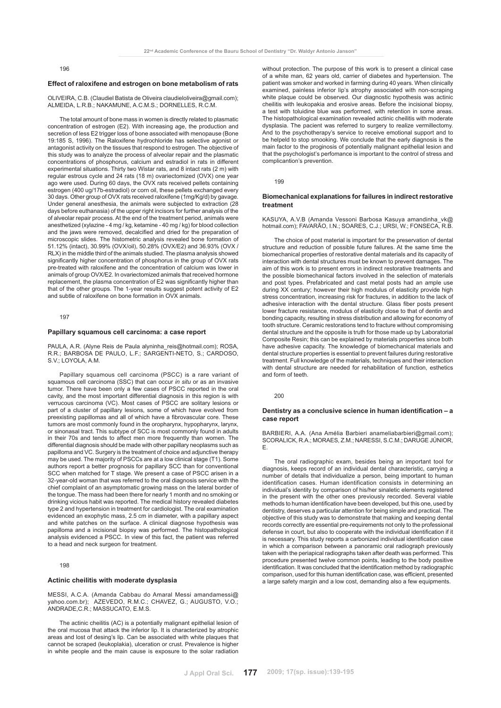#### **Effect of raloxifene and estrogen on bone metabolism of rats**

OLIVEIRA, C.B. (Claudiel Batista de Oliveira claudieloliveira@gmail.com); ALMEIDA, L.R.B.; NAKAMUNE, A.C.M.S.; DORNELLES, R.C.M.

The total amount of bone mass in women is directly related to plasmatic concentration of estrogen (E2). With increasing age, the production and secretion of less E2 trigger loss of bone associated with menopause (Bone 19:185 S, 1996). The Raloxifene hydrochloride has selective agonist or antagonist activity on the tissues that respond to estrogen. The objective of this study was to analyze the process of alveolar repair and the plasmatic concentrations of phosphorus, calcium and estradiol in rats in different experimental situations. Thirty two Wistar rats, and 8 intact rats (2 m) with regular estrous cycle and 24 rats (18 m) ovariectomized (OVX) one year ago were used. During 60 days, the OVX rats received pellets containing estrogen (400 ug/17b-estradiol) or corn oil, these pellets exchanged every 30 days. Other group of OVX rats received raloxifene (1mg/Kg/d) by gavage. Under general anesthesia, the animals were subjected to extraction (28 days before euthanasia) of the upper right incisors for further analysis of the of alveolar repair process. At the end of the treatment period, animals were anesthetized (xylazine - 4 mg / kg, ketamine - 40 mg / kg) for blood collection and the jaws were removed, decalcified and dried for the preparation of microscopic slides. The histometric analysis revealed bone formation of 51.12% (intact), 30.99% (OVX/oil), 50.28% (OVX/E2) and 36.93% (OVX / RLX) in the middle third of the animals studied. The plasma analysis showed significantly higher concentration of phosphorus in the group of OVX rats pre-treated with raloxifene and the concentration of calcium was lower in animals of group OVX/E2. In ovariectomized animals that received hormone replacement, the plasma concentration of E2 was significantly higher than that of the other groups. The 1-year results suggest potent activity of E2 and subtle of raloxifene on bone formation in OVX animals.

197

#### **Papillary squamous cell carcinoma: a case report**

PAULA, A.R. (Alyne Reis de Paula alyninha\_reis@hotmail.com); ROSA, R.R.; BARBOSA DE PAULO, L.F.; SARGENTI-NETO, S.; CARDOSO, S.V.; LOYOLA, A.M.

Papillary squamous cell carcinoma (PSCC) is a rare variant of squamous cell carcinoma (SSC) that can occur *in situ* or as an invasive tumor. There have been only a few cases of PSCC reported in the oral cavity, and the most important differential diagnosis in this region is with verrucous carcinoma (VC). Most cases of PSCC are solitary lesions or part of a cluster of papillary lesions, some of which have evolved from preexisting papillomas and all of which have a fibrovascular core. These tumors are most commonly found in the oropharynx, hypopharynx, larynx, or sinonasal tract. This subtype of SCC is most commonly found in adults in their 70s and tends to affect men more frequently than women. The differential diagnosis should be made with other papillary neoplasms such as papilloma and VC. Surgery is the treatment of choice and adjunctive therapy may be used. The majority of PSCCs are at a low clinical stage (T1). Some authors report a better prognosis for papillary SCC than for conventional SCC when matched for T stage. We present a case of PSCC arisen in a 32-year-old woman that was referred to the oral diagnosis service with the chief complaint of an asymptomatic growing mass on the lateral border of the tongue. The mass had been there for nearly 1 month and no smoking or drinking vicious habit was reported. The medical history revealed diabetes type 2 and hypertension in treatment for cardiologist. The oral examination evidenced an exophytic mass, 2.5 cm in diameter, with a papillary aspect and white patches on the surface. A clinical diagnose hypothesis was papilloma and a incisional biopsy was performed. The histopathological analysis evidenced a PSCC. In view of this fact, the patient was referred to a head and neck surgeon for treatment.

#### 198

## **Actinic cheilitis with moderate dysplasia**

MESSI, A.C.A. (Amanda Cabbau do Amaral Messi amandamessi@ yahoo.com.br); AZEVEDO, R.M.C.; CHAVEZ, G.; AUGUSTO, V.O.; ANDRADE,C.R.; MASSUCATO, E.M.S.

The actinic cheilitis (AC) is a potentially malignant epithelial lesion of the oral mucosa that attack the inferior lip. It is characterized by atrophic areas and lost of desing's lip. Can be associated with white plaques that cannot be scraped (leukoplakia), ulceration or crust. Prevalence is higher in white people and the main cause is exposure to the solar radiation

without protection. The purpose of this work is to present a clinical case of a white man, 62 years old, carrier of diabetes and hypertension. The patient was smoker and worked in farming during 40 years. When clinically examined, painless inferior lip's atrophy associated with non-scraping white plaque could be observed. Our diagnostic hypothesis was actinic cheilitis with leukopakia and erosive areas. Before the incisional biopsy, a test with toluidine blue was performed, with retention in some areas. The histopathological examination revealed actinic cheilitis with moderate dysplasia. The pacient was referred to surgery to realize vermillectomy. And to the psychotherapy's service to receive emotional support and to be helpeld to stop smooking. We conclude that the early diagnosis is the main factor to the proginosis of potentially malignant epithelial lesion and that the psychologist's perfomance is important to the control of stress and complicantion's prevention.

199

## **Biomechanical explanations for failures in indirect restorative treatment**

KASUYA, A.V.B (Amanda Vessoni Barbosa Kasuya amandinha\_vk@ hotmail.com); FAVARÃO, I.N.; SOARES, C.J.; URSI, W.; FONSECA, R.B.

The choice of post material is important for the preservation of dental structure and reduction of possible future failures. At the same time the biomechanical properties of restorative dental materials and its capacity of interaction with dental structures must be known to prevent damages. The aim of this work is to present errors in indirect restorative treatments and the possible biomechanical factors involved in the selection of materials and post types. Prefabricated and cast metal posts had an ample use during XX century; however their high modulus of elasticity provide high stress concentration, increasing risk for fractures, in addition to the lack of adhesive interaction with the dental structure. Glass fiber posts present lower fracture resistance, modulus of elasticity close to that of dentin and bonding capacity, resulting in stress distribution and allowing for economy of tooth structure. Ceramic restorations tend to fracture without compromising dental structure and the opposite is truth for those made up by Laboratorial Composite Resin; this can be explained by materials properties since both have adhesive capacity. The knowledge of biomechanical materials and dental structure properties is essential to prevent failures during restorative treatment. Full knowledge of the materials, techniques and their interaction with dental structure are needed for rehabilitation of function, esthetics and form of teeth.

 $200$ 

## **Dentistry as a conclusive science in human identification – a case report**

BARBIERI, A.A. (Ana Amélia Barbieri anameliabarbieri@gmail.com); SCORALICK, R.A.; MORAES, Z.M.; NARESSI, S.C.M.; DARUGE JÚNIOR, E.

The oral radiographic exam, besides being an important tool for diagnosis, keeps record of an individual dental characteristic, carrying a number of details that individualize a person, being important to human identification cases. Human identification consists in determining an individual's identity by comparison of his/her sinaletic elements registered in the present with the other ones previously recorded. Several viable methods to human identification have been developed, but this one, used by dentistry, deserves a particular attention for being simple and practical. The objective of this study was to demonstrate that making and keeping dental records correctly are essential pre-requirements not only to the professional defense in court, but also to cooperate with the individual identification if it is necessary. This study reports a carbonized individual identification case in which a comparison between a panoramic oral radiograph previously taken with the periapical radiographs taken after death was performed. This procedure presented twelve common points, leading to the body positive identification. It was concluded that the identification method by radiographic comparison, used for this human identification case, was efficient, presented a large safety margin and a low cost, demanding also a few equipments.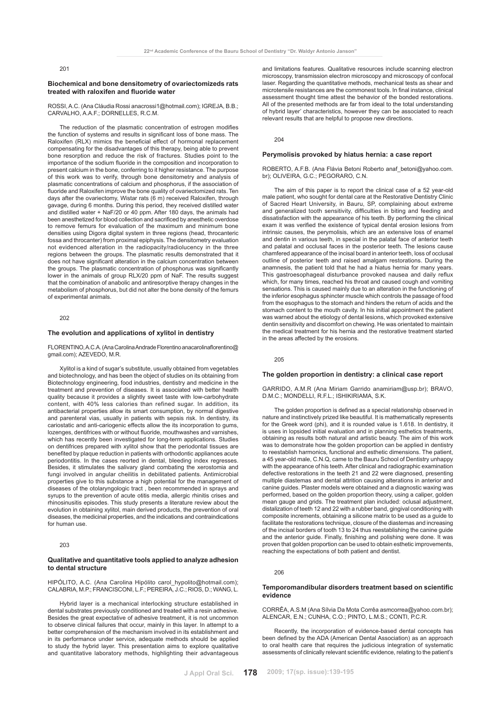#### **Biochemical and bone densitometry of ovariectomizeds rats treated with raloxifen and fluoride water**

ROSSI, A.C. (Ana Cláudia Rossi anacrossi1@hotmail.com); IGREJA, B.B.; CARVALHO, A.A.F.; DORNELLES, R.C.M.

The reduction of the plasmatic concentration of estrogen modifies the function of systems and results in significant loss of bone mass. The Raloxifen (RLX) mimics the beneficial effect of hormonal replacement compensating for the disadvantages of this therapy, being able to prevent bone resorption and reduce the risk of fractures. Studies point to the importance of the sodium fluoride in the composition and incorporation to present calcium in the bone, conferring to it higher resistance. The purpose of this work was to verify, through bone densitometry and analysis of plasmatic concentrations of calcium and phosphorus, if the association of fluoride and Raloxifen improve the bone quality of ovariectomized rats. Ten days after the ovariectomy, Wistar rats (6 m) received Raloxifen, through gavage, during 6 months. During this period, they received distilled water and distilled water + NaF/20 or 40 ppm. After 180 days, the animals had been anesthetized for blood collection and sacrificed by anesthetic overdose to remove femurs for evaluation of the maximum and minimum bone densities using Digora digital system in three regions (head, throcanteric fossa and throcanter) from proximal epiphysis. The densitometry evaluation not evidenced alteration in the radiopacity/radiolucency in the three regions between the groups. The plasmatic results demonstrated that it does not have significant alteration in the calcium concentration between the groups. The plasmatic concentration of phosphorus was significantly lower in the animals of group RLX/20 ppm of NaF. The results suggest that the combination of anabolic and antiresorptive therapy changes in the metabolism of phosphorus, but did not alter the bone density of the femurs of experimental animals.

202

#### **The evolution and applications of xylitol in dentistry**

FLORENTINO, A.C.A. (Ana Carolina Andrade Florentino anacarolinaflorentino@ gmail.com); AZEVEDO, M.R.

Xylitol is a kind of sugar's substitute, usually obtained from vegetables and biotechnology, and has been the object of studies on its obtaining from Biotechnology engineering, food industries, dentistry and medicine in the treatment and prevention of diseases. It is associated with better health quality because it provides a slightly sweet taste with low-carbohydrate content, with 40% less calories than refined sugar. In addition, its antibacterial properties allow its smart consumption, by normal digestive and parenteral vias, usually in patients with sepsis risk. In dentistry, its cariostatic and anti-cariogenic effects allow the its incorporation to gums, lozenges, dentifrices with or without fluoride, mouthwashes and varnishes, which has recently been investigated for long-term applications. Studies on dentifrices prepared with xylitol show that the periodontal tissues are benefited by plaque reduction in patients with orthodontic appliances acute periodontitis. In the cases reorted in dental, bleeding index regresses. Besides, it stimulates the salivary gland combating the xerostomia and fungi involved in angular cheilitis in debilitated patients. Antimicrobial properties give to this substance a high potential for the management of diseases of the otolaryngologic tract , been recommended in sprays and syrups to the prevention of acute otitis media, allergic rhinitis crises and rhinosinusitis episodes. This study presents a literature review about the evolution in obtaining xylitol, main derived products, the prevention of oral diseases, the medicinal properties, and the indications and contraindications for human use.

#### 203

### **Qualitative and quantitative tools applied to analyze adhesion to dental structure**

HIPÓLITO, A.C. (Ana Carolina Hipólito carol hypolito@hotmail.com); CALABRIA, M.P.; FRANCISCONI, L.F.; PEREIRA, J.C.; RIOS, D.; WANG, L.

Hybrid layer is a mechanical interlocking structure established in dental substrates previously conditioned and treated with a resin adhesive. Besides the great expectative of adhesive treatment, it is not uncommon to observe clinical failures that occur, mainly in this layer. In attempt to a better comprehension of the mechanism involved in its establishment and in its performance under service, adequate methods should be applied to study the hybrid layer. This presentation aims to explore qualitative and quantitative laboratory methods, highlighting their advantageous and limitations features. Qualitative resources include scanning electron microscopy, transmission electron microscopy and microscopy of confocal laser. Regarding the quantitative methods, mechanical tests as shear and microtensile resistances are the commonest tools. In final instance, clinical assessment thought time attest the behavior of the bonded restorations. All of the presented methods are far from ideal to the total understanding of hybrid layer' characteristics, however they can be associated to reach relevant results that are helpful to propose new directions.

## 204

### **Perymolisis provoked by hiatus hernia: a case report**

ROBERTO, A.F.B. (Ana Flávia Betoni Roberto anaf\_betoni@yahoo.com. br); OLIVEIRA, G.C.; PEGORARO, C.N.

The aim of this paper is to report the clinical case of a 52 year-old male patient, who sought for dental care at the Restorative Dentistry Clinic of Sacred Heart University, in Bauru, SP, complaining about extreme and generalized tooth sensitivity, difficulties in biting and feeding and dissatisfaction with the appearance of his teeth. By performing the clinical exam it was verified the existence of typical dental erosion lesions from intrinsic causes, the perymolisis, which are an extensive loss of enamel and dentin in various teeth, in special in the palatal face of anterior teeth and palatal and occlusal faces in the posterior teeth. The lesions cause chamfered appearance of the incisal board in anterior teeth, loss of occlusal outline of posterior teeth and raised amalgam restorations. During the anamnesis, the patient told that he had a hiatus hernia for many years. This gastroesophageal disturbance provoked nausea and daily reflux which, for many times, reached his throat and caused cough and vomiting sensations. This is caused mainly due to an alteration in the functioning of the inferior esophagus sphincter muscle which controls the passage of food from the esophagus to the stomach and hinders the return of acids and the stomach content to the mouth cavity. In his initial appointment the patient was warned about the etiology of dental lesions, which provoked extensive dentin sensitivity and discomfort on chewing. He was orientated to maintain the medical treatment for his hernia and the restorative treatment started in the areas affected by the erosions.

#### 205

#### **The golden proportion in dentistry: a clinical case report**

GARRIDO, A.M.R (Ana Miriam Garrido anamiriam@usp.br); BRAVO, D.M.C.; MONDELLI, R.F.L.; ISHIKIRIAMA, S.K.

The golden proportion is defined as a special relationship observed in nature and instinctively prized like beautiful. It is mathematically represents for the Greek word (phi), and it is rounded value is 1.618. In dentistry, it is uses in lopsided initial evaluation and in planning esthetics treatments, obtaining as results both natural and artistic beauty. The aim of this work was to demonstrate how the golden proportion can be applied in dentistry to reestablish harmonics, functional and esthetic dimensions. The patient, a 45 year-old male, C.N.Q, came to the Bauru School of Dentistry unhappy with the appearance of his teeth. After clinical and radiographic examination defective restorations in the teeth 21 and 22 were diagnosed, presenting multiple diastemas and dental attrition causing alterations in anterior and canine guides. Plaster models were obtained and a diagnostic waxing was performed, based on the golden proportion theory, using a caliper, golden mean gauge and grids. The treatment plan included: oclusal adjustment, distalization of teeth 12 and 22 with a rubber band, gingival conditioning with composite increments, obtaining a silicone matrix to be used as a guide to facilitate the restorations technique, closure of the diastemas and increasing of the incisal borders of tooth 13 to 24 thus reestablishing the canine guide and the anterior guide. Finally, finishing and polishing were done. It was proven that golden proportion can be used to obtain esthetic improvements, reaching the expectations of both patient and dentist.

## 206

## **Temporomandibular disorders treatment based on scientific evidence**

CORRÊA, A.S.M (Ana Sílvia Da Mota Corrêa asmcorrea@yahoo.com.br); ALENCAR, E.N.; CUNHA, C.O.; PINTO, L.M.S.; CONTI, P.C.R.

Recently, the incorporation of evidence-based dental concepts has been defined by the ADA (American Dental Association) as an approach to oral health care that requires the judicious integration of systematic assessments of clinically relevant scientific evidence, relating to the patient's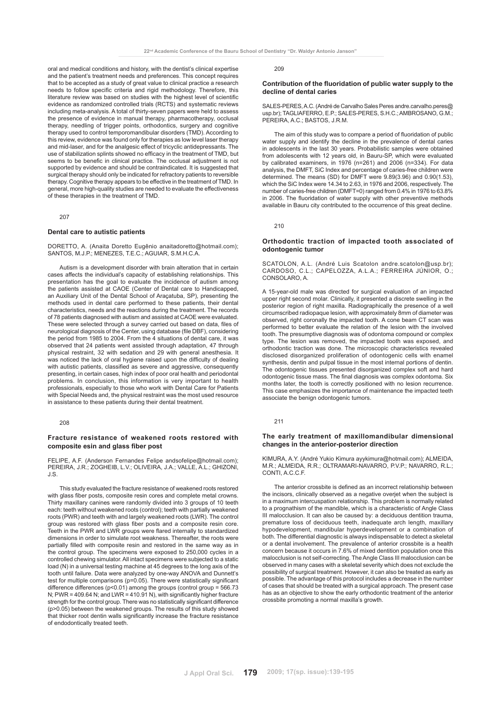oral and medical conditions and history, with the dentist's clinical expertise and the patient's treatment needs and preferences. This concept requires that to be accepted as a study of great value to clinical practice a research needs to follow specific criteria and rigid methodology. Therefore, this literature review was based on studies with the highest level of scientific evidence as randomized controlled trials (RCTS) and systematic reviews including meta-analysis. A total of thirty-seven papers were held to assess the presence of evidence in manual therapy, pharmacotherapy, occlusal therapy, needling of trigger points, orthodontics, surgery and cognitive therapy used to control temporomandibular disorders (TMD). According to this review, evidence was found only for therapies as low level laser therapy and mid-laser, and for the analgesic effect of tricyclic antidepressants. The use of stabilization splints showed no efficacy in the treatment of TMD, but seems to be benefic in clinical practice. The occlusal adjustment is not supported by evidence and should be contraindicated. It is suggested that surgical therapy should only be indicated for refractory patients to reversible therapy. Cognitive therapy appears to be effective in the treatment of TMD. In general, more high-quality studies are needed to evaluate the effectiveness of these therapies in the treatment of TMD.

### 207

#### **Dental care to autistic patients**

DORETTO, A. (Anaita Doretto Eugênio anaitadoretto@hotmail.com); SANTOS, M.J.P.; MENEZES, T.E.C.; AGUIAR, S.M.H.C.A.

Autism is a development disorder with brain alteration that in certain cases affects the individual's capacity of establishing relationships. This presentation has the goal to evaluate the incidence of autism among the patients assisted at CAOE (Center of Dental care to Handicapped, an Auxiliary Unit of the Dental School of Araçatuba, SP), presenting the methods used in dental care performed to these patients, their dental characteristics, needs and the reactions during the treatment. The records of 78 patients diagnosed with autism and assisted at CAOE were evaluated. These were selected through a survey carried out based on data, files of neurological diagnosis of the Center, using database (file DBF), considering the period from 1985 to 2004. From the 4 situations of dental care, it was observed that 24 patients went assisted through adaptation, 47 through physical restraint, 32 with sedation and 29 with general anesthesia. It was noticed the lack of oral hygiene raised upon the difficulty of dealing with autistic patients, classified as severe and aggressive, consequently presenting, in certain cases, high index of poor oral health and periodontal problems. In conclusion, this information is very important to health professionals, especially to those who work with Dental Care for Patients with Special Needs and, the physical restraint was the most used resource in assistance to these patients during their dental treatment.

#### $208$

## **Fracture resistance of weakened roots restored with composite esin and glass fiber post**

FELIPE, A.F. (Anderson Fernandes Felipe andsofelipe@hotmail.com); PEREIRA, J.R.; ZOGHEIB, L.V.; OLIVEIRA, J.A.; VALLE, A.L.; GHIZONI, J.S.

This study evaluated the fracture resistance of weakened roots restored with glass fiber posts, composite resin cores and complete metal crowns. Thirty maxillary canines were randomly divided into 3 groups of 10 teeth each: teeth without weakened roots (control); teeth with partially weakened roots (PWR) and teeth with and largely weakened roots (LWR). The control group was restored with glass fiber posts and a composite resin core. Teeth in the PWR and LWR groups were flared internally to standardized dimensions in order to simulate root weakness. Thereafter, the roots were partially filled with composite resin and restored in the same way as in the control group. The specimens were exposed to 250,000 cycles in a controlled chewing simulator. All intact specimens were subjected to a static load (N) in a universal testing machine at 45 degrees to the long axis of the tooth until failure. Data were analyzed by one-way ANOVA and Dunnett's test for multiple comparisons (p=0.05). There were statistically significant difference differences ( $p$ <0.01) among the groups (control group = 566.73 N; PWR = 409.64 N; and LWR = 410.91 N), with significantly higher fracture strength for the control group. There was no statistically significant difference (p>0.05) between the weakened groups. The results of this study showed that thicker root dentin walls significantly increase the fracture resistance of endodontically treated teeth.

#### 209

#### **Contribution of the fluoridation of public water supply to the decline of dental caries**

SALES-PERES, A.C. (André de Carvalho Sales Peres andre.carvalho.peres@ usp.br); TAGLIAFERRO, E.P.; SALES-PERES, S.H.C.; AMBROSANO, G.M.; PEREIRA, A.C.; BASTOS, J.R.M.

The aim of this study was to compare a period of fluoridation of public water supply and identify the decline in the prevalence of dental caries in adolescents in the last 30 years. Probabilistic samples were obtained from adolescents with 12 years old, in Bauru-SP, which were evaluated by calibrated examiners, in 1976 (n=261) and 2006 (n=334). For data analysis, the DMFT, SiC Index and percentage of caries-free children were determined. The means (SD) for DMFT were 9.89(3.96) and 0.90(1.53), which the SiC Index were 14.34 to 2.63, in 1976 and 2006, respectively. The number of caries-free children (DMFT=0) ranged from 0.4% in 1976 to 63.8% in 2006. The fluoridation of water supply with other preventive methods available in Bauru city contributed to the occurrence of this great decline.

210

## **Orthodontic traction of impacted tooth associated of odontogenic tumor**

SCATOLON, A.L. (André Luis Scatolon andre.scatolon@usp.br); CARDOSO, C.L.; CAPELOZZA, A.L.A.; FERREIRA JÚNIOR, O.; CONSOLARO, A.

A 15-year-old male was directed for surgical evaluation of an impacted upper right second molar. Clinically, it presented a discrete swelling in the posterior region of right maxilla. Radiographically the presence of a well circumscribed radiopaque lesion, with approximately 8mm of diameter was observed, right coronally the impacted tooth. A cone beam CT scan was performed to better evaluate the relation of the lesion with the involved tooth. The presumptive diagnosis was of odontoma compound or complex type. The lesion was removed, the impacted tooth was exposed, and orthodontic traction was done. The microscopic characteristics revealed disclosed disorganized proliferation of odontogenic cells with enamel synthesis, dentin and pulpal tissue in the most internal portions of dentin. The odontogenic tissues presented disorganized complex soft and hard odontogenic tissue mass. The final diagnosis was complex odontoma. Six months later, the tooth is correctly positioned with no lesion recurrence. This case emphasizes the importance of maintenance the impacted teeth associate the benign odontogenic tumors.

211

# **The early treatment of maxillomandibular dimensional changes in the anterior-posterior direction**

KIMURA, A.Y. (André Yukio Kimura ayykimura@hotmail.com); ALMEIDA, M.R.; ALMEIDA, R.R.; OLTRAMARI-NAVARRO, P.V.P.; NAVARRO, R.L.; CONTI, A.C.C.F.

The anterior crossbite is defined as an incorrect relationship between the incisors, clinically observed as a negative overjet when the subject is in a maximum intercuspation relationship. This problem is normally related to a prognathism of the mandible, which is a characteristic of Angle Class III malocclusion. It can also be caused by: a deciduous dentition trauma, premature loss of deciduous teeth, inadequate arch length, maxillary hypodevelopment, mandibular hyperdevelopment or a combination of both. The differential diagnostic is always indispensable to detect a skeletal or a dental involvement. The prevalence of anterior crossbite is a health concern because it occurs in 7.6% of mixed dentition population once this malocclusion is not self-correcting. The Angle Class III malocclusion can be observed in many cases with a skeletal severity which does not exclude the possibility of surgical treatment. However, it can also be treated as early as possible. The advantage of this protocol includes a decrease in the number of cases that should be treated with a surgical approach. The present case has as an objective to show the early orthodontic treatment of the anterior crossbite promoting a normal maxilla's growth.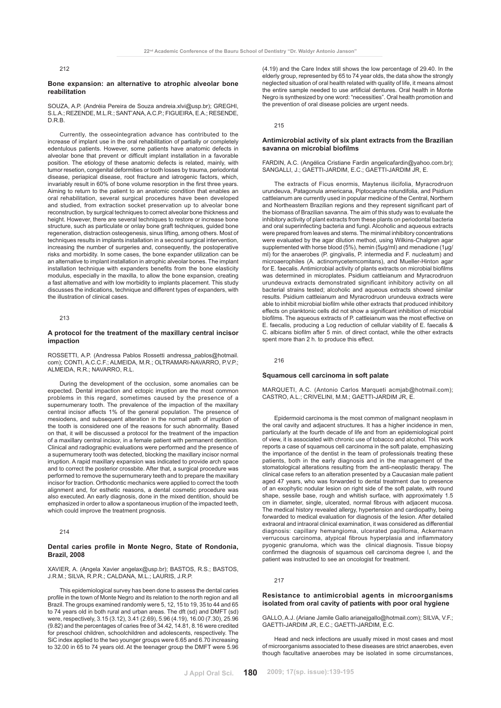#### **Bone expansion: an alternative to atrophic alveolar bone reabilitation**

SOUZA, A.P. (Andréia Pereira de Souza andreia.xlvi@usp.br); GREGHI, S.L.A.; REZENDE, M.L.R.; SANT'ANA, A.C.P.; FIGUEIRA, E.A.; RESENDE, D.R.B.

Currently, the osseointegration advance has contributed to the increase of implant use in the oral rehabilitation of partially or completely edentulous patients. However, some patients have anatomic defects in alveolar bone that prevent or difficult implant installation in a favorable position. The etiology of these anatomic defects is related, mainly, with tumor resetion, congenital deformities or tooth losses by trauma, periodontal disease, periapical disease, root fracture and iatrogenic factors, which, invariably result in 60% of bone volume resorption in the first three years. Aiming to return to the patient to an anatomic condition that enables an oral rehabilitation, several surgical procedures have been developed and studied, from extraction socket preservation up to alveolar bone reconstruction, by surgical techniques to correct alveolar bone thickness and height. However, there are several techniques to restore or increase bone structure, such as particulate or onlay bone graft techniques, guided bone regeneration, distraction osteogenesis, sinus lifting, among others. Most of techniques results in implants installation in a second surgical intervention, increasing the number of surgeries and, consequently, the postoperative risks and morbidity. In some cases, the bone expander utilization can be an alternative to implant installation in atrophic alveolar bones. The implant installation technique with expanders benefits from the bone elasticity modulus, especially in the maxilla, to allow the bone expansion, creating a fast alternative and with low morbidity to implants placement. This study discusses the indications, technique and different types of expanders, with the illustration of clinical cases.

#### 213

## **A protocol for the treatment of the maxillary central incisor impaction**

ROSSETTI, A.P. (Andressa Pablos Rossetti andressa\_pablos@hotmail. com); CONTI, A.C.C.F.; ALMEIDA, M.R.; OLTRAMARI-NAVARRO, P.V.P.; ALMEIDA, R.R.; NAVARRO, R.L.

During the development of the occlusion, some anomalies can be expected. Dental impaction and ectopic irruption are the most common problems in this regard, sometimes caused by the presence of a supernumerary tooth. The prevalence of the impaction of the maxillary central incisor affects 1% of the general population. The presence of mesiodens, and subsequent alteration in the normal path of irruption of the tooth is considered one of the reasons for such abnormality. Based on that, it will be discussed a protocol for the treatment of the impaction of a maxillary central incisor, in a female patient with permanent dentition. Clinical and radiographic evaluations were performed and the presence of a supernumerary tooth was detected, blocking the maxillary incisor normal irruption. A rapid maxillary expansion was indicated to provide arch space and to correct the posterior crossbite. After that, a surgical procedure was performed to remove the supernumerary teeth and to prepare the maxillary incisor for traction. Orthodontic mechanics were applied to correct the tooth alignment and, for esthetic reasons, a dental cosmetic procedure was also executed. An early diagnosis, done in the mixed dentition, should be emphasized in order to allow a spontaneous irruption of the impacted teeth, which could improve the treatment prognosis.

## $214$

## **Dental caries profile in Monte Negro, State of Rondonia, Brazil, 2008**

XAVIER, A. (Angela Xavier angelax@usp.br); BASTOS, R.S.; BASTOS, J.R.M.; SILVA, R.P.R.; CALDANA, M.L.; LAURIS, J.R.P.

This epidemiological survey has been done to assess the dental caries profile in the town of Monte Negro and its relation to the north region and all Brazil. The groups examined randomly were 5, 12, 15 to 19, 35 to 44 and 65 to 74 years old in both rural and urban areas. The dft (sd) and DMFT (sd) were, respectively, 3.15 (3.12), 3.41 (2.69), 5.96 (4.19), 16.00 (7.30), 25.96 (9.82) and the percentages of caries free of 34.42, 14.81, 8.16 were credited for preschool children, schoolchildren and adolescents, respectively. The SiC index applied to the two younger groups were 6.65 and 6.70 increasing to 32.00 in 65 to 74 years old. At the teenager group the DMFT were 5.96

(4.19) and the Care Index still shows the low percentage of 29.40. In the elderly group, represented by 65 to 74 year olds, the data show the strongly neglected situation of oral health related with quality of life, it means almost the entire sample needed to use artificial dentures. Oral health in Monte Negro is synthesized by one word: "necessities". Oral health promotion and the prevention of oral disease policies are urgent needs.

### 215

# **Antimicrobial activity of six plant extracts from the Brazilian savanna on microbial biofilms**

FARDIN, A.C. (Angélica Cristiane Fardin angelicafardin@yahoo.com.br); SANGALLI, J.; GAETTI-JARDIM, E.C.; GAETTI-JARDIM JR, E.

The extracts of Ficus enormis, Maytenus ilicifolia, Myracrodruon urundeuva, Patagonula americana, Piptocarpha rotundifolia, and Psidium cattleianum are currently used in popular medicine of the Central, Northern and Northeastern Brazilian regions and they represent significant part of the biomass of Brazilian savanna. The aim of this study was to evaluate the inhibitory activity of plant extracts from these plants on periodontal bacteria and oral superinfecting bacteria and fungi. Alcoholic and aqueous extracts were prepared from leaves and stems. The minimal inhibitory concentrations were evaluated by the agar dilution method, using Wilkins-Chalgren agar supplemented with horse blood (5%), hemin (5µg/ml) and menadione (1µg/ ml) for the anaerobes (P. gingivalis, P. intermedia and F. nucleatum) and microaerophiles (A. actinomycetemcomitans), and Mueller-Hinton agar for E. faecalis. Antimicrobial activity of plants extracts on microbial biofilms was determined in microplates. Psidium cattleianum and Myracrodruon urundeuva extracts demonstrated significant inhibitory activity on all bacterial strains tested; alcoholic and aqueous extracts showed similar results. Psidium cattleianum and Myracrodruon urundeuva extracts were able to inhibit microbial biofilm while other extracts that produced inhibitory effects on planktonic cells did not show a significant inhibition of microbial biofilms. The aqueous extracts of P. cattleianum was the most effective on E. faecalis, producing a Log reduction of cellular viability of E. faecalis & C. albicans biofilm after 5 min. of direct contact, while the other extracts spent more than 2 h. to produce this effect.

#### 216

#### **Squamous cell carcinoma in soft palate**

MARQUETI, A.C. (Antonio Carlos Marqueti acmjab@hotmail.com); CASTRO, A.L.; CRIVELINI, M.M.; GAETTI-JARDIM JR, E.

Epidermoid carcinoma is the most common of malignant neoplasm in the oral cavity and adjacent structures. It has a higher incidence in men, particularly at the fourth decade of life and from an epidemiological point of view, it is associated with chronic use of tobacco and alcohol. This work reports a case of squamous cell carcinoma in the soft palate, emphasizing the importance of the dentist in the team of professionals treating these patients, both in the early diagnosis and in the management of the stomatological alterations resulting from the anti-neoplastic therapy. The clinical case refers to an alteration presented by a Caucasian male patient aged 47 years, who was forwarded to dental treatment due to presence of an exophytic nodular lesion on right side of the soft palate, with round shape, sessile base, rough and whitish surface, with approximately 1.5 cm in diameter, single, ulcerated, normal fibrous with adjacent mucosa. The medical history revealed allergy, hypertension and cardiopathy, being forwarded to medical evaluation for diagnosis of the lesion. After detailed extraoral and intraoral clinical examination, it was considered as differential diagnosis: capillary hemangioma, ulcerated papilloma, Ackermann verrucous carcinoma, atypical fibrous hyperplasia and inflammatory pyogenic granuloma, which was the clinical diagnosis. Tissue biopsy confirmed the diagnosis of squamous cell carcinoma degree I, and the patient was instructed to see an oncologist for treatment.

#### 217

## **Resistance to antimicrobial agents in microorganisms isolated from oral cavity of patients with poor oral hygiene**

GALLO, A.J. (Ariane Jamile Gallo arianejgallo@hotmail.com); SILVA, V.F.; GAETTI-JARDIM JR, E.C.; GAETTI-JARDIM, E.C.

Head and neck infections are usually mixed in most cases and most of microorganisms associated to these diseases are strict anaerobes, even though facultative anaerobes may be isolated in some circumstances,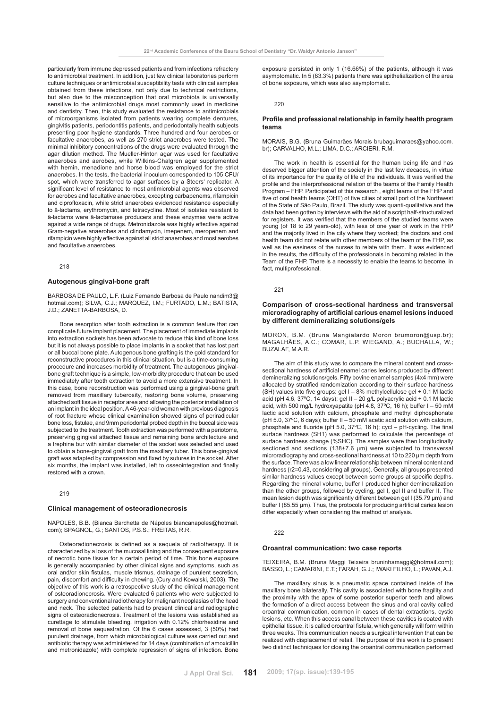particularly from immune depressed patients and from infections refractory to antimicrobial treatment. In addition, just few clinical laboratories perform culture techniques or antimicrobial susceptibility tests with clinical samples obtained from these infections, not only due to technical restrictions, but also due to the misconception that oral microbiota is universally sensitive to the antimicrobial drugs most commonly used in medicine and dentistry. Then, this study evaluated the resistance to antimicrobials of microorganisms isolated from patients wearing complete dentures, gingivitis patients, periodontitis patients, and periodontally health subjects presenting poor hygiene standards. Three hundred and four aerobes or facultative anaerobes, as well as 270 strict anaerobes were tested. The minimal inhibitory concentrations of the drugs were evaluated through the agar dilution method. The Mueller-Hinton agar was used for facultative anaerobes and aerobes, while Wilkins-Chalgren agar supplemented with hemin, menadione and horse blood was employed for the strict anaerobes. In the tests, the bacterial inoculum corresponded to 105 CFU/ spot, which were transferred to agar surfaces by a Steers' replicator. A significant level of resistance to most antimicrobial agents was observed for aerobes and facultative anaerobes, excepting carbapenems, rifampicin and ciprofloxacin, while strict anaerobes evidenced resistance especially to â-lactams, erythromycin, and tetracycline. Most of isolates resistant to â-lactams were â-lactamase producers and these enzymes were active against a wide range of drugs. Metronidazole was highly effective against Gram-negative anaerobes and clindamycin, imepenem, meropenem and rifampicin were highly effective against all strict anaerobes and most aerobes and facultative anaerobes.

#### 218

# **Autogenous gingival-bone graft**

BARBOSA DE PAULO, L.F. (Luiz Fernando Barbosa de Paulo nandim3@ hotmail.com); SILVA, C.J.; MARQUEZ, I.M.; FURTADO, L.M.; BATISTA, J.D.; ZANETTA-BARBOSA, D.

Bone resorption after tooth extraction is a common feature that can complicate future implant placement. The placement of immediate implants into extraction sockets has been advocate to reduce this kind of bone loss but it is not always possible to place implants in a socket that has lost part or all buccal bone plate. Autogenous bone grafting is the gold standard for reconstructive procedures in this clinical situation, but is a time-consuming procedure and increases morbidity of treatment. The autogenous gingivalbone graft technique is a simple, low-morbidity procedure that can be used immediately after tooth extraction to avoid a more extensive treatment. In this case, bone reconstruction was performed using a gingival-bone graft removed from maxillary tuberosity, restoring bone volume, preserving attached soft tissue in receptor area and allowing the posterior installation of an implant in the ideal position. A 46-year-old woman with previous diagnosis of root fracture whose clinical examination showed signs of periradicular bone loss, fistulae, and 9mm periodontal probed depth in the buccal side was subjected to the treatment. Tooth extraction was performed with a periotome, preserving gingival attached tissue and remaining bone architecture and a trephine bur with similar diameter of the socket was selected and used to obtain a bone-gingival graft from the maxillary tuber. This bone-gingival graft was adapted by compression and fixed by sutures in the socket. After six months, the implant was installed, left to osseointegration and finally restored with a crown.

## 219

### **Clinical management of osteoradionecrosis**

#### NAPOLES, B.B. (Bianca Barchetta de Nápoles biancanapoles@hotmail. com); SPAGNOL, G.; SANTOS, P.S.S.; FREITAS, R.R.

Osteoradionecrosis is defined as a sequela of radiotherapy. It is characterized by a loss of the mucosal lining and the consequent exposure of necrotic bone tissue for a certain period of time. This bone exposure is generally accompanied by other clinical signs and symptoms, such as oral and/or skin fistulas, muscle trismus, drainage of purulent secretion, pain, discomfort and difficulty in chewing. (Cury and Kowalski, 2003). The objective of this work is a retrospective study of the clinical management of osteoradionecrosis. Were evaluated 6 patients who were subjected to surgery and conventional radiotherapy for malignant neoplasias of the head and neck. The selected patients had to present clinical and radiographic signs of osteoradionecrosis. Treatment of the lesions was established as curettage to stimulate bleeding, irrigation with 0.12% chlorhexidine and removal of bone sequestration. Of the 6 cases assessed, 3 (50%) had purulent drainage, from which microbiological culture was carried out and antibiotic therapy was administered for 14 days (combination of amoxicillin and metronidazole) with complete regression of signs of infection. Bone

exposure persisted in only 1 (16.66%) of the patients, although it was asymptomatic. In 5 (83.3%) patients there was epithelialization of the area of bone exposure, which was also asymptomatic.

## 220

## **Profile and professional relationship in family health program teams**

MORAIS, B.G. (Bruna Guimarães Morais brubaguimaraes@yahoo.com. br); CARVALHO, M.L.; LIMA, D.C.; ARCIERI, R.M.

The work in health is essential for the human being life and has deserved bigger attention of the society in the last few decades, in virtue of its importance for the quality of life of the individuals. It was verified the profile and the interprofessional relation of the teams of the Family Health Program – FHP. Participated of this research , eight teams of the FHP and five of oral health teams (OHT) of five cities of small port of the Northwest of the State of São Paulo, Brazil. The study was quanti-qualitative and the data had been gotten by interviews with the aid of a script half-structuralized for registers. It was verified that the members of the studied teams were young (of 18 to 29 years-old), with less of one year of work in the FHP and the majority lived in the city where they worked; the doctors and oral health team did not relate with other members of the team of the FHP, as well as the easiness of the nurses to relate with them. It was evidenced in the results, the difficulty of the professionals in becoming related in the Team of the FHP. There is a necessity to enable the teams to become, in fact, multiprofessional.

221

# **Comparison of cross-sectional hardness and transversal microradiography of artificial carious enamel lesions induced by different demineralizing solutions/gels**

MORON, B.M. (Bruna Mangialardo Moron brumoron@usp.br); MAGALHÃES, A.C.; COMAR, L.P. WIEGAND, A.; BUCHALLA, W.; BUZALAF, M.A.R.

The aim of this study was to compare the mineral content and crosssectional hardness of artificial enamel caries lesions produced by different demineralizing solutions/gels. Fifty bovine enamel samples (4x4 mm) were allocated by stratified randomization according to their surface hardness (SH) values into five groups: gel I – 8% methylcellulose gel + 0.1 M lactic acid (pH 4.6, 37ºC, 14 days); gel II – 20 g/L polyacrylic acid + 0.1 M lactic acid, with 500 mg/L hydroxyapatite (pH  $\overline{4.8}$ , 37°C, 16 h); buffer I – 50 mM lactic acid solution with calcium, phosphate and methyl diphosphonate (pH 5.0, 37ºC, 6 days); buffer II – 50 mM acetic acid solution with calcium, phosphate and fluoride (pH 5.0, 37ºC, 16 h); cycl – pH-cycling. The final surface hardness (SH1) was performed to calculate the percentage of surface hardness change (%SHC). The samples were then longitudinally sectioned and sections (138±7.6 µm) were subjected to transversal microradiography and cross-sectional hardness at 10 to 220 µm depth from the surface. There was a low linear relationship between mineral content and hardness (r2=0.43, considering all groups). Generally, all groups presented similar hardness values except between some groups at specific depths. Regarding the mineral volume, buffer I produced higher demineralization than the other groups, followed by cycling, gel I, gel II and buffer II. The mean lesion depth was significantly different between gel I (35.79 µm) and buffer I (85.55 µm). Thus, the protocols for producing artificial caries lesion differ especially when considering the method of analysis.

### 222

### **Oroantral communication: two case reports**

TEIXEIRA, B.M. (Bruna Maggi Teixeira bruninhamaggi@hotmail.com); BASSO, L.; CAMARINI, E.T.; FARAH, G.J.; IWAKI FILHO, L.; PAVAN, A.J.

The maxillary sinus is a pneumatic space contained inside of the maxillary bone bilaterally. This cavity is associated with bone fragility and the proximity with the apex of some posterior superior teeth and allows the formation of a direct access between the sinus and oral cavity called oroantral communication, common in cases of dental extractions, cystic lesions, etc. When this access canal between these cavities is coated with epithelial tissue, it is called oroantral fistula, which generally will form within three weeks. This communication needs a surgical intervention that can be realized with displacement of retail. The purpose of this work is to present two distinct techniques for closing the oroantral communication performed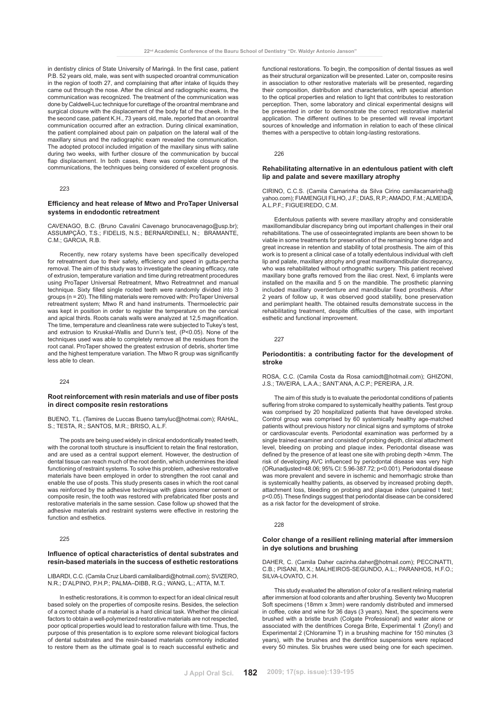in dentistry clinics of State University of Maringá. In the first case, patient P.B. 52 years old, male, was sent with suspected oroantral communication in the region of tooth 27, and complaining that after intake of liquids they came out through the nose. After the clinical and radiographic exams, the communication was recognized. The treatment of the communication was done by Caldwell-Luc technique for curettage of the oroantral membrane and surgical closure with the displacement of the body fat of the cheek. In the the second case, patient K.H., 73 years old, male, reported that an oroantral communication occurred after an extraction. During clinical examination, the patient complained about pain on palpation on the lateral wall of the maxillary sinus and the radiographic exam revealed the communication. The adopted protocol included irrigation of the maxillary sinus with saline during two weeks, with further closure of the communication by buccal flap displacement. In both cases, there was complete closure of the communications, the techniques being considered of excellent prognosis.

#### 223

### **Efficiency and heat release of Mtwo and ProTaper Universal systems in endodontic retreatment**

CAVENAGO, B.C. (Bruno Cavalini Cavenago brunocavenago@usp.br); ASSUMPÇÃO, T.S.; FIDELIS, N.S.; BERNARDINELI, N.; BRAMANTE, C.M.; GARCIA, R.B.

Recently, new rotary systems have been specifically developed for retreatment due to their safety, efficiency and speed in gutta-percha removal. The aim of this study was to investigate the cleaning efficacy, rate of extrusion, temperature variation and time during retreatment procedures using ProTaper Universal Retreatment, Mtwo Retreatmnet and manual technique. Sixty filled single rooted teeth were randomly divided into 3 groups (n = 20). The filling materials were removed with: ProTaper Universal retreatment system; Mtwo R and hand instruments. Thermoelectric pair was kept in position in order to register the temperature on the cervical and apical thirds. Roots canals walls were analyzed at 12,5 magnification. The time, temperature and cleanliness rate were subjected to Tukey's test, and extrusion to Kruskal-Wallis and Dunn's test, (P<0.05). None of the techniques used was able to completely remove all the residues from the root canal. ProTaper showed the greatest extrusion of debris, shorter time and the highest temperature variation. The Mtwo R group was significantly less able to clean.

### $224$

## **Root reinforcement with resin materials and use of fiber posts in direct composite resin restorations**

BUENO, T.L. (Tamires de Luccas Bueno tamyluc@hotmai.com); RAHAL, S.; TESTA, R.; SANTOS, M.R.; BRISO, A.L.F.

The posts are being used widely in clinical endodontically treated teeth, with the coronal tooth structure is insufficient to retain the final restoration, and are used as a central support element. However, the destruction of dental tissue can reach much of the root dentin, which undermines the ideal functioning of restraint systems. To solve this problem, adhesive restorative materials have been employed in order to strengthen the root canal and enable the use of posts. This study presents cases in which the root canal was reinforced by the adhesive technique with glass ionomer cement or composite resin, the tooth was restored with prefabricated fiber posts and restorative materials in the same session. Case follow up showed that the adhesive materials and restraint systems were effective in restoring the function and esthetics.

### 225

#### **Influence of optical characteristics of dental substrates and resin-based materials in the success of esthetic restorations**

LIBARDI, C.C. (Camila Cruz Libardi camilalibardi@hotmail.com); SVIZERO, N.R.; D'ALPINO, P.H.P.; PALMA–DIBB, R.G.; WANG, L.; ATTA, M.T.

In esthetic restorations, it is common to expect for an ideal clinical result based solely on the properties of composite resins. Besides, the selection of a correct shade of a material is a hard clinical task. Whether the clinical factors to obtain a well-polymerized restorative materials are not respected, poor optical properties would lead to restoration failure with time. Thus, the purpose of this presentation is to explore some relevant biological factors of dental substrates and the resin-based materials commonly indicated to restore them as the ultimate goal is to reach successful esthetic and

functional restorations. To begin, the composition of dental tissues as well as their structural organization will be presented. Later on, composite resins in association to other restorative materials will be presented, regarding their composition, distribution and characteristics, with special attention to the optical properties and relation to light that contributes to restoration perception. Then, some laboratory and clinical experimental designs will be presented in order to demonstrate the correct restorative material application. The different outlines to be presented will reveal important sources of knowledge and information in relation to each of these clinical themes with a perspective to obtain long-lasting restorations.

## 226

## **Rehabilitating alternative in an edentulous patient with cleft lip and palate and severe maxillary atrophy**

CIRINO, C.C.S. (Camila Camarinha da Silva Cirino camilacamarinha@ yahoo.com); FIAMENGUI FILHO, J.F.; DIAS, R.P.; AMADO, F.M.; ALMEIDA, A.L.P.F.; FIGUEIREDO, C.M.

Edentulous patients with severe maxillary atrophy and considerable maxillomandibular discrepancy bring out important challenges in their oral rehabilitations. The use of osseointegrated implants are been shown to be viable in some treatments for preservation of the remaining bone ridge and great increase in retention and stability of total prosthesis. The aim of this work is to present a clinical case of a totally edentulous individual with cleft lip and palate, maxillary atrophy and great maxillomandibular discrepancy, who was rehabilitated without orthognathic surgery. This patient received maxillary bone grafts removed from the iliac crest. Next, 6 implants were installed on the maxilla and 5 on the mandible. The prosthetic planning included maxillary overdenture and mandibular fixed prosthesis. After 2 years of follow up, it was observed good stability, bone preservation and periimplant health. The obtained results demonstrate success in the rehabilitating treatment, despite difficulties of the case, with important esthetic and functional improvement.

#### 227

## **Periodontitis: a contributing factor for the development of stroke**

ROSA, C.C. (Camila Costa da Rosa camiodt@hotmail.com); GHIZONI, J.S.; TAVEIRA, L.A.A.; SANT'ANA, A.C.P.; PEREIRA, J.R.

The aim of this study is to evaluate the periodontal conditions of patients suffering from stroke compared to systemically healthy patients. Test group was comprised by 20 hospitalized patients that have developed stroke. Control group was comprised by 60 systemically healthy age-matched patients without previous history nor clinical signs and symptoms of stroke or cardiovascular events. Periodontal examination was performed by a single trained examiner and consisted of probing depth, clinical attachment level, bleeding on probing and plaque index. Periodontal disease was defined by the presence of at least one site with probing depth >4mm. The risk of developing AVC influenced by periodontal disease was very high (ORunadjusted=48.06; 95% CI: 5.96-387.72; p<0.001). Periodontal disease was more prevalent and severe in ischemic and hemorrhagic stroke than is systemically healthy patients, as observed by increased probing depth, attachment loss, bleeding on probing and plaque index (unpaired t test; p<0.05). These findings suggest that periodontal disease can be considered as a risk factor for the development of stroke.

### 228

## **Color change of a resilient relining material after immersion in dye solutions and brushing**

DAHER, C. (Camila Daher cazinha.daher@hotmail.com); PECCINATTI, C.B.; PISANI, M.X.; MALHEIROS-SEGUNDO, A.L.; PARANHOS, H.F.O.; SILVA-LOVATO, C.H.

This study evaluated the alteration of color of a resilient relining material after immersion at food colorants and after brushing. Seventy two Mucopren Soft specimens (18mm x 3mm) were randomly distributed and immersed in coffee, coke and wine for 36 days (3 years). Next, the specimens were brushed with a bristle brush (Colgate Professional) and water alone or associated with the dentifrices Corega Brite, Experimental 1 (Zonyl) and Experimental 2 (Chloramine T) in a brushing machine for 150 minutes (3 years), with the brushes and the dentifrice suspensions were replaced every 50 minutes. Six brushes were used being one for each specimen.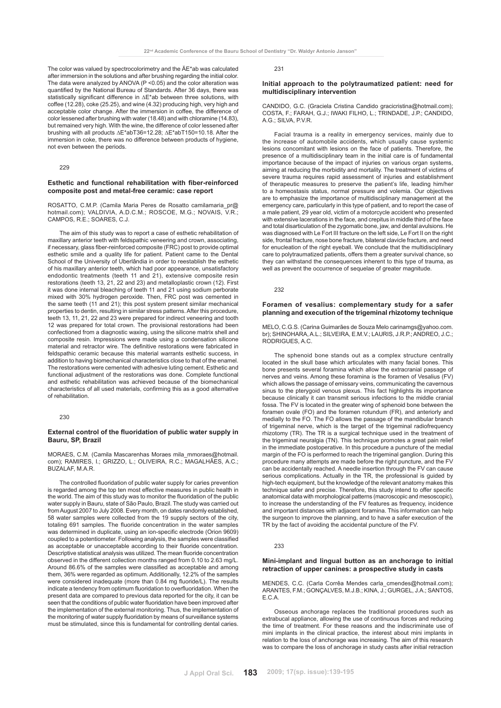The color was valued by spectrocolorimetry and the ÄE\*ab was calculated after immersion in the solutions and after brushing regarding the initial color. The data were analyzed by ANOVA (P <0.05) and the color alteration was quantified by the National Bureau of Standards. After 36 days, there was statistically significant difference in  $\Delta E^*$ ab between three solutions, with coffee (12.28), coke (25.25), and wine (4.32) producing high, very high and acceptable color change. After the immersion in coffee, the difference of color lessened after brushing with water (18.48) and with chloramine (14.83), but remained very high. With the wine, the difference of color lessened after brushing with all products  $\Delta$ E\*abT36=12.28;  $\Delta$ E\*abT150=10.18. After the immersion in coke, there was no difference between products of hygiene, not even between the periods.

### 229

### **Esthetic and functional rehabilitation with fiber-reinforced composite post and metal-free ceramic: case report**

ROSATTO, C.M.P. (Camila Maria Peres de Rosatto camilamaria\_pr@ hotmail.com); VALDIVIA, A.D.C.M.; ROSCOE, M.G.; NOVAIS, V.R.; CAMPOS, R.E.; SOARES, C.J.

The aim of this study was to report a case of esthetic rehabilitation of maxillary anterior teeth with feldspathic veneering and crown, associating, if necessary, glass fiber-reinforced composite (FRC) post to provide optimal esthetic smile and a quality life for patient. Patient came to the Dental School of the University of Uberlândia in order to reestablish the esthetic of his maxillary anterior teeth, which had poor appearance, unsatisfactory endodontic treatments (teeth 11 and 21), extensive composite resin restorations (teeth 13, 21, 22 and 23) and metalloplastic crown (12). First it was done internal bleaching of teeth 11 and 21 using sodium perborate mixed with 30% hydrogen peroxide. Then, FRC post was cemented in the same teeth (11 and 21); this post system present similar mechanical properties to dentin, resulting in similar stress patterns. After this procedure, teeth 13, 11, 21, 22 and 23 were prepared for indirect veneering and tooth 12 was prepared for total crown. The provisional restorations had been confectioned from a diagnostic waxing, using the silicone matrix shell and composite resin. Impressions were made using a condensation silicone material and retractor wire. The definitive restorations were fabricated in feldspathic ceramic because this material warrants esthetic success, in addition to having biomechanical characteristics close to that of the enamel. The restorations were cemented with adhesive luting cement. Esthetic and functional adjustment of the restorations was done. Complete functional and esthetic rehabilitation was achieved because of the biomechanical characteristics of all used materials, confirming this as a good alternative of rehabilitation.

### 230

## **External control of the fluoridation of public water supply in Bauru, SP, Brazil**

MORAES, C.M. (Camila Mascarenhas Moraes mila\_mmoraes@hotmail. com); RAMIRES, I.; GRIZZO, L.; OLIVEIRA, R.C.; MAGALHÃES, A.C.; BUZALAF, M.A.R.

The controlled fluoridation of public water supply for caries prevention is regarded among the top ten most effective measures in public health in the world. The aim of this study was to monitor the fluoridation of the public water supply in Bauru, state of São Paulo, Brazil. The study was carried out from August 2007 to July 2008. Every month, on dates randomly established, 58 water samples were collected from the 19 supply sectors of the city, totaling 691 samples. The fluoride concentration in the water samples was determined in duplicate, using an ion-specific electrode (Orion 9609) coupled to a potentiometer. Following analysis, the samples were classified as acceptable or unacceptable according to their fluoride concentration. Descriptive statistical analysis was utilized. The mean fluoride concentration observed in the different collection months ranged from 0.10 to 2.63 mg/L. Around 86.6% of the samples were classified as acceptable and among them, 36% were regarded as optimum. Additionally, 12.2% of the samples were considered inadequate (more than 0.84 mg fluoride/L). The results indicate a tendency from optimum fluoridation to overfluoridation. When the present data are compared to previous data reported for the city, it can be seen that the conditions of public water fluoridation have been improved after the implementation of the external monitoring. Thus, the implementation of the monitoring of water supply fluoridation by means of surveillance systems must be stimulated, since this is fundamental for controlling dental caries.

#### 231

#### **Initial approach to the polytraumatized patient: need for multidisciplinary intervention**

CANDIDO, G.C. (Graciela Cristina Candido gracicristina@hotmail.com); COSTA, F.; FARAH, G.J.; IWAKI FILHO, L.; TRINDADE, J.P.; CANDIDO, A.G.; SILVA, P.V.R.

Facial trauma is a reality in emergency services, mainly due to the increase of automobile accidents, which usually cause systemic lesions concomitant with lesions on the face of patients. Therefore, the presence of a multidisciplinary team in the initial care is of fundamental importance because of the impact of injuries on various organ systems, aiming at reducing the morbidity and mortality. The treatment of victims of severe trauma requires rapid assessment of injuries and establishment of therapeutic measures to preserve the patient's life, leading him/her to a homeostasis status, normal pressure and volemia. Our objectives are to emphasize the importance of multidisciplinary management at the emergency care, particularly in this type of patient, and to report the case of a male patient, 29 year old, victim of a motorcycle accident who presented with extensive lacerations in the face, and crepitus in middle third of the face and total disarticulation of the zygomatic bone, jaw, and dental avulsions. He was diagnosed with Le Fort III fracture on the left side, Le Fort II on the right side, frontal fracture, nose bone fracture, bilateral clavicle fracture, and need for enucleation of the right eyeball. We conclude that the multidisciplinary care to polytraumatized patients, offers them a greater survival chance, so they can withstand the consequences inherent to this type of trauma, as well as prevent the occurrence of sequelae of greater magnitude.

232

## **Foramen of vesalius: complementary study for a safer planning and execution of the trigeminal rhizotomy technique**

MELO, C.G.S. (Carina Guimarães de Souza Melo carinamgs@yahoo.com. br); SHINOHARA, A.L.; SILVEIRA, E.M.V.; LAURIS, J.R.P.; ANDREO, J.C.; RODRIGUES, A.C.

The sphenoid bone stands out as a complex structure centrally located in the skull base which articulates with many facial bones. This bone presents several foramina which allow the extracranial passage of nerves and veins. Among these foramina is the foramen of Vesalius (FV) which allows the passage of emissary veins, communicating the cavernous sinus to the pterygoid venous plexus. This fact highlights its importance because clinically it can transmit serious infections to the middle cranial fossa. The FV is located in the greater wing of sphenoid bone between the foramen ovale (FO) and the foramen rotundum (FR), and anteriorly and medially to the FO. The FO allows the passage of the mandibular branch of trigeminal nerve, which is the target of the trigeminal radiofrequency rhizotomy (TR). The TR is a surgical technique used in the treatment of the trigeminal neuralgia (TN). This technique promotes a great pain relief in the immediate postoperative. In this procedure a puncture of the medial margin of the FO is performed to reach the trigeminal ganglion. During this procedure many attempts are made before the right puncture, and the FV can be accidentally reached. A needle insertion through the FV can cause serious complications. Actually in the TR, the professional is guided by high-tech equipment, but the knowledge of the relevant anatomy makes this technique safer and precise. Therefore, this study intend to offer specific anatomical data with morphological patterns (macroscopic and mesoscopic), to increase the understanding of the FV features as frequency, incidence and important distances with adjacent foramina. This information can help the surgeon to improve the planning, and to have a safer execution of the TR by the fact of avoiding the accidental puncture of the FV.

#### 233

# **Mini-implant and lingual button as an anchorage to initial retraction of upper canines: a prospective study in casts**

MENDES, C.C. (Carla Corrêa Mendes carla\_cmendes@hotmail.com); ARANTES, F.M.; GONÇALVES, M.J.B.; KINA, J.; GURGEL, J.A.; SANTOS, E.C.A.

Osseous anchorage replaces the traditional procedures such as extrabucal appliance, allowing the use of continuous forces and reducing the time of treatment. For these reasons and the indiscriminate use of mini implants in the clinical practice, the interest about mini implants in relation to the loss of anchorage was increasing. The aim of this research was to compare the loss of anchorage in study casts after initial retraction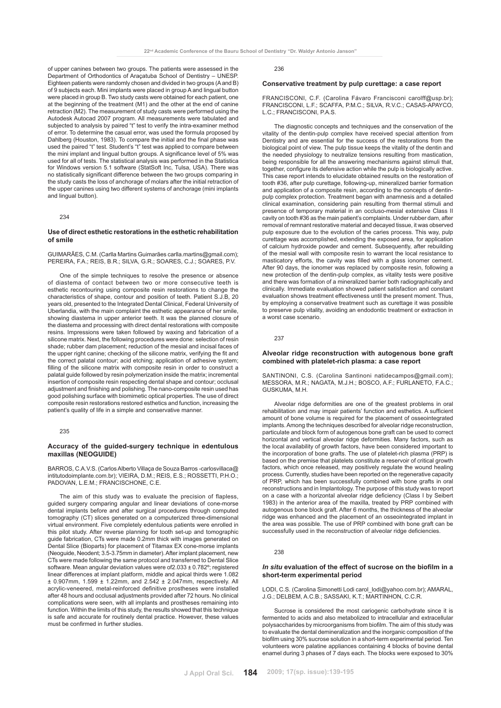of upper canines between two groups. The patients were assessed in the Department of Orthodontics of Araçatuba School of Dentistry – UNESP. Eighteen patients were randomly chosen and divided in two groups (A and B) of 9 subjects each. Mini implants were placed in group A and lingual button were placed in group B. Two study casts were obtained for each patient, one at the beginning of the treatment (M1) and the other at the end of canine retraction (M2). The measurement of study casts were performed using the Autodesk Autocad 2007 program. All measurements were tabulated and subjected to analysis by paired "t" test to verify the intra-examiner method of error. To determine the casual error, was used the formula proposed by Dahlberg (Houston, 1983). To compare the initial and the final phase was used the paired "t" test. Student's "t" test was applied to compare between the mini implant and lingual button groups. A significance level of 5% was used for all of tests. The statistical analysis was performed in the Statistica for Windows version 5.1 software (StatSoft Inc, Tulsa, USA). There was no statistically significant difference between the two groups comparing in the study casts the loss of anchorage of molars after the initial retraction of the upper canines using two different systems of anchorage (mini implants and lingual button).

234

### **Use of direct esthetic restorations in the esthetic rehabilitation of smile**

GUIMARÃES, C.M. (Carlla Martins Guimarães carlla.martins@gmail.com); PEREIRA, F.A.; REIS, B.R.; SILVA, G.R.; SOARES, C.J.; SOARES, P.V.

One of the simple techniques to resolve the presence or absence of diastema of contact between two or more consecutive teeth is esthetic recontouring using composite resin restorations to change the characteristics of shape, contour and position of teeth. Patient S.J.B, 20 years old, presented to the Integrated Dental Clinical, Federal University of Uberlandia, with the main complaint the esthetic appearance of her smile, showing diastema in upper anterior teeth. It was the planned closure of the diastema and processing with direct dental restorations with composite resins. Impressions were taken followed by waxing and fabrication of a silicone matrix. Next, the following procedures were done: selection of resin shade; rubber dam placement; reduction of the mesial and incisal faces of the upper right canine; checking of the silicone matrix, verifying the fit and the correct palatal contour; acid etching; application of adhesive system; filling of the silicone matrix with composite resin in order to construct a palatal guide followed by resin polymerization inside the matrix; incremental insertion of composite resin respecting dental shape and contour; occlusal adjustment and finishing and polishing. The nano-composite resin used has good polishing surface with biomimetic optical properties. The use of direct composite resin restorations restored esthetics and function, increasing the patient's quality of life in a simple and conservative manner.

#### 235

# **Accuracy of the guided-surgery technique in edentulous maxillas (NEOGUIDE)**

BARROS, C.A.V.S. (Carlos Alberto Villaça de Souza Barros -carlosvillaca@ intitutodoimplante.com.br); VIEIRA, D.M.; REIS, E.S.; ROSSETTI, P.H.O.; PADOVAN, L.E.M.; FRANCISCHONE, C.E.

The aim of this study was to evaluate the precision of flapless, guided surgery comparing angular and linear deviations of cone-morse dental implants before and after surgical procedures through computed tomography (CT) slices generated on a computerized three-dimensional virtual environment. Five completely edentulous patients were enrolled in this pilot study. After reverse planning for tooth set-up and tomographic guide fabrication, CTs were made 0.2mm thick with images generated on Dental Slice (Bioparts) for placement of Titamax EX cone-morse implants (Neoguide, Neodent; 3.5-3.75mm in diameter). After implant placement, new CTs were made following the same protocol and transferred to Dental Slice software. Mean angular deviation values were of 2033 + 0.782<sup>°</sup>; registered linear differences at implant platform, middle and apical thirds were 1.082 ± 0.907mm, 1.599 ± 1.22mm, and 2.542 ± 2.047mm, respectively. All acrylic-veneered, metal-reinforced definitive prostheses were installed after 48 hours and occlusal adjustments provided after 72 hours. No clinical complications were seen, with all implants and prostheses remaining into function. Within the limits of this study, the results showed that this technique is safe and accurate for routinely dental practice. However, these values must be confirmed in further studies.

#### 236

#### **Conservative treatment by pulp curettage: a case report**

FRANCISCONI, C.F. (Carolina Fávaro Francisconi carolff@usp.br); FRANCISCONI, L.F.; SCAFFA, P.M.C.; SILVA, R.V.C.; CASAS-APAYCO, L.C.; FRANCISCONI, P.A.S.

The diagnostic concepts and techniques and the conservation of the vitality of the dentin-pulp complex have received special attention from Dentistry and are essential for the success of the restorations from the biological point of view. The pulp tissue keeps the vitality of the dentin and the needed physiology to neutralize tensions resulting from mastication, being responsible for all the answering mechanisms against stimuli that, together, configure its defensive action while the pulp is biologically active. This case report intends to elucidate obtained results on the restoration of tooth #36, after pulp curettage, following-up, mineralized barrier formation and application of a composite resin, according to the concepts of dentinpulp complex protection. Treatment began with anamnesis and a detailed clinical examination, considering pain resulting from thermal stimuli and presence of temporary material in an occluso-mesial extensive Class II cavity on tooth #36 as the main patient's complaints. Under rubber dam, after removal of remnant restorative material and decayed tissue, it was observed pulp exposure due to the evolution of the caries process. This way, pulp curettage was accomplished, extending the exposed area, for application of calcium hydroxide powder and cement. Subsequently, after rebuilding of the mesial wall with composite resin to warrant the local resistance to masticatory efforts, the cavity was filled with a glass ionomer cement. After 90 days, the ionomer was replaced by composite resin, following a new protection of the dentin-pulp complex, as vitality tests were positive and there was formation of a mineralized barrier both radiographically and clinically. Immediate evaluation showed patient satisfaction and constant evaluation shows treatment effectiveness until the present moment. Thus, by employing a conservative treatment such as curettage it was possible to preserve pulp vitality, avoiding an endodontic treatment or extraction in a worst case scenario.

#### 237

## **Alveolar ridge reconstruction with autogenous bone graft combined with platelet-rich plasma: a case report**

SANTINONI, C.S. (Carolina Santinoni natidecampos@gmail.com); MESSORA, M.R.; NAGATA, M.J.H.; BOSCO, A.F.; FURLANETO, F.A.C.; GUSKUMA, M.H.

Alveolar ridge deformities are one of the greatest problems in oral rehabilitation and may impair patients' function and esthetics. A sufficient amount of bone volume is required for the placement of osseointegrated implants. Among the techniques described for alveolar ridge reconstruction, particulate and block form of autogenous bone graft can be used to correct horizontal and vertical alveolar ridge deformities. Many factors, such as the local availability of growth factors, have been considered important to the incorporation of bone grafts. The use of platelet-rich plasma (PRP) is based on the premise that platelets constitute a reservoir of critical growth factors, which once released, may positively regulate the wound healing process. Currently, studies have been reported on the regenerative capacity of PRP, which has been successfully combined with bone grafts in oral reconstructions and in Implantology. The purpose of this study was to report on a case with a horizontal alveolar ridge deficiency (Class I by Seibert 1983) in the anterior area of the maxilla, treated by PRP combined with autogenous bone block graft. After 6 months, the thickness of the alveolar ridge was enhanced and the placement of an osseointegrated implant in the area was possible. The use of PRP combined with bone graft can be successfully used in the reconstruction of alveolar ridge deficiencies.

## 238

# *In situ* **evaluation of the effect of sucrose on the biofilm in a short-term experimental period**

LODI, C.S. (Carolina Simonetti Lodi carol\_lodi@yahoo.com.br); AMARAL, J.G.; DELBEM, A.C.B.; SASSAKI, K.T.; MARTINHON, C.C.R.

Sucrose is considered the most cariogenic carbohydrate since it is fermented to acids and also metabolized to intracellular and extracellular polysaccharides by microorganisms from biofilm. The aim of this study was to evaluate the dental demineralization and the inorganic composition of the biofilm using 30% sucrose solution in a short-term experimental period. Ten volunteers wore palatine appliances containing 4 blocks of bovine dental enamel during 3 phases of 7 days each. The blocks were exposed to 30%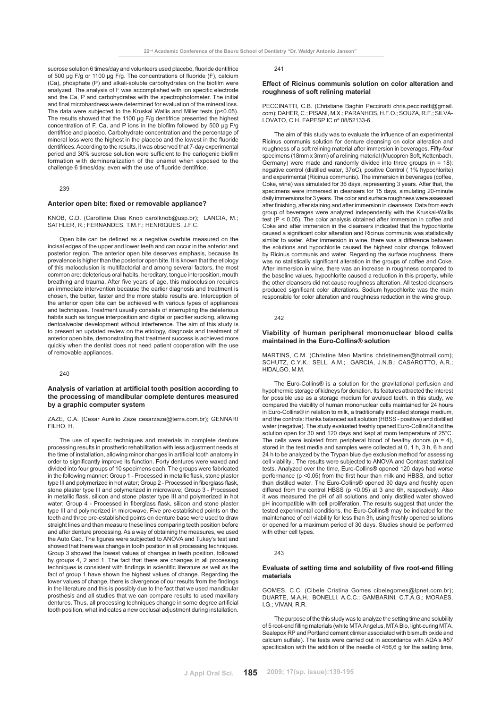sucrose solution 6 times/day and volunteers used placebo, fluoride dentifrice of 500 µg F/g or 1100 µg F/g. The concentrations of fluoride (F), calcium (Ca), phosphate (P) and alkali-soluble carbohydrates on the biofilm were analyzed. The analysis of F was accomplished with ion specific electrode and the Ca, P and carbohydrates with the spectrophotometer. The initial and final microhardness were determined for evaluation of the mineral loss. The data were subjected to the Kruskal Wallis and Miller tests (p<0.05). The results showed that the 1100 µg F/g dentifrice presented the highest concentration of F, Ca, and P ions in the biofilm followed by 500 µg F/g dentifrice and placebo. Carbohydrate concentration and the percentage of mineral loss were the highest in the placebo and the lowest in the fluoride dentifrices. According to the results, it was observed that 7-day experimental period and 30% sucrose solution were sufficient to the cariogenic biofilm formation with demineralization of the enamel when exposed to the challenge 6 times/day, even with the use of fluoride dentifrice.

#### 239

#### **Anterior open bite: fixed or removable appliance?**

KNOB, C.D. (Carollinie Dias Knob carolknob@usp.br); LANCIA, M.; SATHLER, R.; FERNANDES, T.M.F.; HENRIQUES, J.F.C.

Open bite can be defined as a negative overbite measured on the incisal edges of the upper and lower teeth and can occur in the anterior and posterior region. The anterior open bite deserves emphasis, because its prevalence is higher than the posterior open bite. It is known that the etiology of this malocclusion is multifactorial and among several factors, the most common are: deleterious oral habits, hereditary, tongue interposition, mouth breathing and trauma. After five years of age, this malocclusion requires an immediate intervention because the earlier diagnosis and treatment is chosen, the better, faster and the more stable results are. Interception of the anterior open bite can be achieved with various types of appliances and techniques. Treatment usually consists of interrupting the deleterious habits such as tongue interposition and digital or pacifier sucking, allowing dentoalveolar development without interference. The aim of this study is to present an updated review on the etiology, diagnosis and treatment of anterior open bite, demonstrating that treatment success is achieved more quickly when the dentist does not need patient cooperation with the use of removable appliances.

### 240

## **Analysis of variation at artificial tooth position according to the processing of mandibular complete dentures measured by a graphic computer system**

ZAZE, C.A. (Cesar Aurélio Zaze cesarzaze@terra.com.br); GENNARI FILHO, H.

The use of specific techniques and materials in complete denture processing results in prosthetic rehabilitation with less adjustment needs at the time of installation, allowing minor changes in artificial tooth anatomy in order to significantly improve its function. Forty dentures were waxed and divided into four groups of 10 specimens each. The groups were fabricated in the following manner: Group 1 - Processed in metallic flask, stone plaster type III and polymerized in hot water; Group 2 - Processed in fiberglass flask, stone plaster type III and polymerized in microwave; Group 3 - Processed in metallic flask, silicon and stone plaster type III and polymerized in hot water; Group 4 - Processed in fiberglass flask, silicon and stone plaster type III and polymerized in microwave. Five pre-established points on the teeth and three pre-established points on denture base were used to draw straight lines and than measure these lines comparing teeth position before and after denture processing. As a way of obtaining the measures, we used the Auto Cad. The figures were subjected to ANOVA and Tukey's test and showed that there was change in tooth position in all processing techniques. Group 3 showed the lowest values of changes in teeth position, followed by groups 4, 2 and 1. The fact that there are changes in all processing techniques is consistent with findings in scientific literature as well as the fact of group 1 have shown the highest values of change. Regarding the lower values of change, there is divergence of our results from the findings in the literature and this is possibly due to the fact that we used mandibular prosthesis and all studies that we can compare results to used maxillary dentures. Thus, all processing techniques change in some degree artificial tooth position, what indicates a new occlusal adjustment during installation.

#### 241

#### **Effect of Ricinus communis solution on color alteration and roughness of soft relining material**

PECCINATTI, C.B. (Christiane Baghin Peccinatti chris.peccinatti@gmail. com); DAHER, C.; PISANI, M.X.; PARANHOS, H.F.O.; SOUZA, R.F.; SILVA-LOVATO, C.H. FAPESP IC nº 08/52133-6

The aim of this study was to evaluate the influence of an experimental Ricinus communis solution for denture cleansing on color alteration and roughness of a soft relining material after immersion in beverages. Fifty-four specimens (18mm x 3mm) of a relining material (Mucopren Soft, Kettenbach, Germany) were made and randomly divided into three groups (n = 18): negative control (distilled water, 37oC), positive Control ( 1% hypochlorite) and experimental (Ricinus communis). The immersion in beverages (coffee, Coke, wine) was simulated for 36 days, representing 3 years. After that, the specimens were immersed in cleansers for 15 days, simulating 20-minute daily immersions for 3 years. The color and surface roughness were assessed after finishing, after staining and after immersion in cleansers. Data from each group of beverages were analyzed independently with the Kruskal-Wallis test  $(P < 0.05)$ . The color analysis obtained after immersion in coffee and Coke and after immersion in the cleansers indicated that the hypochlorite caused a significant color alteration and Ricinus communis was statistically similar to water. After immersion in wine, there was a difference between the solutions and hypochlorite caused the highest color change, followed by Ricinus communis and water. Regarding the surface roughness, there was no statistically significant alteration in the groups of coffee and Coke. After immersion in wine, there was an increase in roughness compared to the baseline values, hypochlorite caused a reduction in this property, while the other cleansers did not cause roughness alteration. All tested cleansers produced significant color alterations. Sodium hypochlorite was the main responsible for color alteration and roughness reduction in the wine group.

## 242

## **Viability of human peripheral mononuclear blood cells maintained in the Euro-Collins® solution**

MARTINS, C.M. (Christine Men Martins christinemen@hotmail.com); SCHUTZ, C.Y.K.; SELL, A.M.; GARCIA, J.N.B.; CASAROTTO, A.R.; HIDALGO, M.M.

The Euro-Collins® is a solution for the gravitational perfusion and hypothermic storage of kidneys for donation. Its features attracted the interest for possible use as a storage medium for avulsed teeth. In this study, we compared the viability of human mononuclear cells maintained for 24 hours in Euro-Collins® in relation to milk, a traditionally indicated storage medium, and the controls: Hanks balanced salt solution (HBSS - positive) and distilled water (negative). The study evaluated freshly opened Euro-Collins® and the solution open for 30 and 120 days and kept at room temperature of 25°C. The cells were isolated from peripheral blood of healthy donors  $(n = 4)$ , stored in the test media and samples were collected at 0, 1 h, 3 h, 6 h and 24 h to be analyzed by the Trypan blue dye exclusion method for assessing cell viability.. The results were subjected to ANOVA and Contrast statistical tests. Analyzed over the time, Euro-Collins® opened 120 days had worse performance (p <0.05) from the first hour than milk and HBSS, and better than distilled water. The Euro-Collins® opened 30 days and freshly open differed from the control HBSS (p <0.05) at 3 and 6h, respectively. Also it was measured the pH of all solutions and only distilled water showed pH incompatible with cell proliferation. The results suggest that under the tested experimental conditions, the Euro-Collins® may be indicated for the maintenance of cell viability for less than 3h, using freshly opened solutions or opened for a maximum period of 30 days. Studies should be performed with other cell types.

# 243

## **Evaluate of setting time and solubility of five root-end filling materials**

GOMES, C.C. (Cibele Cristina Gomes cibelegomes@lpnet.com.br); DUARTE, M.A.H.; BONELLI, A.C.C.; GAMBARINI, C.T.A.G.; MORAES, I.G. VIVAN, R.R.

The purpose of the this study was to analyze the setting time and solubility of 5 root-end filling materials (white MTA Angelus, MTA Bio, light-curing MTA, Sealepox RP and Portland cement clinker associated with bismuth oxide and calcium sulfate). The tests were carried out in accordance with ADA's #57 specification with the addition of the needle of 456,6 g for the setting time,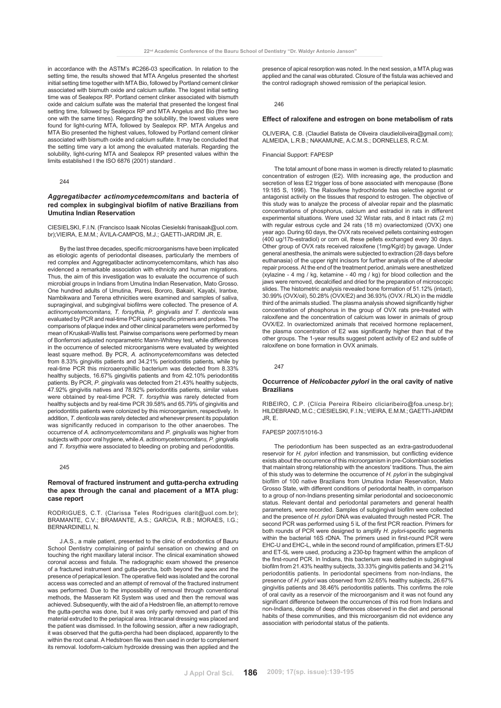in accordance with the ASTM's #C266-03 specification. In relation to the setting time, the results showed that MTA Angelus presented the shortest initial setting time together with MTA Bio, followed by Portland cement clinker associated with bismuth oxide and calcium sulfate. The logest initial setting time was of Sealepox RP. Portland cement clinker associated with bismuth oxide and calcium sulfate was the material that presented the longest final setting time, followed by Sealepox RP and MTA Angelus and Bio (thre two one with the same times). Regarding the solubility, the lowest values were found for light-curing MTA, followed by Sealepox RP. MTA Angelus and MTA Bio presented the highest values, followed by Portland cement clinker associated with bismuth oxide and calcium sulfate. It may be concluded that the setting time vary a lot among the evaluated materials. Regarding the solubility, light-curing MTA and Sealepox RP presented values within the limits established I the ISO 6876 (2001) standard .

#### 244

## *Aggregatibacter actinomycetemcomitans* **and bacteria of red complex in subgingival biofilm of native Brazilians from Umutina Indian Reservation**

CIESIELSKI, F.I.N. (Francisco Isaak Nícolas Ciesielski franisaak@uol.com. br);VIEIRA, E.M.M.; ÁVILA-CAMPOS, M.J.; GAETTI-JARDIM JR, E.

By the last three decades, specific microorganisms have been implicated as etiologic agents of periodontal diseases, particularly the members of red complex and Aggregatibacter actinomycetemcomitans, which has also evidenced a remarkable association with ethnicity and human migrations. Thus, the aim of this investigation was to evaluate the occurrence of such microbial groups in Indians from Umutina Indian Reservation, Mato Grosso. One hundred adults of Umutina, Paresi, Bororo, Bakairi, Kayabi, Irantxe, Nambikwara and Terena ethnicities were examined and samples of saliva, supragingival, and subgingival biofilms were collected. The presence of *A. actinomycetemcomitans, T. forsythia, P. gingivalis and T. denticola* was evaluated by PCR and real-time PCR using specific primers and probes. The comparisons of plaque index and other clinical parameters were performed by mean of Kruskall-Wallis test. Pairwise comparisons were performed by mean of Bonferroni adjusted nonparametric Mann-Whitney test, while differences in the occurrence of selected microorganisms were evaluated by weighted least square method. By PCR, *A. actinomycetemcomitans* was detected from 8.33% gingivitis patients and 34.21% periodontitis patients, while by real-time PCR this microaerophillic bacterium was detected from 8.33% healthy subjects, 16.67% gingivitis patients and from 42.10% periodontitis patients. By PCR, *P. gingivalis* was detected from 21.43% healthy subjects, 47.92% gingivitis natives and 78.92% periodontitis patients, similar values were obtained by real-time PCR. *T. forsythia* was rarely detected from healthy subjects and by real-time PCR 39.58% and 65.79% of gingivitis and periodontitis patients were colonized by this microorganism, respectively. In addition, *T. denticola* was rarely detected and whenever present its population was significantly reduced in comparison to the other anaerobes. The occurrence of *A. actinomycetemcomitans* and *P. gingivalis* was higher from subjects with poor oral hygiene, while *A. actinomycetemcomitans, P. gingiva*lis and *T. forsythia* were associated to bleeding on probing and periodontitis.

## 245

## **Removal of fractured instrument and gutta-percha extruding the apex through the canal and placement of a MTA plug: case report**

RODRIGUES, C.T. (Clarissa Teles Rodrigues clarit@uol.com.br); BRAMANTE, C.V.; BRAMANTE, A.S.; GARCIA, R.B.; MORAES, I.G.; BERNARDINELL N.

J.A.S., a male patient, presented to the clinic of endodontics of Bauru School Dentistry complaining of painful sensation on chewing and on touching the right maxillary lateral incisor. The clinical examination showed coronal access and fistula. The radiographic exam showed the presence of a fractured instrument and gutta-percha, both beyond the apex and the presence of periapical lesion. The operative field was isolated and the coronal access was corrected and an attempt of removal of the fractured instrument was performed. Due to the impossibility of removal through conventional methods, the Masseram Kit System was used and then the removal was achieved. Subsequently, with the aid of a Hedstroen file, an attempt to remove the gutta-percha was done, but it was only partly removed and part of this material extruded to the periapical area. Intracanal dressing was placed and the patient was dismissed. In the following session, after a new radiograph, it was observed that the gutta-percha had been displaced, apparently to the within the root canal. A Hedstroen file was then used in order to complement its removal. Iodoform-calcium hydroxide dressing was then applied and the

presence of apical resorption was noted. In the next session, a MTA plug was applied and the canal was obturated. Closure of the fistula was achieved and the control radiograph showed remission of the periapical lesion.

### 246

#### **Effect of raloxifene and estrogen on bone metabolism of rats**

OLIVEIRA, C.B. (Claudiel Batista de Oliveira claudieloliveira@gmail.com); ALMEIDA, L.R.B.; NAKAMUNE, A.C.M.S.; DORNELLES, R.C.M.

#### Financial Support: FAPESP

The total amount of bone mass in women is directly related to plasmatic concentration of estrogen (E2). With increasing age, the production and secretion of less E2 trigger loss of bone associated with menopause (Bone 19:185 S, 1996). The Raloxifene hydrochloride has selective agonist or antagonist activity on the tissues that respond to estrogen. The objective of this study was to analyze the process of alveolar repair and the plasmatic concentrations of phosphorus, calcium and estradiol in rats in different experimental situations. Were used 32 Wistar rats, and 8 intact rats (2 m) with regular estrous cycle and 24 rats (18 m) ovariectomized (OVX) one year ago. During 60 days, the OVX rats received pellets containing estrogen (400 ug/17b-estradiol) or corn oil, these pellets exchanged every 30 days. Other group of OVX rats received raloxifene (1mg/Kg/d) by gavage. Under general anesthesia, the animals were subjected to extraction (28 days before euthanasia) of the upper right incisors for further analysis of the of alveolar repair process. At the end of the treatment period, animals were anesthetized (xylazine - 4 mg / kg, ketamine - 40 mg / kg) for blood collection and the jaws were removed, decalcified and dried for the preparation of microscopic slides. The histometric analysis revealed bone formation of 51.12% (intact), 30.99% (OVX/oil), 50.28% (OVX/E2) and 36.93% (OVX / RLX) in the middle third of the animals studied. The plasma analysis showed significantly higher concentration of phosphorus in the group of OVX rats pre-treated with raloxifene and the concentration of calcium was lower in animals of group OVX/E2. In ovariectomized animals that received hormone replacement, the plasma concentration of E2 was significantly higher than that of the other groups. The 1-year results suggest potent activity of E2 and subtle of raloxifene on bone formation in OVX animals.

## 247

### **Occurrence of** *Helicobacter pylori* **in the oral cavity of native Brazilians**

RIBEIRO, C.P. (Clícia Pereira Ribeiro cliciaribeiro@foa.unesp.br); HILDEBRAND, M.C.; CIESIELSKI, F.I.N.; VIEIRA, E.M.M.; GAETTI-JARDIM JR, E.

#### FAPESP 2007/51016-3

The periodontium has been suspected as an extra-gastroduodenal reservoir for *H. pylori* infection and transmission, but conflicting evidence exists about the occurrence of this microorganism in pre-Colombian societies that maintain strong relationship with the ancestors' traditions. Thus, the aim of this study was to determine the occurrence of *H. pylori* in the subgingival biofilm of 100 native Brazilians from Umutina Indian Reservation, Mato Grosso State, with different conditions of periodontal health, in comparison to a group of non-Indians presenting similar periodontal and socioeconomic status. Relevant dental and periodontal parameters and general health parameters, were recorded. Samples of subgingival biofilm were collected and the presence of *H. pylori* DNA was evaluated through nested PCR. The second PCR was performed using 5 ìL of the first PCR reaction. Primers for both rounds of PCR were designed to amplify *H. pylori*-specific segments within the bacterial 16S rDNA. The primers used in first-round PCR were EHC-U and EHC-L, while in the second round of amplification, primers ET-5U and ET-5L were used, producing a 230-bp fragment within the amplicon of the first-round PCR. In Indians, this bacterium was detected in subgingival biofilm from 21.43% healthy subjects, 33.33% gingivitis patients and 34.21% periodontitis patients. In periodontal specimens from non-Indians, the presence of *H. pylori* was observed from 32.65% healthy subjects, 26.67% gingivitis patients and 38.46% periodontitis patients. This confirms the role of oral cavity as a reservoir of the microorganism and it was not found any significant difference between the occurrences of this rod from Indians and non-Indians, despite of deep differences observed in the diet and personal habits of these communities, and this microorganism did not evidence any association with periodontal status of the patients.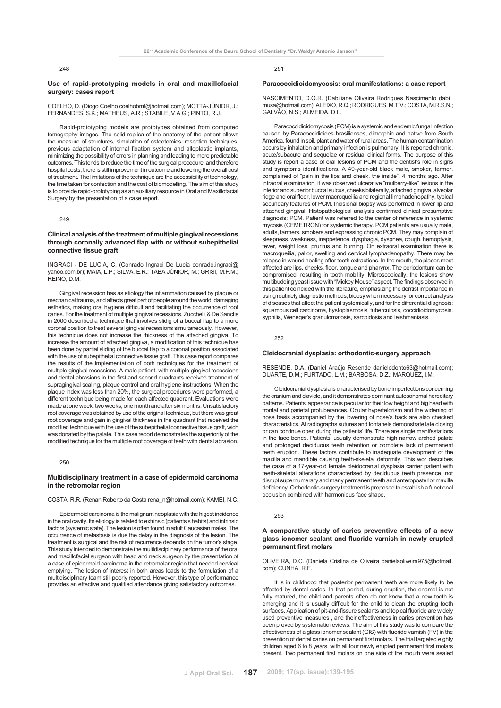#### **Use of rapid-prototyping models in oral and maxillofacial surgery: cases report**

#### COELHO, D. (Diogo Coelho coelhobmf@hotmail.com); MOTTA-JÚNIOR, J.; FERNANDES, S.K.; MATHEUS, A.R.; STABILE, V.A.G.; PINTO, R.J.

Rapid-prototyping models are prototypes obtained from computed tomography images. The solid replica of the anatomy of the patient allows the measure of structures, simulation of osteotomies, resection techniques, previous adaptation of internal fixation system and alloplastic implants, minimizing the possibility of errors in planning and leading to more predictable outcomes. This tends to reduce the time of the surgical procedure, and therefore hospital costs, there is still improvement in outcome and lowering the overall cost of treatment. The limitations of the technique are the accessibility of technology, the time taken for confection and the cost of biomodelling. The aim of this study is to provide rapid-prototyping as an auxiliary resource in Oral and Maxillofacial Surgery by the presentation of a case report.

### 249

## **Clinical analysis of the treatment of multiple gingival recessions through coronally advanced flap with or without subepithelial connective tissue graft**

INGRACI - DE LUCIA, C. (Conrado Ingraci De Lucia conrado.ingraci@ yahoo.com.br); MAIA, L.P.; SILVA, E.R.; TABA JÚNIOR, M.; GRISI, M.F.M.; REINO, D.M.

Gingival recession has as etiology the inflammation caused by plaque or mechanical trauma, and affects great part of people around the world, damaging esthetics, making oral hygiene difficult and facilitating the occurrence of root caries. For the treatment of multiple gingival recessions, Zucchelli & De Sanctis in 2000 described a technique that involves slidig of a buccal flap to a more coronal position to treat several gingival recessions simultaneously. However, this technique does not increase the thickness of the attached gingiva. To increase the amount of attached gingiva, a modification of this technique has been done by partial sliding of the buccal flap to a coronal position associated with the use of subepithelial connective tissue graft. This case report compares the results of the implementation of both techniques for the treatment of multiple gingival recessions. A male patient, with multiple gingival recessions and dental abrasions in the first and second quadrants received treatment of supragingival scaling, plaque control and oral hygiene instructions. When the plaque index was less than 20%, the surgical procedures were performed, a different technique being made for each affected quadrant. Evaluations were made at one week, two weeks, one month and after six months. Unsatisfactory root coverage was obtained by use of the original technique, but there was great root coverage and gain in gingival thickness in the quadrant that received the modified technique with the use of the subepithelial connective tissue graft, wich was donated by the palate. This case report demonstrates the superiority of the modified technique for the multiple root coverage of teeth with dental abrasion.

#### 250

### **Multidisciplinary treatment in a case of epidermoid carcinoma in the retromolar region**

## COSTA, R.R. (Renan Roberto da Costa rena\_n@hotmail.com); KAMEI, N.C.

Epidermoid carcinoma is the malignant neoplasia with the higest incidence in the oral cavity. Its etiology is related to extrinsic (patients's habits) and intrinsic factors (systemic state). The lesion is often found in adult Caucasian males. The occurrence of metastasis is due the delay in the diagnosis of the lesion. The treatment is surgical and the risk of recurrence depends on the tumor's stage. This study intended to demonstrate the multidisciplinary performance of the oral and maxillofacial surgeon with head and neck surgeon by the presentation of a case of epidermoid carcinoma in the retromolar region that needed cervical emptying. The lesion of interest in both areas leads to the formulation of a multidisciplinary team still poorly reported. However, this type of performance provides an effective and qualified attendance giving satisfactory outcomes.

#### 251

#### **Paracoccidioidomycosis: oral manifestations: a case report**

NASCIMENTO, D.O.R. (Dabiliane Oliveira Rodrigues Nascimento dabi\_ musa@hotmail.com); ALEIXO, R.Q.; RODRIGUES, M.T.V.; COSTA, M.R.S.N.; GALVÃO, N.S.; ALMEIDA, D.L.

Paracoccidioidomycosis (PCM) is a systemic and endemic fungal infection caused by Paracoccidioides brasilienses, dimorphic and native from South America, found in soil, plant and water of rural areas. The human contamination occurs by inhalation and primary infection is pulmonary. It is reported chronic, acute/subacute and sequelae or residual clinical forms. The purpose of this study is report a case of oral lesions of PCM and the dentist's role in signs and symptoms identifications. A 49-year-old black male, smoker, farmer, complained of "pain in the lips and cheek, the inside", 4 months ago. After intraoral examination, it was observed ulcerative "mulberry-like" lesions in the inferior and superior buccal sulcus, cheeks bilaterally, attached gingiva, alveolar ridge and oral floor, lower macroqueilia and regional limphadenopathy, typical secundary features of PCM. Incisional biopsy was performed in lower lip and attached gingival. Histopathological analysis confirmed clinical presumptive diagnosis: PCM. Patient was referred to the center of reference in systemic mycosis (CEMETRON) for systemic therapy. PCM patients are usually male, adults, farmers, smokers and expressing chronic PCM. They may complain of sleepness, weakness, inappetence, dysphagia, dyspnea, cough, hemoptysis, fever, weight loss, pruritus and burning. On extraoral examination there is macroqueilia, pallor, swelling and cervical lymphadenopathy. There may be relapse in wound healing after tooth extractions. In the mouth, the places most affected are lips, cheeks, floor, tongue and pharynx. The periodontum can be compromised, resulting in tooth mobility. Microscopically, the lesions show multibudding yeast issue with "Mickey Mouse" aspect. The findings observed in this patient coincided with the literature, emphasizing the dentist importance in using routinely diagnostic methods, biopsy when necessary for correct analysis of diseases that affect the patient systemically, and for the differential diagnosis: squamous cell carcinoma, hystoplasmosis, tuberculosis, coccidioidomycosis, syphilis, Weneger's granulomatosis, sarcoidosis and leishmaniasis.

## 252

### **Cleidocranial dysplasia: orthodontic-surgery approach**

RESENDE, D.A. (Daniel Araújo Resende danielodonto63@hotmail.com); DUARTE, D.M.; FURTADO, L.M.; BARBOSA, D.Z.; MARQUEZ, I.M.

Cleidocranial dysplasia is characterised by bone imperfections concerning the cranium and clavicle, and it demonstrates dominant autosonomal hereditary patterns. Patients' appearance is peculiar for their low height and big head with frontal and parietal protuberances. Ocular hypertelorism and the widening of nose basis accompanied by the lowering of nose's back are also checked characteristics. At radiographs sutures and fontanels demonstrate late closing or can continue open during the patients' life. There are single manifestations in the face bones. Patients' usually demonstrate high narrow arched palate and prolonged deciduous teeth retention or complete lack of permanent teeth eruption. These factors contribute to inadequate development of the maxilla and mandible causing teeth-skeletal deformity. This wor describes the case of a 17-year-old female cleidocranial dysplasia carrier patient with teeth-skeletal alterations characterised by deciduous teeth presence, not disrupt supernumerary and many permanent teeth and anteroposterior maxilla deficiency. Orthodontic-surgery treatment is proposed to establish a functional occlusion combined with harmonious face shape.

#### 253

## **A comparative study of caries preventive effects of a new glass ionomer sealant and fluoride varnish in newly erupted permanent first molars**

OLIVEIRA, D.C. (Daniela Cristina de Oliveira danielaoliveira975@hotmail. com); CUNHA, R.F.

It is in childhood that posterior permanent teeth are more likely to be affected by dental caries. In that period, during eruption, the enamel is not fully matured, the child and parents often do not know that a new tooth is emerging and it is usually difficult for the child to clean the erupting tooth surfaces. Application of pit-and-fissure sealants and topical fluoride are widely used preventive measures , and their effectiveness in caries prevention has been proved by systematic reviews. The aim of this study was to compare the effectiveness of a glass ionomer sealant (GIS) with fluoride varnish (FV) in the prevention of dental caries on permanent first molars. The trial targeted eighty children aged 6 to 8 years, with all four newly erupted permanent first molars present. Two permanent first molars on one side of the mouth were sealed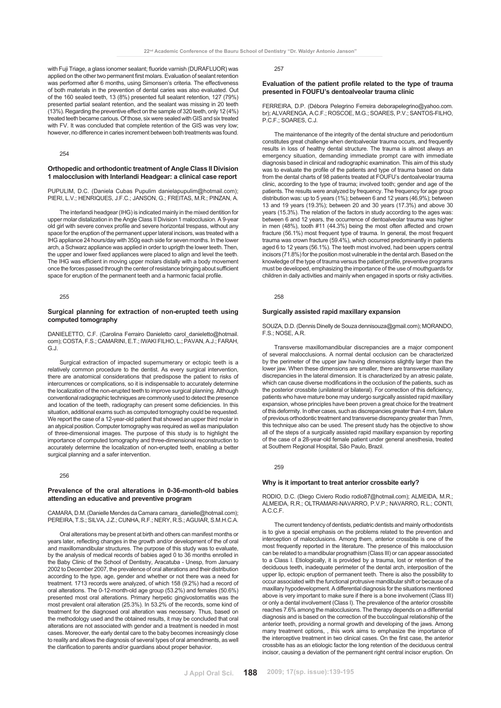with Fuji Triage, a glass ionomer sealant; fluoride varnish (DURAFLUOR) was applied on the other two permanent first molars. Evaluation of sealant retention was performed after 6 months, using Simonsen's criteria. The effectiveness of both materials in the prevention of dental caries was also evaluated. Out of the 160 sealed teeth, 13 (8%) presented full sealant retention, 127 (79%) presented partial sealant retention, and the sealant was missing in 20 teeth (13%). Regarding the preventive effect on the sample of 320 teeth, only 12 (4%) treated teeth became carious. Of those, six were sealed with GIS and six treated with FV. It was concluded that complete retention of the GIS was very low; however, no difference in caries increment between both treatments was found.

### 254

## **Orthopedic and orthodontic treatment of Angle Class II Division 1 malocclusion with Interlandi Headgear: a clinical case report**

PUPULIM, D.C. (Daniela Cubas Pupulim danielapupulim@hotmail.com); PIERI, L.V.; HENRIQUES, J.F.C.; JANSON, G.; FREITAS, M.R.; PINZAN, A.

The interlandi headgear (IHG) is indicated mainly in the mixed dentition for upper molar distalization in the Angle Class II Division 1 malocclusion. A 9-year old girl with severe convex profile and severe horizontal trespass, without any space for the eruption of the permanent upper lateral incisors, was treated with a IHG appliance 24 hours/day with 350g each side for seven months. In the lower arch, a Schwarz appliance was applied in order to uprigth the lower teeth. Then, the upper and lower fixed appliances were placed to align and level the teeth. The IHG was efficient in moving upper molars distally with a body movement once the forces passed through the center of resistance bringing about sufficient space for eruption of the permanent teeth and a harmonic facial profile.

#### 255

## **Surgical planning for extraction of non-erupted teeth using computed tomography**

DANIELETTO, C.F. (Carolina Ferrairo Danieletto carol\_danieletto@hotmail. com); COSTA, F.S.; CAMARINI, E.T.; IWAKI FILHO, L.; PAVAN, A.J.; FARAH, G.J.

Surgical extraction of impacted supernumerary or ectopic teeth is a relatively common procedure to the dentist. As every surgical intervention, there are anatomical considerations that predispose the patient to risks of intercurrences or complications, so it is indispensable to accurately determine the localization of the non-erupted teeth to improve surgical planning. Although conventional radiographic techniques are commonly used to detect the presence and location of the teeth, radiography can present some deficiencies. In this situation, additional exams such as computed tomography could be requested. We report the case of a 12-year-old patient that showed an upper third molar in an atypical position. Computer tomography was required as well as manipulation of three-dimensional images. The purpose of this study is to highlight the importance of computed tomography and three-dimensional reconstruction to accurately determine the localization of non-erupted teeth, enabling a better surgical planning and a safer intervention.

#### 256

# **Prevalence of the oral alterations in 0-36-month-old babies attending an educative and preventive program**

### CAMARA, D.M. (Danielle Mendes da Camara camara\_danielle@hotmail.com); PEREIRA, T.S.; SILVA, J.Z.; CUNHA, R.F.; NERY, R.S.; AGUIAR, S.M.H.C.A.

Oral alterations may be present at birth and others can manifest months or years later, reflecting changes in the growth and/or development of the of oral and maxillomandibular structures. The purpose of this study was to evaluate, by the analysis of medical records of babies aged 0 to 36 months enrolled in the Baby Clinic of the School of Dentistry, Aracatuba - Unesp, from January 2002 to December 2007, the prevalence of oral alterations and their distribution according to the type, age, gender and whether or not there was a need for treatment. 1713 records were analyzed, of which 158 (9.2%) had a record of oral alterations. The 0-12-month-old age group (53.2%) and females (50.6%) presented most oral alterations. Primary herpetic gingivostomatitis was the most prevalent oral alteration (25.3%). In 53.2% of the records, some kind of treatment for the diagnosed oral alteration was necessary. Thus, based on the methodology used and the obtained results, it may be concluded that oral alterations are not associated with gender and a treatment is needed in most cases. Moreover, the early dental care to the baby becomes increasingly close to reality and allows the diagnosis of several types of oral amendments, as well the clarification to parents and/or guardians about proper behavior.

#### 257

### **Evaluation of the patient profile related to the type of trauma presented in FOUFU's dentoalveolar trauma clinic**

FERREIRA, D.P. (Débora Pelegrino Ferreira deborapelegrino@yahoo.com. br); ALVARENGA, A.C.F.; ROSCOE, M.G.; SOARES, P.V.; SANTOS-FILHO, P.C.F.; SOARES, C.J.

The maintenance of the integrity of the dental structure and periodontium constitutes great challenge when dentoalveolar trauma occurs, and frequently results in loss of healthy dental structure. The trauma is almost always an emergency situation, demanding immediate prompt care with immediate diagnosis based in clinical and radiographic examination. This aim of this study was to evaluate the profile of the patients and type of trauma based on data from the dental charts of 98 patients treated at FOUFU's dentoalveolar trauma clinic, according to the type of trauma; involved tooth; gender and age of the patients. The results were analyzed by frequency. The frequency for age group distribution was: up to 5 years (1%); between 6 and 12 years (46,9%); between 13 and 19 years (19.3%); between 20 and 30 years (17.3%) and above 30 years (15.3%). The relation of the factors in study according to the ages was: between 6 and 12 years, the occurrence of dentoalveolar trauma was higher in men (48%), tooth #11 (44.3%) being the most often affected and crown fracture (56.1%) most frequent type of trauma. In general, the most frequent trauma was crown fracture (59.4%), which occurred predominantly in patients aged 6 to 12 years (56.1%). The teeth most involved, had been uppers central incisors (71.8%) for the position most vulnerable in the dental arch. Based on the knowledge of the type of trauma versus the patient profile, preventive programs must be developed, emphasizing the importance of the use of mouthguards for children in daily activities and mainly when engaged in sports or risky activities.

258

### **Surgically assisted rapid maxillary expansion**

SOUZA, D.D. (Dennis Dinelly de Souza dennisouza@gmail.com); MORANDO, F.S.; NOSE, A.R.

Transverse maxillomandibular discrepancies are a major component of several malocclusions. A normal dental occlusion can be characterized by the perimeter of the upper jaw having dimensions slightly larger than the lower jaw. When these dimensions are smaller, there are transverse maxillary discrepancies in the lateral dimension. It is characterized by an atresic palate, which can cause diverse modifications in the occlusion of the patients, such as the posterior crossbite (unilateral or bilateral). For correction of this deficiency, patients who have mature bone may undergo surgically assisted rapid maxillary expansion, whose principles have been proven a great choice for the treatment of this deformity. In other cases, such as discrepancies greater than 4 mm, failure of previous orthodontic treatment and transverse discrepancy greater than 7mm, this technique also can be used. The present study has the objective to show all of the steps of a surgically assisted rapid maxillary expansion by reporting of the case of a 28-year-old female patient under general anesthesia, treated at Southern Regional Hospital, São Paulo, Brazil.

# 259

### **Why is it important to treat anterior crossbite early?**

RODIO, D.C. (Diego Civiero Rodio rodio87@hotmail.com); ALMEIDA, M.R.; ALMEIDA, R.R.; OLTRAMARI-NAVARRO, P.V.P.; NAVARRO, R.L.; CONTI, A.C.C.F.

The current tendency of dentists, pediatric dentists and mainly orthodontists is to give a special emphasis on the problems related to the prevention and interception of malocclusions. Among them, anterior crossbite is one of the most frequently reported in the literature. The presence of this malocclusion can be related to a mandibular prognathism (Class III) or can appear associated to a Class I. Etiologically, it is provided by a trauma, lost or retention of the deciduous teeth, inadequate perimeter of the dental arch, interposition of the upper lip, ectopic eruption of permanent teeth. There is also the possibility to occur associated with the functional protrusive mandibular shift or because of a maxillary hypodevelopment. A differential diagnosis for the situations mentioned above is very important to make sure if there is a bone involvement (Class III) or only a dental involvement (Class I). The prevalence of the anterior crossbite reaches 7.6% among the malocclusions. The therapy depends on a differential diagnosis and is based on the correction of the buccolingual relationship of the anterior teeth, providing a normal growth and developing of the jaws. Among many treatment options, , this work aims to emphasize the importance of the interceptive treatment in two clinical cases. On the first case, the anterior crossbite has as an etiologic factor the long retention of the deciduous central incisor, causing a deviation of the permanent right central incisor eruption. On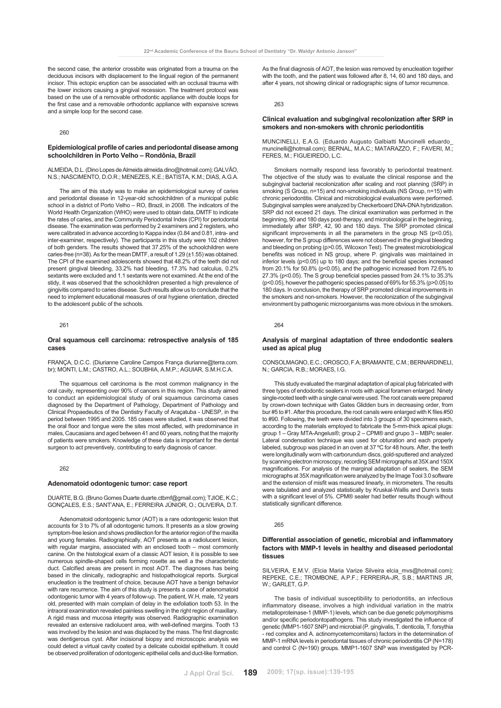the second case, the anterior crossbite was originated from a trauma on the deciduous incisors with displacement to the lingual region of the permanent incisor. This ectopic eruption can be associated with an occlusal trauma with the lower incisors causing a gingival recession. The treatment protocol was based on the use of a removable orthodontic appliance with double loops for the first case and a removable orthodontic appliance with expansive screws and a simple loop for the second case.

## 260

## **Epidemiological profile of caries and periodontal disease among schoolchildren in Porto Velho – Rondônia, Brazil**

ALMEIDA, D.L. (Dino Lopes de Almeida almeida.dino@hotmail.com); GALVÃO, N.S.; NASCIMENTO, D.O.R.; MENEZES, K.E.; BATISTA, K.M.; DIAS, A.G.A.

The aim of this study was to make an epidemiological survey of caries and periodontal disease in 12-year-old schoolchildren of a municipal public school in a district of Porto Velho – RO, Brazil, in 2008. The indicators of the World Health Organization (WHO) were used to obtain data, DMTF to indicate the rates of caries, and the Community Periodontal Index (CPI) for periodontal disease. The examination was performed by 2 examiners and 2 registers, who were calibrated in advance according to Kappa index (0.84 and 0.81, intra- and inter-examiner, respectively). The participants in this study were 102 children of both genders. The results showed that 37.25% of the schoolchildren were caries-free (n=38). As for the mean DMTF, a result of 1.29 (±1.55) was obtained. The CPI of the examined adolescents showed that 48.2% of the teeth did not present gingival bleeding, 33.2% had bleeding, 17.3% had calculus, 0.2% sextants were excluded and 1.1 sextants were not examined. At the end of the stidy, it was observed that the schoolchildren presented a high prevalence of gingivitis compared to caries disease. Such results allow us to conclude that the need to implement educational measures of oral hygiene orientation, directed to the adolescent public of the schools.

### 261

## **Oral squamous cell carcinoma: retrospective analysis of 185 cases**

FRANÇA, D.C.C. (Diurianne Caroline Campos França diurianne@terra.com. br); MONTI, L.M.; CASTRO, A.L.; SOUBHIA, A.M.P.; AGUIAR, S.M.H.C.A.

The squamous cell carcinoma is the most common malignancy in the oral cavity, representing over 90% of cancers in this region. This study aimed to conduct an epidemiological study of oral squamous carcinoma cases diagnosed by the Department of Pathology, Department of Pathology and Clinical Propaedeutics of the Dentistry Faculty of Araçatuba - UNESP, in the period between 1995 and 2005. 185 cases were studied, it was observed that the oral floor and tongue were the sites most affected, with predominance in males, Caucasians and aged between 41 and 60 years, noting that the majority of patients were smokers. Knowledge of these data is important for the dental surgeon to act preventively, contributing to early diagnosis of cancer.

### 262

#### **Adenomatoid odontogenic tumor: case report**

DUARTE, B.G. (Bruno Gomes Duarte duarte.ctbmf@gmail.com); TJIOE, K.C.; GONÇALES, E.S.; SANT'ANA, E.; FERREIRA JÚNIOR, O.; OLIVEIRA, D.T.

Adenomatoid odontogenic tumor (AOT) is a rare odontogenic lesion that accounts for 3 to 7% of all odontogenic tumors. It presents as a slow growing symptom-free lesion and shows predilection for the anterior region of the maxilla and young females. Radiographically, AOT presents as a radiolucent lesion, with regular margins, associated with an enclosed tooth – most commonly canine. On the histological exam of a classic AOT lesion, it is possible to see numerous spindle-shaped cells forming rosette as well a the characteristic duct. Calcified areas are present in most AOT. The diagnoses has being based in the clinically, radiographic and histopathological reports. Surgical enucleation is the treatment of choice, because AOT have a benign behavior with rare recurrence. The aim of this study is presents a case of adenomatoid odontogenic tumor with 4 years of follow-up. The patient, W.H, male, 12 years old, presented with main complain of delay in the exfoliation tooth 53. In the intraoral examination revealed painless swelling in the right region of maxillary. A rigid mass and mucosa integrity was observed. Radiographic examination revealed an extensive radiolucent area, with well-defined margins. Tooth 13 was involved by the lesion and was displaced by the mass. The first diagnostic was dentigerous cyst. After incisional biopsy and microscopic analysis we could detect a virtual cavity coated by a delicate cuboidal epithelium. It could be observed proliferation of odontogenic epithelial cells and duct-like formation.

As the final diagnosis of AOT, the lesion was removed by enucleation together with the tooth, and the patient was followed after 8, 14, 60 and 180 days, and after 4 years, not showing clinical or radiographic signs of tumor recurrence.

## 263

## **Clinical evaluation and subgingival recolonization after SRP in smokers and non-smokers with chronic periodontitis**

MUNCINELLI, E.A.G. (Eduardo Augusto Galbiatti Muncinelli eduardo\_ muncinelli@hotmail.com); BERNAL, M.A.C.; MATARAZZO, F.; FAVERI, M.; FERES, M.; FIGUEIREDO, L.C.

Smokers normally respond less favorably to periodontal treatment. The objective of the study was to evaluate the clinical response and the subgingival bacterial recolonization after scaling and root planning (SRP) in smoking (S Group, n=15) and non-smoking individuals (NS Group, n=15) with chronic periodontitis. Clinical and microbiological evaluations were performed. Subgingival samples were analyzed by Checkerboard DNA-DNA hybridization. SRP did not exceed 21 days. The clinical examination was performed in the beginning, 90 and 180 days post-therapy, and microbiological in the beginning, immediately after SRP, 42, 90 and 180 days. The SRP promoted clinical significant improvements in all the parameters in the group NS (p<0.05), however, for the S group differences were not observed in the gingival bleeding and bleeding on probing (p>0.05, Wilcoxon Test). The greatest microbiological benefits was noticed in NS group, where P. gingivalis was maintained in inferior levels (p<0.05) up to 180 days; and the beneficial species increased from 20.1% for 50.8% (p<0.05), and the pathogenic increased from 72.6% to 27.3% (p<0.05). The S group beneficial species passed from 24.1% to 35.3% (p<0.05), however the pathogenic species passed of 69% for 55.3% (p>0.05) to 180 days. In conclusion, the therapy of SRP promoted clinical improvements in the smokers and non-smokers. However, the recolonization of the subgingival environment by pathogenic microorganisms was more obvious in the smokers.

#### 264

## **Analysis of marginal adaptation of three endodontic sealers used as apical plug**

CONSOLMAGNO, E.C.; OROSCO, F.A; BRAMANTE, C.M.; BERNARDINELI, N.; GARCIA, R.B.; MORAES, I.G.

This study evaluated the marginal adaptation of apical plug fabricated with three types of endodontic sealers in roots with apical foramen enlarged. Ninety single-rooted teeth with a single canal were used. The root canals were prepared by crown-down technique with Gates Glidden burs in decreasing order, from bur #5 to #1. After this procedure, the root canals were enlarged with K files #50 to #90. Following, the teeth were divided into 3 groups of 30 specimens each, according to the materials employed to fabricate the 5-mm-thick apical plugs: group 1 – Gray MTA-Angelus®; group 2 – CPM® and grupo 3 – MBPc sealer. Lateral condensation technique was used for obturation and each properly labeled, subgroup was placed in an oven at 37 ºC for 48 hours. After, the teeth were longitudinally worn with carborundum discs, gold-sputtered and analyzed by scanning electron microscopy, recording SEM micrographs at 35X and 150X magnifications. For analysis of the marginal adaptation of sealers, the SEM micrographs at 35X magnification were analyzed by the Image Tool 3.0 software and the extension of misfit was measured linearly, in micrometers. The results were tabulated and analyzed statistically by Kruskal-Wallis and Dunn's tests with a significant level of 5%. CPM® sealer had better results though without statistically significant difference.

#### 265

## **Differential association of genetic, microbial and inflammatory factors with MMP-1 levels in healthy and diseased periodontal tissues**

SILVEIRA, E.M.V. (Elcia Maria Varize Silveira elcia\_mvs@hotmail.com); REPEKE, C.E.; TROMBONE, A.P.F.; FERREIRA-JR, S.B.; MARTINS JR, W.; GARLET, G.P.

The basis of individual susceptibility to periodontitis, an infectious inflammatory disease, involves a high individual variation in the matrix metalloproteinase-1 (MMP-1) levels, which can be due genetic polymorphisms and/or specific periodontopathogens. This study investigated the influence of genetic (MMP1-1607 SNP) and microbial (P. gingivalis, T. denticola, T. forsythia - red complex and A. actinomycetemcomitans) factors in the determination of MMP-1 mRNA levels in periodontal tissues of chronic periodontitis CP (N=178) and control C (N=190) groups. MMP1-1607 SNP was investigated by PCR-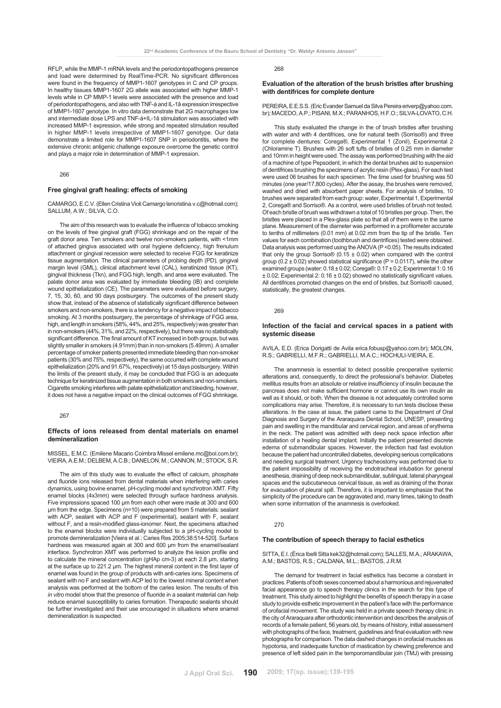RFLP, while the MMP-1 mRNA levels and the periodontopathogens presence and load were determined by RealTime-PCR. No significant differences were found in the frequency of MMP1-1607 genotypes in C and CP groups. In healthy tissues MMP1-1607 2G allele was associated with higher MMP-1 levels while in CP MMP-1 levels were associated with the presence and load of periodontopathogens, and also with TNF-á and IL-1â expression irrespective of MMP1-1607 genotype. In vitro data demonstrate that 2G macrophages low and intermediate dose LPS and TNF-á+IL-1â stimulation was associated with increased MMP-1 expression, while strong and repeated stimulation resulted in higher MMP-1 levels irrespective of MMP1-1607 genotype. Our data demonstrate a limited role for MMP1-1607 SNP in periodontitis, where the extensive chronic antigenic challenge exposure overcome the genetic control and plays a major role in determination of MMP-1 expression.

#### 266

## **Free gingival graft healing: effects of smoking**

CAMARGO, E.C.V. (Ellen Cristina Violi Camargo lencristina.v.c@hotmail.com);  $S$ ALLUM, A.W.;  $S$ ILVA, C.O.

The aim of this research was to evaluate the influence of tobacco smoking on the levels of free gingival graft (FGG) shrinkage and on the repair of the graft donor area. Ten smokers and twelve non-smokers patients, with <1mm of attached gingiva associated with oral hygiene deficiency, high frenulum attachment or gingival recession were selected to receive FGG for keratinize tissue augmentation. The clinical parameters of probing depth (PD), gingival margin level (GML), clinical attachment level (CAL), keratinized tissue (KT), gingival thickness (Tkn), and FGG high, length, and area were evaluated. The palate donor area was evaluated by immediate bleeding (IB) and complete wound epithelialization (CE). The parameters were evaluated before surgery, 7, 15, 30, 60, and 90 days postsurgery. The outcomes of the present study show that, instead of the absence of statistically significant difference between smokers and non-smokers, there is a tendency for a negative impact of tobacco smoking. At 3 months postsurgery, the percentage of shrinkage of FGG area, high, and length in smokers (58%, 44%, and 25%, respectively) was greater than in non-smokers (44%, 31%, and 22%, respectively), but there was no statistically significant difference. The final amount of KT increased in both groups, but was slightly smaller in smokers (4.91mm) than in non-smokers (5.49mm). A smaller percentage of smoker patients presented immediate bleeding than non-smoker patients (30% and 75%, respectively), the same occurred with complete wound epithelialization (20% and 91.67%, respectively) at 15 days postsurgery. Within the limits of the present study, it may be concluded that FGG is an adequate technique for keratinized tissue augmentation in both smokers and non-smokers. Cigarette smoking interferes with palate epithelialization and bleeding, however, it does not have a negative impact on the clinical outcomes of FGG shrinkage.

#### 267

## **Effects of ions released from dental materials on enamel demineralization**

MISSEL, E.M.C. (Emilene Macario Coimbra Missel emilene.mc@bol.com.br); VIEIRA, A.E.M.; DELBEM, A.C.B.; DANELON, M.; CANNON, M.; STOCK, S.R.

The aim of this study was to evaluate the effect of calcium, phosphate and fluoride ions released from dental materials when interfering with caries dynamics, using bovine enamel, pH-cycling model and synchrotron XMT. Fifty enamel blocks (4x3mm) were selected through surface hardness analysis. Five impressions spaced 100 µm from each other were made at 300 and 600 µm from the edge. Specimens (n=10) were prepared from 5 materials: sealant with ACP, sealant with ACP and F (experimental), sealant with F, sealant without F, and a resin-modified glass-ionomer. Next, the specimens attached to the enamel blocks were individually subjected to a pH-cycling model to promote demineralization [Vieira et al.: Caries Res 2005;38:514-520]. Surface hardness was measured again at 300 and 600 µm from the enamel/sealant interface. Synchrotron XMT was performed to analyze the lesion profile and to calculate the mineral concentration (gHAp cm-3) at each 2.8 µm, starting at the surface up to 221.2 µm. The highest mineral content in the first layer of enamel was found in the group of products with anti-caries ions. Specimens of sealant with no F and sealant with ACP led to the lowest mineral content when analysis was performed at the bottom of the caries lesion. The results of this *in vitro* model show that the presence of fluoride in a sealant material can help reduce enamel susceptibility to caries formation. Therapeutic sealants should be further investigated and their use encouraged in situations where enamel demineralization is suspected.

#### 268

#### **Evaluation of the alteration of the brush bristles after brushing with dentifrices for complete denture**

### PEREIRA, E.E.S.S. (Eric Evander Samuel da Silva Pereira eriverp@yahoo.com. br); MACEDO, A.P.; PISANI, M.X.; PARANHOS, H.F.O.; SILVA-LOVATO, C.H.

This study evaluated the change in the of brush bristles after brushing with water and with 4 dentifrices, one for natural teeth (Sorriso®) and three for complete dentures: Corega®, Experimental 1 (Zonil), Experimental 2 (Chloramine T). Brushes with 26 soft tufts of bristles of 0.25 mm in diameter and 10mm in height were used. The assay was performed brushing with the aid of a machine of type Pepsodent, in which the dental brushes aid to suspension of dentifrices brushing the specimens of acrylic resin (Plex-glass). For each test were used 06 brushes for each specimen. The time used for brushing was 50 minutes (one year/17,800 cycles). After the assay, the brushes were removed, washed and dried with absorbent paper sheets. For analysis of bristles, 10 brushes were separated from each group: water, Experimental 1, Experimental 2, Corega® and Sorriso®. As a control, were used bristles of brush not tested. Of each bristle of brush was withdrawn a total of 10 bristles per group. Then, the bristles were placed in a Plex-glass plate so that all of them were in the same plane. Measurement of the diameter was performed in a profilometer accurate to tenths of millimeters (0.01 mm) at 0.02 mm from the tip of the bristle. Ten values for each combination (toothbrush and dentrifices) tested were obtained. Data analysis was performed using the ANOVA (P <0.05). The results indicated that only the group Sorriso® (0.15  $\pm$  0.02) when compared with the control group ( $0.2 \pm 0.02$ ) showed statistical significance (P = 0.0117), while the other examined groups (water: 0.18 ± 0.02; Corega®: 0.17 ± 0.2; Experimental 1: 0.16 ± 0.02; Experimental 2: 0.16 ± 0.02) showed no statistically significant values. All dentifrices promoted changes on the end of bristles, but Sorriso® caused, statistically, the greatest changes.

### 269

# **Infection of the facial and cervical spaces in a patient with systemic disease**

AVILA, E.D. (Erica Dorigatti de Avila erica.fobusp@yahoo.com.br); MOLON, R.S.; GABRIELLI, M.F.R.; GABRIELLI, M.A.C.; HOCHULI-VIEIRA, E.

The anamnesis is essential to detect possible preoperative systemic alterations and, consequently, to direct the professional's behavior. Diabetes mellitus results from an absolute or relative insufficiency of insulin because the pancreas does not make sufficient hormone or cannot use its own insulin as well as it should, or both. When the disease is not adequately controlled some complications may arise. Therefore, it is necessary to run tests disclose these alterations. In the case at issue, the patient came to the Department of Oral Diagnosis and Surgery of the Araraquara Dental School, UNESP, presenting pain and swelling in the mandibular and cervical region, and areas of erythema in the neck. The patient was admitted with deep neck space infection after installation of a healing dental implant. Initially the patient presented discrete edema of submandibular spaces. However, the infection had fast evolution because the patient had uncontrolled diabetes, developing serious complications and needing surgical treatment. Urgency tracheostomy was performed due to the patient impossibility of receiving the endotracheal intubation for general anesthesia, draining of deep neck submandibular, sublingual, lateral pharyngeal spaces and the subcutaneous cervical tissue, as well as draining of the thorax for evacuation of pleural spill. Therefore, it is important to emphasize that the simplicity of the procedure can be aggravated and, many times, taking to death when some information of the anamnesis is overlooked.

#### 270

### **The contribution of speech therapy to facial esthetics**

SITTA, E.I. (Érica Ibelli Sitta kek32@hotmail.com); SALLES, M.A.; ARAKAWA, A.M.; BASTOS, R.S.; CALDANA, M.L.; BASTOS, J.R.M.

The demand for treatment in facial esthetics has become a constant in practices. Patients of both sexes concerned about a harmonious and rejuvenated facial appearance go to speech therapy clinics in the search for this type of treatment. This study aimed to highlight the benefits of speech therapy in a case study to provide esthetic improvement in the patient's face with the performance of orofacial movement. The study was held in a private speech therapy clinic in the city of Araraquara after orthodontic intervention and describes the analysis of records of a female patient, 56 years old, by means of history, initial assessment with photographs of the face, treatment, guidelines and final evaluation with new photographs for comparison. The data dashed changes in orofacial muscles as hypotonia, and inadequate function of mastication by chewing preference and presence of left sided pain in the temporomandibular join (TMJ) with pressing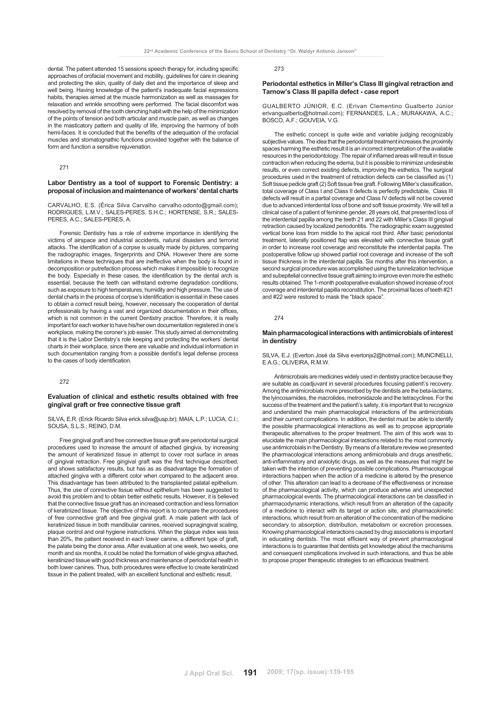dental. The patient attended 15 sessions speech therapy for, including specific approaches of orofacial movement and mobility, guidelines for care in cleaning and protecting the skin, quality of daily diet and the importance of sleep and well being. Having knowledge of the patient's inadequate facial expressions habits, therapies aimed at the muscle harmonization as well as massages for relaxation and wrinkle smoothing were performed. The facial discomfort was resolved by removal of the tooth clenching habit with the help of the minimization of the points of tension and both articular and muscle pain, as well as changes in the masticatory pattern and quality of life, improving the harmony of both hemi-faces. It is concluded that the benefits of the adequation of the orofacial muscles and stomatognathic functions provided together with the balance of form and function a sensitive rejuvenation.

#### 271

### **Labor Dentistry as a tool of support to Forensic Dentistry: a proposal of inclusion and maintenance of workers' dental charts**

CARVALHO, E.S. (Érica Silva Carvalho carvalho.odonto@gmail.com); RODRIGUES, L.M.V.; SALES-PERES, S.H.C.; HORTENSE, S.R.; SALES-PERES, A.C.; SALES-PERES, A.

Forensic Dentistry has a role of extreme importance in identifying the victims of airspace and industrial accidents, natural disasters and terrorist attacks. The identification of a corpse is usually made by pictures, comparing the radiographic images, fingerprints and DNA. However there are some limitations in these techniques that are ineffective when the body is found in decomposition or putrefaction process which makes it impossible to recognize the body. Especially in these cases, the identification by the dental arch is essential, because the teeth can withstand extreme degradation conditions, such as exposure to high temperatures, humidity and high pressure. The use of dental charts in the process of corpse's identification is essential in these cases to obtain a correct result being, however, necessary the cooperation of dental professionals by having a vast and organized documentation in their offices, which is not common in the current Dentistry practice. Therefore, it is really important for each worker to have his/her own documentation registered in one's workplace, making the coroner's job easier. This study aimed at demonstrating that it is the Labor Dentistry's role keeping and protecting the workers' dental charts in their workplace, since there are valuable and individual information in such documentation ranging from a possible dentist's legal defense process to the cases of body identification.

## 272

## **Evaluation of clinical and esthetic results obtained with free gingival graft or free connective tissue graft**

SILVA, E.R. (Erick Ricardo Silva erick.silva@usp.br); MAIA, L.P.; LUCIA, C.I.; SOUSA, S.L.S.; REINO, D.M.

Free gingival graft and free connective tissue graft are periodontal surgical procedures used to increase the amount of attached gingiva, by increasing the amount of keratinized tissue in attempt to cover root surface in areas of gingival retraction. Free gingival graft was the first technique described, and shows satisfactory results, but has as as disadvantage the formation of attached gingiva with a different color when compared to the adjacent area. This disadvantage has been attributed to the transplanted palatal epithelium. Thus, the use of connective tissue without epithelium has been suggested to avoid this problem and to obtain better esthetic results. However, it is believed that the connective tissue graft has an increased contraction and less formation of keratinized tissue. The objective of this report is to compare the procedures of free connective graft and free gingival graft. A male patient with lack of keratinized tissue in both mandibular canines, received supragingival scaling, plaque control and oral hygiene instructions. When the plaque index was less than 20%, the patient received in each lower canine, a different type of graft, the palate being the donor area. After evaluation at one week, two weeks, one month and six months, it could be noted the formation of wide gingiva attached, keratinized tissue with good thickness and maintenance of periodontal health in both lower canines. Thus, both procedures were effective to create keratinized tissue in the patient treated, with an excellent functional and esthetic result.

#### 273

### **Periodontal esthetics in Miller's Class III gingival retraction and Tarnow's Class III papilla defect - case report**

GUALBERTO JÚNIOR, E.C. (Erivan Clementino Gualberto Júnior erivangualberto@hotmail.com); FERNANDES, L.A.; MURAKAWA, A.C.; BOSCO, A.F.; GOUVEIA, V.G.

The esthetic concept is quite wide and variable judging recognizably subjective values. The idea that the periodontal treatment increases the proximity spaces harming the esthetic result it is an incorrect interpretation of the available resources in the periodontology. The repair of inflamed areas will result in tissue contraction when reducing the edema, but it is possible to minimize undesirable results, or even correct existing defects, improving the esthetics. The surgical procedures used in the treatment of retraction defects can be classified as (1) Soft tissue pedicle graft (2) Soft tissue free graft. Following Miller's classification, total coverage of Class I and Class II defects is perfectly predictable, Class III defects will result in a partial coverage and Class IV defects will not be covered due to advanced interdental loss of bone and soft tissue proximity. We will tell a clinical case of a patient of feminine gender, 28 years old, that presented loss of the interdental papilla among the teeth 21 and 22 with Miller's Class III gingival retraction caused by localized periodontitis. The radiographic exam suggested vertical bone loss from middle to the apical root third. After basic periodontal treatment, laterally positioned flap was elevated with connective tissue graft in order to increase root coverage and reconstitute the interdental papila. The postoperative follow up showed partial root coverage and increase of the soft tissue thickness in the interdental papilla. Six months after this intervention, a second surgical procedure was accomplished using the tunnelization technique and subepitelial connective tissue graft aiming to improve even more the esthetic results obtained. The 1-month postoperative evaluation showed increase of root coverage and interdental papilla reconstitution. The proximal faces of teeth #21 and #22 were restored to mask the "black space".

## 274

## **Main pharmacological interactions with antimicrobials of interest in dentistry**

SILVA, E.J. (Everton José da Silva evertonjs2@hotmail.com); MUNCINELLI, E.A.G.; OLIVEIRA, R.M.W.

Antimicrobials are medicines widely used in dentistry practice because they are suitable as coadjuvant in several procedures focusing patient\'s recovery. Among the antimicrobials more prescribed by the dentists are the beta-lactams, the lyincosamides, the macrolides, metronidazole and the tetracyclines. For the success of the treatment and the patient\'s safety, it is important that to recognize and understand the main pharmacological interactions of the antimicrobials and their current complications. In addition, the dentist must be able to identify the possible pharmacological interactions as well as to propose appropriate therapeutic alternatives to the proper treatment. The aim of this work was to elucidate the main pharmacological interactions related to the most commonly use antimicrobials in the Dentistry. By means of a literature review we presented the pharmacological interactions among antimicrobials and drugs anesthetic, anti-inflammatory and anxiolytic drugs, as well as the measures that might be taken with the intention of preventing possible complications. Pharmacological interactions happen when the action of a medicine is altered by the presence of other. This alteration can lead to a decrease of the effectiveness or increase of the pharmacological activity, which can produce adverse and unexpected pharmacological events. The pharmacological interactions can be classified in pharmacodynamic interactions, which result from an alteration of the capacity of a medicine to interact with its target or action site, and pharmacokinetic interactions, which result from an alteration of the concentration of the medicine secondary to absorption, distribution, metabolism or excretion processes. Knowing pharmacological interactions caused by drug associations is important in educating dentists. The most efficient way of prevent pharmacological interactions is to guarantee that dentists get knowledge about the mechanisms and consequent complications involved in such interactions, and thus be able to propose proper therapeutic strategies to an efficacious treatment.